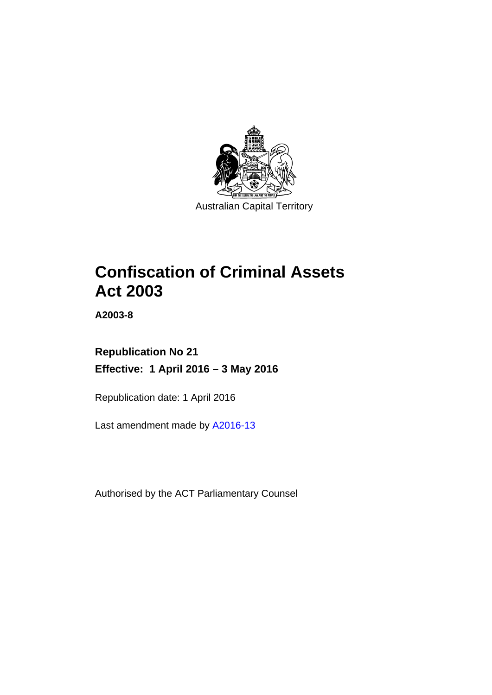

# **Confiscation of Criminal Assets Act 2003**

**A2003-8** 

# **Republication No 21 Effective: 1 April 2016 – 3 May 2016**

Republication date: 1 April 2016

Last amendment made by [A2016-13](http://www.legislation.act.gov.au/a/2016-13)

Authorised by the ACT Parliamentary Counsel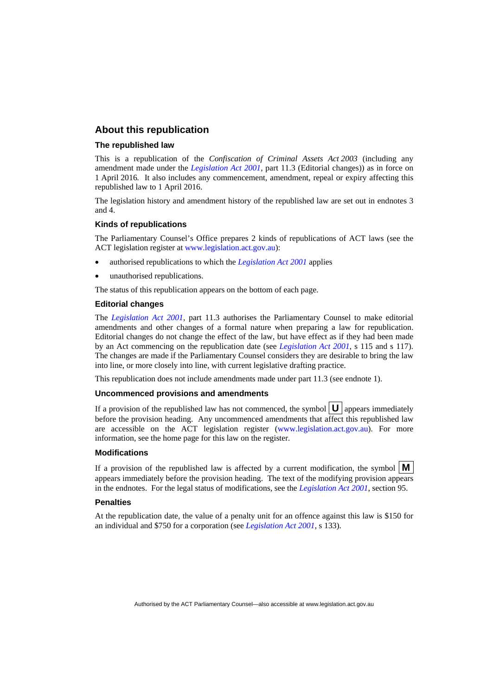## **About this republication**

### **The republished law**

This is a republication of the *Confiscation of Criminal Assets Act 2003* (including any amendment made under the *[Legislation Act 2001](http://www.legislation.act.gov.au/a/2001-14)*, part 11.3 (Editorial changes)) as in force on 1 April 2016*.* It also includes any commencement, amendment, repeal or expiry affecting this republished law to 1 April 2016.

The legislation history and amendment history of the republished law are set out in endnotes 3 and 4.

### **Kinds of republications**

The Parliamentary Counsel's Office prepares 2 kinds of republications of ACT laws (see the ACT legislation register at [www.legislation.act.gov.au](http://www.legislation.act.gov.au/)):

- authorised republications to which the *[Legislation Act 2001](http://www.legislation.act.gov.au/a/2001-14)* applies
- unauthorised republications.

The status of this republication appears on the bottom of each page.

### **Editorial changes**

The *[Legislation Act 2001](http://www.legislation.act.gov.au/a/2001-14)*, part 11.3 authorises the Parliamentary Counsel to make editorial amendments and other changes of a formal nature when preparing a law for republication. Editorial changes do not change the effect of the law, but have effect as if they had been made by an Act commencing on the republication date (see *[Legislation Act 2001](http://www.legislation.act.gov.au/a/2001-14)*, s 115 and s 117). The changes are made if the Parliamentary Counsel considers they are desirable to bring the law into line, or more closely into line, with current legislative drafting practice.

This republication does not include amendments made under part 11.3 (see endnote 1).

### **Uncommenced provisions and amendments**

If a provision of the republished law has not commenced, the symbol  $\mathbf{U}$  appears immediately before the provision heading. Any uncommenced amendments that affect this republished law are accessible on the ACT legislation register [\(www.legislation.act.gov.au\)](http://www.legislation.act.gov.au/). For more information, see the home page for this law on the register.

#### **Modifications**

If a provision of the republished law is affected by a current modification, the symbol  $\mathbf{M}$ appears immediately before the provision heading. The text of the modifying provision appears in the endnotes. For the legal status of modifications, see the *[Legislation Act 2001](http://www.legislation.act.gov.au/a/2001-14)*, section 95.

#### **Penalties**

At the republication date, the value of a penalty unit for an offence against this law is \$150 for an individual and \$750 for a corporation (see *[Legislation Act 2001](http://www.legislation.act.gov.au/a/2001-14)*, s 133).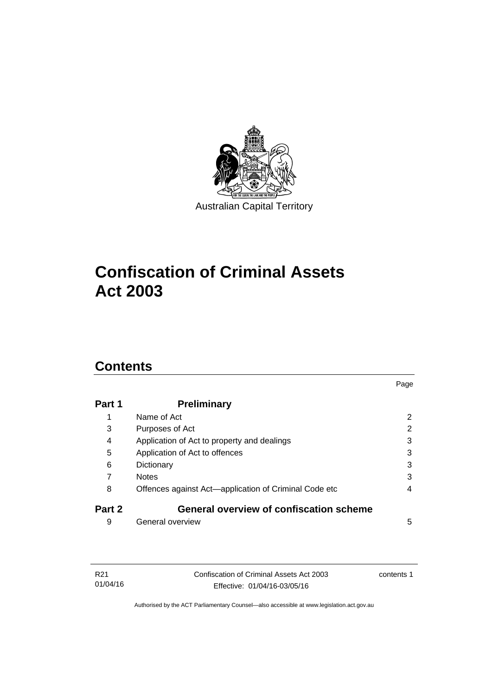

# **Confiscation of Criminal Assets Act 2003**

# **Contents**

| Part 1 | <b>Preliminary</b>                                    |   |
|--------|-------------------------------------------------------|---|
| 1      | Name of Act                                           | 2 |
| 3      | Purposes of Act                                       | 2 |
| 4      | Application of Act to property and dealings           | 3 |
| 5      | Application of Act to offences                        | 3 |
| 6      | Dictionary                                            | 3 |
| 7      | <b>Notes</b>                                          | 3 |
| 8      | Offences against Act-application of Criminal Code etc | 4 |
| Part 2 | <b>General overview of confiscation scheme</b>        |   |
| 9      | General overview                                      | 5 |

Page

| R21      | Confiscation of Criminal Assets Act 2003 | contents 1 |
|----------|------------------------------------------|------------|
| 01/04/16 | Effective: 01/04/16-03/05/16             |            |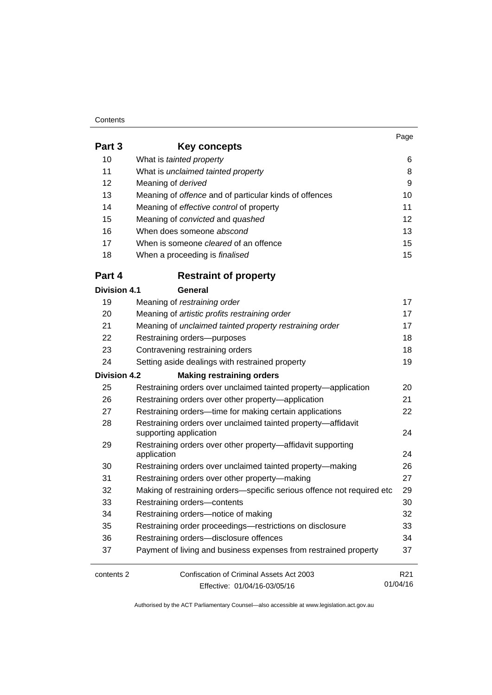### **Contents**

01/04/16

| Part 3              | <b>Key concepts</b>                                                        |                 |
|---------------------|----------------------------------------------------------------------------|-----------------|
| 10                  | What is tainted property                                                   | 6               |
| 11                  | What is unclaimed tainted property                                         | 8               |
| 12                  | Meaning of derived                                                         | 9               |
| 13                  | Meaning of offence and of particular kinds of offences                     | 10              |
| 14                  | Meaning of effective control of property                                   | 11              |
| 15                  | Meaning of convicted and quashed                                           | 12              |
| 16                  | When does someone abscond                                                  | 13              |
| 17                  | When is someone <i>cleared</i> of an offence                               | 15              |
| 18                  | When a proceeding is finalised                                             | 15              |
| Part 4              | <b>Restraint of property</b>                                               |                 |
| <b>Division 4.1</b> | General                                                                    |                 |
| 19                  | Meaning of restraining order                                               | 17              |
| 20                  | Meaning of artistic profits restraining order                              | 17              |
| 21                  | Meaning of unclaimed tainted property restraining order                    | 17              |
| 22                  | Restraining orders-purposes                                                | 18              |
| 23                  | Contravening restraining orders                                            | 18              |
| 24                  | Setting aside dealings with restrained property                            | 19              |
| Division 4.2        | <b>Making restraining orders</b>                                           |                 |
| 25                  | Restraining orders over unclaimed tainted property-application             | 20              |
| 26                  | Restraining orders over other property-application                         | 21              |
| 27                  | Restraining orders-time for making certain applications                    | 22              |
| 28                  | Restraining orders over unclaimed tainted property-affidavit               |                 |
|                     | supporting application                                                     | 24              |
| 29                  | Restraining orders over other property-affidavit supporting<br>application | 24              |
| 30                  | Restraining orders over unclaimed tainted property-making                  | 26              |
| 31                  | Restraining orders over other property-making                              | 27              |
| 32                  | Making of restraining orders-specific serious offence not required etc     | 29              |
| 33                  | Restraining orders-contents                                                | 30              |
| 34                  | Restraining orders-notice of making                                        | 32              |
| 35                  | Restraining order proceedings-restrictions on disclosure                   | 33              |
| 36                  | Restraining orders-disclosure offences                                     | 34              |
| 37                  | Payment of living and business expenses from restrained property           | 37              |
| contents 2          | Confiscation of Criminal Assets Act 2003                                   | R <sub>21</sub> |

Effective: 01/04/16-03/05/16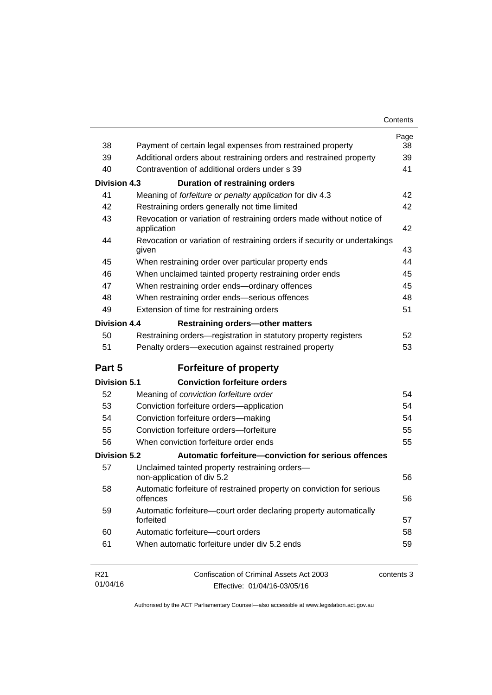| Contents |
|----------|
|----------|

| 38                  | Payment of certain legal expenses from restrained property                         | Page<br>38 |
|---------------------|------------------------------------------------------------------------------------|------------|
| 39                  | Additional orders about restraining orders and restrained property                 | 39         |
| 40                  | Contravention of additional orders under s 39                                      | 41         |
| <b>Division 4.3</b> | <b>Duration of restraining orders</b>                                              |            |
| 41                  | Meaning of forfeiture or penalty application for div 4.3                           | 42         |
| 42                  | Restraining orders generally not time limited                                      | 42         |
| 43                  | Revocation or variation of restraining orders made without notice of               |            |
|                     | application                                                                        | 42         |
| 44                  | Revocation or variation of restraining orders if security or undertakings<br>given | 43         |
| 45                  | When restraining order over particular property ends                               | 44         |
| 46                  | When unclaimed tainted property restraining order ends                             | 45         |
| 47                  | When restraining order ends-ordinary offences                                      | 45         |
| 48                  | When restraining order ends-serious offences                                       | 48         |
| 49                  | Extension of time for restraining orders                                           | 51         |
| <b>Division 4.4</b> | <b>Restraining orders-other matters</b>                                            |            |
| 50                  | Restraining orders-registration in statutory property registers                    | 52         |
| 51                  | Penalty orders-execution against restrained property                               | 53         |
| Part 5              | <b>Forfeiture of property</b>                                                      |            |
| <b>Division 5.1</b> | <b>Conviction forfeiture orders</b>                                                |            |
| 52                  | Meaning of conviction forfeiture order                                             | 54         |
| 53                  | Conviction forfeiture orders-application                                           | 54         |
| 54                  | Conviction forfeiture orders-making                                                | 54         |
| 55                  | Conviction forfeiture orders-forfeiture                                            | 55         |
| 56                  | When conviction forfeiture order ends                                              | 55         |
| <b>Division 5.2</b> | Automatic forfeiture-conviction for serious offences                               |            |
| 57                  | Unclaimed tainted property restraining orders-<br>non-application of div 5.2       | 56         |
| 58                  | Automatic forfeiture of restrained property on conviction for serious<br>offences  | 56         |
| 59                  | Automatic forfeiture-court order declaring property automatically<br>forfeited     | 57         |
| 60                  | Automatic forfeiture-court orders                                                  | 58         |
| 61                  | When automatic forfeiture under div 5.2 ends                                       | 59         |
| R <sub>21</sub>     | Confiscation of Criminal Assets Act 2003                                           | contents 3 |
| 01/04/16            | Effective: 01/04/16-03/05/16                                                       |            |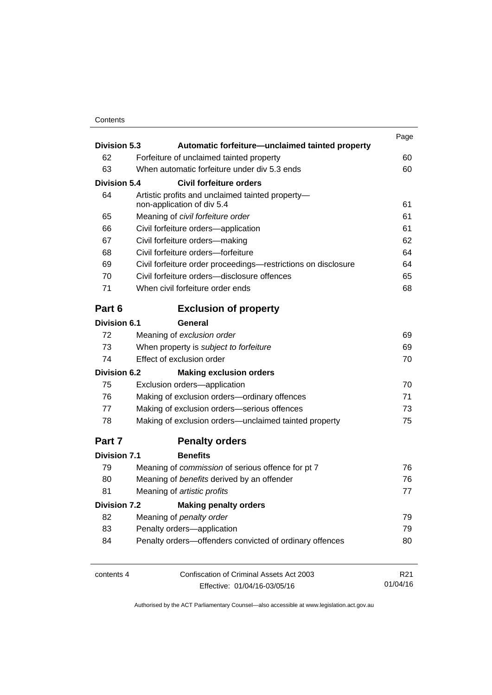## **Contents**

| <b>Division 5.3</b> | Automatic forfeiture-unclaimed tainted property               | Page            |
|---------------------|---------------------------------------------------------------|-----------------|
| 62                  | Forfeiture of unclaimed tainted property                      | 60              |
| 63                  | When automatic forfeiture under div 5.3 ends                  | 60              |
| <b>Division 5.4</b> | Civil forfeiture orders                                       |                 |
| 64                  | Artistic profits and unclaimed tainted property-              |                 |
|                     | non-application of div 5.4                                    | 61              |
| 65                  | Meaning of civil forfeiture order                             | 61              |
| 66                  | Civil forfeiture orders-application                           | 61              |
| 67                  | Civil forfeiture orders-making                                | 62              |
| 68                  | Civil forfeiture orders-forfeiture                            | 64              |
| 69                  | Civil forfeiture order proceedings-restrictions on disclosure | 64              |
| 70                  | Civil forfeiture orders-disclosure offences                   | 65              |
| 71                  | When civil forfeiture order ends                              | 68              |
| Part 6              | <b>Exclusion of property</b>                                  |                 |
| <b>Division 6.1</b> | General                                                       |                 |
| 72                  | Meaning of exclusion order                                    | 69              |
| 73                  | When property is subject to forfeiture                        | 69              |
| 74                  | Effect of exclusion order                                     | 70              |
| <b>Division 6.2</b> | <b>Making exclusion orders</b>                                |                 |
| 75                  | Exclusion orders-application                                  | 70              |
| 76                  | Making of exclusion orders-ordinary offences                  | 71              |
| 77                  | Making of exclusion orders-serious offences                   | 73              |
| 78                  | Making of exclusion orders—unclaimed tainted property         | 75              |
| Part 7              | <b>Penalty orders</b>                                         |                 |
| <b>Division 7.1</b> | <b>Benefits</b>                                               |                 |
| 79                  | Meaning of commission of serious offence for pt 7             | 76              |
| 80                  | Meaning of benefits derived by an offender                    | 76              |
| 81                  | Meaning of artistic profits                                   | 77              |
| <b>Division 7.2</b> | <b>Making penalty orders</b>                                  |                 |
| 82                  | Meaning of penalty order                                      | 79              |
| 83                  | Penalty orders-application                                    | 79              |
| 84                  | Penalty orders-offenders convicted of ordinary offences       | 80              |
| contents 4          | Confiscation of Criminal Assets Act 2003                      | R <sub>21</sub> |
|                     | Effective: 01/04/16-03/05/16                                  | 01/04/16        |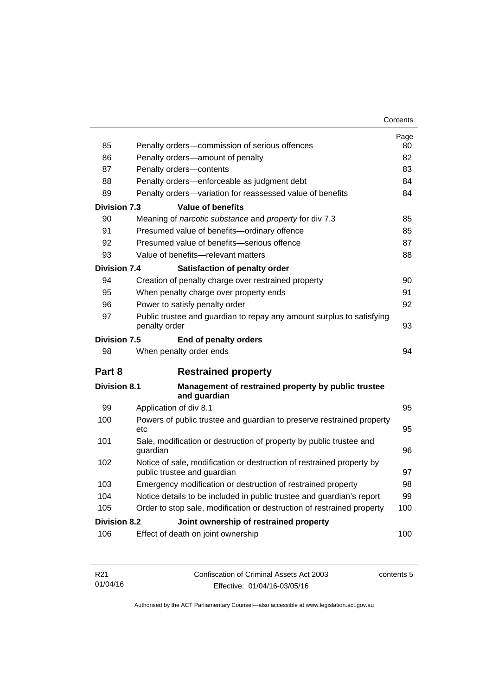| Contents |
|----------|
|----------|

| 85                  | Penalty orders-commission of serious offences                                                        | Page<br>80 |
|---------------------|------------------------------------------------------------------------------------------------------|------------|
| 86                  | Penalty orders-amount of penalty                                                                     | 82         |
| 87                  | Penalty orders-contents                                                                              | 83         |
| 88                  | Penalty orders—enforceable as judgment debt                                                          | 84         |
| 89                  | Penalty orders-variation for reassessed value of benefits                                            | 84         |
| <b>Division 7.3</b> | <b>Value of benefits</b>                                                                             |            |
| 90                  | Meaning of narcotic substance and property for div 7.3                                               | 85         |
| 91                  | Presumed value of benefits-ordinary offence                                                          | 85         |
| 92                  | Presumed value of benefits-serious offence                                                           | 87         |
| 93                  | Value of benefits-relevant matters                                                                   | 88         |
| Division 7.4        | Satisfaction of penalty order                                                                        |            |
| 94                  | Creation of penalty charge over restrained property                                                  | 90         |
| 95                  | When penalty charge over property ends                                                               | 91         |
| 96                  | Power to satisfy penalty order                                                                       | 92         |
| 97                  | Public trustee and guardian to repay any amount surplus to satisfying<br>penalty order               | 93         |
| <b>Division 7.5</b> | End of penalty orders                                                                                |            |
| 98                  | When penalty order ends                                                                              | 94         |
| Part 8              | <b>Restrained property</b>                                                                           |            |
| <b>Division 8.1</b> | Management of restrained property by public trustee<br>and guardian                                  |            |
| 99                  | Application of div 8.1                                                                               | 95         |
| 100                 | Powers of public trustee and guardian to preserve restrained property<br>etc.                        | 95         |
| 101                 | Sale, modification or destruction of property by public trustee and<br>guardian                      | 96         |
| 102                 | Notice of sale, modification or destruction of restrained property by<br>public trustee and guardian | 97         |
| 103                 | Emergency modification or destruction of restrained property                                         | 98         |
| 104                 | Notice details to be included in public trustee and guardian's report                                | 99         |
| 105                 | Order to stop sale, modification or destruction of restrained property                               | 100        |
| <b>Division 8.2</b> | Joint ownership of restrained property                                                               |            |
| 106                 | Effect of death on joint ownership                                                                   | 100        |
|                     |                                                                                                      |            |

| R21      | Confiscation of Criminal Assets Act 2003 | contents 5 |
|----------|------------------------------------------|------------|
| 01/04/16 | Effective: 01/04/16-03/05/16             |            |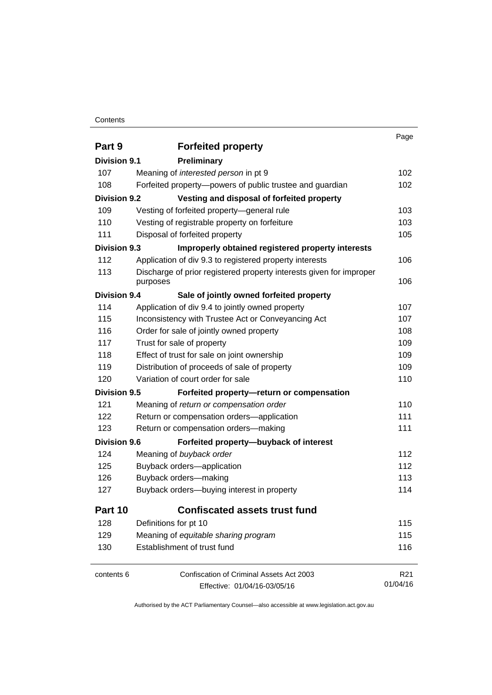### **Contents**

|                     |                                                                     | Page            |
|---------------------|---------------------------------------------------------------------|-----------------|
| Part 9              | <b>Forfeited property</b>                                           |                 |
| <b>Division 9.1</b> | <b>Preliminary</b>                                                  |                 |
| 107                 | Meaning of <i>interested person</i> in pt 9                         | 102             |
| 108                 | Forfeited property-powers of public trustee and guardian            | 102             |
| <b>Division 9.2</b> | Vesting and disposal of forfeited property                          |                 |
| 109                 | Vesting of forfeited property-general rule                          | 103             |
| 110                 | Vesting of registrable property on forfeiture                       | 103             |
| 111                 | Disposal of forfeited property                                      | 105             |
| <b>Division 9.3</b> | Improperly obtained registered property interests                   |                 |
| 112                 | Application of div 9.3 to registered property interests             | 106             |
| 113                 | Discharge of prior registered property interests given for improper |                 |
|                     | purposes                                                            | 106             |
| <b>Division 9.4</b> | Sale of jointly owned forfeited property                            |                 |
| 114                 | Application of div 9.4 to jointly owned property                    | 107             |
| 115                 | Inconsistency with Trustee Act or Conveyancing Act                  | 107             |
| 116                 | Order for sale of jointly owned property                            | 108             |
| 117                 | Trust for sale of property                                          | 109             |
| 118                 | Effect of trust for sale on joint ownership                         | 109             |
| 119                 | Distribution of proceeds of sale of property                        | 109             |
| 120                 | Variation of court order for sale                                   | 110             |
| <b>Division 9.5</b> | Forfeited property-return or compensation                           |                 |
| 121                 | Meaning of return or compensation order                             | 110             |
| 122                 | Return or compensation orders-application                           | 111             |
| 123                 | Return or compensation orders-making                                | 111             |
| <b>Division 9.6</b> | Forfeited property-buyback of interest                              |                 |
| 124                 | Meaning of buyback order                                            | 112             |
| 125                 | Buyback orders-application                                          | 112             |
| 126                 | Buyback orders-making                                               | 113             |
| 127                 | Buyback orders-buying interest in property                          | 114             |
| Part 10             | <b>Confiscated assets trust fund</b>                                |                 |
| 128                 | Definitions for pt 10                                               | 115             |
| 129                 | Meaning of equitable sharing program                                | 115             |
| 130                 | Establishment of trust fund                                         | 116             |
| contents 6          | Confiscation of Criminal Assets Act 2003                            | R <sub>21</sub> |
|                     | Effective: 01/04/16-03/05/16                                        | 01/04/16        |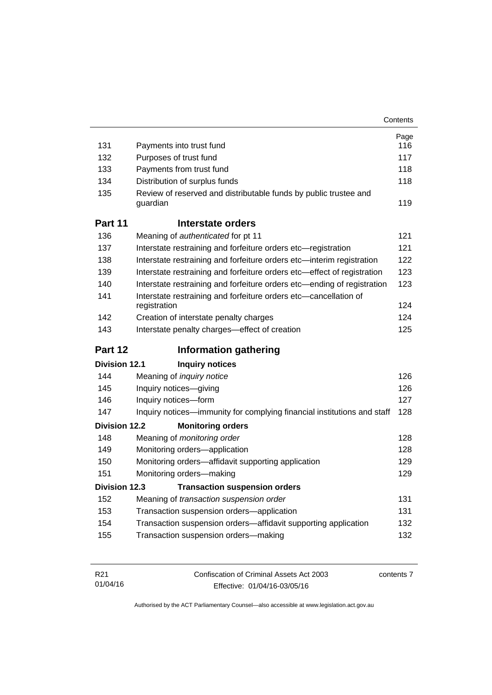|                                                                |                                                                                        | Contents                                             |
|----------------------------------------------------------------|----------------------------------------------------------------------------------------|------------------------------------------------------|
|                                                                |                                                                                        | Page                                                 |
| 131                                                            | Payments into trust fund                                                               | 116                                                  |
| 132                                                            | Purposes of trust fund                                                                 | 117                                                  |
| 133                                                            | Payments from trust fund                                                               | 118                                                  |
| 134                                                            | Distribution of surplus funds                                                          | 118                                                  |
| 135                                                            | Review of reserved and distributable funds by public trustee and<br>guardian           | 119                                                  |
| Part 11                                                        | Interstate orders                                                                      |                                                      |
| 136                                                            | Meaning of authenticated for pt 11                                                     | 121                                                  |
| 137                                                            | Interstate restraining and forfeiture orders etc-registration                          | 121                                                  |
| 138                                                            | Interstate restraining and forfeiture orders etc-interim registration                  | 122                                                  |
| 139                                                            | Interstate restraining and forfeiture orders etc-effect of registration                | 123                                                  |
| 140                                                            | Interstate restraining and forfeiture orders etc-ending of registration                | 123                                                  |
| 141                                                            | Interstate restraining and forfeiture orders etc-cancellation of<br>registration       | 124                                                  |
|                                                                | Creation of interstate penalty charges                                                 | 124                                                  |
| 142                                                            |                                                                                        |                                                      |
| 143                                                            | Interstate penalty charges-effect of creation                                          | 125                                                  |
|                                                                | <b>Information gathering</b>                                                           |                                                      |
|                                                                | <b>Inquiry notices</b>                                                                 |                                                      |
| 144                                                            | Meaning of <i>inquiry notice</i>                                                       |                                                      |
| 145                                                            | Inquiry notices-giving                                                                 |                                                      |
| 146                                                            | Inquiry notices-form                                                                   | 126<br>126<br>127                                    |
| 147                                                            | Inquiry notices—immunity for complying financial institutions and staff                |                                                      |
|                                                                | <b>Monitoring orders</b>                                                               |                                                      |
| 148                                                            | Meaning of monitoring order                                                            |                                                      |
| 149                                                            | Monitoring orders-application                                                          |                                                      |
| 150                                                            | Monitoring orders-affidavit supporting application                                     |                                                      |
| 151                                                            | Monitoring orders-making                                                               |                                                      |
|                                                                |                                                                                        |                                                      |
| 152                                                            | Division 12.3 Transaction suspension orders<br>Meaning of transaction suspension order |                                                      |
| Part 12<br><b>Division 12.1</b><br><b>Division 12.2</b><br>153 | Transaction suspension orders-application                                              |                                                      |
| 154                                                            | Transaction suspension orders-affidavit supporting application                         | 128<br>128<br>128<br>129<br>129<br>131<br>131<br>132 |

| R21      | Confiscation of Criminal Assets Act 2003 | contents 7 |
|----------|------------------------------------------|------------|
| 01/04/16 | Effective: 01/04/16-03/05/16             |            |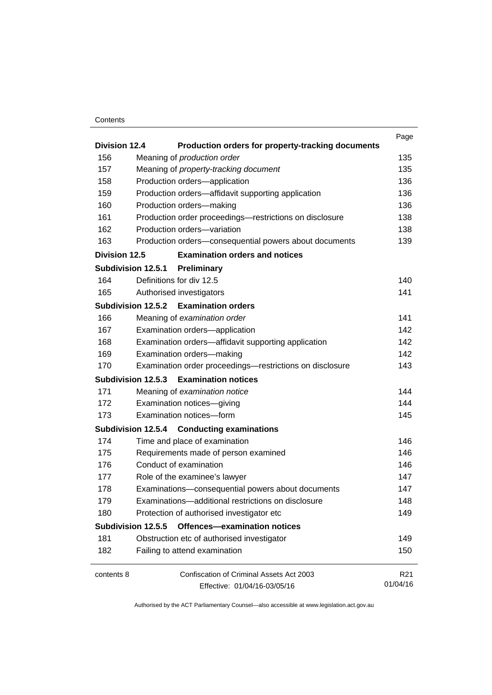### **Contents**

|                           |                                                          | Page            |  |
|---------------------------|----------------------------------------------------------|-----------------|--|
| <b>Division 12.4</b>      | Production orders for property-tracking documents        | 135             |  |
| 156                       | Meaning of production order                              |                 |  |
| 157                       | Meaning of property-tracking document                    | 135             |  |
| 158                       | Production orders-application                            | 136             |  |
| 159                       | Production orders-affidavit supporting application       | 136             |  |
| 160                       | Production orders-making                                 | 136             |  |
| 161                       | Production order proceedings-restrictions on disclosure  | 138             |  |
| 162                       | Production orders-variation                              | 138             |  |
| 163                       | Production orders-consequential powers about documents   | 139             |  |
| <b>Division 12.5</b>      | <b>Examination orders and notices</b>                    |                 |  |
| <b>Subdivision 12.5.1</b> | Preliminary                                              |                 |  |
| 164                       | Definitions for div 12.5                                 | 140             |  |
| 165                       | Authorised investigators                                 | 141             |  |
|                           | Subdivision 12.5.2 Examination orders                    |                 |  |
| 166                       | Meaning of examination order                             | 141             |  |
| 167                       | Examination orders-application                           | 142             |  |
| 168                       | Examination orders-affidavit supporting application      |                 |  |
| 169                       | Examination orders-making                                |                 |  |
| 170                       | Examination order proceedings-restrictions on disclosure | 143             |  |
| Subdivision 12.5.3        | <b>Examination notices</b>                               |                 |  |
| 171                       | Meaning of examination notice                            | 144             |  |
| 172                       | Examination notices-giving                               |                 |  |
| 173                       | Examination notices-form                                 |                 |  |
| Subdivision 12.5.4        | <b>Conducting examinations</b>                           |                 |  |
| 174                       | Time and place of examination                            | 146             |  |
| 175                       | Requirements made of person examined                     | 146             |  |
| 176                       | Conduct of examination                                   |                 |  |
| 177                       | Role of the examinee's lawyer                            |                 |  |
| 178                       | Examinations-consequential powers about documents        |                 |  |
| 179                       | Examinations—additional restrictions on disclosure       |                 |  |
| 180                       | Protection of authorised investigator etc                |                 |  |
| Subdivision 12.5.5        | <b>Offences-examination notices</b>                      |                 |  |
| 181                       | Obstruction etc of authorised investigator               | 149             |  |
| 182                       | Failing to attend examination                            | 150             |  |
| contents 8                | Confiscation of Criminal Assets Act 2003                 | R <sub>21</sub> |  |
|                           | Effective: 01/04/16-03/05/16                             | 01/04/16        |  |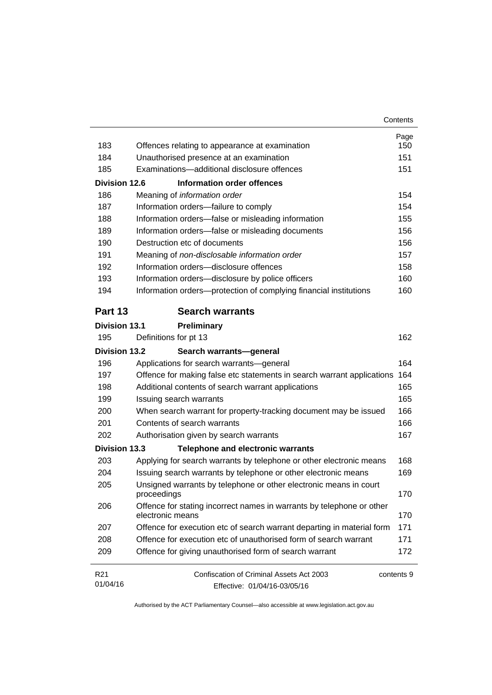|                      |                                                                                           | Contents   |
|----------------------|-------------------------------------------------------------------------------------------|------------|
|                      |                                                                                           | Page       |
| 183                  | Offences relating to appearance at examination                                            | 150        |
| 184                  | Unauthorised presence at an examination                                                   | 151        |
| 185                  | Examinations-additional disclosure offences                                               | 151        |
| Division 12.6        | <b>Information order offences</b>                                                         |            |
| 186                  | Meaning of information order                                                              | 154        |
| 187                  | Information orders-failure to comply                                                      | 154        |
| 188                  | Information orders-false or misleading information                                        | 155        |
| 189                  | Information orders-false or misleading documents                                          | 156        |
| 190                  | Destruction etc of documents                                                              | 156        |
| 191                  | Meaning of non-disclosable information order                                              | 157        |
| 192                  | Information orders-disclosure offences                                                    | 158        |
| 193                  | Information orders-disclosure by police officers                                          | 160        |
| 194                  | Information orders-protection of complying financial institutions                         | 160        |
| Part 13              | <b>Search warrants</b>                                                                    |            |
| <b>Division 13.1</b> | Preliminary                                                                               |            |
| 195                  | Definitions for pt 13                                                                     | 162        |
| Division 13.2        | Search warrants-general                                                                   |            |
| 196                  | Applications for search warrants-general                                                  | 164        |
| 197                  | Offence for making false etc statements in search warrant applications                    | 164        |
| 198                  | Additional contents of search warrant applications                                        | 165        |
| 199                  | Issuing search warrants                                                                   | 165        |
| 200                  | When search warrant for property-tracking document may be issued                          | 166        |
| 201                  | Contents of search warrants                                                               | 166        |
| 202                  | Authorisation given by search warrants                                                    | 167        |
| <b>Division 13.3</b> | <b>Telephone and electronic warrants</b>                                                  |            |
| 203                  | Applying for search warrants by telephone or other electronic means                       | 168        |
| 204                  | Issuing search warrants by telephone or other electronic means                            | 169        |
| 205                  | Unsigned warrants by telephone or other electronic means in court<br>proceedings          | 170        |
| 206                  | Offence for stating incorrect names in warrants by telephone or other<br>electronic means | 170        |
| 207                  | Offence for execution etc of search warrant departing in material form                    | 171        |
| 208                  | Offence for execution etc of unauthorised form of search warrant                          | 171        |
| 209                  | Offence for giving unauthorised form of search warrant                                    | 172        |
| R <sub>21</sub>      | Confiscation of Criminal Assets Act 2003                                                  | contents 9 |
| 01/04/16             | Effective: 01/04/16-03/05/16                                                              |            |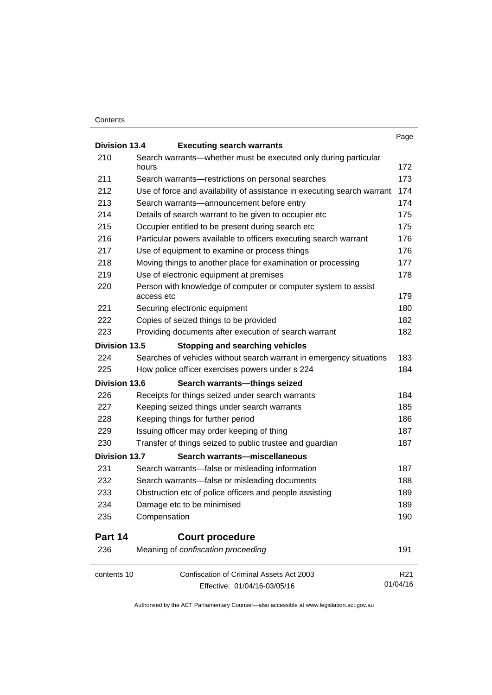### **Contents**

| <b>Division 13.4</b><br>210<br>Search warrants—whether must be executed only during particular<br>172<br>hours<br>211<br>Search warrants-restrictions on personal searches<br>173<br>212<br>Use of force and availability of assistance in executing search warrant<br>174<br>213<br>Search warrants-announcement before entry<br>174<br>214<br>Details of search warrant to be given to occupier etc<br>175<br>215<br>175<br>Occupier entitled to be present during search etc<br>216<br>Particular powers available to officers executing search warrant<br>176<br>217<br>Use of equipment to examine or process things<br>218<br>Moving things to another place for examination or processing<br>219<br>Use of electronic equipment at premises<br>220<br>Person with knowledge of computer or computer system to assist<br>access etc<br>221<br>Securing electronic equipment<br>222<br>Copies of seized things to be provided<br>223<br>Providing documents after execution of search warrant<br><b>Division 13.5</b><br><b>Stopping and searching vehicles</b><br>224<br>Searches of vehicles without search warrant in emergency situations<br>225<br>How police officer exercises powers under s 224<br><b>Division 13.6</b><br>Search warrants-things seized<br>226<br>Receipts for things seized under search warrants<br>227<br>Keeping seized things under search warrants<br>228<br>Keeping things for further period<br>Issuing officer may order keeping of thing<br>187<br>229<br>230<br>Transfer of things seized to public trustee and guardian<br><b>Division 13.7</b><br>Search warrants-miscellaneous<br>Search warrants-false or misleading information<br>231<br>232<br>Search warrants-false or misleading documents<br>233<br>Obstruction etc of police officers and people assisting<br>234<br>Damage etc to be minimised<br>189<br>Compensation<br>235<br>Part 14<br><b>Court procedure</b><br>Meaning of confiscation proceeding<br>236<br>Confiscation of Criminal Assets Act 2003<br>contents 10 |                                  | Page            |
|--------------------------------------------------------------------------------------------------------------------------------------------------------------------------------------------------------------------------------------------------------------------------------------------------------------------------------------------------------------------------------------------------------------------------------------------------------------------------------------------------------------------------------------------------------------------------------------------------------------------------------------------------------------------------------------------------------------------------------------------------------------------------------------------------------------------------------------------------------------------------------------------------------------------------------------------------------------------------------------------------------------------------------------------------------------------------------------------------------------------------------------------------------------------------------------------------------------------------------------------------------------------------------------------------------------------------------------------------------------------------------------------------------------------------------------------------------------------------------------------------------------------------------------------------------------------------------------------------------------------------------------------------------------------------------------------------------------------------------------------------------------------------------------------------------------------------------------------------------------------------------------------------------------------------------------------------------------------------------------------------------------------------------|----------------------------------|-----------------|
|                                                                                                                                                                                                                                                                                                                                                                                                                                                                                                                                                                                                                                                                                                                                                                                                                                                                                                                                                                                                                                                                                                                                                                                                                                                                                                                                                                                                                                                                                                                                                                                                                                                                                                                                                                                                                                                                                                                                                                                                                                | <b>Executing search warrants</b> |                 |
|                                                                                                                                                                                                                                                                                                                                                                                                                                                                                                                                                                                                                                                                                                                                                                                                                                                                                                                                                                                                                                                                                                                                                                                                                                                                                                                                                                                                                                                                                                                                                                                                                                                                                                                                                                                                                                                                                                                                                                                                                                |                                  |                 |
|                                                                                                                                                                                                                                                                                                                                                                                                                                                                                                                                                                                                                                                                                                                                                                                                                                                                                                                                                                                                                                                                                                                                                                                                                                                                                                                                                                                                                                                                                                                                                                                                                                                                                                                                                                                                                                                                                                                                                                                                                                |                                  |                 |
|                                                                                                                                                                                                                                                                                                                                                                                                                                                                                                                                                                                                                                                                                                                                                                                                                                                                                                                                                                                                                                                                                                                                                                                                                                                                                                                                                                                                                                                                                                                                                                                                                                                                                                                                                                                                                                                                                                                                                                                                                                |                                  |                 |
|                                                                                                                                                                                                                                                                                                                                                                                                                                                                                                                                                                                                                                                                                                                                                                                                                                                                                                                                                                                                                                                                                                                                                                                                                                                                                                                                                                                                                                                                                                                                                                                                                                                                                                                                                                                                                                                                                                                                                                                                                                |                                  |                 |
|                                                                                                                                                                                                                                                                                                                                                                                                                                                                                                                                                                                                                                                                                                                                                                                                                                                                                                                                                                                                                                                                                                                                                                                                                                                                                                                                                                                                                                                                                                                                                                                                                                                                                                                                                                                                                                                                                                                                                                                                                                |                                  |                 |
|                                                                                                                                                                                                                                                                                                                                                                                                                                                                                                                                                                                                                                                                                                                                                                                                                                                                                                                                                                                                                                                                                                                                                                                                                                                                                                                                                                                                                                                                                                                                                                                                                                                                                                                                                                                                                                                                                                                                                                                                                                |                                  |                 |
|                                                                                                                                                                                                                                                                                                                                                                                                                                                                                                                                                                                                                                                                                                                                                                                                                                                                                                                                                                                                                                                                                                                                                                                                                                                                                                                                                                                                                                                                                                                                                                                                                                                                                                                                                                                                                                                                                                                                                                                                                                |                                  |                 |
|                                                                                                                                                                                                                                                                                                                                                                                                                                                                                                                                                                                                                                                                                                                                                                                                                                                                                                                                                                                                                                                                                                                                                                                                                                                                                                                                                                                                                                                                                                                                                                                                                                                                                                                                                                                                                                                                                                                                                                                                                                |                                  |                 |
|                                                                                                                                                                                                                                                                                                                                                                                                                                                                                                                                                                                                                                                                                                                                                                                                                                                                                                                                                                                                                                                                                                                                                                                                                                                                                                                                                                                                                                                                                                                                                                                                                                                                                                                                                                                                                                                                                                                                                                                                                                |                                  | 176             |
|                                                                                                                                                                                                                                                                                                                                                                                                                                                                                                                                                                                                                                                                                                                                                                                                                                                                                                                                                                                                                                                                                                                                                                                                                                                                                                                                                                                                                                                                                                                                                                                                                                                                                                                                                                                                                                                                                                                                                                                                                                |                                  | 177             |
|                                                                                                                                                                                                                                                                                                                                                                                                                                                                                                                                                                                                                                                                                                                                                                                                                                                                                                                                                                                                                                                                                                                                                                                                                                                                                                                                                                                                                                                                                                                                                                                                                                                                                                                                                                                                                                                                                                                                                                                                                                |                                  | 178             |
|                                                                                                                                                                                                                                                                                                                                                                                                                                                                                                                                                                                                                                                                                                                                                                                                                                                                                                                                                                                                                                                                                                                                                                                                                                                                                                                                                                                                                                                                                                                                                                                                                                                                                                                                                                                                                                                                                                                                                                                                                                |                                  | 179             |
|                                                                                                                                                                                                                                                                                                                                                                                                                                                                                                                                                                                                                                                                                                                                                                                                                                                                                                                                                                                                                                                                                                                                                                                                                                                                                                                                                                                                                                                                                                                                                                                                                                                                                                                                                                                                                                                                                                                                                                                                                                |                                  | 180             |
|                                                                                                                                                                                                                                                                                                                                                                                                                                                                                                                                                                                                                                                                                                                                                                                                                                                                                                                                                                                                                                                                                                                                                                                                                                                                                                                                                                                                                                                                                                                                                                                                                                                                                                                                                                                                                                                                                                                                                                                                                                |                                  | 182             |
|                                                                                                                                                                                                                                                                                                                                                                                                                                                                                                                                                                                                                                                                                                                                                                                                                                                                                                                                                                                                                                                                                                                                                                                                                                                                                                                                                                                                                                                                                                                                                                                                                                                                                                                                                                                                                                                                                                                                                                                                                                |                                  | 182             |
|                                                                                                                                                                                                                                                                                                                                                                                                                                                                                                                                                                                                                                                                                                                                                                                                                                                                                                                                                                                                                                                                                                                                                                                                                                                                                                                                                                                                                                                                                                                                                                                                                                                                                                                                                                                                                                                                                                                                                                                                                                |                                  |                 |
|                                                                                                                                                                                                                                                                                                                                                                                                                                                                                                                                                                                                                                                                                                                                                                                                                                                                                                                                                                                                                                                                                                                                                                                                                                                                                                                                                                                                                                                                                                                                                                                                                                                                                                                                                                                                                                                                                                                                                                                                                                |                                  | 183             |
|                                                                                                                                                                                                                                                                                                                                                                                                                                                                                                                                                                                                                                                                                                                                                                                                                                                                                                                                                                                                                                                                                                                                                                                                                                                                                                                                                                                                                                                                                                                                                                                                                                                                                                                                                                                                                                                                                                                                                                                                                                |                                  | 184             |
|                                                                                                                                                                                                                                                                                                                                                                                                                                                                                                                                                                                                                                                                                                                                                                                                                                                                                                                                                                                                                                                                                                                                                                                                                                                                                                                                                                                                                                                                                                                                                                                                                                                                                                                                                                                                                                                                                                                                                                                                                                |                                  |                 |
|                                                                                                                                                                                                                                                                                                                                                                                                                                                                                                                                                                                                                                                                                                                                                                                                                                                                                                                                                                                                                                                                                                                                                                                                                                                                                                                                                                                                                                                                                                                                                                                                                                                                                                                                                                                                                                                                                                                                                                                                                                |                                  | 184             |
|                                                                                                                                                                                                                                                                                                                                                                                                                                                                                                                                                                                                                                                                                                                                                                                                                                                                                                                                                                                                                                                                                                                                                                                                                                                                                                                                                                                                                                                                                                                                                                                                                                                                                                                                                                                                                                                                                                                                                                                                                                |                                  | 185             |
|                                                                                                                                                                                                                                                                                                                                                                                                                                                                                                                                                                                                                                                                                                                                                                                                                                                                                                                                                                                                                                                                                                                                                                                                                                                                                                                                                                                                                                                                                                                                                                                                                                                                                                                                                                                                                                                                                                                                                                                                                                |                                  | 186             |
|                                                                                                                                                                                                                                                                                                                                                                                                                                                                                                                                                                                                                                                                                                                                                                                                                                                                                                                                                                                                                                                                                                                                                                                                                                                                                                                                                                                                                                                                                                                                                                                                                                                                                                                                                                                                                                                                                                                                                                                                                                |                                  |                 |
|                                                                                                                                                                                                                                                                                                                                                                                                                                                                                                                                                                                                                                                                                                                                                                                                                                                                                                                                                                                                                                                                                                                                                                                                                                                                                                                                                                                                                                                                                                                                                                                                                                                                                                                                                                                                                                                                                                                                                                                                                                |                                  | 187             |
|                                                                                                                                                                                                                                                                                                                                                                                                                                                                                                                                                                                                                                                                                                                                                                                                                                                                                                                                                                                                                                                                                                                                                                                                                                                                                                                                                                                                                                                                                                                                                                                                                                                                                                                                                                                                                                                                                                                                                                                                                                |                                  |                 |
|                                                                                                                                                                                                                                                                                                                                                                                                                                                                                                                                                                                                                                                                                                                                                                                                                                                                                                                                                                                                                                                                                                                                                                                                                                                                                                                                                                                                                                                                                                                                                                                                                                                                                                                                                                                                                                                                                                                                                                                                                                |                                  | 187             |
|                                                                                                                                                                                                                                                                                                                                                                                                                                                                                                                                                                                                                                                                                                                                                                                                                                                                                                                                                                                                                                                                                                                                                                                                                                                                                                                                                                                                                                                                                                                                                                                                                                                                                                                                                                                                                                                                                                                                                                                                                                |                                  | 188             |
|                                                                                                                                                                                                                                                                                                                                                                                                                                                                                                                                                                                                                                                                                                                                                                                                                                                                                                                                                                                                                                                                                                                                                                                                                                                                                                                                                                                                                                                                                                                                                                                                                                                                                                                                                                                                                                                                                                                                                                                                                                |                                  | 189             |
|                                                                                                                                                                                                                                                                                                                                                                                                                                                                                                                                                                                                                                                                                                                                                                                                                                                                                                                                                                                                                                                                                                                                                                                                                                                                                                                                                                                                                                                                                                                                                                                                                                                                                                                                                                                                                                                                                                                                                                                                                                |                                  |                 |
|                                                                                                                                                                                                                                                                                                                                                                                                                                                                                                                                                                                                                                                                                                                                                                                                                                                                                                                                                                                                                                                                                                                                                                                                                                                                                                                                                                                                                                                                                                                                                                                                                                                                                                                                                                                                                                                                                                                                                                                                                                |                                  | 190             |
|                                                                                                                                                                                                                                                                                                                                                                                                                                                                                                                                                                                                                                                                                                                                                                                                                                                                                                                                                                                                                                                                                                                                                                                                                                                                                                                                                                                                                                                                                                                                                                                                                                                                                                                                                                                                                                                                                                                                                                                                                                |                                  |                 |
|                                                                                                                                                                                                                                                                                                                                                                                                                                                                                                                                                                                                                                                                                                                                                                                                                                                                                                                                                                                                                                                                                                                                                                                                                                                                                                                                                                                                                                                                                                                                                                                                                                                                                                                                                                                                                                                                                                                                                                                                                                |                                  | 191             |
|                                                                                                                                                                                                                                                                                                                                                                                                                                                                                                                                                                                                                                                                                                                                                                                                                                                                                                                                                                                                                                                                                                                                                                                                                                                                                                                                                                                                                                                                                                                                                                                                                                                                                                                                                                                                                                                                                                                                                                                                                                |                                  | R <sub>21</sub> |
|                                                                                                                                                                                                                                                                                                                                                                                                                                                                                                                                                                                                                                                                                                                                                                                                                                                                                                                                                                                                                                                                                                                                                                                                                                                                                                                                                                                                                                                                                                                                                                                                                                                                                                                                                                                                                                                                                                                                                                                                                                | Effective: 01/04/16-03/05/16     | 01/04/16        |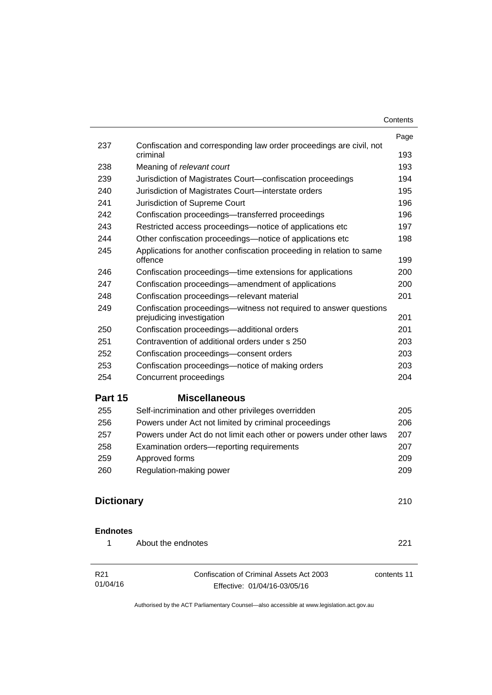| Contents |
|----------|
|----------|

|                   |                                                                                                | Contents |
|-------------------|------------------------------------------------------------------------------------------------|----------|
|                   |                                                                                                | Page     |
| 237               | Confiscation and corresponding law order proceedings are civil, not<br>criminal                |          |
| 238               | Meaning of relevant court                                                                      |          |
| 239               | Jurisdiction of Magistrates Court-confiscation proceedings                                     |          |
| 240               | Jurisdiction of Magistrates Court-interstate orders                                            |          |
| 241               | Jurisdiction of Supreme Court                                                                  |          |
| 242               | Confiscation proceedings-transferred proceedings                                               |          |
| 243               | Restricted access proceedings—notice of applications etc                                       |          |
| 244               | Other confiscation proceedings—notice of applications etc                                      |          |
| 245               | Applications for another confiscation proceeding in relation to same<br>offence                |          |
| 246               | Confiscation proceedings—time extensions for applications                                      |          |
| 247               | Confiscation proceedings—amendment of applications                                             |          |
| 248               | Confiscation proceedings-relevant material                                                     |          |
| 249               | Confiscation proceedings-witness not required to answer questions<br>prejudicing investigation |          |
| 250               | Confiscation proceedings-additional orders                                                     |          |
| 251               | Contravention of additional orders under s 250                                                 |          |
| 252               | Confiscation proceedings-consent orders                                                        |          |
| 253               | Confiscation proceedings—notice of making orders                                               |          |
| 254               | Concurrent proceedings                                                                         |          |
| Part 15           | <b>Miscellaneous</b>                                                                           |          |
| 255               | Self-incrimination and other privileges overridden                                             |          |
| 256               | Powers under Act not limited by criminal proceedings                                           |          |
| 257               | Powers under Act do not limit each other or powers under other laws                            |          |
| 258               | Examination orders-reporting requirements                                                      |          |
| 259               | Approved forms                                                                                 |          |
| 260               | Regulation-making power                                                                        |          |
| <b>Dictionary</b> |                                                                                                |          |
| <b>Endnotes</b>   |                                                                                                |          |
| 1                 | About the endnotes                                                                             |          |
| R <sub>21</sub>   | Confiscation of Criminal Assets Act 2003<br>contents 11                                        |          |
| 01/04/16          | Effective: 01/04/16-03/05/16                                                                   |          |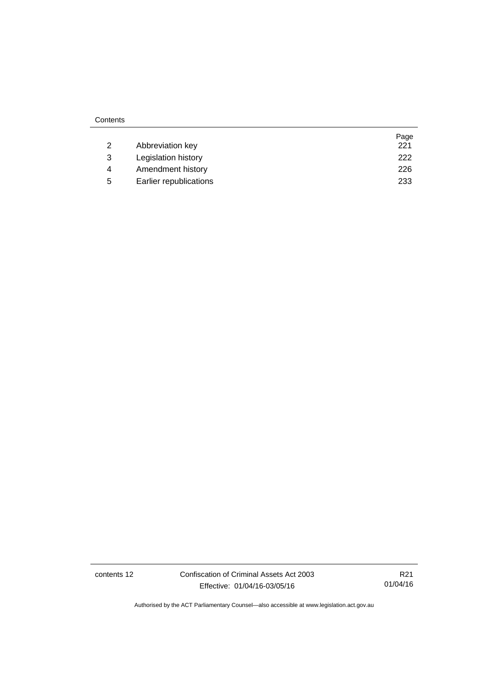|   |                        | Page |
|---|------------------------|------|
|   | Abbreviation key       | 221  |
| 3 | Legislation history    | 222  |
| 4 | Amendment history      | 226  |
| 5 | Earlier republications | 233  |

contents 12 Confiscation of Criminal Assets Act 2003 Effective: 01/04/16-03/05/16

R21 01/04/16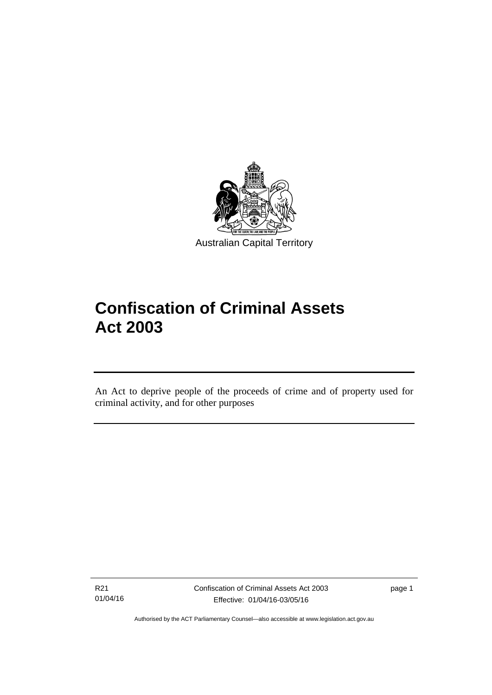

# **Confiscation of Criminal Assets Act 2003**

An Act to deprive people of the proceeds of crime and of property used for criminal activity, and for other purposes

R21 01/04/16

l

page 1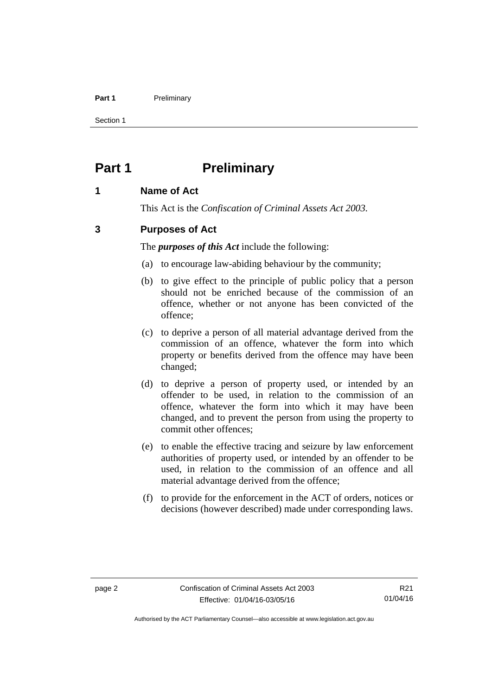### Part 1 **Preliminary**

Section 1

# <span id="page-15-0"></span>**Part 1** Preliminary

# <span id="page-15-1"></span>**1 Name of Act**

This Act is the *Confiscation of Criminal Assets Act 2003.*

# <span id="page-15-2"></span>**3 Purposes of Act**

The *purposes of this Act* include the following:

- (a) to encourage law-abiding behaviour by the community;
- (b) to give effect to the principle of public policy that a person should not be enriched because of the commission of an offence, whether or not anyone has been convicted of the offence;
- (c) to deprive a person of all material advantage derived from the commission of an offence, whatever the form into which property or benefits derived from the offence may have been changed;
- (d) to deprive a person of property used, or intended by an offender to be used, in relation to the commission of an offence, whatever the form into which it may have been changed, and to prevent the person from using the property to commit other offences;
- (e) to enable the effective tracing and seizure by law enforcement authorities of property used, or intended by an offender to be used, in relation to the commission of an offence and all material advantage derived from the offence;
- (f) to provide for the enforcement in the ACT of orders, notices or decisions (however described) made under corresponding laws.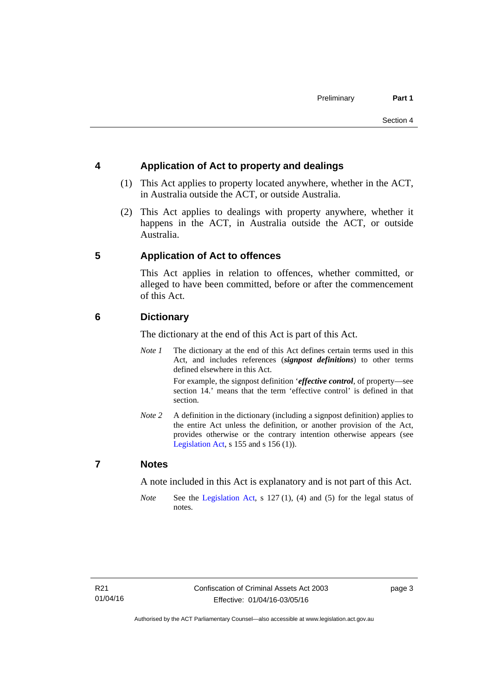# <span id="page-16-0"></span>**4 Application of Act to property and dealings**

- (1) This Act applies to property located anywhere, whether in the ACT, in Australia outside the ACT, or outside Australia.
- (2) This Act applies to dealings with property anywhere, whether it happens in the ACT, in Australia outside the ACT, or outside Australia.

# <span id="page-16-1"></span>**5 Application of Act to offences**

This Act applies in relation to offences, whether committed, or alleged to have been committed, before or after the commencement of this Act.

# <span id="page-16-2"></span>**6 Dictionary**

The dictionary at the end of this Act is part of this Act.

*Note 1* The dictionary at the end of this Act defines certain terms used in this Act, and includes references (*signpost definitions*) to other terms defined elsewhere in this Act.

> For example, the signpost definition '*effective control*, of property—see section 14.' means that the term 'effective control' is defined in that section.

*Note 2* A definition in the dictionary (including a signpost definition) applies to the entire Act unless the definition, or another provision of the Act, provides otherwise or the contrary intention otherwise appears (see [Legislation Act,](http://www.legislation.act.gov.au/a/2001-14)  $s$  155 and  $s$  156 (1)).

# <span id="page-16-3"></span>**7 Notes**

A note included in this Act is explanatory and is not part of this Act.

*Note* See the [Legislation Act,](http://www.legislation.act.gov.au/a/2001-14) s 127 (1), (4) and (5) for the legal status of notes.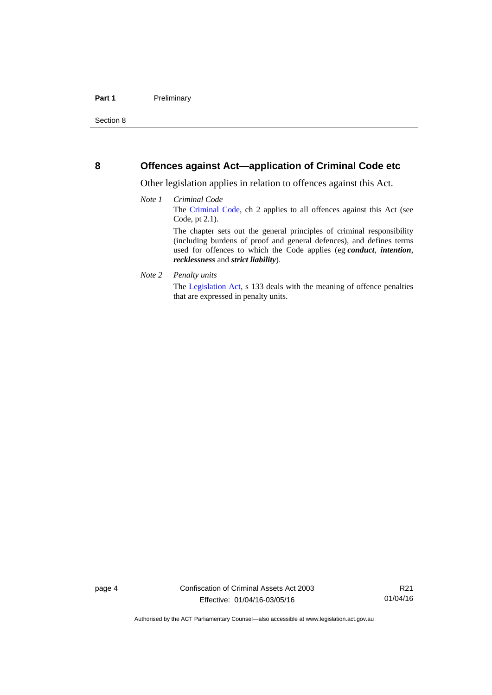## <span id="page-17-0"></span>**8 Offences against Act—application of Criminal Code etc**

Other legislation applies in relation to offences against this Act.

- *Note 1 Criminal Code* The [Criminal Code](http://www.legislation.act.gov.au/a/2002-51), ch 2 applies to all offences against this Act (see Code, pt 2.1). The chapter sets out the general principles of criminal responsibility (including burdens of proof and general defences), and defines terms used for offences to which the Code applies (eg *conduct*, *intention*, *recklessness* and *strict liability*).
- *Note 2 Penalty units*

The [Legislation Act](http://www.legislation.act.gov.au/a/2001-14), s 133 deals with the meaning of offence penalties that are expressed in penalty units.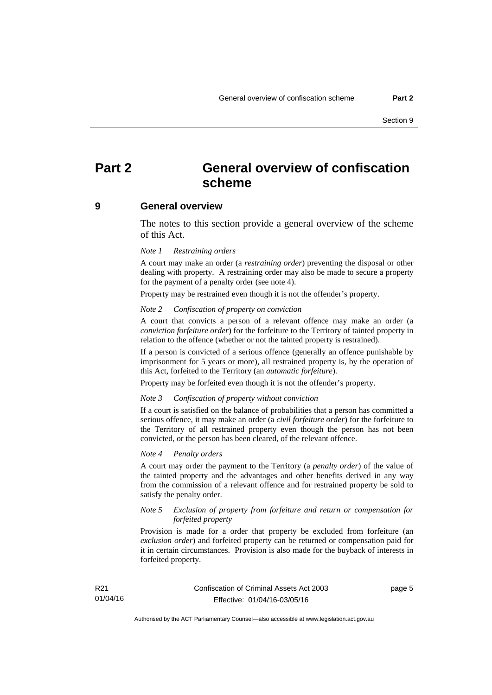# <span id="page-18-0"></span>**Part 2 General overview of confiscation scheme**

### <span id="page-18-1"></span>**9 General overview**

The notes to this section provide a general overview of the scheme of this Act.

### *Note 1 Restraining orders*

A court may make an order (a *restraining order*) preventing the disposal or other dealing with property. A restraining order may also be made to secure a property for the payment of a penalty order (see note 4).

Property may be restrained even though it is not the offender's property.

#### *Note 2 Confiscation of property on conviction*

A court that convicts a person of a relevant offence may make an order (a *conviction forfeiture order*) for the forfeiture to the Territory of tainted property in relation to the offence (whether or not the tainted property is restrained).

If a person is convicted of a serious offence (generally an offence punishable by imprisonment for 5 years or more), all restrained property is, by the operation of this Act, forfeited to the Territory (an *automatic forfeiture*).

Property may be forfeited even though it is not the offender's property.

#### *Note 3 Confiscation of property without conviction*

If a court is satisfied on the balance of probabilities that a person has committed a serious offence, it may make an order (a *civil forfeiture order*) for the forfeiture to the Territory of all restrained property even though the person has not been convicted, or the person has been cleared, of the relevant offence.

### *Note 4 Penalty orders*

A court may order the payment to the Territory (a *penalty order*) of the value of the tainted property and the advantages and other benefits derived in any way from the commission of a relevant offence and for restrained property be sold to satisfy the penalty order.

### *Note 5 Exclusion of property from forfeiture and return or compensation for forfeited property*

Provision is made for a order that property be excluded from forfeiture (an *exclusion order*) and forfeited property can be returned or compensation paid for it in certain circumstances. Provision is also made for the buyback of interests in forfeited property.

page 5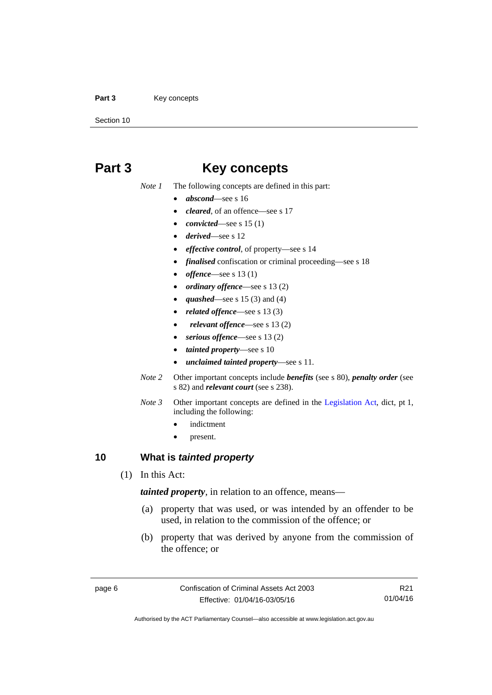### Part 3 **Key concepts**

Section 10

# <span id="page-19-0"></span>**Part 3 Key concepts**

*Note 1* The following concepts are defined in this part:

- *abscond*—see s 16
- *cleared*, of an offence—see s 17
- *convicted*—see s 15 (1)
- *derived*—see s 12
- *effective control*, of property—see s 14
- *finalised* confiscation or criminal proceeding—see s 18
- *offence*—see s 13 (1)
- *ordinary offence*—see s 13 (2)
- *quashed*—see s 15 (3) and (4)
- *related offence*—see s 13 (3)
- *relevant offence*—see s 13 (2)
- *serious offence*—see s 13 (2)
- *tainted property*—see s 10
- *unclaimed tainted property*—see s 11.
- *Note 2* Other important concepts include *benefits* (see s 80), *penalty order* (see s 82) and *relevant court* (see s 238).
- *Note 3* Other important concepts are defined in the [Legislation Act,](http://www.legislation.act.gov.au/a/2001-14) dict, pt 1, including the following:
	- indictment
	- present.

# <span id="page-19-1"></span>**10 What is** *tainted property*

(1) In this Act:

*tainted property*, in relation to an offence, means—

- (a) property that was used, or was intended by an offender to be used, in relation to the commission of the offence; or
- (b) property that was derived by anyone from the commission of the offence; or

R21 01/04/16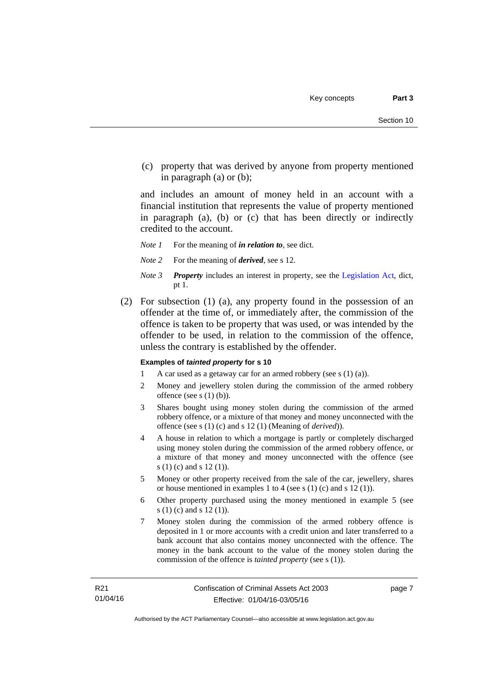(c) property that was derived by anyone from property mentioned in paragraph (a) or (b);

and includes an amount of money held in an account with a financial institution that represents the value of property mentioned in paragraph (a), (b) or (c) that has been directly or indirectly credited to the account.

- *Note 1* For the meaning of *in relation to*, see dict.
- *Note 2* For the meaning of *derived*, see s 12.
- *Note 3 Property* includes an interest in property, see the [Legislation Act,](http://www.legislation.act.gov.au/a/2001-14) dict, pt 1.
- (2) For subsection (1) (a), any property found in the possession of an offender at the time of, or immediately after, the commission of the offence is taken to be property that was used, or was intended by the offender to be used, in relation to the commission of the offence, unless the contrary is established by the offender.

### **Examples of** *tainted property* **for s 10**

- 1 A car used as a getaway car for an armed robbery (see s (1) (a)).
- 2 Money and jewellery stolen during the commission of the armed robbery offence (see s (1) (b)).
- 3 Shares bought using money stolen during the commission of the armed robbery offence, or a mixture of that money and money unconnected with the offence (see s (1) (c) and s 12 (1) (Meaning of *derived*)).
- 4 A house in relation to which a mortgage is partly or completely discharged using money stolen during the commission of the armed robbery offence, or a mixture of that money and money unconnected with the offence (see s (1) (c) and s 12 (1)).
- 5 Money or other property received from the sale of the car, jewellery, shares or house mentioned in examples 1 to 4 (see s (1) (c) and s 12 (1)).
- 6 Other property purchased using the money mentioned in example 5 (see s (1) (c) and s 12 (1)).
- 7 Money stolen during the commission of the armed robbery offence is deposited in 1 or more accounts with a credit union and later transferred to a bank account that also contains money unconnected with the offence. The money in the bank account to the value of the money stolen during the commission of the offence is *tainted property* (see s (1)).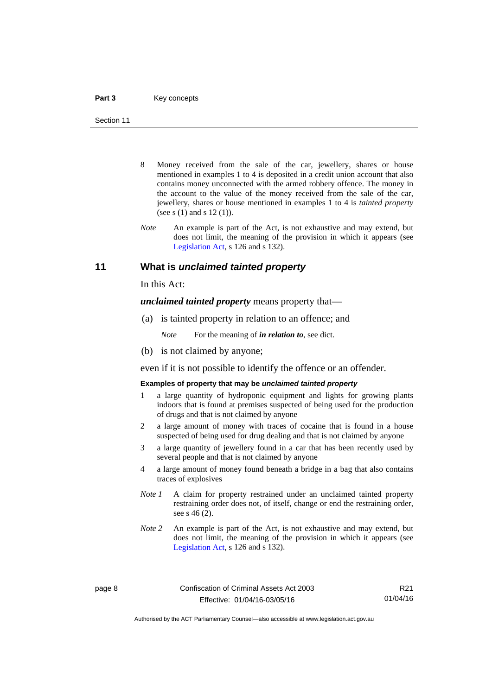- 8 Money received from the sale of the car, jewellery, shares or house mentioned in examples 1 to 4 is deposited in a credit union account that also contains money unconnected with the armed robbery offence. The money in the account to the value of the money received from the sale of the car, jewellery, shares or house mentioned in examples 1 to 4 is *tainted property* (see s (1) and s 12 (1)).
- *Note* An example is part of the Act, is not exhaustive and may extend, but does not limit, the meaning of the provision in which it appears (see [Legislation Act,](http://www.legislation.act.gov.au/a/2001-14) s 126 and s 132).

## <span id="page-21-0"></span>**11 What is** *unclaimed tainted property*

In this Act:

*unclaimed tainted property* means property that—

(a) is tainted property in relation to an offence; and

*Note* For the meaning of *in relation to*, see dict.

(b) is not claimed by anyone;

even if it is not possible to identify the offence or an offender.

### **Examples of property that may be** *unclaimed tainted property*

- 1 a large quantity of hydroponic equipment and lights for growing plants indoors that is found at premises suspected of being used for the production of drugs and that is not claimed by anyone
- 2 a large amount of money with traces of cocaine that is found in a house suspected of being used for drug dealing and that is not claimed by anyone
- 3 a large quantity of jewellery found in a car that has been recently used by several people and that is not claimed by anyone
- 4 a large amount of money found beneath a bridge in a bag that also contains traces of explosives
- *Note 1* A claim for property restrained under an unclaimed tainted property restraining order does not, of itself, change or end the restraining order, see s 46 (2).
- *Note 2* An example is part of the Act, is not exhaustive and may extend, but does not limit, the meaning of the provision in which it appears (see [Legislation Act,](http://www.legislation.act.gov.au/a/2001-14) s 126 and s 132).

R21 01/04/16

Authorised by the ACT Parliamentary Counsel—also accessible at www.legislation.act.gov.au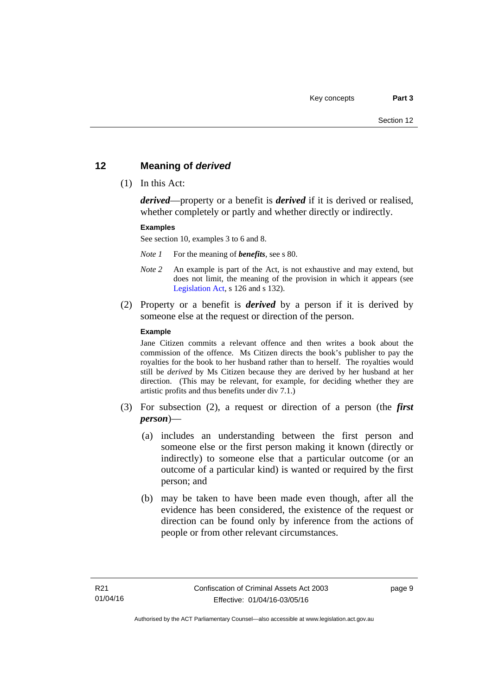# <span id="page-22-0"></span>**12 Meaning of** *derived*

(1) In this Act:

*derived*—property or a benefit is *derived* if it is derived or realised, whether completely or partly and whether directly or indirectly.

### **Examples**

See section 10, examples 3 to 6 and 8.

*Note 1* For the meaning of *benefits*, see s 80.

- *Note 2* An example is part of the Act, is not exhaustive and may extend, but does not limit, the meaning of the provision in which it appears (see [Legislation Act,](http://www.legislation.act.gov.au/a/2001-14) s 126 and s 132).
- (2) Property or a benefit is *derived* by a person if it is derived by someone else at the request or direction of the person.

### **Example**

Jane Citizen commits a relevant offence and then writes a book about the commission of the offence. Ms Citizen directs the book's publisher to pay the royalties for the book to her husband rather than to herself. The royalties would still be *derived* by Ms Citizen because they are derived by her husband at her direction. (This may be relevant, for example, for deciding whether they are artistic profits and thus benefits under div 7.1.)

- (3) For subsection (2), a request or direction of a person (the *first person*)—
	- (a) includes an understanding between the first person and someone else or the first person making it known (directly or indirectly) to someone else that a particular outcome (or an outcome of a particular kind) is wanted or required by the first person; and
	- (b) may be taken to have been made even though, after all the evidence has been considered, the existence of the request or direction can be found only by inference from the actions of people or from other relevant circumstances.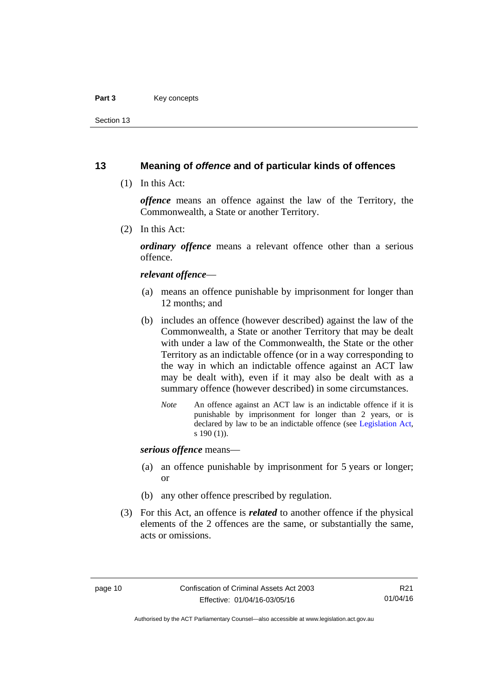### Part 3 **Key concepts**

Section 13

# <span id="page-23-0"></span>**13 Meaning of** *offence* **and of particular kinds of offences**

(1) In this Act:

*offence* means an offence against the law of the Territory, the Commonwealth, a State or another Territory.

(2) In this Act:

*ordinary offence* means a relevant offence other than a serious offence.

### *relevant offence*—

- (a) means an offence punishable by imprisonment for longer than 12 months; and
- (b) includes an offence (however described) against the law of the Commonwealth, a State or another Territory that may be dealt with under a law of the Commonwealth, the State or the other Territory as an indictable offence (or in a way corresponding to the way in which an indictable offence against an ACT law may be dealt with), even if it may also be dealt with as a summary offence (however described) in some circumstances.
	- *Note* An offence against an ACT law is an indictable offence if it is punishable by imprisonment for longer than 2 years, or is declared by law to be an indictable offence (see [Legislation Act,](http://www.legislation.act.gov.au/a/2001-14) s 190 (1)).

*serious offence* means—

- (a) an offence punishable by imprisonment for 5 years or longer; or
- (b) any other offence prescribed by regulation.
- (3) For this Act, an offence is *related* to another offence if the physical elements of the 2 offences are the same, or substantially the same, acts or omissions.

Authorised by the ACT Parliamentary Counsel—also accessible at www.legislation.act.gov.au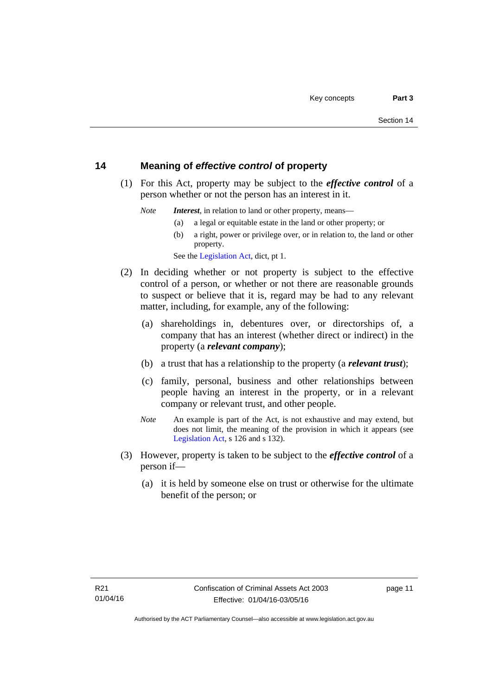# <span id="page-24-0"></span>**14 Meaning of** *effective control* **of property**

 (1) For this Act, property may be subject to the *effective control* of a person whether or not the person has an interest in it.

*Note Interest*, in relation to land or other property, means—

- (a) a legal or equitable estate in the land or other property; or
- (b) a right, power or privilege over, or in relation to, the land or other property.

See the [Legislation Act,](http://www.legislation.act.gov.au/a/2001-14) dict, pt 1.

- (2) In deciding whether or not property is subject to the effective control of a person, or whether or not there are reasonable grounds to suspect or believe that it is, regard may be had to any relevant matter, including, for example, any of the following:
	- (a) shareholdings in, debentures over, or directorships of, a company that has an interest (whether direct or indirect) in the property (a *relevant company*);
	- (b) a trust that has a relationship to the property (a *relevant trust*);
	- (c) family, personal, business and other relationships between people having an interest in the property, or in a relevant company or relevant trust, and other people.
	- *Note* An example is part of the Act, is not exhaustive and may extend, but does not limit, the meaning of the provision in which it appears (see [Legislation Act,](http://www.legislation.act.gov.au/a/2001-14) s 126 and s 132).
- (3) However, property is taken to be subject to the *effective control* of a person if—
	- (a) it is held by someone else on trust or otherwise for the ultimate benefit of the person; or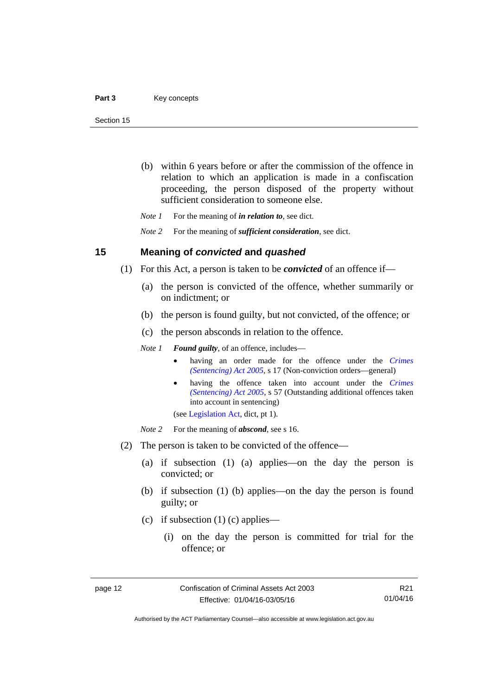- (b) within 6 years before or after the commission of the offence in relation to which an application is made in a confiscation proceeding, the person disposed of the property without sufficient consideration to someone else.
- *Note 1* For the meaning of *in relation to*, see dict.

*Note 2* For the meaning of *sufficient consideration*, see dict.

## <span id="page-25-0"></span>**15 Meaning of** *convicted* **and** *quashed*

- (1) For this Act, a person is taken to be *convicted* of an offence if—
	- (a) the person is convicted of the offence, whether summarily or on indictment; or
	- (b) the person is found guilty, but not convicted, of the offence; or
	- (c) the person absconds in relation to the offence.

*Note 1 Found guilty*, of an offence, includes—

- having an order made for the offence under the *[Crimes](http://www.legislation.act.gov.au/a/2005-58)  [\(Sentencing\) Act 2005](http://www.legislation.act.gov.au/a/2005-58)*, s 17 (Non-conviction orders—general)
- having the offence taken into account under the *[Crimes](http://www.legislation.act.gov.au/a/2005-58)  [\(Sentencing\) Act 2005](http://www.legislation.act.gov.au/a/2005-58)*, s 57 (Outstanding additional offences taken into account in sentencing)

(see [Legislation Act,](http://www.legislation.act.gov.au/a/2001-14) dict, pt 1).

*Note* 2 For the meaning of *abscond*, see s 16.

- (2) The person is taken to be convicted of the offence—
	- (a) if subsection (1) (a) applies—on the day the person is convicted; or
	- (b) if subsection (1) (b) applies—on the day the person is found guilty; or
	- (c) if subsection  $(1)$  (c) applies—
		- (i) on the day the person is committed for trial for the offence; or

R21 01/04/16

Authorised by the ACT Parliamentary Counsel—also accessible at www.legislation.act.gov.au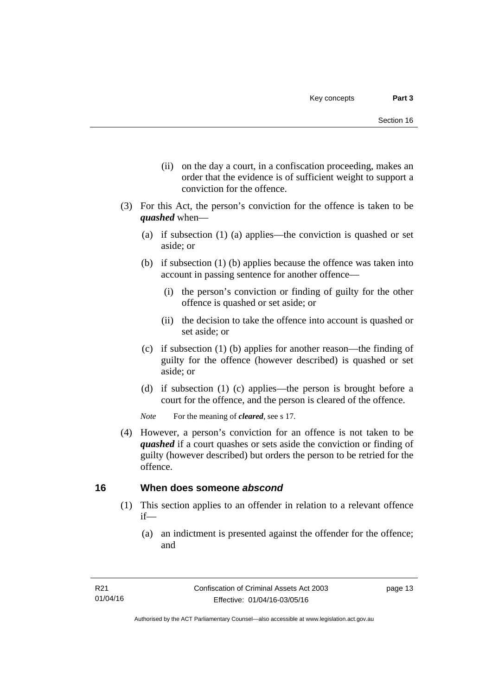- (ii) on the day a court, in a confiscation proceeding, makes an order that the evidence is of sufficient weight to support a conviction for the offence.
- (3) For this Act, the person's conviction for the offence is taken to be *quashed* when—
	- (a) if subsection (1) (a) applies—the conviction is quashed or set aside; or
	- (b) if subsection (1) (b) applies because the offence was taken into account in passing sentence for another offence—
		- (i) the person's conviction or finding of guilty for the other offence is quashed or set aside; or
		- (ii) the decision to take the offence into account is quashed or set aside; or
	- (c) if subsection (1) (b) applies for another reason—the finding of guilty for the offence (however described) is quashed or set aside; or
	- (d) if subsection (1) (c) applies—the person is brought before a court for the offence, and the person is cleared of the offence.

*Note* For the meaning of *cleared*, see s 17.

 (4) However, a person's conviction for an offence is not taken to be *quashed* if a court quashes or sets aside the conviction or finding of guilty (however described) but orders the person to be retried for the offence.

# <span id="page-26-0"></span>**16 When does someone** *abscond*

- (1) This section applies to an offender in relation to a relevant offence if—
	- (a) an indictment is presented against the offender for the offence; and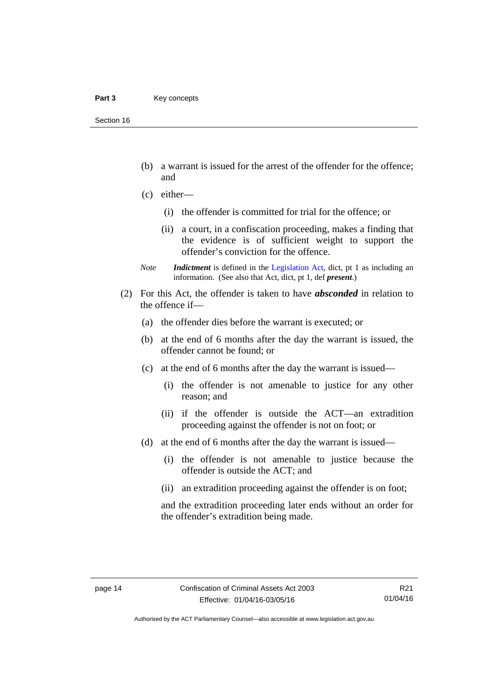- (b) a warrant is issued for the arrest of the offender for the offence; and
- (c) either—
	- (i) the offender is committed for trial for the offence; or
	- (ii) a court, in a confiscation proceeding, makes a finding that the evidence is of sufficient weight to support the offender's conviction for the offence.
- *Note Indictment* is defined in the [Legislation Act,](http://www.legislation.act.gov.au/a/2001-14) dict, pt 1 as including an information. (See also that Act, dict, pt 1, def *present*.)
- (2) For this Act, the offender is taken to have *absconded* in relation to the offence if—
	- (a) the offender dies before the warrant is executed; or
	- (b) at the end of 6 months after the day the warrant is issued, the offender cannot be found; or
	- (c) at the end of 6 months after the day the warrant is issued—
		- (i) the offender is not amenable to justice for any other reason; and
		- (ii) if the offender is outside the ACT—an extradition proceeding against the offender is not on foot; or
	- (d) at the end of 6 months after the day the warrant is issued—
		- (i) the offender is not amenable to justice because the offender is outside the ACT; and
		- (ii) an extradition proceeding against the offender is on foot;

and the extradition proceeding later ends without an order for the offender's extradition being made.

Authorised by the ACT Parliamentary Counsel—also accessible at www.legislation.act.gov.au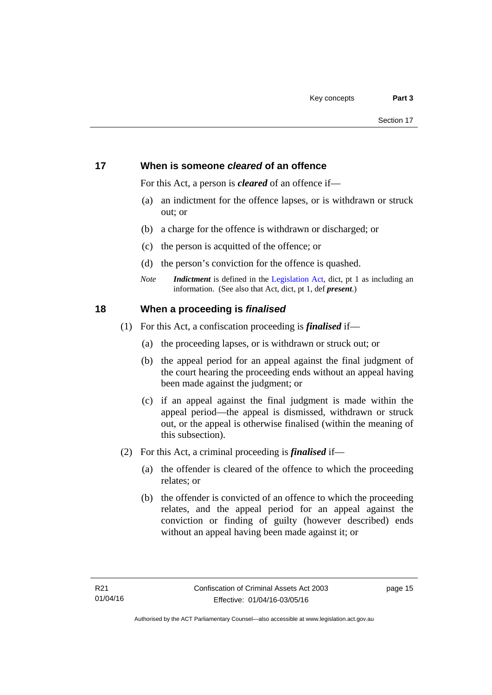# <span id="page-28-0"></span>**17 When is someone** *cleared* **of an offence**

For this Act, a person is *cleared* of an offence if—

- (a) an indictment for the offence lapses, or is withdrawn or struck out; or
- (b) a charge for the offence is withdrawn or discharged; or
- (c) the person is acquitted of the offence; or
- (d) the person's conviction for the offence is quashed.
- *Note Indictment* is defined in the [Legislation Act,](http://www.legislation.act.gov.au/a/2001-14) dict, pt 1 as including an information. (See also that Act, dict, pt 1, def *present*.)

# <span id="page-28-1"></span>**18 When a proceeding is** *finalised*

- (1) For this Act, a confiscation proceeding is *finalised* if—
	- (a) the proceeding lapses, or is withdrawn or struck out; or
	- (b) the appeal period for an appeal against the final judgment of the court hearing the proceeding ends without an appeal having been made against the judgment; or
	- (c) if an appeal against the final judgment is made within the appeal period—the appeal is dismissed, withdrawn or struck out, or the appeal is otherwise finalised (within the meaning of this subsection).
- (2) For this Act, a criminal proceeding is *finalised* if—
	- (a) the offender is cleared of the offence to which the proceeding relates; or
	- (b) the offender is convicted of an offence to which the proceeding relates, and the appeal period for an appeal against the conviction or finding of guilty (however described) ends without an appeal having been made against it; or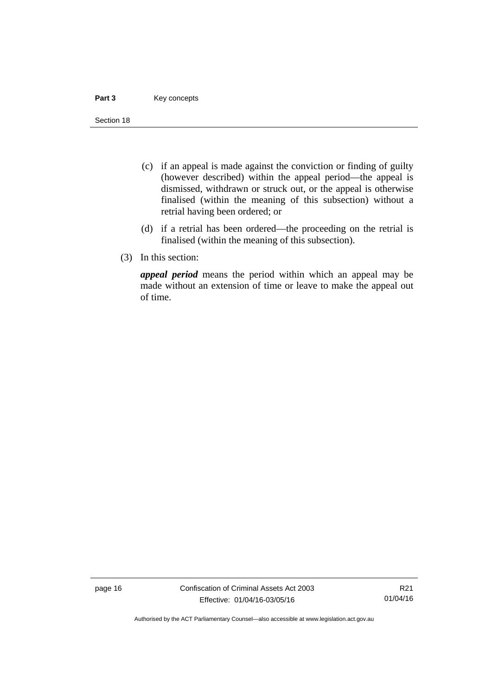### Part 3 **Key concepts**

Section 18

- (c) if an appeal is made against the conviction or finding of guilty (however described) within the appeal period—the appeal is dismissed, withdrawn or struck out, or the appeal is otherwise finalised (within the meaning of this subsection) without a retrial having been ordered; or
- (d) if a retrial has been ordered—the proceeding on the retrial is finalised (within the meaning of this subsection).
- (3) In this section:

*appeal period* means the period within which an appeal may be made without an extension of time or leave to make the appeal out of time.

page 16 Confiscation of Criminal Assets Act 2003 Effective: 01/04/16-03/05/16

R21 01/04/16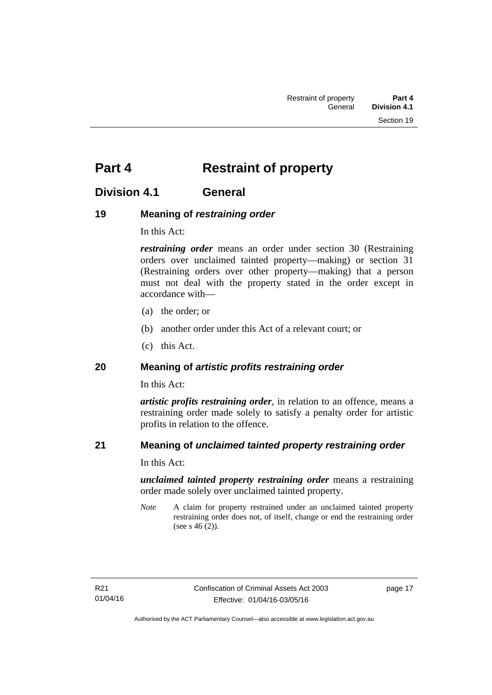# <span id="page-30-0"></span>**Part 4** Restraint of property

# <span id="page-30-1"></span>**Division 4.1 General**

# <span id="page-30-2"></span>**19 Meaning of** *restraining order*

In this Act:

*restraining order* means an order under section 30 (Restraining orders over unclaimed tainted property—making) or section 31 (Restraining orders over other property—making) that a person must not deal with the property stated in the order except in accordance with—

- (a) the order; or
- (b) another order under this Act of a relevant court; or
- (c) this Act.

# <span id="page-30-3"></span>**20 Meaning of** *artistic profits restraining order*

In this Act:

*artistic profits restraining order*, in relation to an offence, means a restraining order made solely to satisfy a penalty order for artistic profits in relation to the offence.

# <span id="page-30-4"></span>**21 Meaning of** *unclaimed tainted property restraining order*

In this Act:

*unclaimed tainted property restraining order* means a restraining order made solely over unclaimed tainted property.

*Note* A claim for property restrained under an unclaimed tainted property restraining order does not, of itself, change or end the restraining order (see s 46 (2)).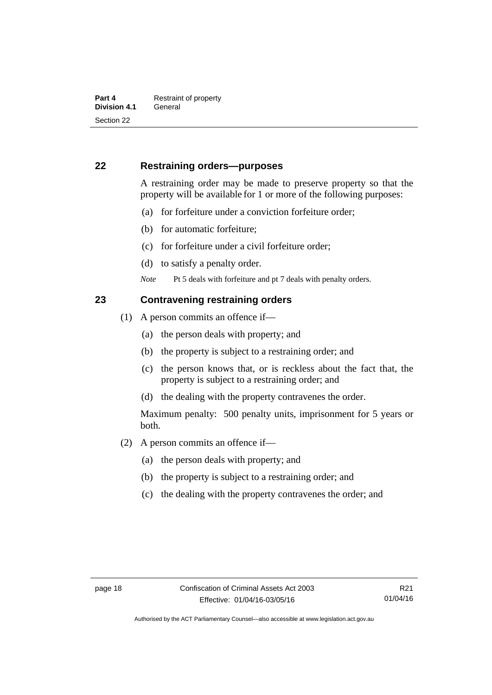# <span id="page-31-0"></span>**22 Restraining orders—purposes**

A restraining order may be made to preserve property so that the property will be available for 1 or more of the following purposes:

- (a) for forfeiture under a conviction forfeiture order;
- (b) for automatic forfeiture;
- (c) for forfeiture under a civil forfeiture order;
- (d) to satisfy a penalty order.
- *Note* Pt 5 deals with forfeiture and pt 7 deals with penalty orders.

# <span id="page-31-1"></span>**23 Contravening restraining orders**

- (1) A person commits an offence if—
	- (a) the person deals with property; and
	- (b) the property is subject to a restraining order; and
	- (c) the person knows that, or is reckless about the fact that, the property is subject to a restraining order; and
	- (d) the dealing with the property contravenes the order.

Maximum penalty: 500 penalty units, imprisonment for 5 years or both.

- (2) A person commits an offence if—
	- (a) the person deals with property; and
	- (b) the property is subject to a restraining order; and
	- (c) the dealing with the property contravenes the order; and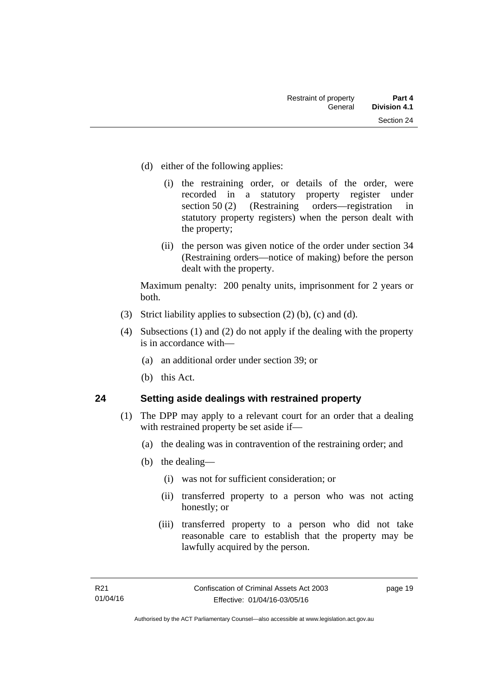- (d) either of the following applies:
	- (i) the restraining order, or details of the order, were recorded in a statutory property register under section 50 (2) (Restraining orders—registration in statutory property registers) when the person dealt with the property;
	- (ii) the person was given notice of the order under section 34 (Restraining orders—notice of making) before the person dealt with the property.

Maximum penalty: 200 penalty units, imprisonment for 2 years or both.

- (3) Strict liability applies to subsection (2) (b), (c) and (d).
- (4) Subsections (1) and (2) do not apply if the dealing with the property is in accordance with—
	- (a) an additional order under section 39; or
	- (b) this Act.

# <span id="page-32-0"></span>**24 Setting aside dealings with restrained property**

- (1) The DPP may apply to a relevant court for an order that a dealing with restrained property be set aside if—
	- (a) the dealing was in contravention of the restraining order; and
	- (b) the dealing—
		- (i) was not for sufficient consideration; or
		- (ii) transferred property to a person who was not acting honestly; or
		- (iii) transferred property to a person who did not take reasonable care to establish that the property may be lawfully acquired by the person.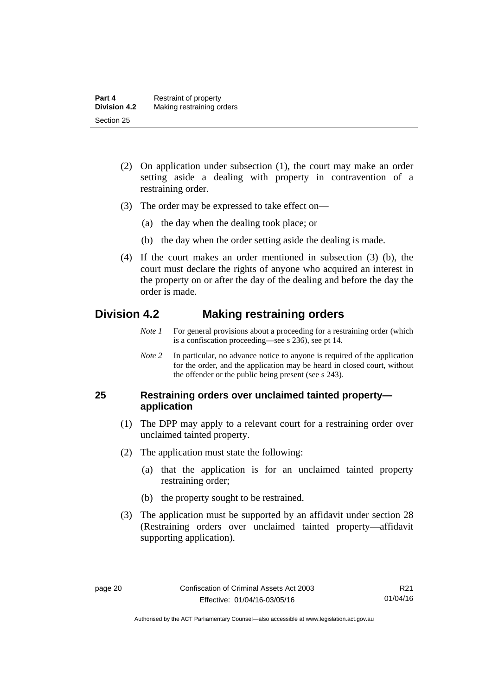- (2) On application under subsection (1), the court may make an order setting aside a dealing with property in contravention of a restraining order.
- (3) The order may be expressed to take effect on—
	- (a) the day when the dealing took place; or
	- (b) the day when the order setting aside the dealing is made.
- (4) If the court makes an order mentioned in subsection (3) (b), the court must declare the rights of anyone who acquired an interest in the property on or after the day of the dealing and before the day the order is made.

# <span id="page-33-0"></span>**Division 4.2 Making restraining orders**

- *Note 1* For general provisions about a proceeding for a restraining order (which is a confiscation proceeding—see s 236), see pt 14.
- *Note 2* In particular, no advance notice to anyone is required of the application for the order, and the application may be heard in closed court, without the offender or the public being present (see s 243).

# <span id="page-33-1"></span>**25 Restraining orders over unclaimed tainted property application**

- (1) The DPP may apply to a relevant court for a restraining order over unclaimed tainted property.
- (2) The application must state the following:
	- (a) that the application is for an unclaimed tainted property restraining order;
	- (b) the property sought to be restrained.
- (3) The application must be supported by an affidavit under section 28 (Restraining orders over unclaimed tainted property—affidavit supporting application).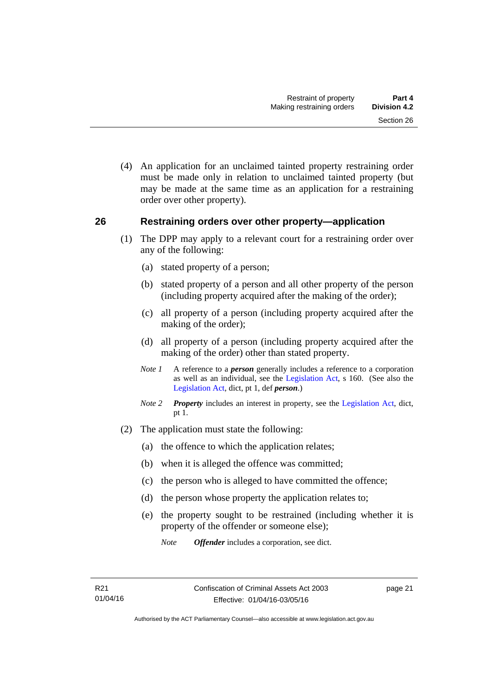(4) An application for an unclaimed tainted property restraining order must be made only in relation to unclaimed tainted property (but may be made at the same time as an application for a restraining order over other property).

## <span id="page-34-0"></span>**26 Restraining orders over other property—application**

- (1) The DPP may apply to a relevant court for a restraining order over any of the following:
	- (a) stated property of a person;
	- (b) stated property of a person and all other property of the person (including property acquired after the making of the order);
	- (c) all property of a person (including property acquired after the making of the order);
	- (d) all property of a person (including property acquired after the making of the order) other than stated property.
	- *Note 1* A reference to a *person* generally includes a reference to a corporation as well as an individual, see the [Legislation Act](http://www.legislation.act.gov.au/a/2001-14), s 160. (See also the [Legislation Act,](http://www.legislation.act.gov.au/a/2001-14) dict, pt 1, def *person*.)
	- *Note 2 Property* includes an interest in property, see the [Legislation Act,](http://www.legislation.act.gov.au/a/2001-14) dict, pt 1.
- (2) The application must state the following:
	- (a) the offence to which the application relates;
	- (b) when it is alleged the offence was committed;
	- (c) the person who is alleged to have committed the offence;
	- (d) the person whose property the application relates to;
	- (e) the property sought to be restrained (including whether it is property of the offender or someone else);
		- *Note Offender* includes a corporation, see dict.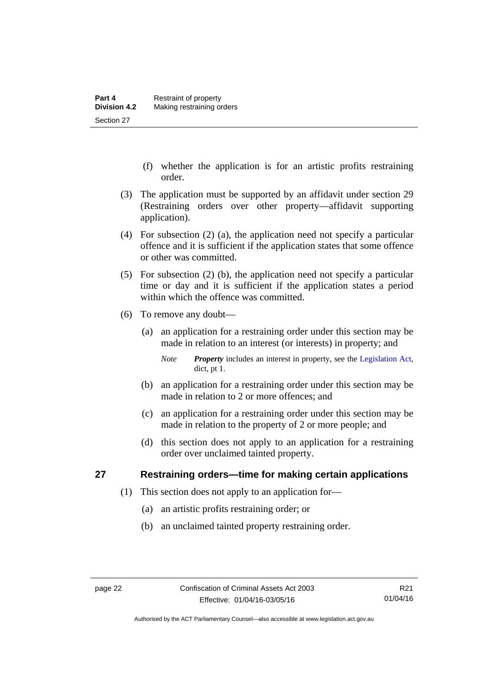- (f) whether the application is for an artistic profits restraining order.
- (3) The application must be supported by an affidavit under section 29 (Restraining orders over other property—affidavit supporting application).
- (4) For subsection (2) (a), the application need not specify a particular offence and it is sufficient if the application states that some offence or other was committed.
- (5) For subsection (2) (b), the application need not specify a particular time or day and it is sufficient if the application states a period within which the offence was committed.
- (6) To remove any doubt—
	- (a) an application for a restraining order under this section may be made in relation to an interest (or interests) in property; and
		- *Note Property* includes an interest in property, see the [Legislation Act,](http://www.legislation.act.gov.au/a/2001-14) dict, pt 1.
	- (b) an application for a restraining order under this section may be made in relation to 2 or more offences; and
	- (c) an application for a restraining order under this section may be made in relation to the property of 2 or more people; and
	- (d) this section does not apply to an application for a restraining order over unclaimed tainted property.

# <span id="page-35-0"></span>**27 Restraining orders—time for making certain applications**

- (1) This section does not apply to an application for—
	- (a) an artistic profits restraining order; or
	- (b) an unclaimed tainted property restraining order.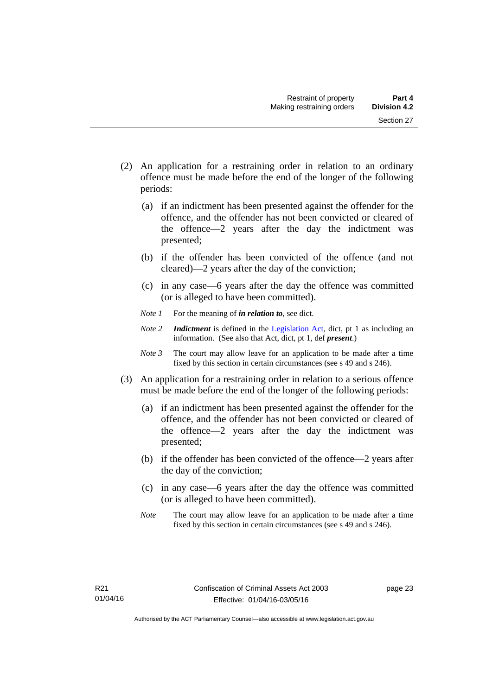- (2) An application for a restraining order in relation to an ordinary offence must be made before the end of the longer of the following periods:
	- (a) if an indictment has been presented against the offender for the offence, and the offender has not been convicted or cleared of the offence—2 years after the day the indictment was presented;
	- (b) if the offender has been convicted of the offence (and not cleared)—2 years after the day of the conviction;
	- (c) in any case—6 years after the day the offence was committed (or is alleged to have been committed).
	- *Note 1* For the meaning of *in relation to*, see dict.
	- *Note 2 Indictment* is defined in the [Legislation Act,](http://www.legislation.act.gov.au/a/2001-14) dict, pt 1 as including an information. (See also that Act, dict, pt 1, def *present*.)
	- *Note 3* The court may allow leave for an application to be made after a time fixed by this section in certain circumstances (see s 49 and s 246).
- (3) An application for a restraining order in relation to a serious offence must be made before the end of the longer of the following periods:
	- (a) if an indictment has been presented against the offender for the offence, and the offender has not been convicted or cleared of the offence—2 years after the day the indictment was presented;
	- (b) if the offender has been convicted of the offence—2 years after the day of the conviction;
	- (c) in any case—6 years after the day the offence was committed (or is alleged to have been committed).
	- *Note* The court may allow leave for an application to be made after a time fixed by this section in certain circumstances (see s 49 and s 246).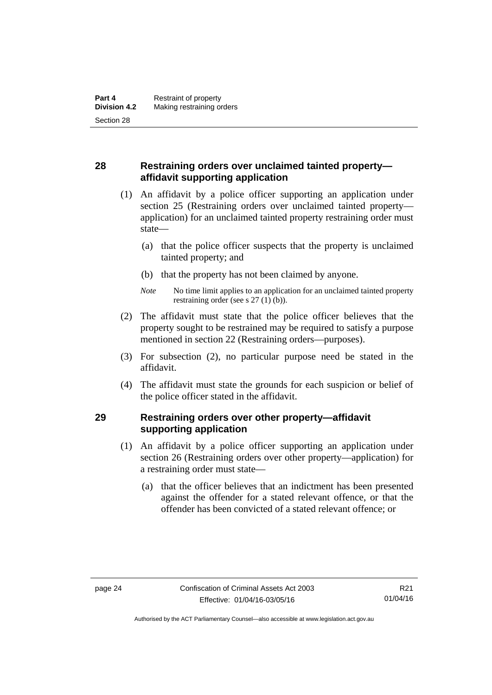# **28 Restraining orders over unclaimed tainted property affidavit supporting application**

- (1) An affidavit by a police officer supporting an application under section 25 (Restraining orders over unclaimed tainted property application) for an unclaimed tainted property restraining order must state—
	- (a) that the police officer suspects that the property is unclaimed tainted property; and
	- (b) that the property has not been claimed by anyone.
	- *Note* No time limit applies to an application for an unclaimed tainted property restraining order (see s 27 (1) (b)).
- (2) The affidavit must state that the police officer believes that the property sought to be restrained may be required to satisfy a purpose mentioned in section 22 (Restraining orders—purposes).
- (3) For subsection (2), no particular purpose need be stated in the affidavit.
- (4) The affidavit must state the grounds for each suspicion or belief of the police officer stated in the affidavit.

# **29 Restraining orders over other property—affidavit supporting application**

- (1) An affidavit by a police officer supporting an application under section 26 (Restraining orders over other property—application) for a restraining order must state—
	- (a) that the officer believes that an indictment has been presented against the offender for a stated relevant offence, or that the offender has been convicted of a stated relevant offence; or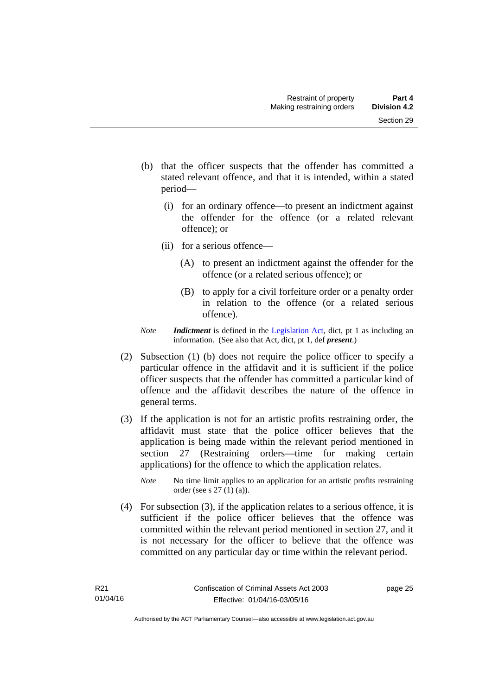- (b) that the officer suspects that the offender has committed a stated relevant offence, and that it is intended, within a stated period—
	- (i) for an ordinary offence—to present an indictment against the offender for the offence (or a related relevant offence); or
	- (ii) for a serious offence—
		- (A) to present an indictment against the offender for the offence (or a related serious offence); or
		- (B) to apply for a civil forfeiture order or a penalty order in relation to the offence (or a related serious offence).
- *Note Indictment* is defined in the [Legislation Act,](http://www.legislation.act.gov.au/a/2001-14) dict, pt 1 as including an information. (See also that Act, dict, pt 1, def *present*.)
- (2) Subsection (1) (b) does not require the police officer to specify a particular offence in the affidavit and it is sufficient if the police officer suspects that the offender has committed a particular kind of offence and the affidavit describes the nature of the offence in general terms.
- (3) If the application is not for an artistic profits restraining order, the affidavit must state that the police officer believes that the application is being made within the relevant period mentioned in section 27 (Restraining orders—time for making certain applications) for the offence to which the application relates.
	- *Note* No time limit applies to an application for an artistic profits restraining order (see s 27 (1) (a)).
- (4) For subsection (3), if the application relates to a serious offence, it is sufficient if the police officer believes that the offence was committed within the relevant period mentioned in section 27, and it is not necessary for the officer to believe that the offence was committed on any particular day or time within the relevant period.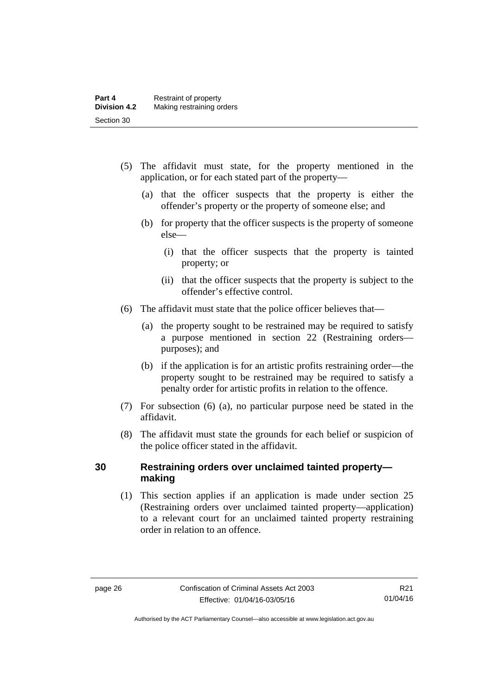- (5) The affidavit must state, for the property mentioned in the application, or for each stated part of the property—
	- (a) that the officer suspects that the property is either the offender's property or the property of someone else; and
	- (b) for property that the officer suspects is the property of someone else—
		- (i) that the officer suspects that the property is tainted property; or
		- (ii) that the officer suspects that the property is subject to the offender's effective control.
- (6) The affidavit must state that the police officer believes that—
	- (a) the property sought to be restrained may be required to satisfy a purpose mentioned in section 22 (Restraining orders purposes); and
	- (b) if the application is for an artistic profits restraining order—the property sought to be restrained may be required to satisfy a penalty order for artistic profits in relation to the offence.
- (7) For subsection (6) (a), no particular purpose need be stated in the affidavit.
- (8) The affidavit must state the grounds for each belief or suspicion of the police officer stated in the affidavit.

## **30 Restraining orders over unclaimed tainted property making**

(1) This section applies if an application is made under section 25 (Restraining orders over unclaimed tainted property—application) to a relevant court for an unclaimed tainted property restraining order in relation to an offence.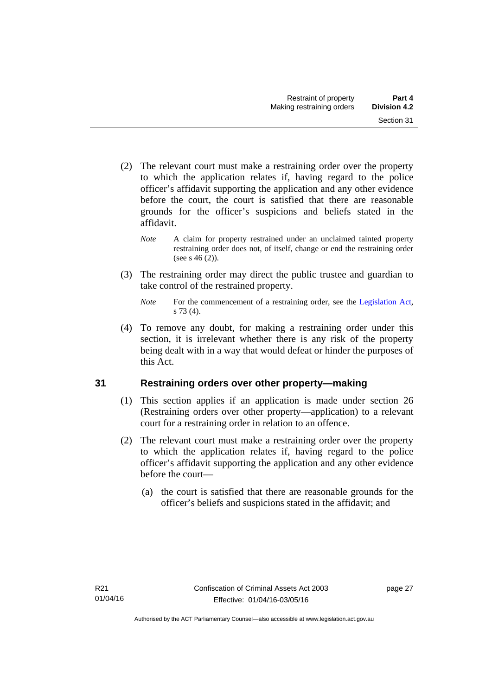- (2) The relevant court must make a restraining order over the property to which the application relates if, having regard to the police officer's affidavit supporting the application and any other evidence before the court, the court is satisfied that there are reasonable grounds for the officer's suspicions and beliefs stated in the affidavit.
	- *Note* A claim for property restrained under an unclaimed tainted property restraining order does not, of itself, change or end the restraining order (see s  $46(2)$ ).
- (3) The restraining order may direct the public trustee and guardian to take control of the restrained property.

 (4) To remove any doubt, for making a restraining order under this section, it is irrelevant whether there is any risk of the property being dealt with in a way that would defeat or hinder the purposes of this Act.

# **31 Restraining orders over other property—making**

- (1) This section applies if an application is made under section 26 (Restraining orders over other property—application) to a relevant court for a restraining order in relation to an offence.
- (2) The relevant court must make a restraining order over the property to which the application relates if, having regard to the police officer's affidavit supporting the application and any other evidence before the court—
	- (a) the court is satisfied that there are reasonable grounds for the officer's beliefs and suspicions stated in the affidavit; and

*Note* For the commencement of a restraining order, see the [Legislation Act,](http://www.legislation.act.gov.au/a/2001-14) s 73 (4).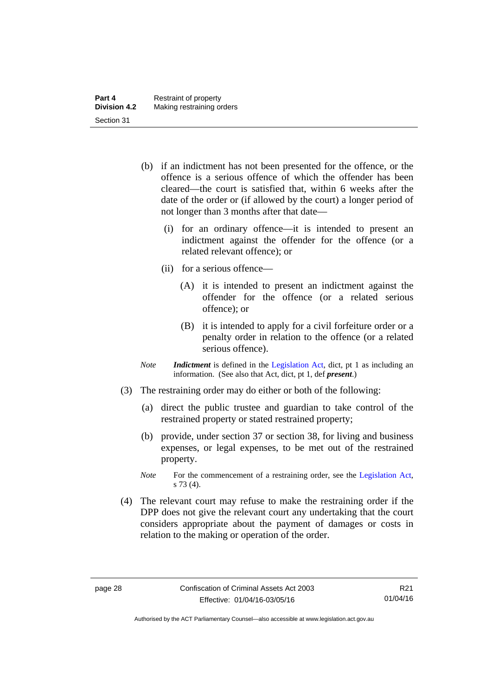- (b) if an indictment has not been presented for the offence, or the offence is a serious offence of which the offender has been cleared—the court is satisfied that, within 6 weeks after the date of the order or (if allowed by the court) a longer period of not longer than 3 months after that date—
	- (i) for an ordinary offence—it is intended to present an indictment against the offender for the offence (or a related relevant offence); or
	- (ii) for a serious offence—
		- (A) it is intended to present an indictment against the offender for the offence (or a related serious offence); or
		- (B) it is intended to apply for a civil forfeiture order or a penalty order in relation to the offence (or a related serious offence).
- *Note Indictment* is defined in the [Legislation Act,](http://www.legislation.act.gov.au/a/2001-14) dict, pt 1 as including an information. (See also that Act, dict, pt 1, def *present*.)
- (3) The restraining order may do either or both of the following:
	- (a) direct the public trustee and guardian to take control of the restrained property or stated restrained property;
	- (b) provide, under section 37 or section 38, for living and business expenses, or legal expenses, to be met out of the restrained property.
	- *Note* For the commencement of a restraining order, see the [Legislation Act,](http://www.legislation.act.gov.au/a/2001-14) s 73 (4).
- (4) The relevant court may refuse to make the restraining order if the DPP does not give the relevant court any undertaking that the court considers appropriate about the payment of damages or costs in relation to the making or operation of the order.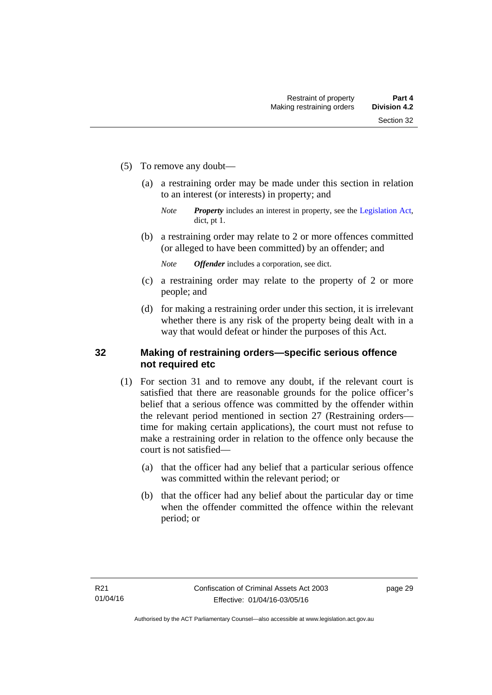- (5) To remove any doubt—
	- (a) a restraining order may be made under this section in relation to an interest (or interests) in property; and
		- *Note Property* includes an interest in property, see the [Legislation Act,](http://www.legislation.act.gov.au/a/2001-14) dict, pt 1.
	- (b) a restraining order may relate to 2 or more offences committed (or alleged to have been committed) by an offender; and

*Note Offender* includes a corporation, see dict.

- (c) a restraining order may relate to the property of 2 or more people; and
- (d) for making a restraining order under this section, it is irrelevant whether there is any risk of the property being dealt with in a way that would defeat or hinder the purposes of this Act.

### **32 Making of restraining orders—specific serious offence not required etc**

- (1) For section 31 and to remove any doubt, if the relevant court is satisfied that there are reasonable grounds for the police officer's belief that a serious offence was committed by the offender within the relevant period mentioned in section 27 (Restraining orders time for making certain applications), the court must not refuse to make a restraining order in relation to the offence only because the court is not satisfied—
	- (a) that the officer had any belief that a particular serious offence was committed within the relevant period; or
	- (b) that the officer had any belief about the particular day or time when the offender committed the offence within the relevant period; or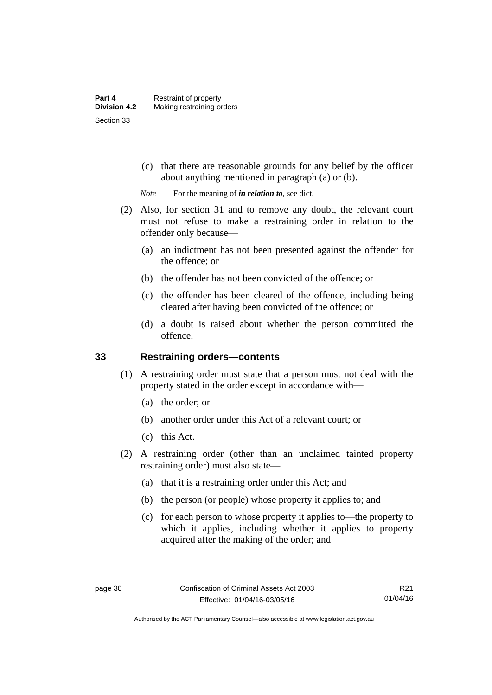(c) that there are reasonable grounds for any belief by the officer about anything mentioned in paragraph (a) or (b).

*Note* For the meaning of *in relation to*, see dict.

- (2) Also, for section 31 and to remove any doubt, the relevant court must not refuse to make a restraining order in relation to the offender only because—
	- (a) an indictment has not been presented against the offender for the offence; or
	- (b) the offender has not been convicted of the offence; or
	- (c) the offender has been cleared of the offence, including being cleared after having been convicted of the offence; or
	- (d) a doubt is raised about whether the person committed the offence.

## **33 Restraining orders—contents**

- (1) A restraining order must state that a person must not deal with the property stated in the order except in accordance with—
	- (a) the order; or
	- (b) another order under this Act of a relevant court; or
	- (c) this Act.
- (2) A restraining order (other than an unclaimed tainted property restraining order) must also state—
	- (a) that it is a restraining order under this Act; and
	- (b) the person (or people) whose property it applies to; and
	- (c) for each person to whose property it applies to—the property to which it applies, including whether it applies to property acquired after the making of the order; and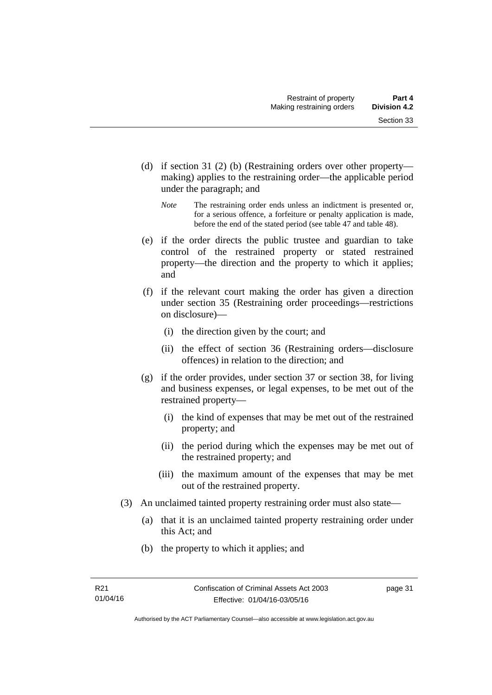- (d) if section 31 (2) (b) (Restraining orders over other property making) applies to the restraining order—the applicable period under the paragraph; and
	- *Note* The restraining order ends unless an indictment is presented or, for a serious offence, a forfeiture or penalty application is made, before the end of the stated period (see table 47 and table 48).
- (e) if the order directs the public trustee and guardian to take control of the restrained property or stated restrained property—the direction and the property to which it applies; and
- (f) if the relevant court making the order has given a direction under section 35 (Restraining order proceedings—restrictions on disclosure)—
	- (i) the direction given by the court; and
	- (ii) the effect of section 36 (Restraining orders—disclosure offences) in relation to the direction; and
- (g) if the order provides, under section 37 or section 38, for living and business expenses, or legal expenses, to be met out of the restrained property—
	- (i) the kind of expenses that may be met out of the restrained property; and
	- (ii) the period during which the expenses may be met out of the restrained property; and
	- (iii) the maximum amount of the expenses that may be met out of the restrained property.
- (3) An unclaimed tainted property restraining order must also state—
	- (a) that it is an unclaimed tainted property restraining order under this Act; and
	- (b) the property to which it applies; and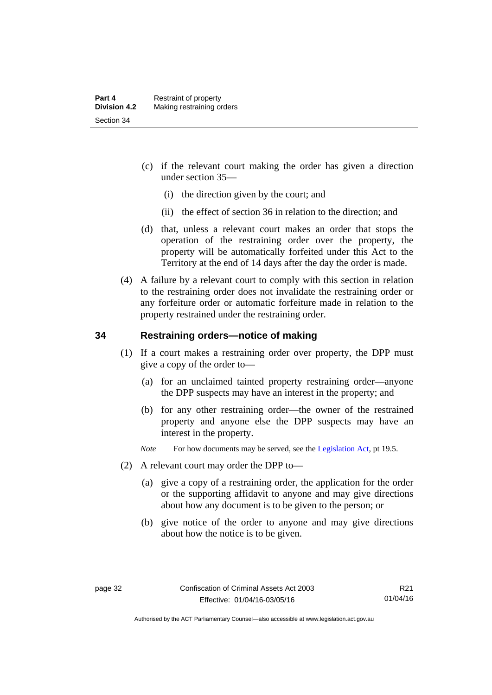- (c) if the relevant court making the order has given a direction under section 35—
	- (i) the direction given by the court; and
	- (ii) the effect of section 36 in relation to the direction; and
- (d) that, unless a relevant court makes an order that stops the operation of the restraining order over the property, the property will be automatically forfeited under this Act to the Territory at the end of 14 days after the day the order is made.
- (4) A failure by a relevant court to comply with this section in relation to the restraining order does not invalidate the restraining order or any forfeiture order or automatic forfeiture made in relation to the property restrained under the restraining order.

## **34 Restraining orders—notice of making**

- (1) If a court makes a restraining order over property, the DPP must give a copy of the order to—
	- (a) for an unclaimed tainted property restraining order—anyone the DPP suspects may have an interest in the property; and
	- (b) for any other restraining order—the owner of the restrained property and anyone else the DPP suspects may have an interest in the property.
	- *Note* For how documents may be served, see the [Legislation Act,](http://www.legislation.act.gov.au/a/2001-14) pt 19.5.
- (2) A relevant court may order the DPP to—
	- (a) give a copy of a restraining order, the application for the order or the supporting affidavit to anyone and may give directions about how any document is to be given to the person; or
	- (b) give notice of the order to anyone and may give directions about how the notice is to be given.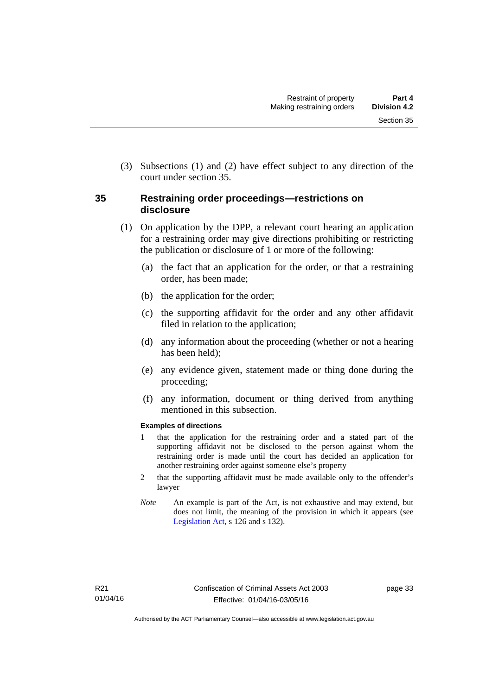(3) Subsections (1) and (2) have effect subject to any direction of the court under section 35.

## **35 Restraining order proceedings—restrictions on disclosure**

- (1) On application by the DPP, a relevant court hearing an application for a restraining order may give directions prohibiting or restricting the publication or disclosure of 1 or more of the following:
	- (a) the fact that an application for the order, or that a restraining order, has been made;
	- (b) the application for the order;
	- (c) the supporting affidavit for the order and any other affidavit filed in relation to the application;
	- (d) any information about the proceeding (whether or not a hearing has been held);
	- (e) any evidence given, statement made or thing done during the proceeding;
	- (f) any information, document or thing derived from anything mentioned in this subsection.

### **Examples of directions**

- 1 that the application for the restraining order and a stated part of the supporting affidavit not be disclosed to the person against whom the restraining order is made until the court has decided an application for another restraining order against someone else's property
- 2 that the supporting affidavit must be made available only to the offender's lawyer
- *Note* An example is part of the Act, is not exhaustive and may extend, but does not limit, the meaning of the provision in which it appears (see [Legislation Act,](http://www.legislation.act.gov.au/a/2001-14) s 126 and s 132).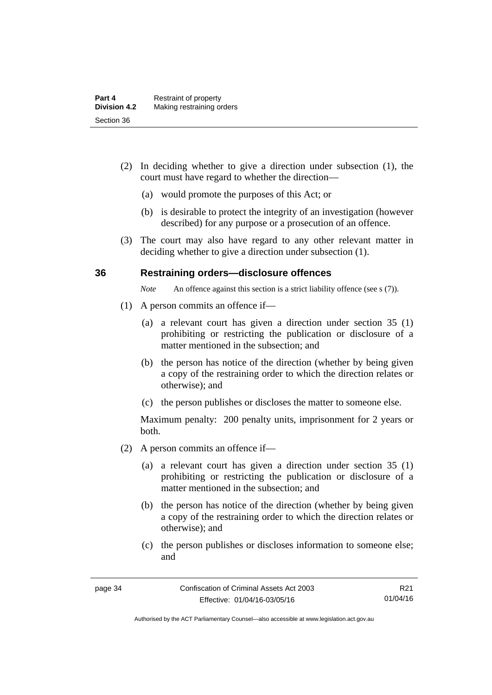- (2) In deciding whether to give a direction under subsection (1), the court must have regard to whether the direction—
	- (a) would promote the purposes of this Act; or
	- (b) is desirable to protect the integrity of an investigation (however described) for any purpose or a prosecution of an offence.
- (3) The court may also have regard to any other relevant matter in deciding whether to give a direction under subsection (1).

### **36 Restraining orders—disclosure offences**

*Note* An offence against this section is a strict liability offence (see s (7)).

- (1) A person commits an offence if—
	- (a) a relevant court has given a direction under section 35 (1) prohibiting or restricting the publication or disclosure of a matter mentioned in the subsection; and
	- (b) the person has notice of the direction (whether by being given a copy of the restraining order to which the direction relates or otherwise); and
	- (c) the person publishes or discloses the matter to someone else.

- (2) A person commits an offence if—
	- (a) a relevant court has given a direction under section 35 (1) prohibiting or restricting the publication or disclosure of a matter mentioned in the subsection; and
	- (b) the person has notice of the direction (whether by being given a copy of the restraining order to which the direction relates or otherwise); and
	- (c) the person publishes or discloses information to someone else; and

Authorised by the ACT Parliamentary Counsel—also accessible at www.legislation.act.gov.au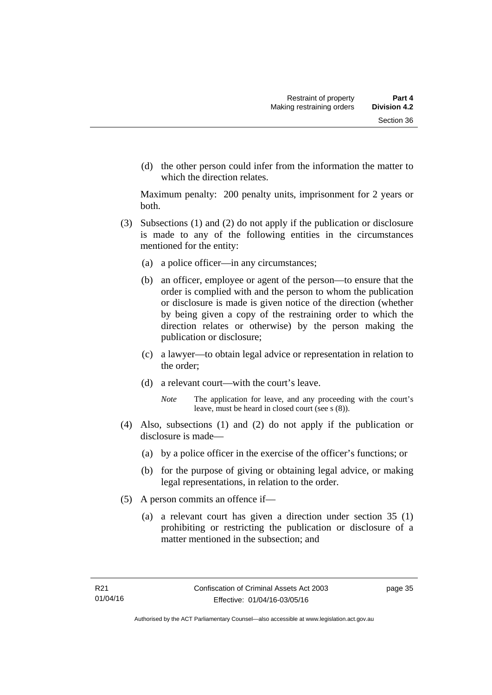(d) the other person could infer from the information the matter to which the direction relates.

- (3) Subsections (1) and (2) do not apply if the publication or disclosure is made to any of the following entities in the circumstances mentioned for the entity:
	- (a) a police officer—in any circumstances;
	- (b) an officer, employee or agent of the person—to ensure that the order is complied with and the person to whom the publication or disclosure is made is given notice of the direction (whether by being given a copy of the restraining order to which the direction relates or otherwise) by the person making the publication or disclosure;
	- (c) a lawyer—to obtain legal advice or representation in relation to the order;
	- (d) a relevant court—with the court's leave.
		- *Note* The application for leave, and any proceeding with the court's leave, must be heard in closed court (see s (8)).
- (4) Also, subsections (1) and (2) do not apply if the publication or disclosure is made—
	- (a) by a police officer in the exercise of the officer's functions; or
	- (b) for the purpose of giving or obtaining legal advice, or making legal representations, in relation to the order.
- (5) A person commits an offence if—
	- (a) a relevant court has given a direction under section 35 (1) prohibiting or restricting the publication or disclosure of a matter mentioned in the subsection; and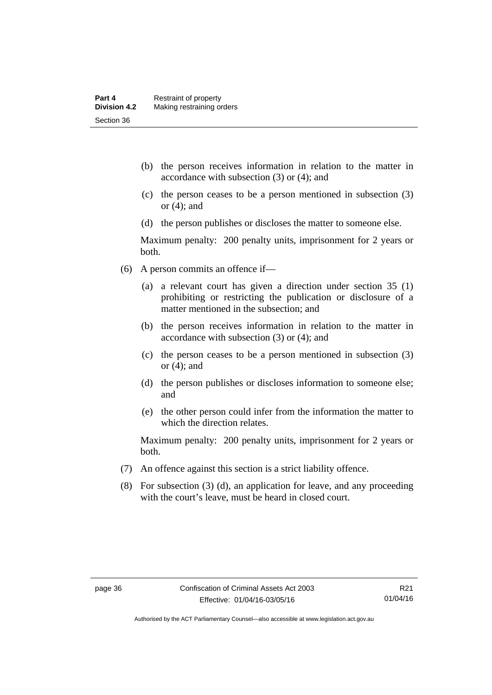- (b) the person receives information in relation to the matter in accordance with subsection (3) or (4); and
- (c) the person ceases to be a person mentioned in subsection (3) or (4); and
- (d) the person publishes or discloses the matter to someone else.

Maximum penalty: 200 penalty units, imprisonment for 2 years or both.

- (6) A person commits an offence if—
	- (a) a relevant court has given a direction under section 35 (1) prohibiting or restricting the publication or disclosure of a matter mentioned in the subsection; and
	- (b) the person receives information in relation to the matter in accordance with subsection (3) or (4); and
	- (c) the person ceases to be a person mentioned in subsection (3) or (4); and
	- (d) the person publishes or discloses information to someone else; and
	- (e) the other person could infer from the information the matter to which the direction relates.

- (7) An offence against this section is a strict liability offence.
- (8) For subsection (3) (d), an application for leave, and any proceeding with the court's leave, must be heard in closed court.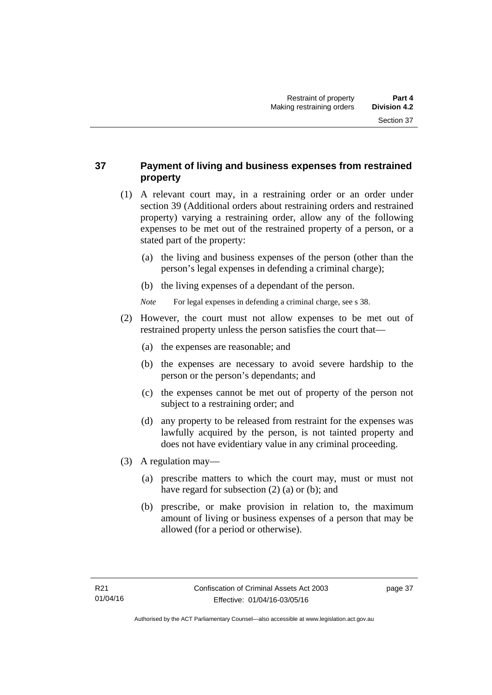# **37 Payment of living and business expenses from restrained property**

- (1) A relevant court may, in a restraining order or an order under section 39 (Additional orders about restraining orders and restrained property) varying a restraining order, allow any of the following expenses to be met out of the restrained property of a person, or a stated part of the property:
	- (a) the living and business expenses of the person (other than the person's legal expenses in defending a criminal charge);
	- (b) the living expenses of a dependant of the person.
	- *Note* For legal expenses in defending a criminal charge, see s 38.
- (2) However, the court must not allow expenses to be met out of restrained property unless the person satisfies the court that—
	- (a) the expenses are reasonable; and
	- (b) the expenses are necessary to avoid severe hardship to the person or the person's dependants; and
	- (c) the expenses cannot be met out of property of the person not subject to a restraining order; and
	- (d) any property to be released from restraint for the expenses was lawfully acquired by the person, is not tainted property and does not have evidentiary value in any criminal proceeding.
- (3) A regulation may—
	- (a) prescribe matters to which the court may, must or must not have regard for subsection (2) (a) or (b); and
	- (b) prescribe, or make provision in relation to, the maximum amount of living or business expenses of a person that may be allowed (for a period or otherwise).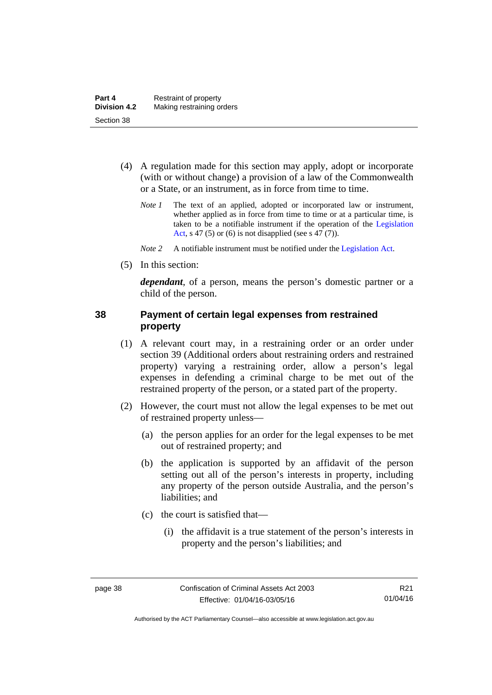- (4) A regulation made for this section may apply, adopt or incorporate (with or without change) a provision of a law of the Commonwealth or a State, or an instrument, as in force from time to time.
	- *Note 1* The text of an applied, adopted or incorporated law or instrument, whether applied as in force from time to time or at a particular time, is taken to be a notifiable instrument if the operation of the [Legislation](http://www.legislation.act.gov.au/a/2001-14)  [Act](http://www.legislation.act.gov.au/a/2001-14), s 47 (5) or (6) is not disapplied (see s 47 (7)).
	- *Note 2* A notifiable instrument must be notified under the [Legislation Act](http://www.legislation.act.gov.au/a/2001-14).
- (5) In this section:

*dependant*, of a person, means the person's domestic partner or a child of the person.

### **38 Payment of certain legal expenses from restrained property**

- (1) A relevant court may, in a restraining order or an order under section 39 (Additional orders about restraining orders and restrained property) varying a restraining order, allow a person's legal expenses in defending a criminal charge to be met out of the restrained property of the person, or a stated part of the property.
- (2) However, the court must not allow the legal expenses to be met out of restrained property unless—
	- (a) the person applies for an order for the legal expenses to be met out of restrained property; and
	- (b) the application is supported by an affidavit of the person setting out all of the person's interests in property, including any property of the person outside Australia, and the person's liabilities; and
	- (c) the court is satisfied that—
		- (i) the affidavit is a true statement of the person's interests in property and the person's liabilities; and

Authorised by the ACT Parliamentary Counsel—also accessible at www.legislation.act.gov.au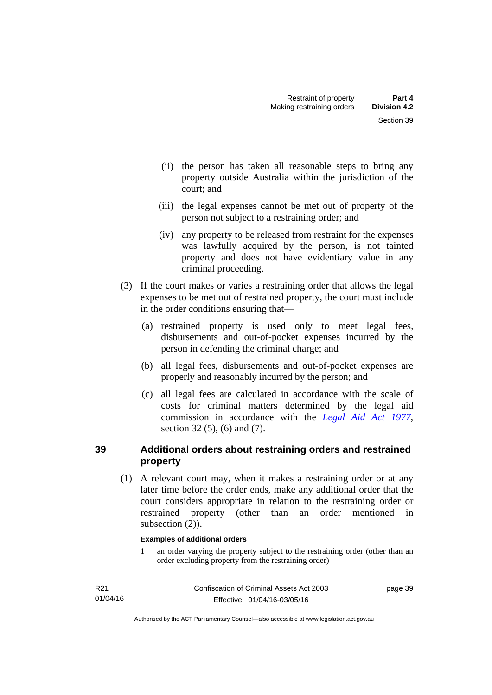- (ii) the person has taken all reasonable steps to bring any property outside Australia within the jurisdiction of the court; and
- (iii) the legal expenses cannot be met out of property of the person not subject to a restraining order; and
- (iv) any property to be released from restraint for the expenses was lawfully acquired by the person, is not tainted property and does not have evidentiary value in any criminal proceeding.
- (3) If the court makes or varies a restraining order that allows the legal expenses to be met out of restrained property, the court must include in the order conditions ensuring that—
	- (a) restrained property is used only to meet legal fees, disbursements and out-of-pocket expenses incurred by the person in defending the criminal charge; and
	- (b) all legal fees, disbursements and out-of-pocket expenses are properly and reasonably incurred by the person; and
	- (c) all legal fees are calculated in accordance with the scale of costs for criminal matters determined by the legal aid commission in accordance with the *[Legal Aid Act 1977](http://www.legislation.act.gov.au/a/1977-31)*, section 32 (5), (6) and (7).

# **39 Additional orders about restraining orders and restrained property**

 (1) A relevant court may, when it makes a restraining order or at any later time before the order ends, make any additional order that the court considers appropriate in relation to the restraining order or restrained property (other than an order mentioned in subsection  $(2)$ ).

### **Examples of additional orders**

1 an order varying the property subject to the restraining order (other than an order excluding property from the restraining order)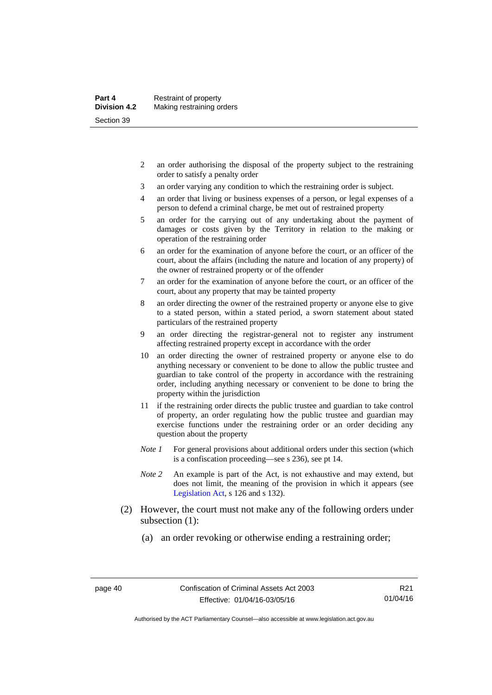- 2 an order authorising the disposal of the property subject to the restraining order to satisfy a penalty order
- 3 an order varying any condition to which the restraining order is subject.
- 4 an order that living or business expenses of a person, or legal expenses of a person to defend a criminal charge, be met out of restrained property
- 5 an order for the carrying out of any undertaking about the payment of damages or costs given by the Territory in relation to the making or operation of the restraining order
- 6 an order for the examination of anyone before the court, or an officer of the court, about the affairs (including the nature and location of any property) of the owner of restrained property or of the offender
- 7 an order for the examination of anyone before the court, or an officer of the court, about any property that may be tainted property
- 8 an order directing the owner of the restrained property or anyone else to give to a stated person, within a stated period, a sworn statement about stated particulars of the restrained property
- 9 an order directing the registrar-general not to register any instrument affecting restrained property except in accordance with the order
- 10 an order directing the owner of restrained property or anyone else to do anything necessary or convenient to be done to allow the public trustee and guardian to take control of the property in accordance with the restraining order, including anything necessary or convenient to be done to bring the property within the jurisdiction
- 11 if the restraining order directs the public trustee and guardian to take control of property, an order regulating how the public trustee and guardian may exercise functions under the restraining order or an order deciding any question about the property
- *Note 1* For general provisions about additional orders under this section (which is a confiscation proceeding—see s 236), see pt 14.
- *Note 2* An example is part of the Act, is not exhaustive and may extend, but does not limit, the meaning of the provision in which it appears (see [Legislation Act,](http://www.legislation.act.gov.au/a/2001-14) s 126 and s 132).
- (2) However, the court must not make any of the following orders under subsection (1):
	- (a) an order revoking or otherwise ending a restraining order;

Authorised by the ACT Parliamentary Counsel—also accessible at www.legislation.act.gov.au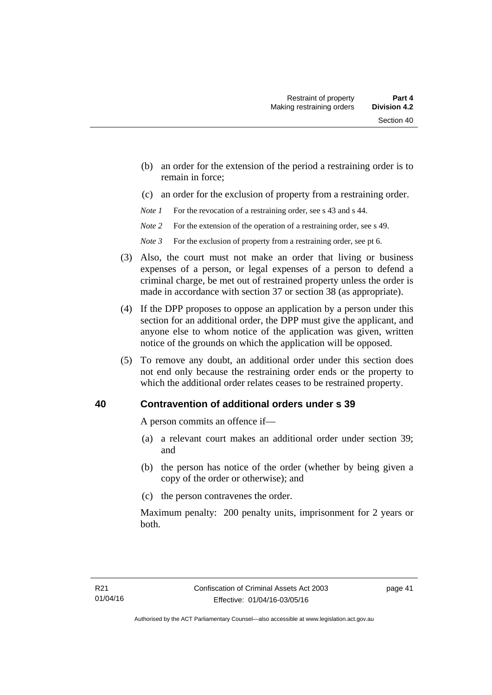- (b) an order for the extension of the period a restraining order is to remain in force;
- (c) an order for the exclusion of property from a restraining order.
- *Note 1* For the revocation of a restraining order, see s 43 and s 44.
- *Note* 2 For the extension of the operation of a restraining order, see s 49.
- *Note* 3 For the exclusion of property from a restraining order, see pt 6.
- (3) Also, the court must not make an order that living or business expenses of a person, or legal expenses of a person to defend a criminal charge, be met out of restrained property unless the order is made in accordance with section 37 or section 38 (as appropriate).
- (4) If the DPP proposes to oppose an application by a person under this section for an additional order, the DPP must give the applicant, and anyone else to whom notice of the application was given, written notice of the grounds on which the application will be opposed.
- (5) To remove any doubt, an additional order under this section does not end only because the restraining order ends or the property to which the additional order relates ceases to be restrained property.

# **40 Contravention of additional orders under s 39**

A person commits an offence if—

- (a) a relevant court makes an additional order under section 39; and
- (b) the person has notice of the order (whether by being given a copy of the order or otherwise); and
- (c) the person contravenes the order.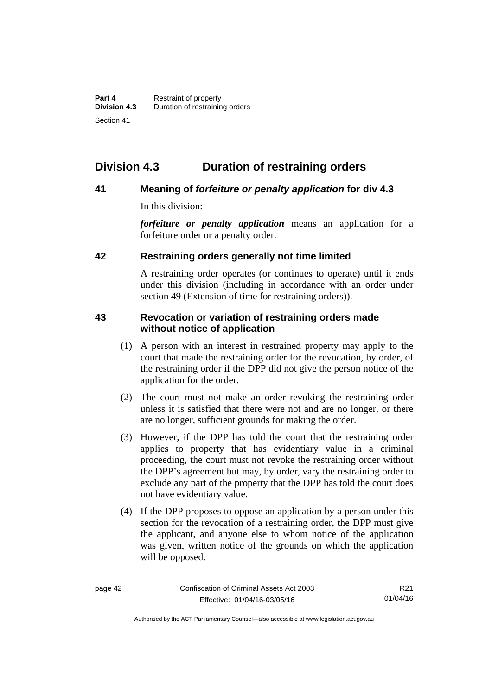# **Division 4.3 Duration of restraining orders**

## **41 Meaning of** *forfeiture or penalty application* **for div 4.3**

In this division:

*forfeiture or penalty application* means an application for a forfeiture order or a penalty order.

## **42 Restraining orders generally not time limited**

A restraining order operates (or continues to operate) until it ends under this division (including in accordance with an order under section 49 (Extension of time for restraining orders)).

## **43 Revocation or variation of restraining orders made without notice of application**

- (1) A person with an interest in restrained property may apply to the court that made the restraining order for the revocation, by order, of the restraining order if the DPP did not give the person notice of the application for the order.
- (2) The court must not make an order revoking the restraining order unless it is satisfied that there were not and are no longer, or there are no longer, sufficient grounds for making the order.
- (3) However, if the DPP has told the court that the restraining order applies to property that has evidentiary value in a criminal proceeding, the court must not revoke the restraining order without the DPP's agreement but may, by order, vary the restraining order to exclude any part of the property that the DPP has told the court does not have evidentiary value.
- (4) If the DPP proposes to oppose an application by a person under this section for the revocation of a restraining order, the DPP must give the applicant, and anyone else to whom notice of the application was given, written notice of the grounds on which the application will be opposed.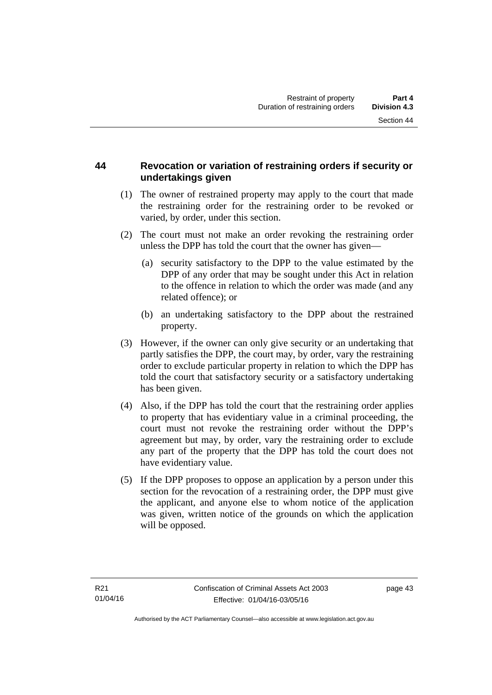## **44 Revocation or variation of restraining orders if security or undertakings given**

- (1) The owner of restrained property may apply to the court that made the restraining order for the restraining order to be revoked or varied, by order, under this section.
- (2) The court must not make an order revoking the restraining order unless the DPP has told the court that the owner has given—
	- (a) security satisfactory to the DPP to the value estimated by the DPP of any order that may be sought under this Act in relation to the offence in relation to which the order was made (and any related offence); or
	- (b) an undertaking satisfactory to the DPP about the restrained property.
- (3) However, if the owner can only give security or an undertaking that partly satisfies the DPP, the court may, by order, vary the restraining order to exclude particular property in relation to which the DPP has told the court that satisfactory security or a satisfactory undertaking has been given.
- (4) Also, if the DPP has told the court that the restraining order applies to property that has evidentiary value in a criminal proceeding, the court must not revoke the restraining order without the DPP's agreement but may, by order, vary the restraining order to exclude any part of the property that the DPP has told the court does not have evidentiary value.
- (5) If the DPP proposes to oppose an application by a person under this section for the revocation of a restraining order, the DPP must give the applicant, and anyone else to whom notice of the application was given, written notice of the grounds on which the application will be opposed.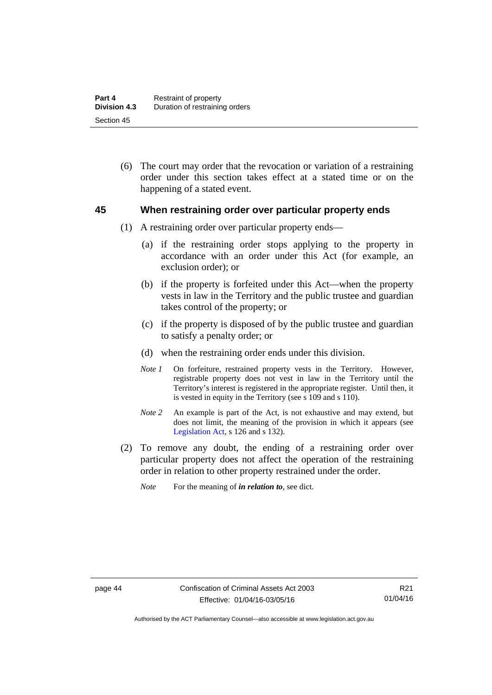(6) The court may order that the revocation or variation of a restraining order under this section takes effect at a stated time or on the happening of a stated event.

### **45 When restraining order over particular property ends**

- (1) A restraining order over particular property ends—
	- (a) if the restraining order stops applying to the property in accordance with an order under this Act (for example, an exclusion order); or
	- (b) if the property is forfeited under this Act—when the property vests in law in the Territory and the public trustee and guardian takes control of the property; or
	- (c) if the property is disposed of by the public trustee and guardian to satisfy a penalty order; or
	- (d) when the restraining order ends under this division.
	- *Note 1* On forfeiture, restrained property vests in the Territory. However, registrable property does not vest in law in the Territory until the Territory's interest is registered in the appropriate register. Until then, it is vested in equity in the Territory (see s 109 and s 110).
	- *Note 2* An example is part of the Act, is not exhaustive and may extend, but does not limit, the meaning of the provision in which it appears (see [Legislation Act,](http://www.legislation.act.gov.au/a/2001-14) s 126 and s 132).
- (2) To remove any doubt, the ending of a restraining order over particular property does not affect the operation of the restraining order in relation to other property restrained under the order.
	- *Note* For the meaning of *in relation to*, see dict.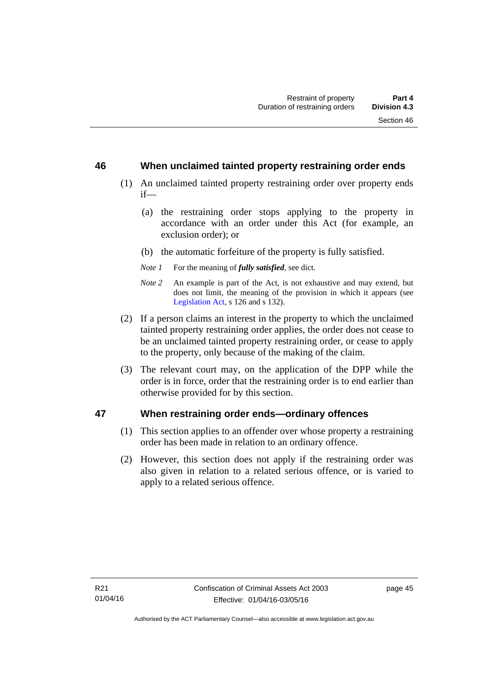### **46 When unclaimed tainted property restraining order ends**

- (1) An unclaimed tainted property restraining order over property ends if—
	- (a) the restraining order stops applying to the property in accordance with an order under this Act (for example, an exclusion order); or
	- (b) the automatic forfeiture of the property is fully satisfied.
	- *Note 1* For the meaning of *fully satisfied*, see dict.
	- *Note 2* An example is part of the Act, is not exhaustive and may extend, but does not limit, the meaning of the provision in which it appears (see [Legislation Act,](http://www.legislation.act.gov.au/a/2001-14) s 126 and s 132).
- (2) If a person claims an interest in the property to which the unclaimed tainted property restraining order applies, the order does not cease to be an unclaimed tainted property restraining order, or cease to apply to the property, only because of the making of the claim.
- (3) The relevant court may, on the application of the DPP while the order is in force, order that the restraining order is to end earlier than otherwise provided for by this section.

### **47 When restraining order ends—ordinary offences**

- (1) This section applies to an offender over whose property a restraining order has been made in relation to an ordinary offence.
- (2) However, this section does not apply if the restraining order was also given in relation to a related serious offence, or is varied to apply to a related serious offence.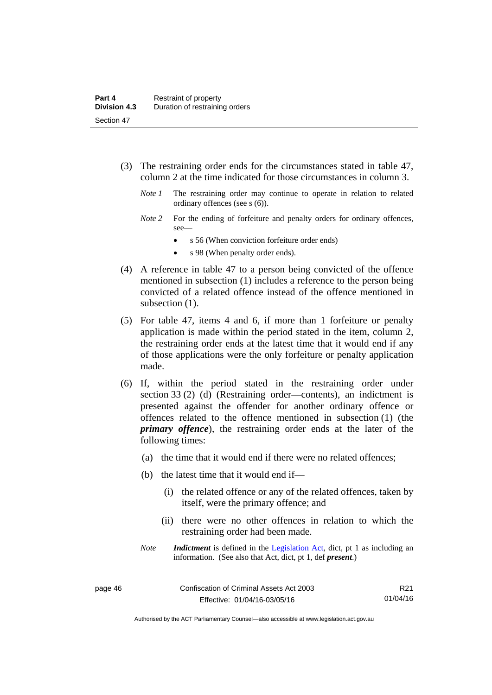- (3) The restraining order ends for the circumstances stated in table 47, column 2 at the time indicated for those circumstances in column 3.
	- *Note 1* The restraining order may continue to operate in relation to related ordinary offences (see s (6)).
	- *Note* 2 For the ending of forfeiture and penalty orders for ordinary offences, see—
		- s 56 (When conviction forfeiture order ends)
		- s 98 (When penalty order ends).
- (4) A reference in table 47 to a person being convicted of the offence mentioned in subsection (1) includes a reference to the person being convicted of a related offence instead of the offence mentioned in subsection  $(1)$ .
- (5) For table 47, items 4 and 6, if more than 1 forfeiture or penalty application is made within the period stated in the item, column 2, the restraining order ends at the latest time that it would end if any of those applications were the only forfeiture or penalty application made.
- (6) If, within the period stated in the restraining order under section 33 (2) (d) (Restraining order—contents), an indictment is presented against the offender for another ordinary offence or offences related to the offence mentioned in subsection (1) (the *primary offence*), the restraining order ends at the later of the following times:
	- (a) the time that it would end if there were no related offences;
	- (b) the latest time that it would end if—
		- (i) the related offence or any of the related offences, taken by itself, were the primary offence; and
		- (ii) there were no other offences in relation to which the restraining order had been made.
	- *Note Indictment* is defined in the [Legislation Act,](http://www.legislation.act.gov.au/a/2001-14) dict, pt 1 as including an information. (See also that Act, dict, pt 1, def *present*.)

R21 01/04/16

Authorised by the ACT Parliamentary Counsel—also accessible at www.legislation.act.gov.au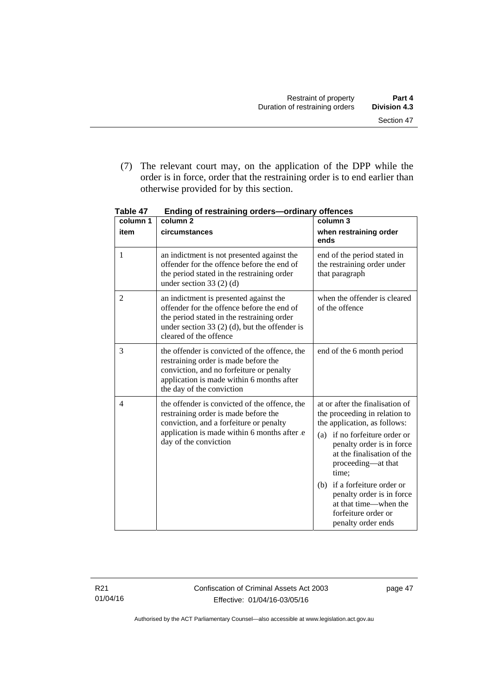(7) The relevant court may, on the application of the DPP while the order is in force, order that the restraining order is to end earlier than otherwise provided for by this section.

| column 1       | column 2                                                                                                                                                                                                        | column 3                                                                                                                                                                                                                                                                                                                                                             |
|----------------|-----------------------------------------------------------------------------------------------------------------------------------------------------------------------------------------------------------------|----------------------------------------------------------------------------------------------------------------------------------------------------------------------------------------------------------------------------------------------------------------------------------------------------------------------------------------------------------------------|
| item           | circumstances                                                                                                                                                                                                   | when restraining order<br>ends                                                                                                                                                                                                                                                                                                                                       |
| 1              | an indictment is not presented against the<br>offender for the offence before the end of<br>the period stated in the restraining order<br>under section 33 $(2)$ $(d)$                                          | end of the period stated in<br>the restraining order under<br>that paragraph                                                                                                                                                                                                                                                                                         |
| $\overline{2}$ | an indictment is presented against the<br>offender for the offence before the end of<br>the period stated in the restraining order<br>under section 33 $(2)$ (d), but the offender is<br>cleared of the offence | when the offender is cleared<br>of the offence                                                                                                                                                                                                                                                                                                                       |
| 3              | the offender is convicted of the offence, the<br>restraining order is made before the<br>conviction, and no forfeiture or penalty<br>application is made within 6 months after<br>the day of the conviction     | end of the 6 month period                                                                                                                                                                                                                                                                                                                                            |
| 4              | the offender is convicted of the offence, the<br>restraining order is made before the<br>conviction, and a forfeiture or penalty<br>application is made within 6 months after e<br>day of the conviction        | at or after the finalisation of<br>the proceeding in relation to<br>the application, as follows:<br>if no forfeiture order or<br>(a)<br>penalty order is in force<br>at the finalisation of the<br>proceeding—at that<br>time:<br>if a forfeiture order or<br>(b)<br>penalty order is in force<br>at that time—when the<br>forfeiture order or<br>penalty order ends |

**Table 47 Ending of restraining orders—ordinary offences** 

R21 01/04/16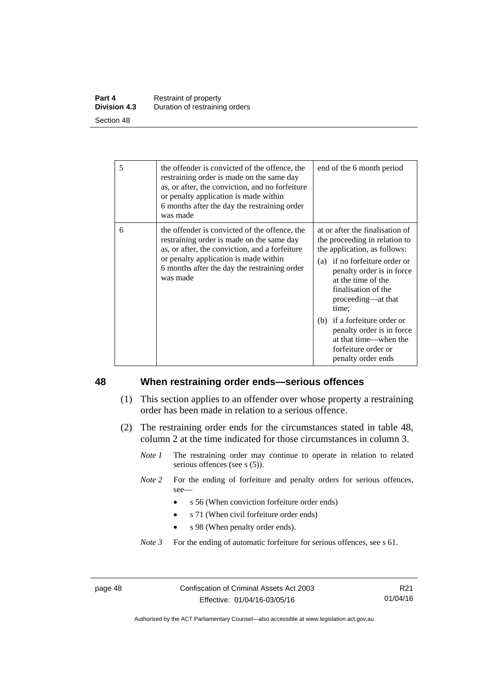| Part 4              | Restraint of property          |
|---------------------|--------------------------------|
| <b>Division 4.3</b> | Duration of restraining orders |
| Section 48          |                                |

| 5 | the offender is convicted of the offence, the<br>restraining order is made on the same day<br>as, or after, the conviction, and no forfeiture<br>or penalty application is made within<br>6 months after the day the restraining order<br>was made | end of the 6 month period                                                                                                                                                                                                                                                                                                                                                     |
|---|----------------------------------------------------------------------------------------------------------------------------------------------------------------------------------------------------------------------------------------------------|-------------------------------------------------------------------------------------------------------------------------------------------------------------------------------------------------------------------------------------------------------------------------------------------------------------------------------------------------------------------------------|
| 6 | the offender is convicted of the offence, the<br>restraining order is made on the same day<br>as, or after, the conviction, and a forfeiture<br>or penalty application is made within<br>6 months after the day the restraining order<br>was made  | at or after the finalisation of<br>the proceeding in relation to<br>the application, as follows:<br>(a) if no forfeiture order or<br>penalty order is in force<br>at the time of the<br>finalisation of the<br>proceeding-at that<br>time;<br>(b) if a forfeiture order or<br>penalty order is in force<br>at that time—when the<br>forfeiture order or<br>penalty order ends |

### **48 When restraining order ends—serious offences**

- (1) This section applies to an offender over whose property a restraining order has been made in relation to a serious offence.
- (2) The restraining order ends for the circumstances stated in table 48, column 2 at the time indicated for those circumstances in column 3.
	- *Note 1* The restraining order may continue to operate in relation to related serious offences (see s (5)).
	- *Note 2* For the ending of forfeiture and penalty orders for serious offences, see—
		- s 56 (When conviction forfeiture order ends)
		- s 71 (When civil forfeiture order ends)
		- s 98 (When penalty order ends).

*Note 3* For the ending of automatic forfeiture for serious offences, see s 61.

page 48 Confiscation of Criminal Assets Act 2003 Effective: 01/04/16-03/05/16

R21 01/04/16

Authorised by the ACT Parliamentary Counsel—also accessible at www.legislation.act.gov.au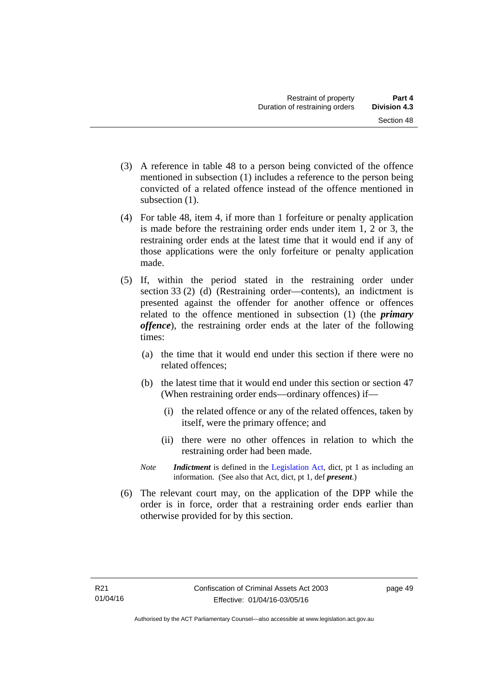- (3) A reference in table 48 to a person being convicted of the offence mentioned in subsection (1) includes a reference to the person being convicted of a related offence instead of the offence mentioned in subsection  $(1)$ .
- (4) For table 48, item 4, if more than 1 forfeiture or penalty application is made before the restraining order ends under item 1, 2 or 3, the restraining order ends at the latest time that it would end if any of those applications were the only forfeiture or penalty application made.
- (5) If, within the period stated in the restraining order under section 33 (2) (d) (Restraining order—contents), an indictment is presented against the offender for another offence or offences related to the offence mentioned in subsection (1) (the *primary offence*), the restraining order ends at the later of the following times:
	- (a) the time that it would end under this section if there were no related offences;
	- (b) the latest time that it would end under this section or section 47 (When restraining order ends—ordinary offences) if—
		- (i) the related offence or any of the related offences, taken by itself, were the primary offence; and
		- (ii) there were no other offences in relation to which the restraining order had been made.
	- *Note Indictment* is defined in the [Legislation Act,](http://www.legislation.act.gov.au/a/2001-14) dict, pt 1 as including an information. (See also that Act, dict, pt 1, def *present*.)
- (6) The relevant court may, on the application of the DPP while the order is in force, order that a restraining order ends earlier than otherwise provided for by this section.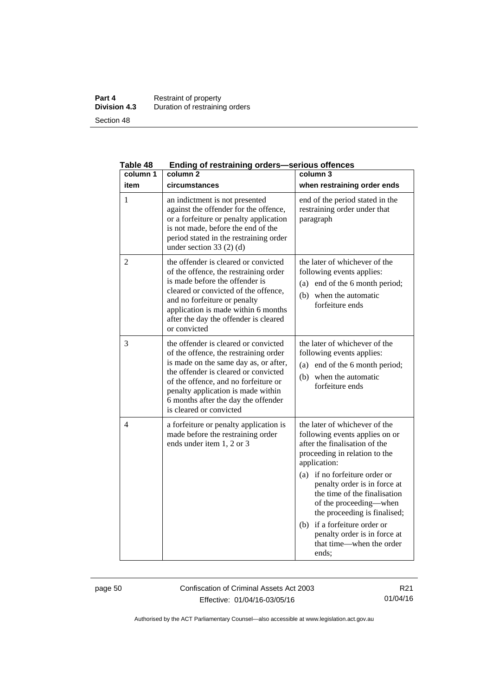### **Part 4 Restraint of property Division 4.3** Duration of restraining orders Section 48

| Table 48       | Ending of restraining orders-serious offences                                                                                                                                                                                                                                                                  |                                                                                                                                                                                                                                                                                                                                                                                                                         |  |
|----------------|----------------------------------------------------------------------------------------------------------------------------------------------------------------------------------------------------------------------------------------------------------------------------------------------------------------|-------------------------------------------------------------------------------------------------------------------------------------------------------------------------------------------------------------------------------------------------------------------------------------------------------------------------------------------------------------------------------------------------------------------------|--|
| column 1       | column <sub>2</sub>                                                                                                                                                                                                                                                                                            | column 3                                                                                                                                                                                                                                                                                                                                                                                                                |  |
| item           | circumstances                                                                                                                                                                                                                                                                                                  | when restraining order ends                                                                                                                                                                                                                                                                                                                                                                                             |  |
| 1              | an indictment is not presented<br>against the offender for the offence,<br>or a forfeiture or penalty application<br>is not made, before the end of the<br>period stated in the restraining order<br>under section 33 $(2)$ $(d)$                                                                              | end of the period stated in the<br>restraining order under that<br>paragraph                                                                                                                                                                                                                                                                                                                                            |  |
| $\overline{2}$ | the offender is cleared or convicted<br>of the offence, the restraining order<br>is made before the offender is<br>cleared or convicted of the offence,<br>and no forfeiture or penalty<br>application is made within 6 months<br>after the day the offender is cleared<br>or convicted                        | the later of whichever of the<br>following events applies:<br>end of the 6 month period;<br>(a)<br>when the automatic<br>(b)<br>forfeiture ends                                                                                                                                                                                                                                                                         |  |
| 3              | the offender is cleared or convicted<br>of the offence, the restraining order<br>is made on the same day as, or after,<br>the offender is cleared or convicted<br>of the offence, and no forfeiture or<br>penalty application is made within<br>6 months after the day the offender<br>is cleared or convicted | the later of whichever of the<br>following events applies:<br>(a) end of the 6 month period;<br>when the automatic<br>(b)<br>forfeiture ends                                                                                                                                                                                                                                                                            |  |
| 4              | a forfeiture or penalty application is<br>made before the restraining order<br>ends under item 1, 2 or 3                                                                                                                                                                                                       | the later of whichever of the<br>following events applies on or<br>after the finalisation of the<br>proceeding in relation to the<br>application:<br>if no forfeiture order or<br>(a)<br>penalty order is in force at<br>the time of the finalisation<br>of the proceeding—when<br>the proceeding is finalised;<br>if a forfeiture order or<br>(b)<br>penalty order is in force at<br>that time—when the order<br>ends: |  |

page 50 Confiscation of Criminal Assets Act 2003 Effective: 01/04/16-03/05/16

R21 01/04/16

Authorised by the ACT Parliamentary Counsel—also accessible at www.legislation.act.gov.au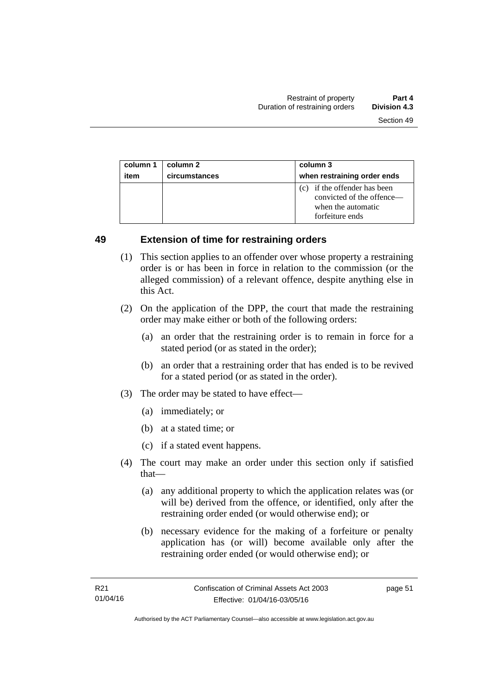| column 1 | column 2      | column 3                                                                                           |
|----------|---------------|----------------------------------------------------------------------------------------------------|
| item     | circumstances | when restraining order ends                                                                        |
|          |               | (c) if the offender has been<br>convicted of the offence—<br>when the automatic<br>forfeiture ends |

### **49 Extension of time for restraining orders**

- (1) This section applies to an offender over whose property a restraining order is or has been in force in relation to the commission (or the alleged commission) of a relevant offence, despite anything else in this Act.
- (2) On the application of the DPP, the court that made the restraining order may make either or both of the following orders:
	- (a) an order that the restraining order is to remain in force for a stated period (or as stated in the order);
	- (b) an order that a restraining order that has ended is to be revived for a stated period (or as stated in the order).
- (3) The order may be stated to have effect—
	- (a) immediately; or
	- (b) at a stated time; or
	- (c) if a stated event happens.
- (4) The court may make an order under this section only if satisfied that—
	- (a) any additional property to which the application relates was (or will be) derived from the offence, or identified, only after the restraining order ended (or would otherwise end); or
	- (b) necessary evidence for the making of a forfeiture or penalty application has (or will) become available only after the restraining order ended (or would otherwise end); or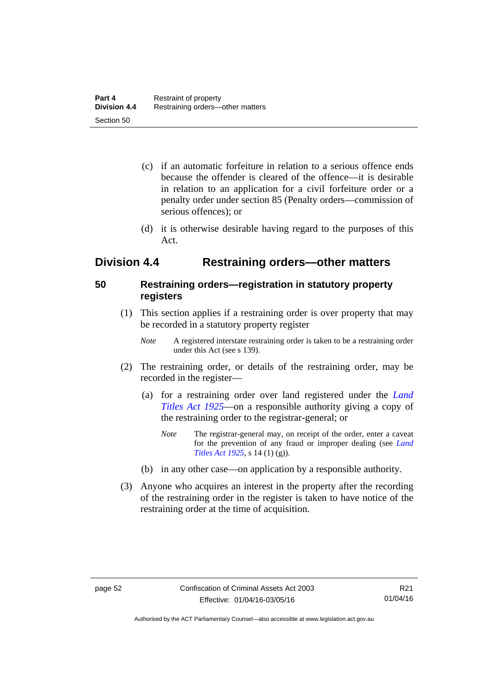- (c) if an automatic forfeiture in relation to a serious offence ends because the offender is cleared of the offence—it is desirable in relation to an application for a civil forfeiture order or a penalty order under section 85 (Penalty orders—commission of serious offences); or
- (d) it is otherwise desirable having regard to the purposes of this Act.

# **Division 4.4 Restraining orders—other matters**

## **50 Restraining orders—registration in statutory property registers**

- (1) This section applies if a restraining order is over property that may be recorded in a statutory property register
	- *Note* A registered interstate restraining order is taken to be a restraining order under this Act (see s 139).
- (2) The restraining order, or details of the restraining order, may be recorded in the register—
	- (a) for a restraining order over land registered under the *[Land](http://www.legislation.act.gov.au/a/1925-1)  [Titles Act 1925](http://www.legislation.act.gov.au/a/1925-1)*—on a responsible authority giving a copy of the restraining order to the registrar-general; or
		- *Note* The registrar-general may, on receipt of the order, enter a caveat for the prevention of any fraud or improper dealing (see *[Land](http://www.legislation.act.gov.au/a/1925-1/default.asp)  [Titles Act 1925](http://www.legislation.act.gov.au/a/1925-1/default.asp)*, s 14 (1) (g)).
	- (b) in any other case—on application by a responsible authority.
- (3) Anyone who acquires an interest in the property after the recording of the restraining order in the register is taken to have notice of the restraining order at the time of acquisition.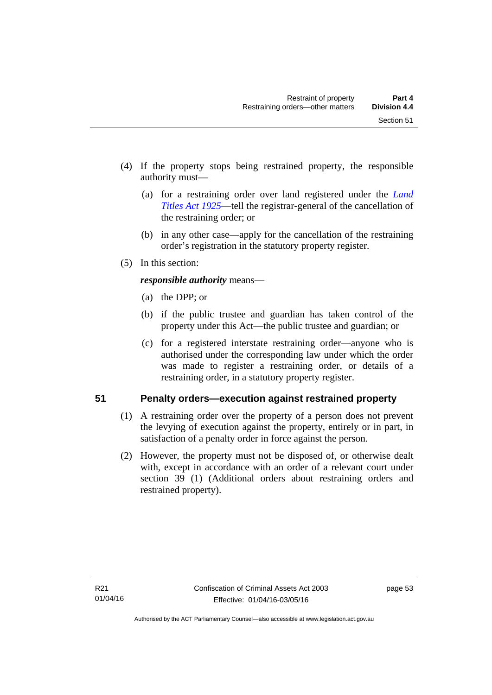- (4) If the property stops being restrained property, the responsible authority must—
	- (a) for a restraining order over land registered under the *[Land](http://www.legislation.act.gov.au/a/1925-1)  [Titles Act 1925](http://www.legislation.act.gov.au/a/1925-1)*—tell the registrar-general of the cancellation of the restraining order; or
	- (b) in any other case—apply for the cancellation of the restraining order's registration in the statutory property register.
- (5) In this section:

*responsible authority* means—

- (a) the DPP; or
- (b) if the public trustee and guardian has taken control of the property under this Act—the public trustee and guardian; or
- (c) for a registered interstate restraining order—anyone who is authorised under the corresponding law under which the order was made to register a restraining order, or details of a restraining order, in a statutory property register.

# **51 Penalty orders—execution against restrained property**

- (1) A restraining order over the property of a person does not prevent the levying of execution against the property, entirely or in part, in satisfaction of a penalty order in force against the person.
- (2) However, the property must not be disposed of, or otherwise dealt with, except in accordance with an order of a relevant court under section 39 (1) (Additional orders about restraining orders and restrained property).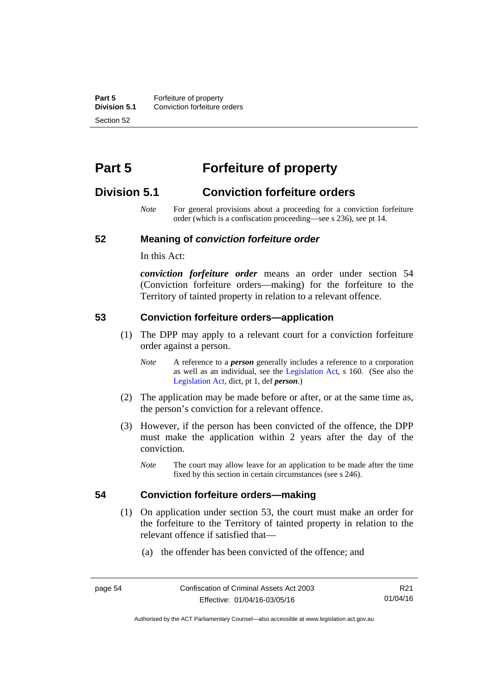**Part 5 Forfeiture of property**<br>**Division 5.1** Conviction forfeiture of **Division 5.1** Conviction forfeiture orders Section 52

# **Part 5 Forfeiture of property**

# **Division 5.1 Conviction forfeiture orders**

*Note* For general provisions about a proceeding for a conviction forfeiture order (which is a confiscation proceeding—see s 236), see pt 14.

### **52 Meaning of** *conviction forfeiture order*

In this Act:

*conviction forfeiture order* means an order under section 54 (Conviction forfeiture orders—making) for the forfeiture to the Territory of tainted property in relation to a relevant offence.

### **53 Conviction forfeiture orders—application**

- (1) The DPP may apply to a relevant court for a conviction forfeiture order against a person.
	- *Note* A reference to a *person* generally includes a reference to a corporation as well as an individual, see the [Legislation Act](http://www.legislation.act.gov.au/a/2001-14), s 160. (See also the [Legislation Act,](http://www.legislation.act.gov.au/a/2001-14) dict, pt 1, def *person*.)
- (2) The application may be made before or after, or at the same time as, the person's conviction for a relevant offence.
- (3) However, if the person has been convicted of the offence, the DPP must make the application within 2 years after the day of the conviction.
	- *Note* The court may allow leave for an application to be made after the time fixed by this section in certain circumstances (see s 246).

### **54 Conviction forfeiture orders—making**

- (1) On application under section 53, the court must make an order for the forfeiture to the Territory of tainted property in relation to the relevant offence if satisfied that—
	- (a) the offender has been convicted of the offence; and

R21 01/04/16

Authorised by the ACT Parliamentary Counsel—also accessible at www.legislation.act.gov.au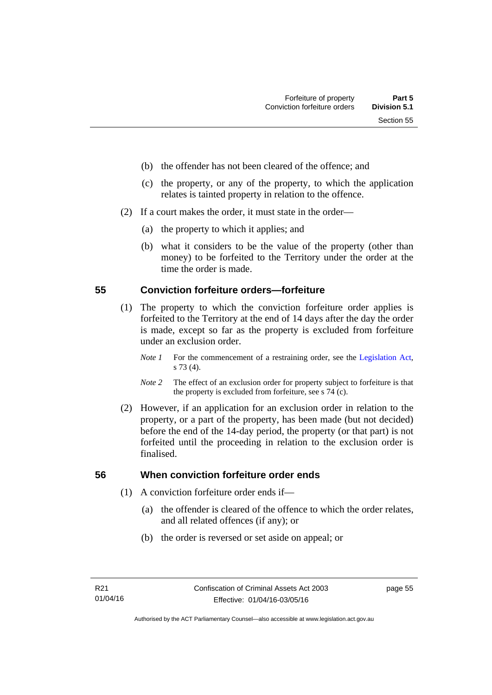- (b) the offender has not been cleared of the offence; and
- (c) the property, or any of the property, to which the application relates is tainted property in relation to the offence.
- (2) If a court makes the order, it must state in the order—
	- (a) the property to which it applies; and
	- (b) what it considers to be the value of the property (other than money) to be forfeited to the Territory under the order at the time the order is made.

### **55 Conviction forfeiture orders—forfeiture**

- (1) The property to which the conviction forfeiture order applies is forfeited to the Territory at the end of 14 days after the day the order is made, except so far as the property is excluded from forfeiture under an exclusion order.
	- *Note 1* For the commencement of a restraining order, see the [Legislation Act,](http://www.legislation.act.gov.au/a/2001-14) s 73 (4).
	- *Note 2* The effect of an exclusion order for property subject to forfeiture is that the property is excluded from forfeiture, see s 74 (c).
- (2) However, if an application for an exclusion order in relation to the property, or a part of the property, has been made (but not decided) before the end of the 14-day period, the property (or that part) is not forfeited until the proceeding in relation to the exclusion order is finalised.

# **56 When conviction forfeiture order ends**

- (1) A conviction forfeiture order ends if—
	- (a) the offender is cleared of the offence to which the order relates, and all related offences (if any); or
	- (b) the order is reversed or set aside on appeal; or

page 55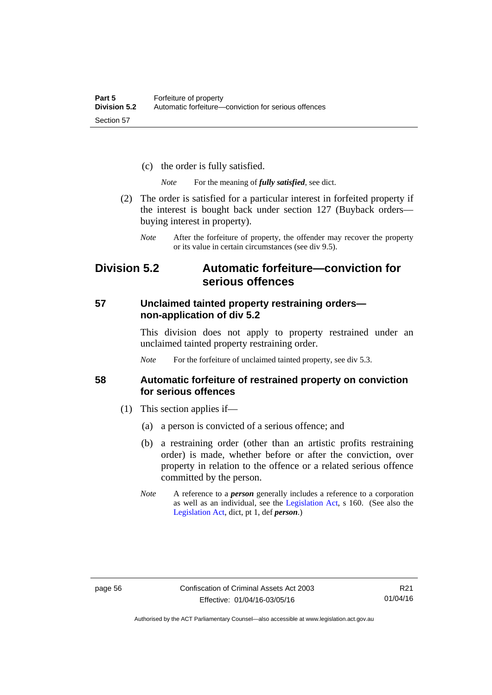- (c) the order is fully satisfied.
	- *Note* For the meaning of *fully satisfied*, see dict.
- (2) The order is satisfied for a particular interest in forfeited property if the interest is bought back under section 127 (Buyback orders buying interest in property).
	- *Note* After the forfeiture of property, the offender may recover the property or its value in certain circumstances (see div 9.5).

# **Division 5.2 Automatic forfeiture—conviction for serious offences**

## **57 Unclaimed tainted property restraining orders non-application of div 5.2**

This division does not apply to property restrained under an unclaimed tainted property restraining order.

*Note* For the forfeiture of unclaimed tainted property, see div 5.3.

### **58 Automatic forfeiture of restrained property on conviction for serious offences**

- (1) This section applies if—
	- (a) a person is convicted of a serious offence; and
	- (b) a restraining order (other than an artistic profits restraining order) is made, whether before or after the conviction, over property in relation to the offence or a related serious offence committed by the person.
	- *Note* A reference to a *person* generally includes a reference to a corporation as well as an individual, see the [Legislation Act](http://www.legislation.act.gov.au/a/2001-14), s 160. (See also the [Legislation Act,](http://www.legislation.act.gov.au/a/2001-14) dict, pt 1, def *person*.)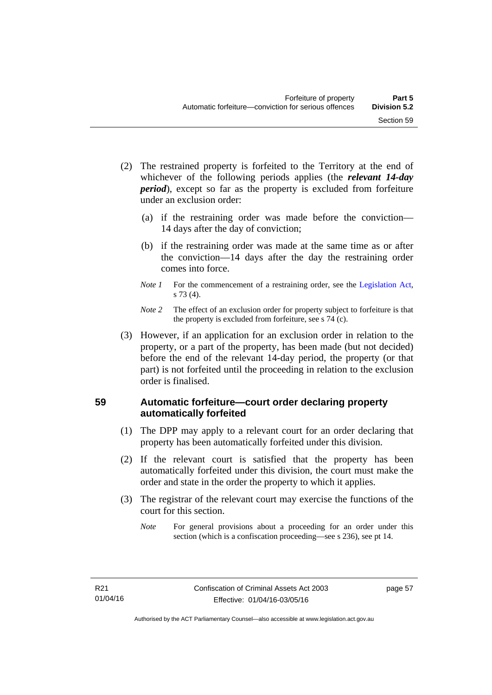- (2) The restrained property is forfeited to the Territory at the end of whichever of the following periods applies (the *relevant 14-day period*), except so far as the property is excluded from forfeiture under an exclusion order:
	- (a) if the restraining order was made before the conviction— 14 days after the day of conviction;
	- (b) if the restraining order was made at the same time as or after the conviction—14 days after the day the restraining order comes into force.
	- *Note 1* For the commencement of a restraining order, see the [Legislation Act,](http://www.legislation.act.gov.au/a/2001-14) s 73 (4).
	- *Note 2* The effect of an exclusion order for property subject to forfeiture is that the property is excluded from forfeiture, see s 74 (c).
- (3) However, if an application for an exclusion order in relation to the property, or a part of the property, has been made (but not decided) before the end of the relevant 14-day period, the property (or that part) is not forfeited until the proceeding in relation to the exclusion order is finalised.

# **59 Automatic forfeiture—court order declaring property automatically forfeited**

- (1) The DPP may apply to a relevant court for an order declaring that property has been automatically forfeited under this division.
- (2) If the relevant court is satisfied that the property has been automatically forfeited under this division, the court must make the order and state in the order the property to which it applies.
- (3) The registrar of the relevant court may exercise the functions of the court for this section.
	- *Note* For general provisions about a proceeding for an order under this section (which is a confiscation proceeding—see s 236), see pt 14.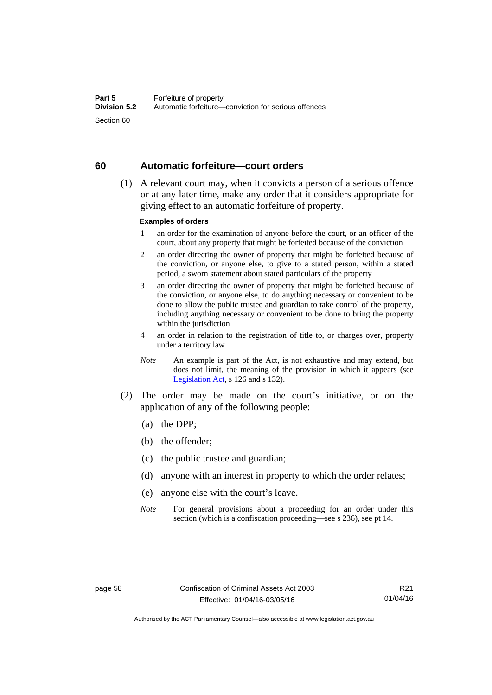### **60 Automatic forfeiture—court orders**

 (1) A relevant court may, when it convicts a person of a serious offence or at any later time, make any order that it considers appropriate for giving effect to an automatic forfeiture of property.

### **Examples of orders**

- 1 an order for the examination of anyone before the court, or an officer of the court, about any property that might be forfeited because of the conviction
- 2 an order directing the owner of property that might be forfeited because of the conviction, or anyone else, to give to a stated person, within a stated period, a sworn statement about stated particulars of the property
- 3 an order directing the owner of property that might be forfeited because of the conviction, or anyone else, to do anything necessary or convenient to be done to allow the public trustee and guardian to take control of the property, including anything necessary or convenient to be done to bring the property within the jurisdiction
- 4 an order in relation to the registration of title to, or charges over, property under a territory law
- *Note* An example is part of the Act, is not exhaustive and may extend, but does not limit, the meaning of the provision in which it appears (see [Legislation Act,](http://www.legislation.act.gov.au/a/2001-14) s 126 and s 132).
- (2) The order may be made on the court's initiative, or on the application of any of the following people:
	- (a) the DPP;
	- (b) the offender;
	- (c) the public trustee and guardian;
	- (d) anyone with an interest in property to which the order relates;
	- (e) anyone else with the court's leave.
	- *Note* For general provisions about a proceeding for an order under this section (which is a confiscation proceeding—see s 236), see pt 14.

Authorised by the ACT Parliamentary Counsel—also accessible at www.legislation.act.gov.au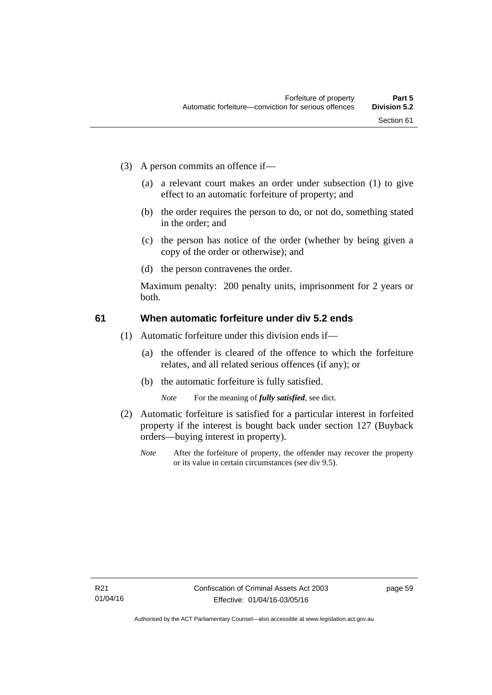- (3) A person commits an offence if—
	- (a) a relevant court makes an order under subsection (1) to give effect to an automatic forfeiture of property; and
	- (b) the order requires the person to do, or not do, something stated in the order; and
	- (c) the person has notice of the order (whether by being given a copy of the order or otherwise); and
	- (d) the person contravenes the order.

Maximum penalty: 200 penalty units, imprisonment for 2 years or both.

#### **61 When automatic forfeiture under div 5.2 ends**

- (1) Automatic forfeiture under this division ends if—
	- (a) the offender is cleared of the offence to which the forfeiture relates, and all related serious offences (if any); or
	- (b) the automatic forfeiture is fully satisfied.

*Note* For the meaning of *fully satisfied*, see dict.

- (2) Automatic forfeiture is satisfied for a particular interest in forfeited property if the interest is bought back under section 127 (Buyback orders—buying interest in property).
	- *Note* After the forfeiture of property, the offender may recover the property or its value in certain circumstances (see div 9.5).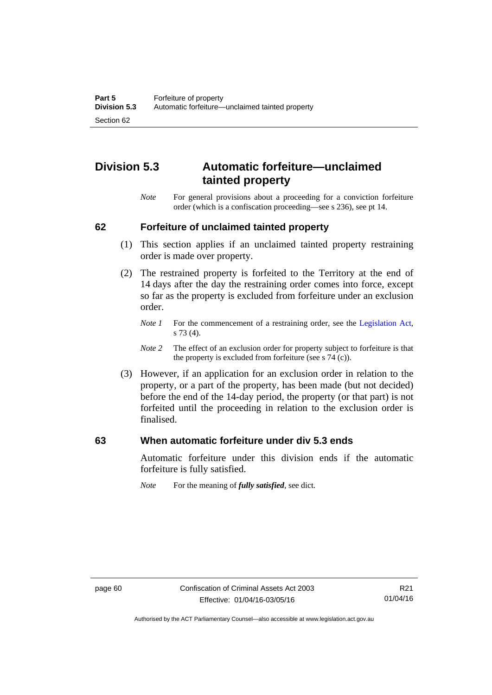# **Division 5.3 Automatic forfeiture—unclaimed tainted property**

*Note* For general provisions about a proceeding for a conviction forfeiture order (which is a confiscation proceeding—see s 236), see pt 14.

#### **62 Forfeiture of unclaimed tainted property**

- (1) This section applies if an unclaimed tainted property restraining order is made over property.
- (2) The restrained property is forfeited to the Territory at the end of 14 days after the day the restraining order comes into force, except so far as the property is excluded from forfeiture under an exclusion order.
	- *Note 1* For the commencement of a restraining order, see the [Legislation Act,](http://www.legislation.act.gov.au/a/2001-14) s 73 (4).
	- *Note 2* The effect of an exclusion order for property subject to forfeiture is that the property is excluded from forfeiture (see s 74 (c)).
- (3) However, if an application for an exclusion order in relation to the property, or a part of the property, has been made (but not decided) before the end of the 14-day period, the property (or that part) is not forfeited until the proceeding in relation to the exclusion order is finalised.

#### **63 When automatic forfeiture under div 5.3 ends**

Automatic forfeiture under this division ends if the automatic forfeiture is fully satisfied.

*Note* For the meaning of *fully satisfied*, see dict.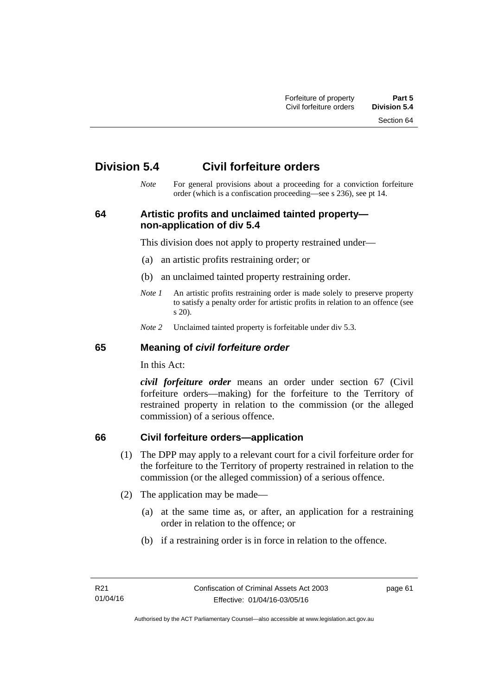Section 64

# **Division 5.4 Civil forfeiture orders**

*Note* For general provisions about a proceeding for a conviction forfeiture order (which is a confiscation proceeding—see s 236), see pt 14.

## **64 Artistic profits and unclaimed tainted property non-application of div 5.4**

This division does not apply to property restrained under—

- (a) an artistic profits restraining order; or
- (b) an unclaimed tainted property restraining order.
- *Note 1* An artistic profits restraining order is made solely to preserve property to satisfy a penalty order for artistic profits in relation to an offence (see s 20).
- *Note 2* Unclaimed tainted property is forfeitable under div 5.3.

#### **65 Meaning of** *civil forfeiture order*

In this Act:

*civil forfeiture order* means an order under section 67 (Civil forfeiture orders—making) for the forfeiture to the Territory of restrained property in relation to the commission (or the alleged commission) of a serious offence.

## **66 Civil forfeiture orders—application**

- (1) The DPP may apply to a relevant court for a civil forfeiture order for the forfeiture to the Territory of property restrained in relation to the commission (or the alleged commission) of a serious offence.
- (2) The application may be made—
	- (a) at the same time as, or after, an application for a restraining order in relation to the offence; or
	- (b) if a restraining order is in force in relation to the offence.

page 61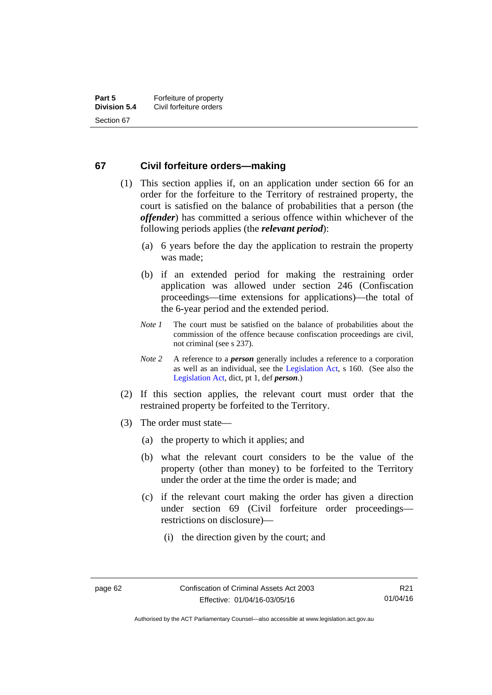#### **67 Civil forfeiture orders—making**

- (1) This section applies if, on an application under section 66 for an order for the forfeiture to the Territory of restrained property, the court is satisfied on the balance of probabilities that a person (the *offender*) has committed a serious offence within whichever of the following periods applies (the *relevant period*):
	- (a) 6 years before the day the application to restrain the property was made;
	- (b) if an extended period for making the restraining order application was allowed under section 246 (Confiscation proceedings—time extensions for applications)—the total of the 6-year period and the extended period.
	- *Note 1* The court must be satisfied on the balance of probabilities about the commission of the offence because confiscation proceedings are civil, not criminal (see s 237).
	- *Note 2* A reference to a *person* generally includes a reference to a corporation as well as an individual, see the [Legislation Act](http://www.legislation.act.gov.au/a/2001-14), s 160. (See also the [Legislation Act,](http://www.legislation.act.gov.au/a/2001-14) dict, pt 1, def *person*.)
- (2) If this section applies, the relevant court must order that the restrained property be forfeited to the Territory.
- (3) The order must state—
	- (a) the property to which it applies; and
	- (b) what the relevant court considers to be the value of the property (other than money) to be forfeited to the Territory under the order at the time the order is made; and
	- (c) if the relevant court making the order has given a direction under section 69 (Civil forfeiture order proceedings restrictions on disclosure)—
		- (i) the direction given by the court; and

Authorised by the ACT Parliamentary Counsel—also accessible at www.legislation.act.gov.au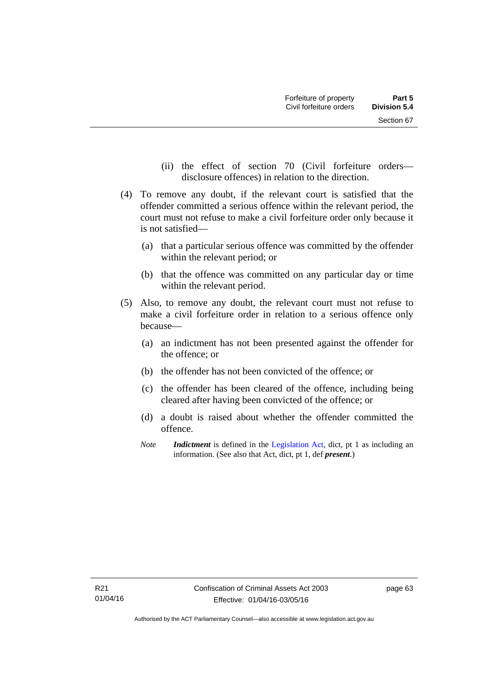- (ii) the effect of section 70 (Civil forfeiture orders disclosure offences) in relation to the direction.
- (4) To remove any doubt, if the relevant court is satisfied that the offender committed a serious offence within the relevant period, the court must not refuse to make a civil forfeiture order only because it is not satisfied—
	- (a) that a particular serious offence was committed by the offender within the relevant period; or
	- (b) that the offence was committed on any particular day or time within the relevant period.
- (5) Also, to remove any doubt, the relevant court must not refuse to make a civil forfeiture order in relation to a serious offence only because—
	- (a) an indictment has not been presented against the offender for the offence; or
	- (b) the offender has not been convicted of the offence; or
	- (c) the offender has been cleared of the offence, including being cleared after having been convicted of the offence; or
	- (d) a doubt is raised about whether the offender committed the offence.
	- *Note Indictment* is defined in the [Legislation Act,](http://www.legislation.act.gov.au/a/2001-14) dict, pt 1 as including an information. (See also that Act, dict, pt 1, def *present*.)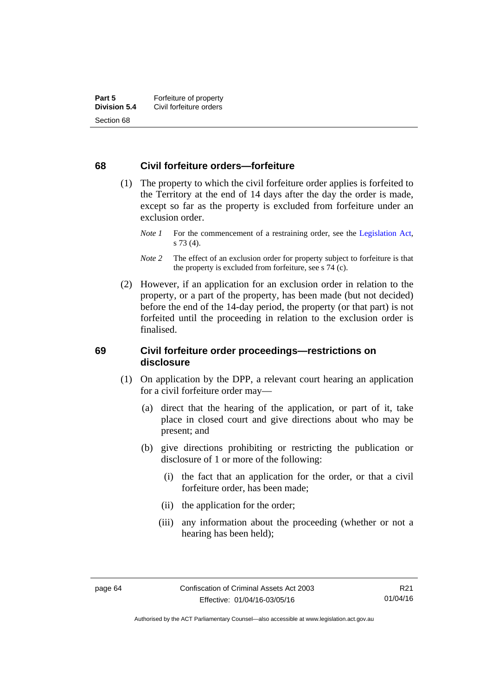#### **68 Civil forfeiture orders—forfeiture**

- (1) The property to which the civil forfeiture order applies is forfeited to the Territory at the end of 14 days after the day the order is made, except so far as the property is excluded from forfeiture under an exclusion order.
	- *Note 1* For the commencement of a restraining order, see the [Legislation Act,](http://www.legislation.act.gov.au/a/2001-14) s 73 (4).
	- *Note* 2 The effect of an exclusion order for property subject to forfeiture is that the property is excluded from forfeiture, see s 74 (c).
- (2) However, if an application for an exclusion order in relation to the property, or a part of the property, has been made (but not decided) before the end of the 14-day period, the property (or that part) is not forfeited until the proceeding in relation to the exclusion order is finalised.

#### **69 Civil forfeiture order proceedings—restrictions on disclosure**

- (1) On application by the DPP, a relevant court hearing an application for a civil forfeiture order may—
	- (a) direct that the hearing of the application, or part of it, take place in closed court and give directions about who may be present; and
	- (b) give directions prohibiting or restricting the publication or disclosure of 1 or more of the following:
		- (i) the fact that an application for the order, or that a civil forfeiture order, has been made;
		- (ii) the application for the order;
		- (iii) any information about the proceeding (whether or not a hearing has been held);

Authorised by the ACT Parliamentary Counsel—also accessible at www.legislation.act.gov.au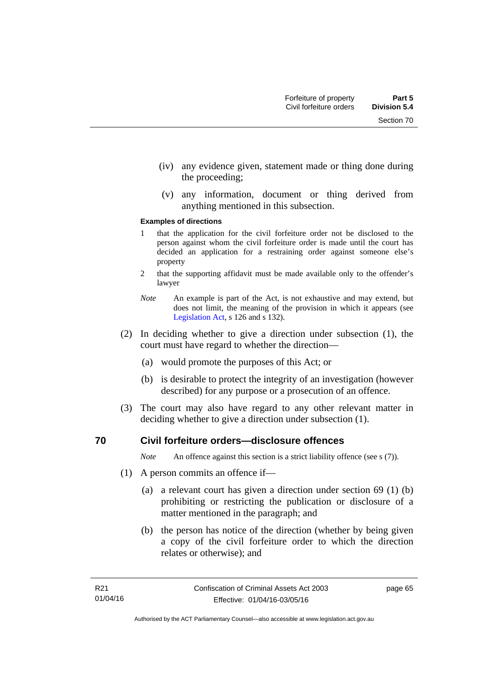- (iv) any evidence given, statement made or thing done during the proceeding;
- (v) any information, document or thing derived from anything mentioned in this subsection.

#### **Examples of directions**

- 1 that the application for the civil forfeiture order not be disclosed to the person against whom the civil forfeiture order is made until the court has decided an application for a restraining order against someone else's property
- 2 that the supporting affidavit must be made available only to the offender's lawyer
- *Note* An example is part of the Act, is not exhaustive and may extend, but does not limit, the meaning of the provision in which it appears (see [Legislation Act,](http://www.legislation.act.gov.au/a/2001-14) s 126 and s 132).
- (2) In deciding whether to give a direction under subsection (1), the court must have regard to whether the direction—
	- (a) would promote the purposes of this Act; or
	- (b) is desirable to protect the integrity of an investigation (however described) for any purpose or a prosecution of an offence.
- (3) The court may also have regard to any other relevant matter in deciding whether to give a direction under subsection (1).

#### **70 Civil forfeiture orders—disclosure offences**

*Note* An offence against this section is a strict liability offence (see s (7)).

- (1) A person commits an offence if—
	- (a) a relevant court has given a direction under section 69 (1) (b) prohibiting or restricting the publication or disclosure of a matter mentioned in the paragraph; and
	- (b) the person has notice of the direction (whether by being given a copy of the civil forfeiture order to which the direction relates or otherwise); and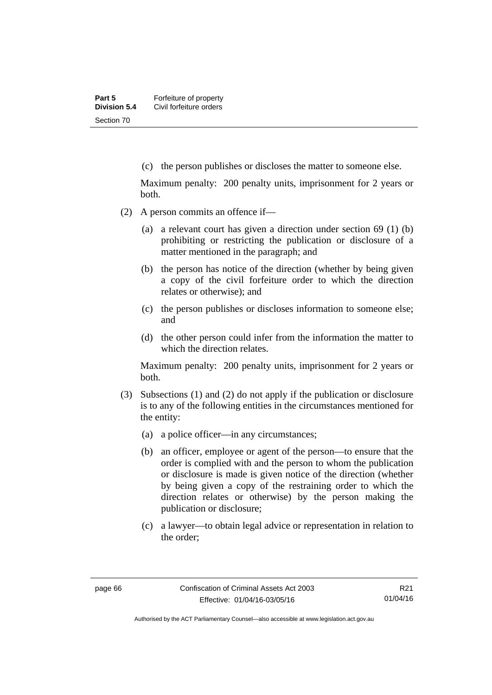(c) the person publishes or discloses the matter to someone else.

Maximum penalty: 200 penalty units, imprisonment for 2 years or both.

- (2) A person commits an offence if—
	- (a) a relevant court has given a direction under section 69 (1) (b) prohibiting or restricting the publication or disclosure of a matter mentioned in the paragraph; and
	- (b) the person has notice of the direction (whether by being given a copy of the civil forfeiture order to which the direction relates or otherwise); and
	- (c) the person publishes or discloses information to someone else; and
	- (d) the other person could infer from the information the matter to which the direction relates.

Maximum penalty: 200 penalty units, imprisonment for 2 years or both.

- (3) Subsections (1) and (2) do not apply if the publication or disclosure is to any of the following entities in the circumstances mentioned for the entity:
	- (a) a police officer—in any circumstances;
	- (b) an officer, employee or agent of the person—to ensure that the order is complied with and the person to whom the publication or disclosure is made is given notice of the direction (whether by being given a copy of the restraining order to which the direction relates or otherwise) by the person making the publication or disclosure;
	- (c) a lawyer—to obtain legal advice or representation in relation to the order;

Authorised by the ACT Parliamentary Counsel—also accessible at www.legislation.act.gov.au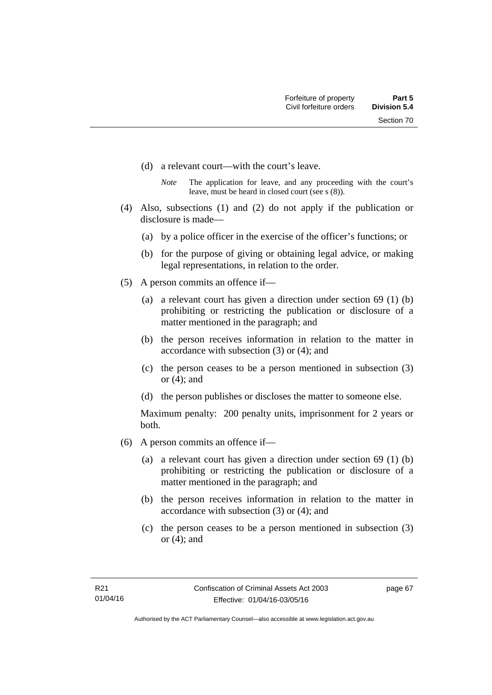- (d) a relevant court—with the court's leave.
	- *Note* The application for leave, and any proceeding with the court's leave, must be heard in closed court (see s (8)).
- (4) Also, subsections (1) and (2) do not apply if the publication or disclosure is made—
	- (a) by a police officer in the exercise of the officer's functions; or
	- (b) for the purpose of giving or obtaining legal advice, or making legal representations, in relation to the order.
- (5) A person commits an offence if—
	- (a) a relevant court has given a direction under section 69 (1) (b) prohibiting or restricting the publication or disclosure of a matter mentioned in the paragraph; and
	- (b) the person receives information in relation to the matter in accordance with subsection (3) or (4); and
	- (c) the person ceases to be a person mentioned in subsection (3) or (4); and
	- (d) the person publishes or discloses the matter to someone else.

Maximum penalty: 200 penalty units, imprisonment for 2 years or both.

- (6) A person commits an offence if—
	- (a) a relevant court has given a direction under section 69 (1) (b) prohibiting or restricting the publication or disclosure of a matter mentioned in the paragraph; and
	- (b) the person receives information in relation to the matter in accordance with subsection (3) or (4); and
	- (c) the person ceases to be a person mentioned in subsection (3) or (4); and

page 67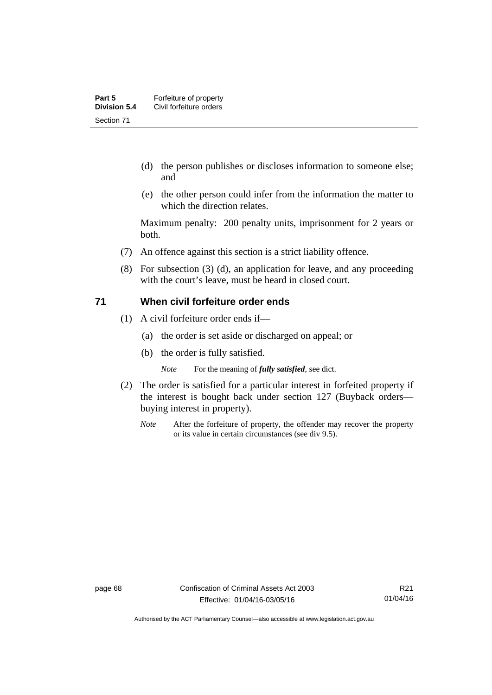- (d) the person publishes or discloses information to someone else; and
- (e) the other person could infer from the information the matter to which the direction relates.

Maximum penalty: 200 penalty units, imprisonment for 2 years or both.

- (7) An offence against this section is a strict liability offence.
- (8) For subsection (3) (d), an application for leave, and any proceeding with the court's leave, must be heard in closed court.

#### **71 When civil forfeiture order ends**

- (1) A civil forfeiture order ends if—
	- (a) the order is set aside or discharged on appeal; or
	- (b) the order is fully satisfied.

*Note* For the meaning of *fully satisfied*, see dict.

- (2) The order is satisfied for a particular interest in forfeited property if the interest is bought back under section 127 (Buyback orders buying interest in property).
	- *Note* After the forfeiture of property, the offender may recover the property or its value in certain circumstances (see div 9.5).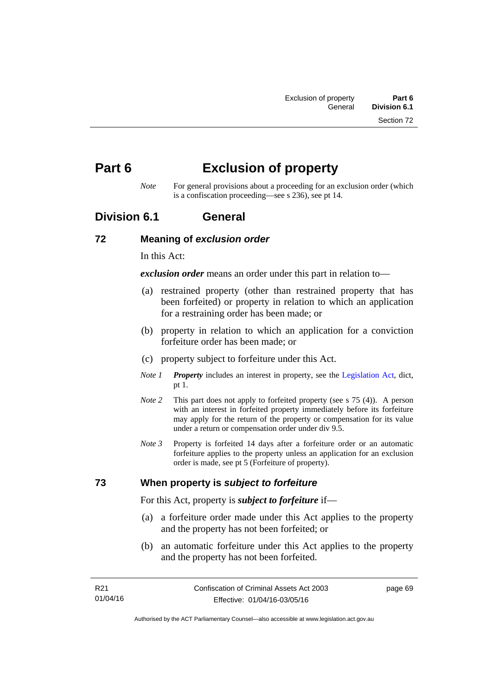# **Part 6 Exclusion of property**

*Note* For general provisions about a proceeding for an exclusion order (which is a confiscation proceeding—see s 236), see pt 14.

## **Division 6.1 General**

#### **72 Meaning of** *exclusion order*

In this Act:

*exclusion order* means an order under this part in relation to—

- (a) restrained property (other than restrained property that has been forfeited) or property in relation to which an application for a restraining order has been made; or
- (b) property in relation to which an application for a conviction forfeiture order has been made; or
- (c) property subject to forfeiture under this Act.
- *Note 1 Property* includes an interest in property, see the [Legislation Act,](http://www.legislation.act.gov.au/a/2001-14) dict, pt 1.
- *Note 2* This part does not apply to forfeited property (see s 75 (4)). A person with an interest in forfeited property immediately before its forfeiture may apply for the return of the property or compensation for its value under a return or compensation order under div 9.5.
- *Note 3* Property is forfeited 14 days after a forfeiture order or an automatic forfeiture applies to the property unless an application for an exclusion order is made, see pt 5 (Forfeiture of property).

## **73 When property is** *subject to forfeiture*

For this Act, property is *subject to forfeiture* if—

- (a) a forfeiture order made under this Act applies to the property and the property has not been forfeited; or
- (b) an automatic forfeiture under this Act applies to the property and the property has not been forfeited.

page 69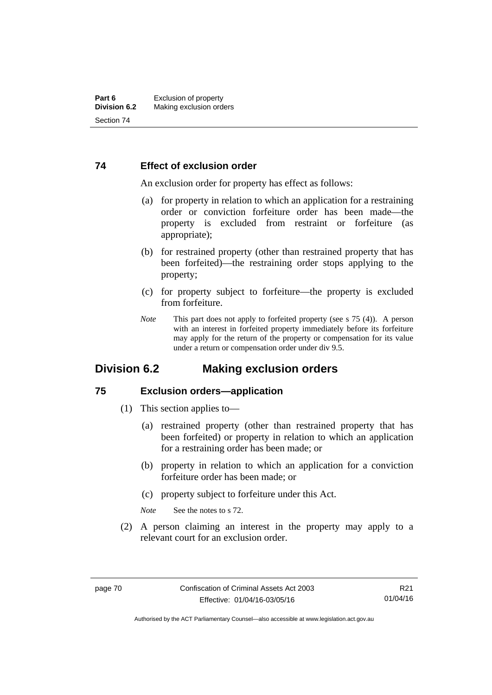#### **74 Effect of exclusion order**

An exclusion order for property has effect as follows:

- (a) for property in relation to which an application for a restraining order or conviction forfeiture order has been made—the property is excluded from restraint or forfeiture (as appropriate);
- (b) for restrained property (other than restrained property that has been forfeited)—the restraining order stops applying to the property;
- (c) for property subject to forfeiture—the property is excluded from forfeiture.
- *Note* This part does not apply to forfeited property (see s 75 (4)). A person with an interest in forfeited property immediately before its forfeiture may apply for the return of the property or compensation for its value under a return or compensation order under div 9.5.

## **Division 6.2 Making exclusion orders**

#### **75 Exclusion orders—application**

- (1) This section applies to—
	- (a) restrained property (other than restrained property that has been forfeited) or property in relation to which an application for a restraining order has been made; or
	- (b) property in relation to which an application for a conviction forfeiture order has been made; or
	- (c) property subject to forfeiture under this Act.

*Note* See the notes to s 72.

 (2) A person claiming an interest in the property may apply to a relevant court for an exclusion order.

Authorised by the ACT Parliamentary Counsel—also accessible at www.legislation.act.gov.au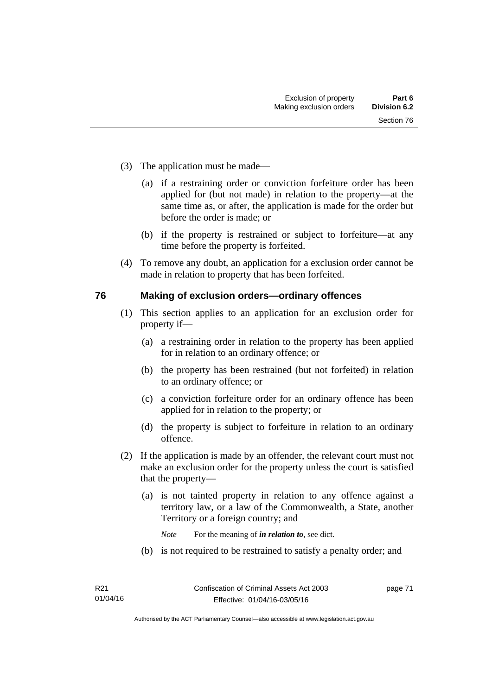- (3) The application must be made—
	- (a) if a restraining order or conviction forfeiture order has been applied for (but not made) in relation to the property—at the same time as, or after, the application is made for the order but before the order is made; or
	- (b) if the property is restrained or subject to forfeiture—at any time before the property is forfeited.
- (4) To remove any doubt, an application for a exclusion order cannot be made in relation to property that has been forfeited.

#### **76 Making of exclusion orders—ordinary offences**

- (1) This section applies to an application for an exclusion order for property if—
	- (a) a restraining order in relation to the property has been applied for in relation to an ordinary offence; or
	- (b) the property has been restrained (but not forfeited) in relation to an ordinary offence; or
	- (c) a conviction forfeiture order for an ordinary offence has been applied for in relation to the property; or
	- (d) the property is subject to forfeiture in relation to an ordinary offence.
- (2) If the application is made by an offender, the relevant court must not make an exclusion order for the property unless the court is satisfied that the property—
	- (a) is not tainted property in relation to any offence against a territory law, or a law of the Commonwealth, a State, another Territory or a foreign country; and
		- *Note* For the meaning of *in relation to*, see dict.
	- (b) is not required to be restrained to satisfy a penalty order; and

page 71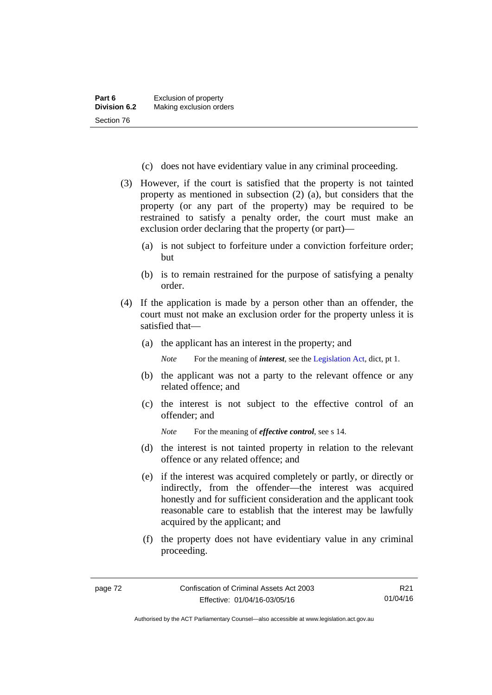- (c) does not have evidentiary value in any criminal proceeding.
- (3) However, if the court is satisfied that the property is not tainted property as mentioned in subsection (2) (a), but considers that the property (or any part of the property) may be required to be restrained to satisfy a penalty order, the court must make an exclusion order declaring that the property (or part)—
	- (a) is not subject to forfeiture under a conviction forfeiture order; but
	- (b) is to remain restrained for the purpose of satisfying a penalty order.
- (4) If the application is made by a person other than an offender, the court must not make an exclusion order for the property unless it is satisfied that—
	- (a) the applicant has an interest in the property; and

*Note* For the meaning of *interest*, see the [Legislation Act](http://www.legislation.act.gov.au/a/2001-14), dict, pt 1.

- (b) the applicant was not a party to the relevant offence or any related offence; and
- (c) the interest is not subject to the effective control of an offender; and
	- *Note* For the meaning of *effective control*, see s 14.
- (d) the interest is not tainted property in relation to the relevant offence or any related offence; and
- (e) if the interest was acquired completely or partly, or directly or indirectly, from the offender—the interest was acquired honestly and for sufficient consideration and the applicant took reasonable care to establish that the interest may be lawfully acquired by the applicant; and
- (f) the property does not have evidentiary value in any criminal proceeding.

Authorised by the ACT Parliamentary Counsel—also accessible at www.legislation.act.gov.au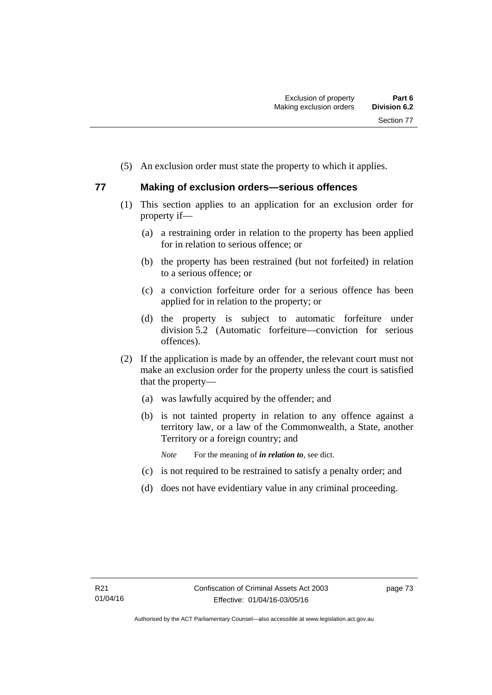(5) An exclusion order must state the property to which it applies.

## **77 Making of exclusion orders—serious offences**

- (1) This section applies to an application for an exclusion order for property if—
	- (a) a restraining order in relation to the property has been applied for in relation to serious offence; or
	- (b) the property has been restrained (but not forfeited) in relation to a serious offence; or
	- (c) a conviction forfeiture order for a serious offence has been applied for in relation to the property; or
	- (d) the property is subject to automatic forfeiture under division 5.2 (Automatic forfeiture—conviction for serious offences).
- (2) If the application is made by an offender, the relevant court must not make an exclusion order for the property unless the court is satisfied that the property—
	- (a) was lawfully acquired by the offender; and
	- (b) is not tainted property in relation to any offence against a territory law, or a law of the Commonwealth, a State, another Territory or a foreign country; and
		- *Note* For the meaning of *in relation to*, see dict.
	- (c) is not required to be restrained to satisfy a penalty order; and
	- (d) does not have evidentiary value in any criminal proceeding.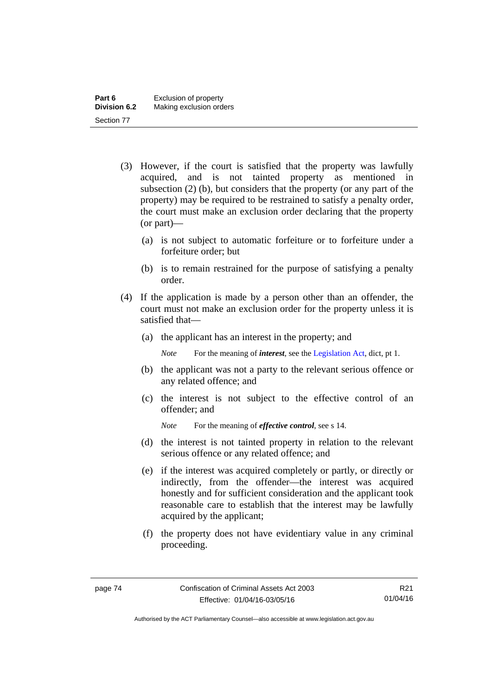- (3) However, if the court is satisfied that the property was lawfully acquired, and is not tainted property as mentioned in subsection (2) (b), but considers that the property (or any part of the property) may be required to be restrained to satisfy a penalty order, the court must make an exclusion order declaring that the property (or part)—
	- (a) is not subject to automatic forfeiture or to forfeiture under a forfeiture order; but
	- (b) is to remain restrained for the purpose of satisfying a penalty order.
- (4) If the application is made by a person other than an offender, the court must not make an exclusion order for the property unless it is satisfied that—
	- (a) the applicant has an interest in the property; and

*Note* For the meaning of *interest*, see the [Legislation Act](http://www.legislation.act.gov.au/a/2001-14), dict, pt 1.

- (b) the applicant was not a party to the relevant serious offence or any related offence; and
- (c) the interest is not subject to the effective control of an offender; and

*Note* For the meaning of *effective control*, see s 14.

- (d) the interest is not tainted property in relation to the relevant serious offence or any related offence; and
- (e) if the interest was acquired completely or partly, or directly or indirectly, from the offender—the interest was acquired honestly and for sufficient consideration and the applicant took reasonable care to establish that the interest may be lawfully acquired by the applicant;
- (f) the property does not have evidentiary value in any criminal proceeding.

Authorised by the ACT Parliamentary Counsel—also accessible at www.legislation.act.gov.au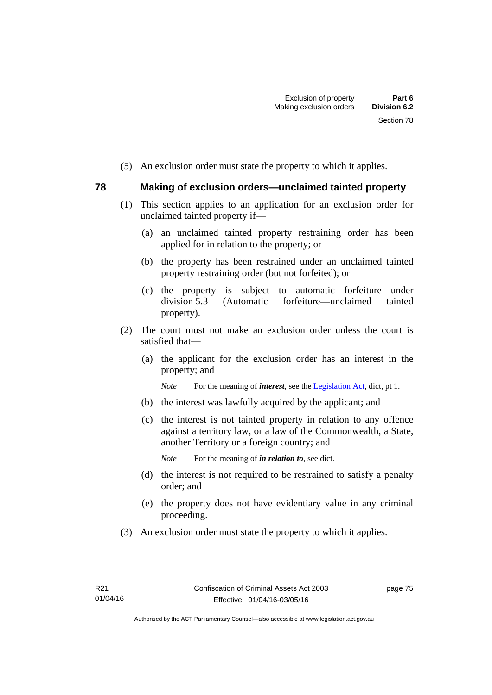(5) An exclusion order must state the property to which it applies.

## **78 Making of exclusion orders—unclaimed tainted property**

- (1) This section applies to an application for an exclusion order for unclaimed tainted property if—
	- (a) an unclaimed tainted property restraining order has been applied for in relation to the property; or
	- (b) the property has been restrained under an unclaimed tainted property restraining order (but not forfeited); or
	- (c) the property is subject to automatic forfeiture under division 5.3 (Automatic forfeiture—unclaimed tainted property).
- (2) The court must not make an exclusion order unless the court is satisfied that—
	- (a) the applicant for the exclusion order has an interest in the property; and

*Note* For the meaning of *interest*, see the [Legislation Act](http://www.legislation.act.gov.au/a/2001-14), dict, pt 1.

- (b) the interest was lawfully acquired by the applicant; and
- (c) the interest is not tainted property in relation to any offence against a territory law, or a law of the Commonwealth, a State, another Territory or a foreign country; and

*Note* For the meaning of *in relation to*, see dict.

- (d) the interest is not required to be restrained to satisfy a penalty order; and
- (e) the property does not have evidentiary value in any criminal proceeding.
- (3) An exclusion order must state the property to which it applies.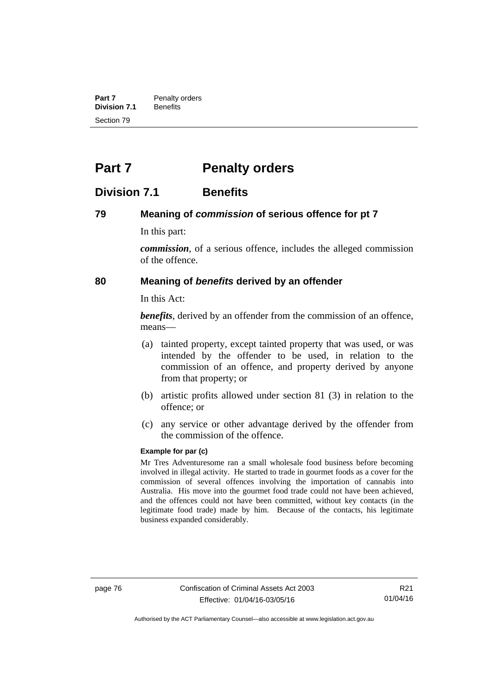**Part 7** Penalty orders<br>**Division 7.1** Benefits **Division 7.1** Section 79

# **Part 7** Penalty orders

## **Division 7.1 Benefits**

#### **79 Meaning of** *commission* **of serious offence for pt 7**

In this part:

*commission*, of a serious offence, includes the alleged commission of the offence.

#### **80 Meaning of** *benefits* **derived by an offender**

In this Act:

*benefits*, derived by an offender from the commission of an offence, means—

- (a) tainted property, except tainted property that was used, or was intended by the offender to be used, in relation to the commission of an offence, and property derived by anyone from that property; or
- (b) artistic profits allowed under section 81 (3) in relation to the offence; or
- (c) any service or other advantage derived by the offender from the commission of the offence.

#### **Example for par (c)**

Mr Tres Adventuresome ran a small wholesale food business before becoming involved in illegal activity. He started to trade in gourmet foods as a cover for the commission of several offences involving the importation of cannabis into Australia. His move into the gourmet food trade could not have been achieved, and the offences could not have been committed, without key contacts (in the legitimate food trade) made by him. Because of the contacts, his legitimate business expanded considerably.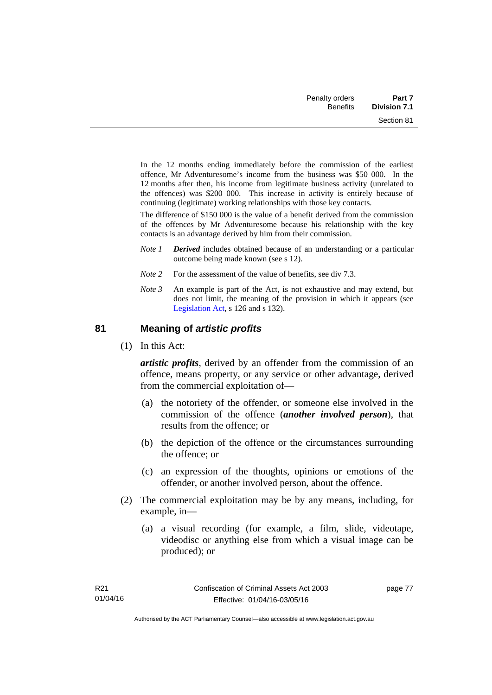| Part 7              | Penalty orders  |
|---------------------|-----------------|
| <b>Division 7.1</b> | <b>Benefits</b> |
| Section 81          |                 |

In the 12 months ending immediately before the commission of the earliest offence, Mr Adventuresome's income from the business was \$50 000. In the 12 months after then, his income from legitimate business activity (unrelated to the offences) was \$200 000. This increase in activity is entirely because of continuing (legitimate) working relationships with those key contacts.

The difference of \$150 000 is the value of a benefit derived from the commission of the offences by Mr Adventuresome because his relationship with the key contacts is an advantage derived by him from their commission.

- *Note 1 Derived* includes obtained because of an understanding or a particular outcome being made known (see s 12).
- *Note* 2 For the assessment of the value of benefits, see div 7.3.
- *Note 3* An example is part of the Act, is not exhaustive and may extend, but does not limit, the meaning of the provision in which it appears (see [Legislation Act,](http://www.legislation.act.gov.au/a/2001-14) s 126 and s 132).

#### **81 Meaning of** *artistic profits*

(1) In this Act:

*artistic profits*, derived by an offender from the commission of an offence, means property, or any service or other advantage, derived from the commercial exploitation of—

- (a) the notoriety of the offender, or someone else involved in the commission of the offence (*another involved person*), that results from the offence; or
- (b) the depiction of the offence or the circumstances surrounding the offence; or
- (c) an expression of the thoughts, opinions or emotions of the offender, or another involved person, about the offence.
- (2) The commercial exploitation may be by any means, including, for example, in—
	- (a) a visual recording (for example, a film, slide, videotape, videodisc or anything else from which a visual image can be produced); or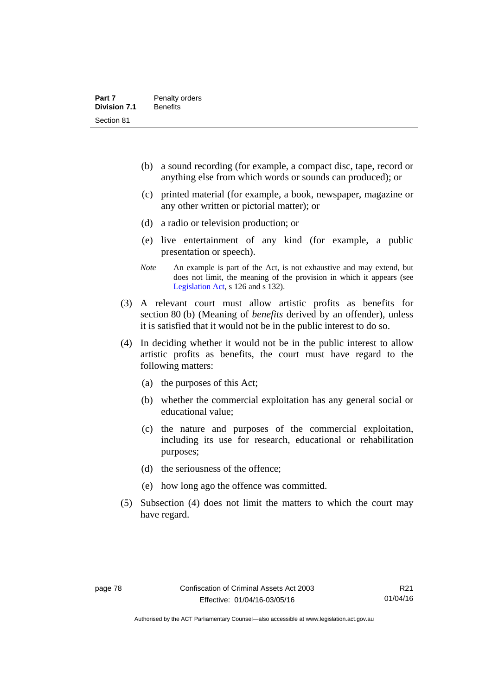- (b) a sound recording (for example, a compact disc, tape, record or anything else from which words or sounds can produced); or
- (c) printed material (for example, a book, newspaper, magazine or any other written or pictorial matter); or
- (d) a radio or television production; or
- (e) live entertainment of any kind (for example, a public presentation or speech).
- *Note* An example is part of the Act, is not exhaustive and may extend, but does not limit, the meaning of the provision in which it appears (see [Legislation Act,](http://www.legislation.act.gov.au/a/2001-14) s 126 and s 132).
- (3) A relevant court must allow artistic profits as benefits for section 80 (b) (Meaning of *benefits* derived by an offender), unless it is satisfied that it would not be in the public interest to do so.
- (4) In deciding whether it would not be in the public interest to allow artistic profits as benefits, the court must have regard to the following matters:
	- (a) the purposes of this Act;
	- (b) whether the commercial exploitation has any general social or educational value;
	- (c) the nature and purposes of the commercial exploitation, including its use for research, educational or rehabilitation purposes;
	- (d) the seriousness of the offence;
	- (e) how long ago the offence was committed.
- (5) Subsection (4) does not limit the matters to which the court may have regard.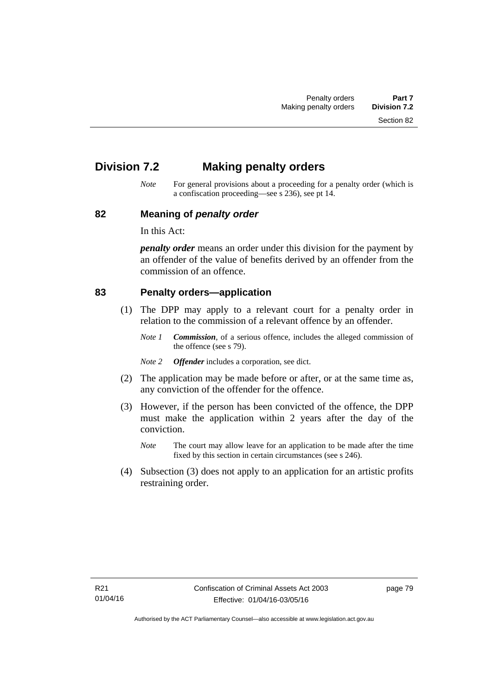Section 82

# **Division 7.2 Making penalty orders**

*Note* For general provisions about a proceeding for a penalty order (which is a confiscation proceeding—see s 236), see pt 14.

#### **82 Meaning of** *penalty order*

In this Act:

*penalty order* means an order under this division for the payment by an offender of the value of benefits derived by an offender from the commission of an offence.

#### **83 Penalty orders—application**

- (1) The DPP may apply to a relevant court for a penalty order in relation to the commission of a relevant offence by an offender.
	- *Note 1 Commission*, of a serious offence, includes the alleged commission of the offence (see s 79).
	- *Note 2 Offender* includes a corporation, see dict.
- (2) The application may be made before or after, or at the same time as, any conviction of the offender for the offence.
- (3) However, if the person has been convicted of the offence, the DPP must make the application within 2 years after the day of the conviction.
	- *Note* The court may allow leave for an application to be made after the time fixed by this section in certain circumstances (see s 246).
- (4) Subsection (3) does not apply to an application for an artistic profits restraining order.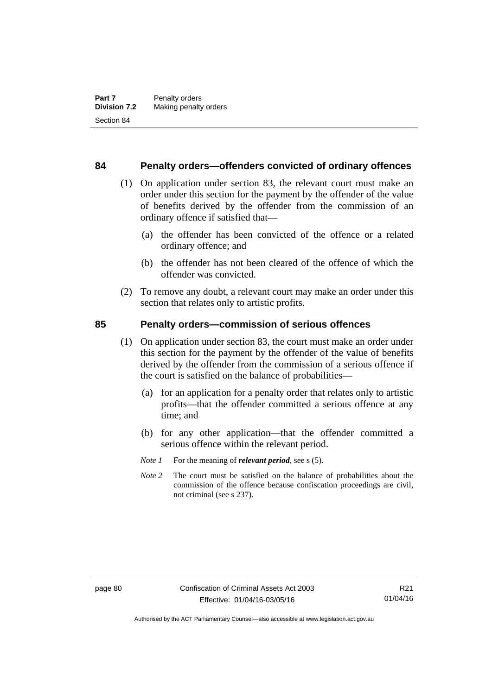#### **84 Penalty orders—offenders convicted of ordinary offences**

- (1) On application under section 83, the relevant court must make an order under this section for the payment by the offender of the value of benefits derived by the offender from the commission of an ordinary offence if satisfied that—
	- (a) the offender has been convicted of the offence or a related ordinary offence; and
	- (b) the offender has not been cleared of the offence of which the offender was convicted.
- (2) To remove any doubt, a relevant court may make an order under this section that relates only to artistic profits.

#### **85 Penalty orders—commission of serious offences**

- (1) On application under section 83, the court must make an order under this section for the payment by the offender of the value of benefits derived by the offender from the commission of a serious offence if the court is satisfied on the balance of probabilities—
	- (a) for an application for a penalty order that relates only to artistic profits—that the offender committed a serious offence at any time; and
	- (b) for any other application—that the offender committed a serious offence within the relevant period.
	- *Note 1* For the meaning of *relevant period*, see s (5).
	- *Note* 2 The court must be satisfied on the balance of probabilities about the commission of the offence because confiscation proceedings are civil, not criminal (see s 237).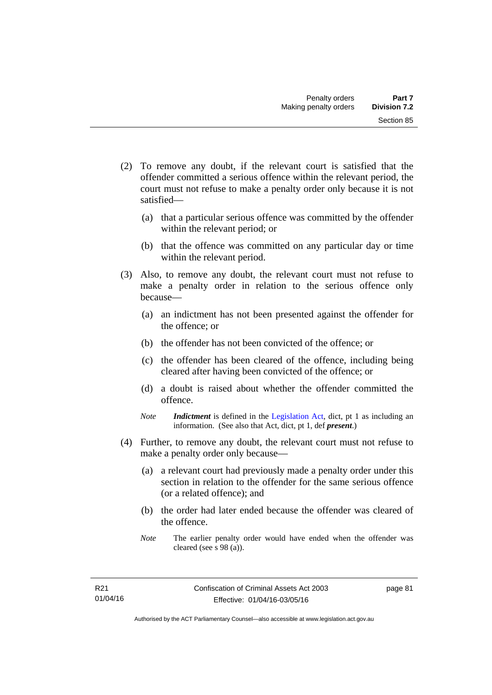- (2) To remove any doubt, if the relevant court is satisfied that the offender committed a serious offence within the relevant period, the court must not refuse to make a penalty order only because it is not satisfied—
	- (a) that a particular serious offence was committed by the offender within the relevant period; or
	- (b) that the offence was committed on any particular day or time within the relevant period.
- (3) Also, to remove any doubt, the relevant court must not refuse to make a penalty order in relation to the serious offence only because—
	- (a) an indictment has not been presented against the offender for the offence; or
	- (b) the offender has not been convicted of the offence; or
	- (c) the offender has been cleared of the offence, including being cleared after having been convicted of the offence; or
	- (d) a doubt is raised about whether the offender committed the offence.
	- *Note Indictment* is defined in the [Legislation Act,](http://www.legislation.act.gov.au/a/2001-14) dict, pt 1 as including an information. (See also that Act, dict, pt 1, def *present*.)
- (4) Further, to remove any doubt, the relevant court must not refuse to make a penalty order only because—
	- (a) a relevant court had previously made a penalty order under this section in relation to the offender for the same serious offence (or a related offence); and
	- (b) the order had later ended because the offender was cleared of the offence.
	- *Note* The earlier penalty order would have ended when the offender was cleared (see s 98 (a)).

page 81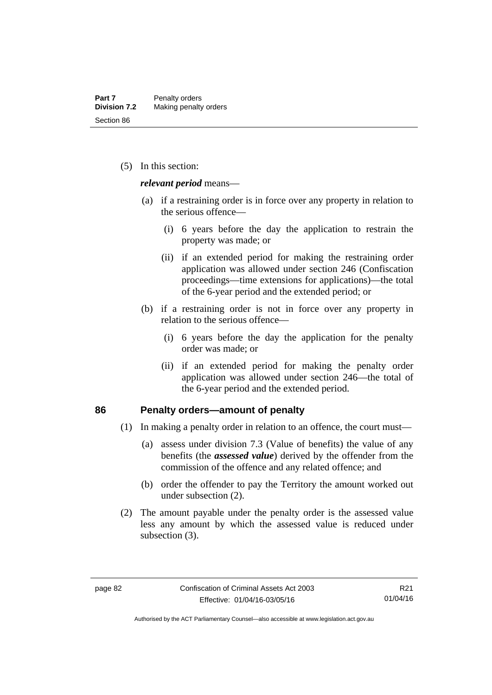(5) In this section:

*relevant period* means—

- (a) if a restraining order is in force over any property in relation to the serious offence—
	- (i) 6 years before the day the application to restrain the property was made; or
	- (ii) if an extended period for making the restraining order application was allowed under section 246 (Confiscation proceedings—time extensions for applications)—the total of the 6-year period and the extended period; or
- (b) if a restraining order is not in force over any property in relation to the serious offence—
	- (i) 6 years before the day the application for the penalty order was made; or
	- (ii) if an extended period for making the penalty order application was allowed under section 246—the total of the 6-year period and the extended period.

#### **86 Penalty orders—amount of penalty**

- (1) In making a penalty order in relation to an offence, the court must—
	- (a) assess under division 7.3 (Value of benefits) the value of any benefits (the *assessed value*) derived by the offender from the commission of the offence and any related offence; and
	- (b) order the offender to pay the Territory the amount worked out under subsection (2).
- (2) The amount payable under the penalty order is the assessed value less any amount by which the assessed value is reduced under subsection (3).

Authorised by the ACT Parliamentary Counsel—also accessible at www.legislation.act.gov.au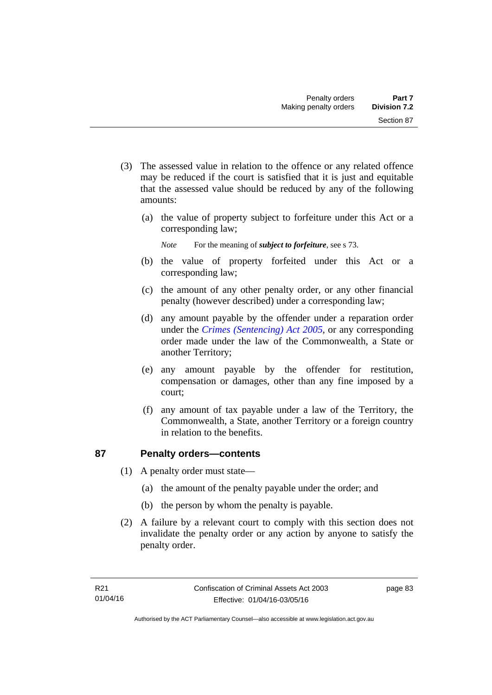- (3) The assessed value in relation to the offence or any related offence may be reduced if the court is satisfied that it is just and equitable that the assessed value should be reduced by any of the following amounts:
	- (a) the value of property subject to forfeiture under this Act or a corresponding law;
		- *Note* For the meaning of *subject to forfeiture*, see s 73.
	- (b) the value of property forfeited under this Act or a corresponding law;
	- (c) the amount of any other penalty order, or any other financial penalty (however described) under a corresponding law;
	- (d) any amount payable by the offender under a reparation order under the *[Crimes \(Sentencing\) Act 2005](http://www.legislation.act.gov.au/a/2005-58)*, or any corresponding order made under the law of the Commonwealth, a State or another Territory;
	- (e) any amount payable by the offender for restitution, compensation or damages, other than any fine imposed by a court;
	- (f) any amount of tax payable under a law of the Territory, the Commonwealth, a State, another Territory or a foreign country in relation to the benefits.

## **87 Penalty orders—contents**

- (1) A penalty order must state—
	- (a) the amount of the penalty payable under the order; and
	- (b) the person by whom the penalty is payable.
- (2) A failure by a relevant court to comply with this section does not invalidate the penalty order or any action by anyone to satisfy the penalty order.

page 83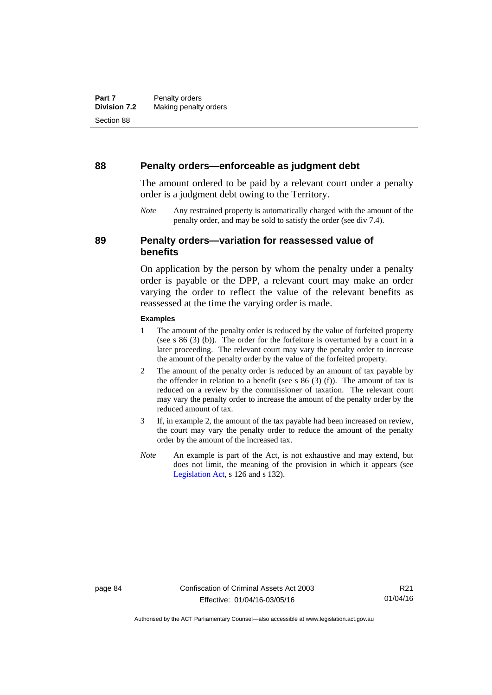#### **88 Penalty orders—enforceable as judgment debt**

The amount ordered to be paid by a relevant court under a penalty order is a judgment debt owing to the Territory.

*Note* Any restrained property is automatically charged with the amount of the penalty order, and may be sold to satisfy the order (see div 7.4).

## **89 Penalty orders—variation for reassessed value of benefits**

On application by the person by whom the penalty under a penalty order is payable or the DPP, a relevant court may make an order varying the order to reflect the value of the relevant benefits as reassessed at the time the varying order is made.

#### **Examples**

- 1 The amount of the penalty order is reduced by the value of forfeited property (see s 86 (3) (b)). The order for the forfeiture is overturned by a court in a later proceeding. The relevant court may vary the penalty order to increase the amount of the penalty order by the value of the forfeited property.
- 2 The amount of the penalty order is reduced by an amount of tax payable by the offender in relation to a benefit (see s  $86$  (3) (f)). The amount of tax is reduced on a review by the commissioner of taxation. The relevant court may vary the penalty order to increase the amount of the penalty order by the reduced amount of tax.
- 3 If, in example 2, the amount of the tax payable had been increased on review, the court may vary the penalty order to reduce the amount of the penalty order by the amount of the increased tax.
- *Note* An example is part of the Act, is not exhaustive and may extend, but does not limit, the meaning of the provision in which it appears (see [Legislation Act,](http://www.legislation.act.gov.au/a/2001-14) s 126 and s 132).

R21 01/04/16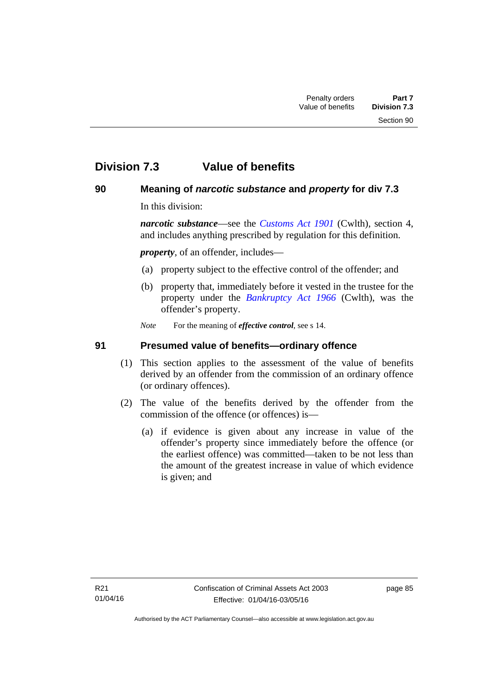# **Division 7.3 Value of benefits**

## **90 Meaning of** *narcotic substance* **and** *property* **for div 7.3**

In this division:

*narcotic substance*—see the *[Customs Act 1901](http://www.comlaw.gov.au/Details/C2013C00064)* (Cwlth), section 4, and includes anything prescribed by regulation for this definition.

*property*, of an offender, includes—

- (a) property subject to the effective control of the offender; and
- (b) property that, immediately before it vested in the trustee for the property under the *[Bankruptcy Act 1966](http://www.comlaw.gov.au/Details/C2012C00173)* (Cwlth), was the offender's property.
- *Note* For the meaning of *effective control*, see s 14.

## **91 Presumed value of benefits—ordinary offence**

- (1) This section applies to the assessment of the value of benefits derived by an offender from the commission of an ordinary offence (or ordinary offences).
- (2) The value of the benefits derived by the offender from the commission of the offence (or offences) is—
	- (a) if evidence is given about any increase in value of the offender's property since immediately before the offence (or the earliest offence) was committed—taken to be not less than the amount of the greatest increase in value of which evidence is given; and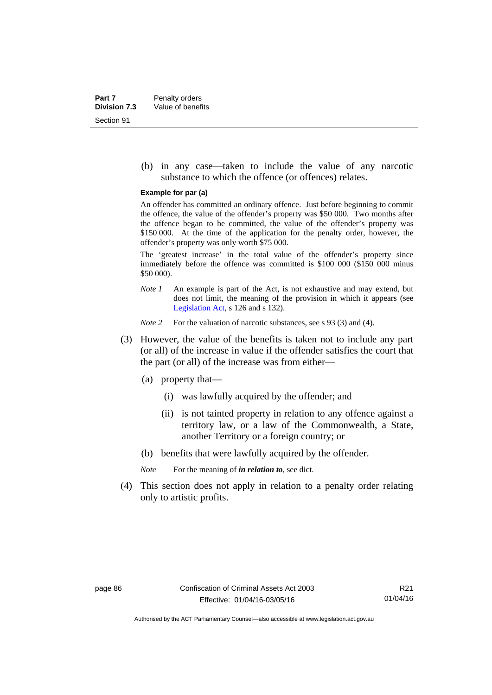(b) in any case—taken to include the value of any narcotic substance to which the offence (or offences) relates.

#### **Example for par (a)**

An offender has committed an ordinary offence. Just before beginning to commit the offence, the value of the offender's property was \$50 000. Two months after the offence began to be committed, the value of the offender's property was \$150 000. At the time of the application for the penalty order, however, the offender's property was only worth \$75 000.

The 'greatest increase' in the total value of the offender's property since immediately before the offence was committed is \$100 000 (\$150 000 minus \$50 000).

*Note 1* An example is part of the Act, is not exhaustive and may extend, but does not limit, the meaning of the provision in which it appears (see [Legislation Act,](http://www.legislation.act.gov.au/a/2001-14) s 126 and s 132).

*Note 2* For the valuation of narcotic substances, see s 93 (3) and (4).

- (3) However, the value of the benefits is taken not to include any part (or all) of the increase in value if the offender satisfies the court that the part (or all) of the increase was from either—
	- (a) property that—
		- (i) was lawfully acquired by the offender; and
		- (ii) is not tainted property in relation to any offence against a territory law, or a law of the Commonwealth, a State, another Territory or a foreign country; or
	- (b) benefits that were lawfully acquired by the offender.

*Note* For the meaning of *in relation to*, see dict.

 (4) This section does not apply in relation to a penalty order relating only to artistic profits.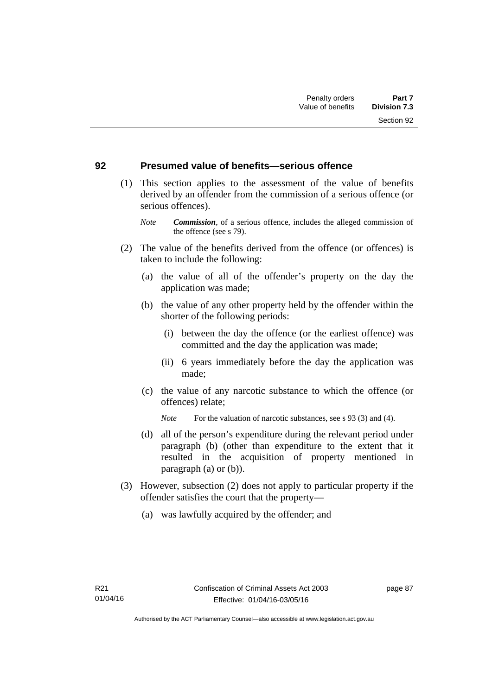#### **92 Presumed value of benefits—serious offence**

- (1) This section applies to the assessment of the value of benefits derived by an offender from the commission of a serious offence (or serious offences).
	- *Note Commission*, of a serious offence, includes the alleged commission of the offence (see s 79).
- (2) The value of the benefits derived from the offence (or offences) is taken to include the following:
	- (a) the value of all of the offender's property on the day the application was made;
	- (b) the value of any other property held by the offender within the shorter of the following periods:
		- (i) between the day the offence (or the earliest offence) was committed and the day the application was made;
		- (ii) 6 years immediately before the day the application was made;
	- (c) the value of any narcotic substance to which the offence (or offences) relate;
		- *Note* For the valuation of narcotic substances, see s 93 (3) and (4).
	- (d) all of the person's expenditure during the relevant period under paragraph (b) (other than expenditure to the extent that it resulted in the acquisition of property mentioned in paragraph (a) or (b)).
- (3) However, subsection (2) does not apply to particular property if the offender satisfies the court that the property—
	- (a) was lawfully acquired by the offender; and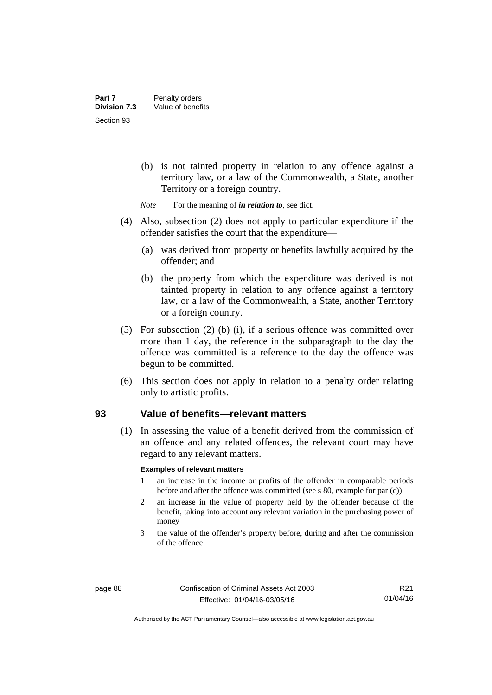- (b) is not tainted property in relation to any offence against a territory law, or a law of the Commonwealth, a State, another Territory or a foreign country.
- *Note* For the meaning of *in relation to*, see dict.
- (4) Also, subsection (2) does not apply to particular expenditure if the offender satisfies the court that the expenditure—
	- (a) was derived from property or benefits lawfully acquired by the offender; and
	- (b) the property from which the expenditure was derived is not tainted property in relation to any offence against a territory law, or a law of the Commonwealth, a State, another Territory or a foreign country.
- (5) For subsection (2) (b) (i), if a serious offence was committed over more than 1 day, the reference in the subparagraph to the day the offence was committed is a reference to the day the offence was begun to be committed.
- (6) This section does not apply in relation to a penalty order relating only to artistic profits.

#### **93 Value of benefits—relevant matters**

(1) In assessing the value of a benefit derived from the commission of an offence and any related offences, the relevant court may have regard to any relevant matters.

#### **Examples of relevant matters**

- 1 an increase in the income or profits of the offender in comparable periods before and after the offence was committed (see s 80, example for par (c))
- 2 an increase in the value of property held by the offender because of the benefit, taking into account any relevant variation in the purchasing power of money
- 3 the value of the offender's property before, during and after the commission of the offence

Authorised by the ACT Parliamentary Counsel—also accessible at www.legislation.act.gov.au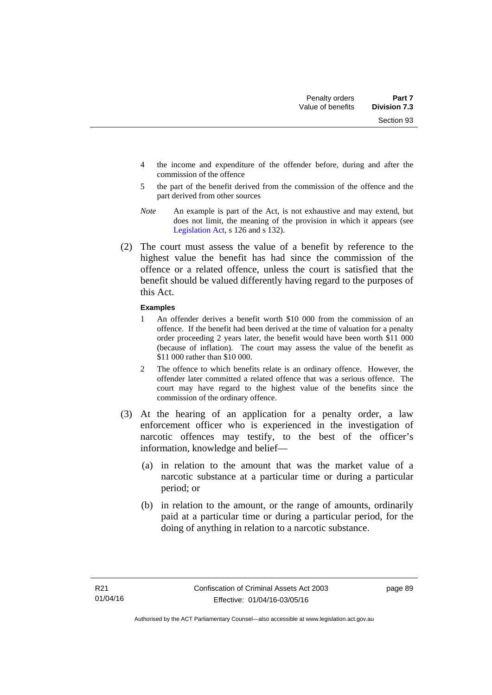Section 93

- 4 the income and expenditure of the offender before, during and after the commission of the offence
- 5 the part of the benefit derived from the commission of the offence and the part derived from other sources
- *Note* An example is part of the Act, is not exhaustive and may extend, but does not limit, the meaning of the provision in which it appears (see [Legislation Act,](http://www.legislation.act.gov.au/a/2001-14) s 126 and s 132).
- (2) The court must assess the value of a benefit by reference to the highest value the benefit has had since the commission of the offence or a related offence, unless the court is satisfied that the benefit should be valued differently having regard to the purposes of this Act.

#### **Examples**

- 1 An offender derives a benefit worth \$10 000 from the commission of an offence. If the benefit had been derived at the time of valuation for a penalty order proceeding 2 years later, the benefit would have been worth \$11 000 (because of inflation). The court may assess the value of the benefit as \$11 000 rather than \$10 000.
- 2 The offence to which benefits relate is an ordinary offence. However, the offender later committed a related offence that was a serious offence. The court may have regard to the highest value of the benefits since the commission of the ordinary offence.
- (3) At the hearing of an application for a penalty order, a law enforcement officer who is experienced in the investigation of narcotic offences may testify, to the best of the officer's information, knowledge and belief—
	- (a) in relation to the amount that was the market value of a narcotic substance at a particular time or during a particular period; or
	- (b) in relation to the amount, or the range of amounts, ordinarily paid at a particular time or during a particular period, for the doing of anything in relation to a narcotic substance.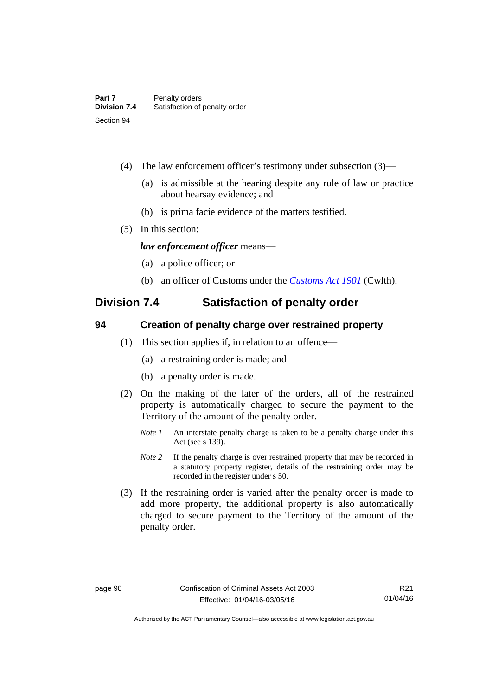- (4) The law enforcement officer's testimony under subsection (3)—
	- (a) is admissible at the hearing despite any rule of law or practice about hearsay evidence; and
	- (b) is prima facie evidence of the matters testified.
- (5) In this section:

*law enforcement officer* means—

- (a) a police officer; or
- (b) an officer of Customs under the *[Customs Act 1901](http://www.comlaw.gov.au/Details/C2013C00064)* (Cwlth).

## **Division 7.4 Satisfaction of penalty order**

#### **94 Creation of penalty charge over restrained property**

- (1) This section applies if, in relation to an offence—
	- (a) a restraining order is made; and
	- (b) a penalty order is made.
- (2) On the making of the later of the orders, all of the restrained property is automatically charged to secure the payment to the Territory of the amount of the penalty order.
	- *Note 1* An interstate penalty charge is taken to be a penalty charge under this Act (see s 139).
	- *Note 2* If the penalty charge is over restrained property that may be recorded in a statutory property register, details of the restraining order may be recorded in the register under s 50.
- (3) If the restraining order is varied after the penalty order is made to add more property, the additional property is also automatically charged to secure payment to the Territory of the amount of the penalty order.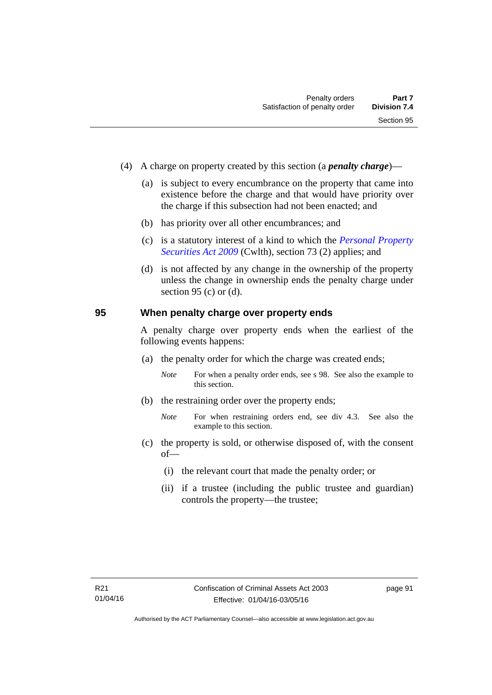- (4) A charge on property created by this section (a *penalty charge*)—
	- (a) is subject to every encumbrance on the property that came into existence before the charge and that would have priority over the charge if this subsection had not been enacted; and
	- (b) has priority over all other encumbrances; and
	- (c) is a statutory interest of a kind to which the *[Personal Property](http://www.comlaw.gov.au/Details/C2012C00151)  [Securities Act 2009](http://www.comlaw.gov.au/Details/C2012C00151)* (Cwlth), section 73 (2) applies; and
	- (d) is not affected by any change in the ownership of the property unless the change in ownership ends the penalty charge under section 95 (c) or  $(d)$ .

#### **95 When penalty charge over property ends**

A penalty charge over property ends when the earliest of the following events happens:

- (a) the penalty order for which the charge was created ends;
	- *Note* For when a penalty order ends, see s 98. See also the example to this section.
- (b) the restraining order over the property ends;
	- *Note* For when restraining orders end, see div 4.3. See also the example to this section.
- (c) the property is sold, or otherwise disposed of, with the consent of—
	- (i) the relevant court that made the penalty order; or
	- (ii) if a trustee (including the public trustee and guardian) controls the property—the trustee;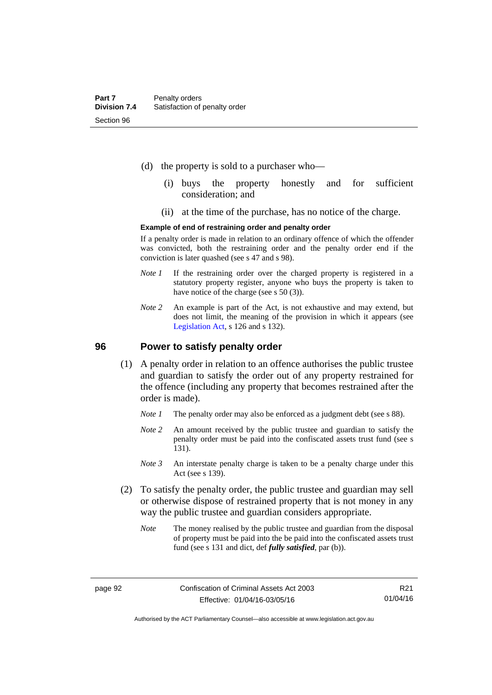- (d) the property is sold to a purchaser who—
	- (i) buys the property honestly and for sufficient consideration; and
	- (ii) at the time of the purchase, has no notice of the charge.

#### **Example of end of restraining order and penalty order**

If a penalty order is made in relation to an ordinary offence of which the offender was convicted, both the restraining order and the penalty order end if the conviction is later quashed (see s 47 and s 98).

- *Note 1* If the restraining order over the charged property is registered in a statutory property register, anyone who buys the property is taken to have notice of the charge (see s 50 (3)).
- *Note* 2 An example is part of the Act, is not exhaustive and may extend, but does not limit, the meaning of the provision in which it appears (see [Legislation Act,](http://www.legislation.act.gov.au/a/2001-14) s 126 and s 132).

#### **96 Power to satisfy penalty order**

- (1) A penalty order in relation to an offence authorises the public trustee and guardian to satisfy the order out of any property restrained for the offence (including any property that becomes restrained after the order is made).
	- *Note 1* The penalty order may also be enforced as a judgment debt (see s 88).
	- *Note 2* An amount received by the public trustee and guardian to satisfy the penalty order must be paid into the confiscated assets trust fund (see s 131).
	- *Note 3* An interstate penalty charge is taken to be a penalty charge under this Act (see s 139).
- (2) To satisfy the penalty order, the public trustee and guardian may sell or otherwise dispose of restrained property that is not money in any way the public trustee and guardian considers appropriate.
	- *Note* The money realised by the public trustee and guardian from the disposal of property must be paid into the be paid into the confiscated assets trust fund (see s 131 and dict, def *fully satisfied*, par (b)).

R21 01/04/16

Authorised by the ACT Parliamentary Counsel—also accessible at www.legislation.act.gov.au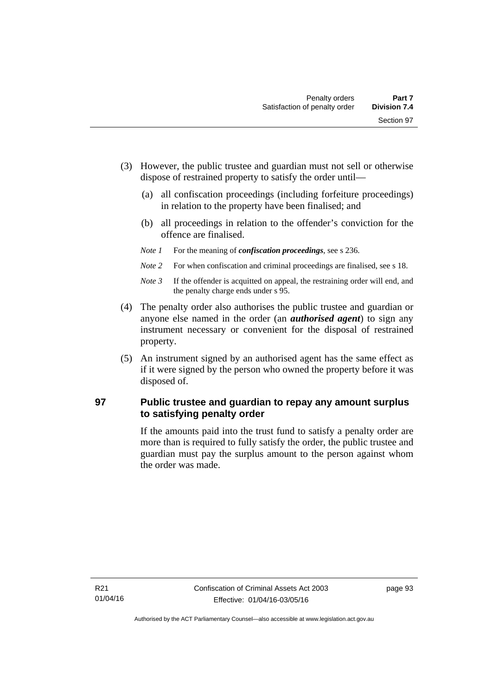- (3) However, the public trustee and guardian must not sell or otherwise dispose of restrained property to satisfy the order until—
	- (a) all confiscation proceedings (including forfeiture proceedings) in relation to the property have been finalised; and
	- (b) all proceedings in relation to the offender's conviction for the offence are finalised.
	- *Note 1* For the meaning of *confiscation proceedings*, see s 236.
	- *Note 2* For when confiscation and criminal proceedings are finalised, see s 18.
	- *Note 3* If the offender is acquitted on appeal, the restraining order will end, and the penalty charge ends under s 95.
- (4) The penalty order also authorises the public trustee and guardian or anyone else named in the order (an *authorised agent*) to sign any instrument necessary or convenient for the disposal of restrained property.
- (5) An instrument signed by an authorised agent has the same effect as if it were signed by the person who owned the property before it was disposed of.

## **97 Public trustee and guardian to repay any amount surplus to satisfying penalty order**

If the amounts paid into the trust fund to satisfy a penalty order are more than is required to fully satisfy the order, the public trustee and guardian must pay the surplus amount to the person against whom the order was made.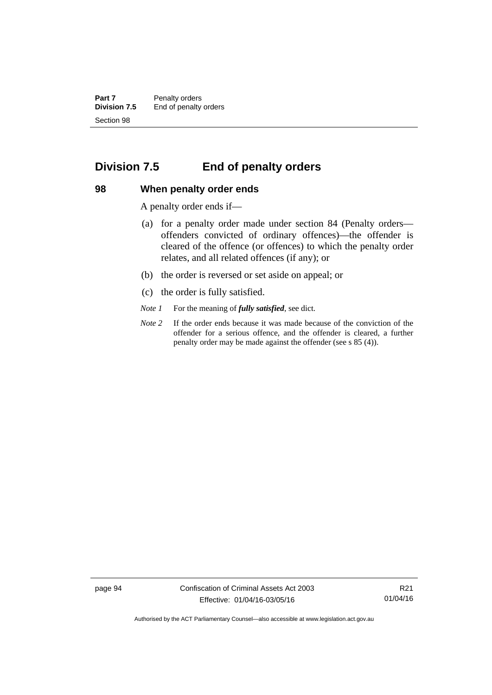**Part 7** Penalty orders<br>**Division 7.5** End of penalty End of penalty orders Section 98

## **Division 7.5 End of penalty orders**

#### **98 When penalty order ends**

A penalty order ends if—

- (a) for a penalty order made under section 84 (Penalty orders offenders convicted of ordinary offences)—the offender is cleared of the offence (or offences) to which the penalty order relates, and all related offences (if any); or
- (b) the order is reversed or set aside on appeal; or
- (c) the order is fully satisfied.
- *Note 1* For the meaning of *fully satisfied*, see dict.
- *Note 2* If the order ends because it was made because of the conviction of the offender for a serious offence, and the offender is cleared, a further penalty order may be made against the offender (see s 85 (4)).

page 94 Confiscation of Criminal Assets Act 2003 Effective: 01/04/16-03/05/16

R21 01/04/16

Authorised by the ACT Parliamentary Counsel—also accessible at www.legislation.act.gov.au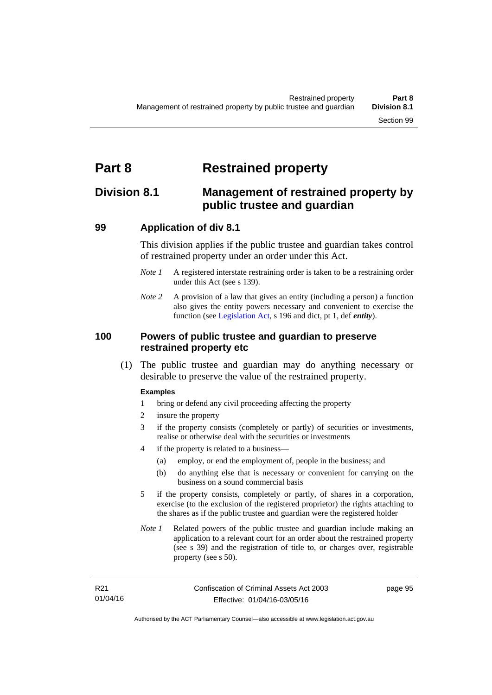# **Part 8 Restrained property**

# **Division 8.1 Management of restrained property by public trustee and guardian**

# **99 Application of div 8.1**

This division applies if the public trustee and guardian takes control of restrained property under an order under this Act.

- *Note 1* A registered interstate restraining order is taken to be a restraining order under this Act (see s 139).
- *Note 2* A provision of a law that gives an entity (including a person) a function also gives the entity powers necessary and convenient to exercise the function (see [Legislation Act](http://www.legislation.act.gov.au/a/2001-14), s 196 and dict, pt 1, def *entity*).

#### **100 Powers of public trustee and guardian to preserve restrained property etc**

 (1) The public trustee and guardian may do anything necessary or desirable to preserve the value of the restrained property.

#### **Examples**

- 1 bring or defend any civil proceeding affecting the property
- 2 insure the property
- 3 if the property consists (completely or partly) of securities or investments, realise or otherwise deal with the securities or investments
- 4 if the property is related to a business—
	- (a) employ, or end the employment of, people in the business; and
	- (b) do anything else that is necessary or convenient for carrying on the business on a sound commercial basis
- 5 if the property consists, completely or partly, of shares in a corporation, exercise (to the exclusion of the registered proprietor) the rights attaching to the shares as if the public trustee and guardian were the registered holder
- *Note 1* Related powers of the public trustee and guardian include making an application to a relevant court for an order about the restrained property (see s 39) and the registration of title to, or charges over, registrable property (see s 50).

page 95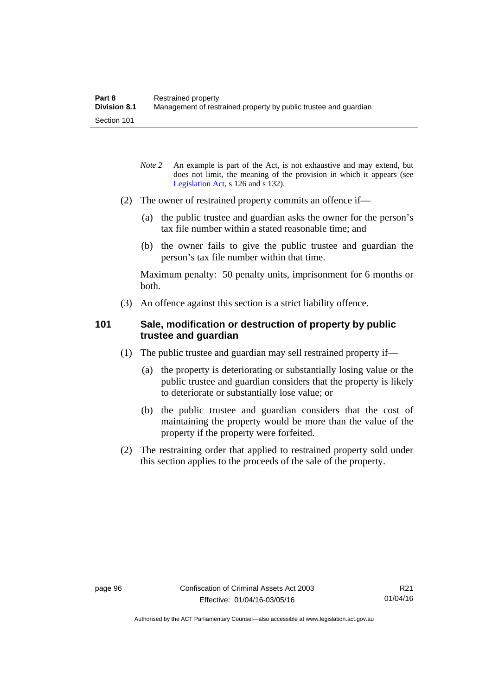- *Note* 2 An example is part of the Act, is not exhaustive and may extend, but does not limit, the meaning of the provision in which it appears (see [Legislation Act,](http://www.legislation.act.gov.au/a/2001-14) s 126 and s 132).
- (2) The owner of restrained property commits an offence if—
	- (a) the public trustee and guardian asks the owner for the person's tax file number within a stated reasonable time; and
	- (b) the owner fails to give the public trustee and guardian the person's tax file number within that time.

Maximum penalty: 50 penalty units, imprisonment for 6 months or both.

(3) An offence against this section is a strict liability offence.

### **101 Sale, modification or destruction of property by public trustee and guardian**

- (1) The public trustee and guardian may sell restrained property if—
	- (a) the property is deteriorating or substantially losing value or the public trustee and guardian considers that the property is likely to deteriorate or substantially lose value; or
	- (b) the public trustee and guardian considers that the cost of maintaining the property would be more than the value of the property if the property were forfeited.
- (2) The restraining order that applied to restrained property sold under this section applies to the proceeds of the sale of the property.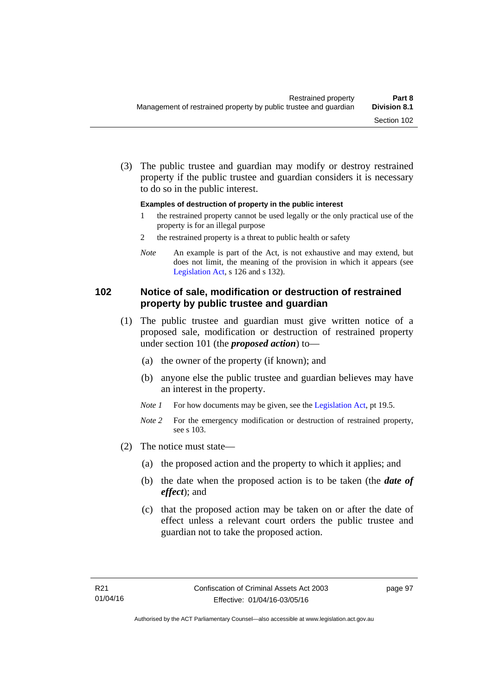(3) The public trustee and guardian may modify or destroy restrained property if the public trustee and guardian considers it is necessary to do so in the public interest.

#### **Examples of destruction of property in the public interest**

- 1 the restrained property cannot be used legally or the only practical use of the property is for an illegal purpose
- 2 the restrained property is a threat to public health or safety
- *Note* An example is part of the Act, is not exhaustive and may extend, but does not limit, the meaning of the provision in which it appears (see [Legislation Act,](http://www.legislation.act.gov.au/a/2001-14) s 126 and s 132).

# **102 Notice of sale, modification or destruction of restrained property by public trustee and guardian**

- (1) The public trustee and guardian must give written notice of a proposed sale, modification or destruction of restrained property under section 101 (the *proposed action*) to—
	- (a) the owner of the property (if known); and
	- (b) anyone else the public trustee and guardian believes may have an interest in the property.
	- *Note 1* For how documents may be given, see the [Legislation Act,](http://www.legislation.act.gov.au/a/2001-14) pt 19.5.
	- *Note* 2 For the emergency modification or destruction of restrained property, see s 103.
- (2) The notice must state—
	- (a) the proposed action and the property to which it applies; and
	- (b) the date when the proposed action is to be taken (the *date of effect*); and
	- (c) that the proposed action may be taken on or after the date of effect unless a relevant court orders the public trustee and guardian not to take the proposed action.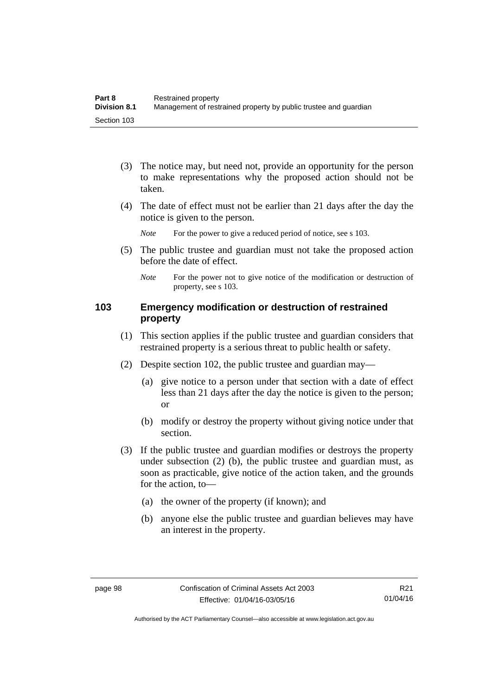- (3) The notice may, but need not, provide an opportunity for the person to make representations why the proposed action should not be taken.
- (4) The date of effect must not be earlier than 21 days after the day the notice is given to the person.

*Note* For the power to give a reduced period of notice, see s 103.

- (5) The public trustee and guardian must not take the proposed action before the date of effect.
	- *Note* For the power not to give notice of the modification or destruction of property, see s 103.

#### **103 Emergency modification or destruction of restrained property**

- (1) This section applies if the public trustee and guardian considers that restrained property is a serious threat to public health or safety.
- (2) Despite section 102, the public trustee and guardian may—
	- (a) give notice to a person under that section with a date of effect less than 21 days after the day the notice is given to the person; or
	- (b) modify or destroy the property without giving notice under that section.
- (3) If the public trustee and guardian modifies or destroys the property under subsection (2) (b), the public trustee and guardian must, as soon as practicable, give notice of the action taken, and the grounds for the action, to—
	- (a) the owner of the property (if known); and
	- (b) anyone else the public trustee and guardian believes may have an interest in the property.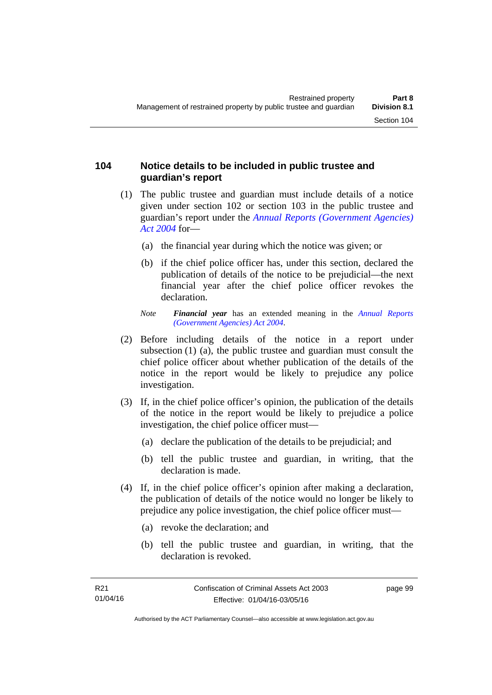#### **104 Notice details to be included in public trustee and guardian's report**

- (1) The public trustee and guardian must include details of a notice given under section 102 or section 103 in the public trustee and guardian's report under the *[Annual Reports \(Government Agencies\)](http://www.legislation.act.gov.au/a/2004-8)  [Act 2004](http://www.legislation.act.gov.au/a/2004-8)* for—
	- (a) the financial year during which the notice was given; or
	- (b) if the chief police officer has, under this section, declared the publication of details of the notice to be prejudicial—the next financial year after the chief police officer revokes the declaration.
	- *Note Financial year* has an extended meaning in the *[Annual Reports](http://www.legislation.act.gov.au/a/2004-8)  [\(Government Agencies\) Act 2004](http://www.legislation.act.gov.au/a/2004-8)*.
- (2) Before including details of the notice in a report under subsection (1) (a), the public trustee and guardian must consult the chief police officer about whether publication of the details of the notice in the report would be likely to prejudice any police investigation.
- (3) If, in the chief police officer's opinion, the publication of the details of the notice in the report would be likely to prejudice a police investigation, the chief police officer must—
	- (a) declare the publication of the details to be prejudicial; and
	- (b) tell the public trustee and guardian, in writing, that the declaration is made.
- (4) If, in the chief police officer's opinion after making a declaration, the publication of details of the notice would no longer be likely to prejudice any police investigation, the chief police officer must—
	- (a) revoke the declaration; and
	- (b) tell the public trustee and guardian, in writing, that the declaration is revoked.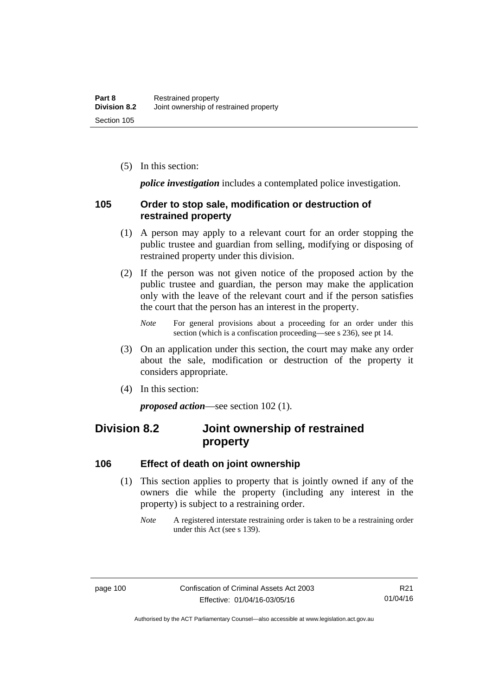(5) In this section:

*police investigation* includes a contemplated police investigation.

#### **105 Order to stop sale, modification or destruction of restrained property**

- (1) A person may apply to a relevant court for an order stopping the public trustee and guardian from selling, modifying or disposing of restrained property under this division.
- (2) If the person was not given notice of the proposed action by the public trustee and guardian, the person may make the application only with the leave of the relevant court and if the person satisfies the court that the person has an interest in the property.
	- *Note* For general provisions about a proceeding for an order under this section (which is a confiscation proceeding—see s 236), see pt 14.
- (3) On an application under this section, the court may make any order about the sale, modification or destruction of the property it considers appropriate.
- (4) In this section:

*proposed action*—see section 102 (1).

# **Division 8.2 Joint ownership of restrained property**

#### **106 Effect of death on joint ownership**

- (1) This section applies to property that is jointly owned if any of the owners die while the property (including any interest in the property) is subject to a restraining order.
	- *Note* A registered interstate restraining order is taken to be a restraining order under this Act (see s 139).

Authorised by the ACT Parliamentary Counsel—also accessible at www.legislation.act.gov.au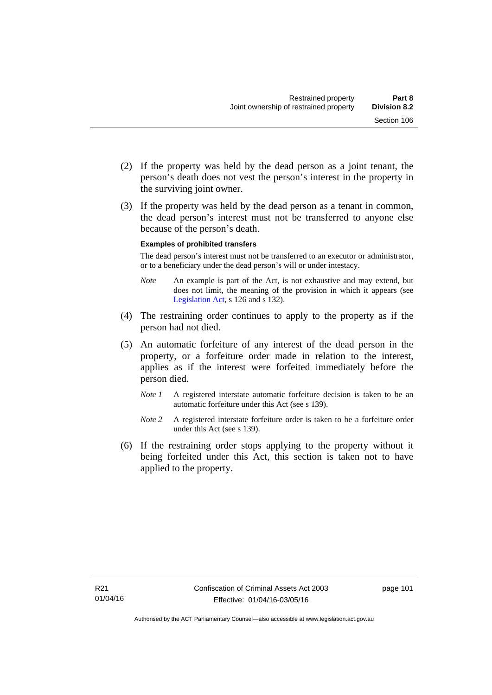(3) If the property was held by the dead person as a tenant in common, the dead person's interest must not be transferred to anyone else because of the person's death.

#### **Examples of prohibited transfers**

The dead person's interest must not be transferred to an executor or administrator, or to a beneficiary under the dead person's will or under intestacy.

- *Note* An example is part of the Act, is not exhaustive and may extend, but does not limit, the meaning of the provision in which it appears (see [Legislation Act,](http://www.legislation.act.gov.au/a/2001-14) s 126 and s 132).
- (4) The restraining order continues to apply to the property as if the person had not died.
- (5) An automatic forfeiture of any interest of the dead person in the property, or a forfeiture order made in relation to the interest, applies as if the interest were forfeited immediately before the person died.
	- *Note 1* A registered interstate automatic forfeiture decision is taken to be an automatic forfeiture under this Act (see s 139).
	- *Note 2* A registered interstate forfeiture order is taken to be a forfeiture order under this Act (see s 139).
- (6) If the restraining order stops applying to the property without it being forfeited under this Act, this section is taken not to have applied to the property.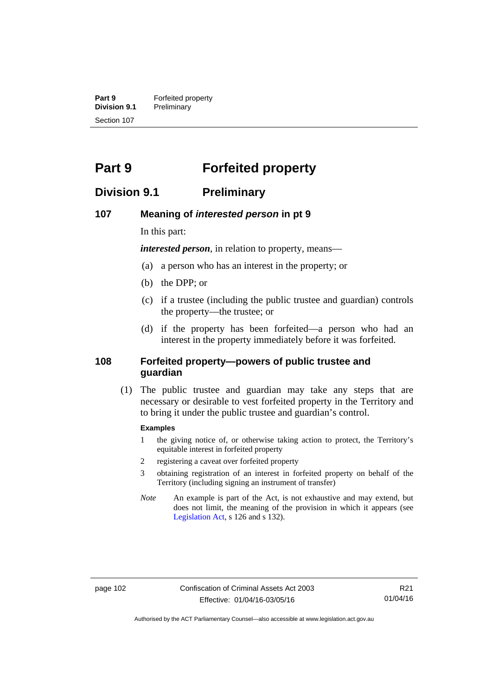**Part 9 Forfeited property**<br>**Division 9.1 Preliminary Division 9.1** Preliminary Section 107

# **Part 9 Forfeited property**

# **Division 9.1 Preliminary**

#### **107 Meaning of** *interested person* **in pt 9**

In this part:

*interested person*, in relation to property, means—

- (a) a person who has an interest in the property; or
- (b) the DPP; or
- (c) if a trustee (including the public trustee and guardian) controls the property—the trustee; or
- (d) if the property has been forfeited—a person who had an interest in the property immediately before it was forfeited.

#### **108 Forfeited property—powers of public trustee and guardian**

 (1) The public trustee and guardian may take any steps that are necessary or desirable to vest forfeited property in the Territory and to bring it under the public trustee and guardian's control.

#### **Examples**

- 1 the giving notice of, or otherwise taking action to protect, the Territory's equitable interest in forfeited property
- 2 registering a caveat over forfeited property
- 3 obtaining registration of an interest in forfeited property on behalf of the Territory (including signing an instrument of transfer)
- *Note* An example is part of the Act, is not exhaustive and may extend, but does not limit, the meaning of the provision in which it appears (see [Legislation Act,](http://www.legislation.act.gov.au/a/2001-14) s 126 and s 132).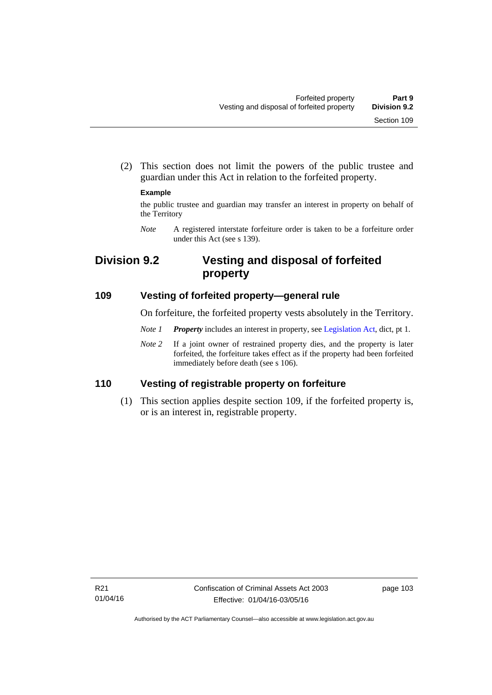(2) This section does not limit the powers of the public trustee and guardian under this Act in relation to the forfeited property.

#### **Example**

the public trustee and guardian may transfer an interest in property on behalf of the Territory

*Note* A registered interstate forfeiture order is taken to be a forfeiture order under this Act (see s 139).

# **Division 9.2 Vesting and disposal of forfeited property**

### **109 Vesting of forfeited property—general rule**

On forfeiture, the forfeited property vests absolutely in the Territory.

- *Note 1 Property* includes an interest in property, see [Legislation Act](http://www.legislation.act.gov.au/a/2001-14), dict, pt 1.
- *Note* 2 If a joint owner of restrained property dies, and the property is later forfeited, the forfeiture takes effect as if the property had been forfeited immediately before death (see s 106).

# **110 Vesting of registrable property on forfeiture**

 (1) This section applies despite section 109, if the forfeited property is, or is an interest in, registrable property.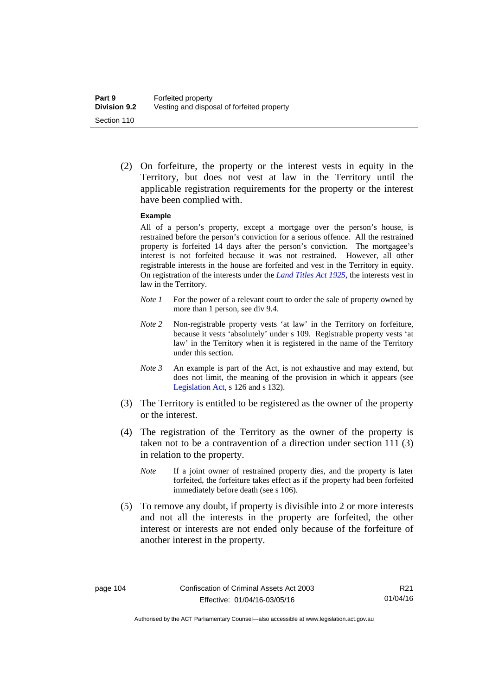(2) On forfeiture, the property or the interest vests in equity in the Territory, but does not vest at law in the Territory until the applicable registration requirements for the property or the interest have been complied with.

#### **Example**

All of a person's property, except a mortgage over the person's house, is restrained before the person's conviction for a serious offence. All the restrained property is forfeited 14 days after the person's conviction. The mortgagee's interest is not forfeited because it was not restrained. However, all other registrable interests in the house are forfeited and vest in the Territory in equity. On registration of the interests under the *[Land Titles Act 1925](http://www.legislation.act.gov.au/a/1925-1)*, the interests vest in law in the Territory.

- *Note 1* For the power of a relevant court to order the sale of property owned by more than 1 person, see div 9.4.
- *Note 2* Non-registrable property vests 'at law' in the Territory on forfeiture, because it vests 'absolutely' under s 109. Registrable property vests 'at law' in the Territory when it is registered in the name of the Territory under this section.
- *Note 3* An example is part of the Act, is not exhaustive and may extend, but does not limit, the meaning of the provision in which it appears (see [Legislation Act,](http://www.legislation.act.gov.au/a/2001-14) s 126 and s 132).
- (3) The Territory is entitled to be registered as the owner of the property or the interest.
- (4) The registration of the Territory as the owner of the property is taken not to be a contravention of a direction under section 111 (3) in relation to the property.
	- *Note* If a joint owner of restrained property dies, and the property is later forfeited, the forfeiture takes effect as if the property had been forfeited immediately before death (see s 106).
- (5) To remove any doubt, if property is divisible into 2 or more interests and not all the interests in the property are forfeited, the other interest or interests are not ended only because of the forfeiture of another interest in the property.

Authorised by the ACT Parliamentary Counsel—also accessible at www.legislation.act.gov.au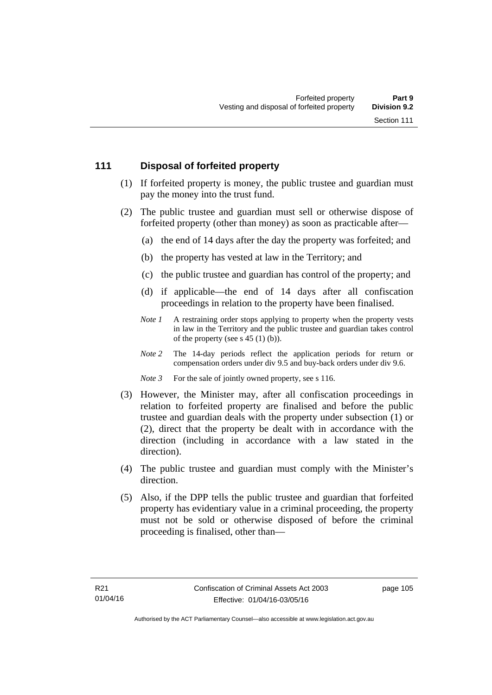# **111 Disposal of forfeited property**

- (1) If forfeited property is money, the public trustee and guardian must pay the money into the trust fund.
- (2) The public trustee and guardian must sell or otherwise dispose of forfeited property (other than money) as soon as practicable after—
	- (a) the end of 14 days after the day the property was forfeited; and
	- (b) the property has vested at law in the Territory; and
	- (c) the public trustee and guardian has control of the property; and
	- (d) if applicable—the end of 14 days after all confiscation proceedings in relation to the property have been finalised.
	- *Note 1* A restraining order stops applying to property when the property vests in law in the Territory and the public trustee and guardian takes control of the property (see s 45 (1) (b)).
	- *Note 2* The 14-day periods reflect the application periods for return or compensation orders under div 9.5 and buy-back orders under div 9.6.

*Note 3* For the sale of jointly owned property, see s 116.

- (3) However, the Minister may, after all confiscation proceedings in relation to forfeited property are finalised and before the public trustee and guardian deals with the property under subsection (1) or (2), direct that the property be dealt with in accordance with the direction (including in accordance with a law stated in the direction).
- (4) The public trustee and guardian must comply with the Minister's direction.
- (5) Also, if the DPP tells the public trustee and guardian that forfeited property has evidentiary value in a criminal proceeding, the property must not be sold or otherwise disposed of before the criminal proceeding is finalised, other than—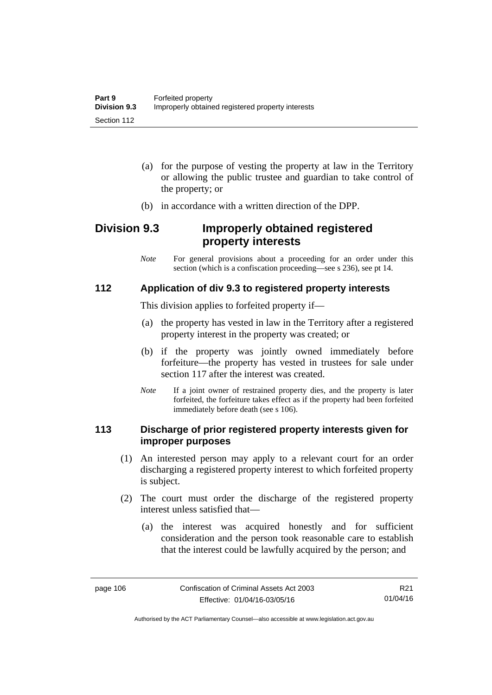- (a) for the purpose of vesting the property at law in the Territory or allowing the public trustee and guardian to take control of the property; or
- (b) in accordance with a written direction of the DPP.

# **Division 9.3 Improperly obtained registered property interests**

*Note* For general provisions about a proceeding for an order under this section (which is a confiscation proceeding—see s 236), see pt 14.

# **112 Application of div 9.3 to registered property interests**

This division applies to forfeited property if—

- (a) the property has vested in law in the Territory after a registered property interest in the property was created; or
- (b) if the property was jointly owned immediately before forfeiture—the property has vested in trustees for sale under section 117 after the interest was created.
- *Note* If a joint owner of restrained property dies, and the property is later forfeited, the forfeiture takes effect as if the property had been forfeited immediately before death (see s 106).

### **113 Discharge of prior registered property interests given for improper purposes**

- (1) An interested person may apply to a relevant court for an order discharging a registered property interest to which forfeited property is subject.
- (2) The court must order the discharge of the registered property interest unless satisfied that—
	- (a) the interest was acquired honestly and for sufficient consideration and the person took reasonable care to establish that the interest could be lawfully acquired by the person; and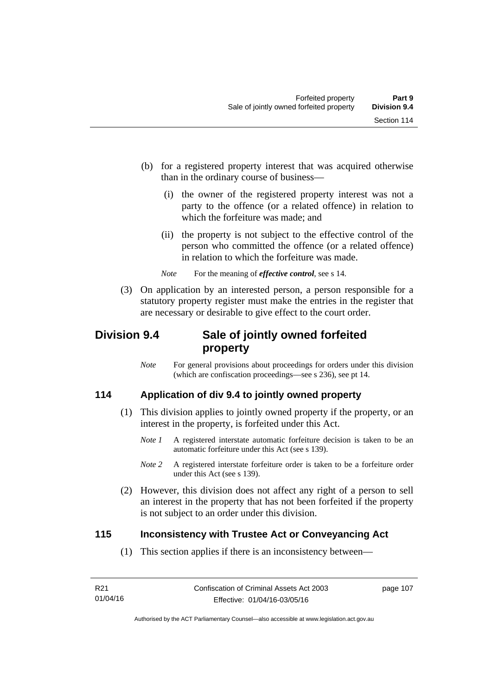- (b) for a registered property interest that was acquired otherwise than in the ordinary course of business—
	- (i) the owner of the registered property interest was not a party to the offence (or a related offence) in relation to which the forfeiture was made; and
	- (ii) the property is not subject to the effective control of the person who committed the offence (or a related offence) in relation to which the forfeiture was made.
	- *Note* For the meaning of *effective control*, see s 14.
- (3) On application by an interested person, a person responsible for a statutory property register must make the entries in the register that are necessary or desirable to give effect to the court order.

# **Division 9.4 Sale of jointly owned forfeited property**

*Note* For general provisions about proceedings for orders under this division (which are confiscation proceedings—see s 236), see pt 14.

# **114 Application of div 9.4 to jointly owned property**

- (1) This division applies to jointly owned property if the property, or an interest in the property, is forfeited under this Act.
	- *Note 1* A registered interstate automatic forfeiture decision is taken to be an automatic forfeiture under this Act (see s 139).
	- *Note 2* A registered interstate forfeiture order is taken to be a forfeiture order under this Act (see s 139).
- (2) However, this division does not affect any right of a person to sell an interest in the property that has not been forfeited if the property is not subject to an order under this division.

# **115 Inconsistency with Trustee Act or Conveyancing Act**

(1) This section applies if there is an inconsistency between—

page 107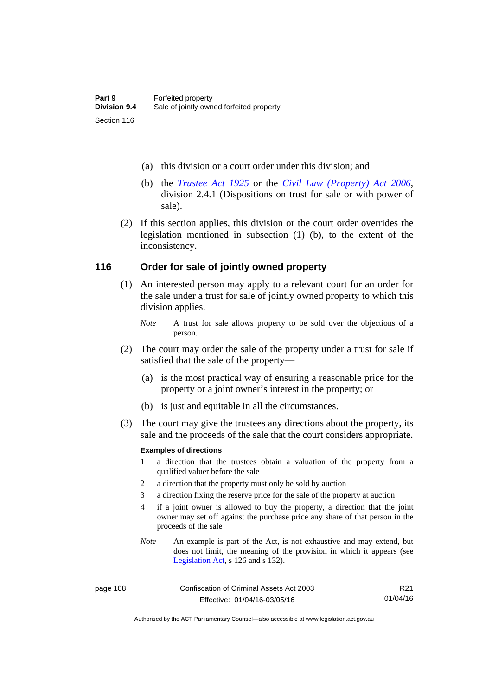- (a) this division or a court order under this division; and
- (b) the *[Trustee Act 1925](http://www.legislation.act.gov.au/a/1925-14)* or the *[Civil Law \(Property\) Act 2006](http://www.legislation.act.gov.au/a/2006-38)*, division 2.4.1 (Dispositions on trust for sale or with power of sale).
- (2) If this section applies, this division or the court order overrides the legislation mentioned in subsection (1) (b), to the extent of the inconsistency.

#### **116 Order for sale of jointly owned property**

- (1) An interested person may apply to a relevant court for an order for the sale under a trust for sale of jointly owned property to which this division applies.
	- *Note* A trust for sale allows property to be sold over the objections of a person.
- (2) The court may order the sale of the property under a trust for sale if satisfied that the sale of the property—
	- (a) is the most practical way of ensuring a reasonable price for the property or a joint owner's interest in the property; or
	- (b) is just and equitable in all the circumstances.
- (3) The court may give the trustees any directions about the property, its sale and the proceeds of the sale that the court considers appropriate.

#### **Examples of directions**

- 1 a direction that the trustees obtain a valuation of the property from a qualified valuer before the sale
- 2 a direction that the property must only be sold by auction
- 3 a direction fixing the reserve price for the sale of the property at auction
- 4 if a joint owner is allowed to buy the property, a direction that the joint owner may set off against the purchase price any share of that person in the proceeds of the sale
- *Note* An example is part of the Act, is not exhaustive and may extend, but does not limit, the meaning of the provision in which it appears (see [Legislation Act,](http://www.legislation.act.gov.au/a/2001-14) s 126 and s 132).

page 108 Confiscation of Criminal Assets Act 2003 Effective: 01/04/16-03/05/16

R21 01/04/16

Authorised by the ACT Parliamentary Counsel—also accessible at www.legislation.act.gov.au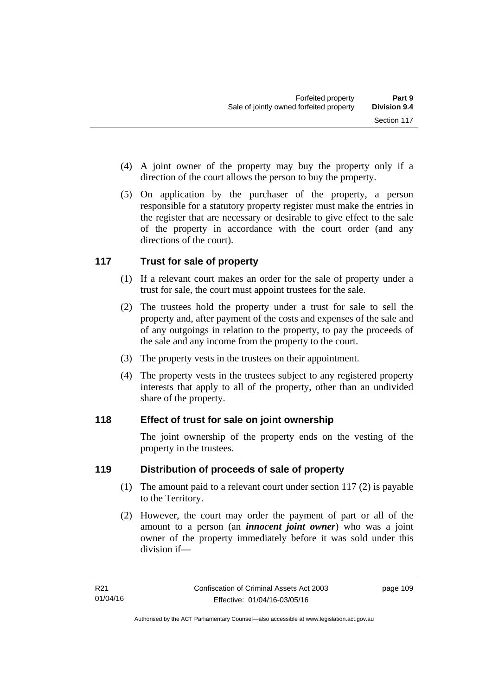- (4) A joint owner of the property may buy the property only if a direction of the court allows the person to buy the property.
- (5) On application by the purchaser of the property, a person responsible for a statutory property register must make the entries in the register that are necessary or desirable to give effect to the sale of the property in accordance with the court order (and any directions of the court).

# **117 Trust for sale of property**

- (1) If a relevant court makes an order for the sale of property under a trust for sale, the court must appoint trustees for the sale.
- (2) The trustees hold the property under a trust for sale to sell the property and, after payment of the costs and expenses of the sale and of any outgoings in relation to the property, to pay the proceeds of the sale and any income from the property to the court.
- (3) The property vests in the trustees on their appointment.
- (4) The property vests in the trustees subject to any registered property interests that apply to all of the property, other than an undivided share of the property.

# **118 Effect of trust for sale on joint ownership**

The joint ownership of the property ends on the vesting of the property in the trustees.

# **119 Distribution of proceeds of sale of property**

- (1) The amount paid to a relevant court under section 117 (2) is payable to the Territory.
- (2) However, the court may order the payment of part or all of the amount to a person (an *innocent joint owner*) who was a joint owner of the property immediately before it was sold under this division if—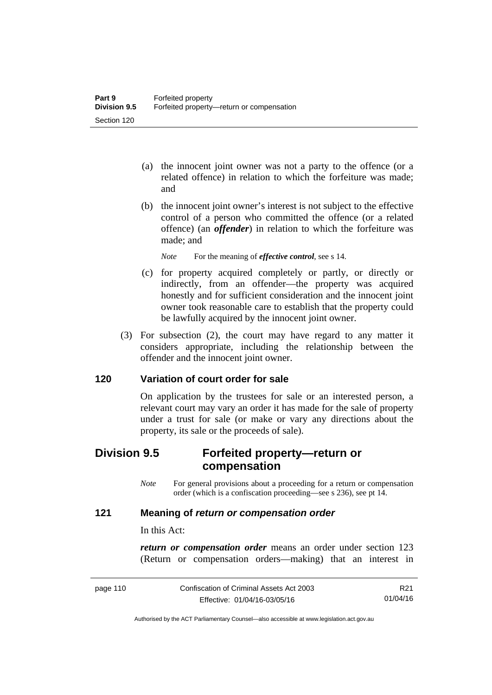- (a) the innocent joint owner was not a party to the offence (or a related offence) in relation to which the forfeiture was made; and
- (b) the innocent joint owner's interest is not subject to the effective control of a person who committed the offence (or a related offence) (an *offender*) in relation to which the forfeiture was made; and

*Note* For the meaning of *effective control*, see s 14.

- (c) for property acquired completely or partly, or directly or indirectly, from an offender—the property was acquired honestly and for sufficient consideration and the innocent joint owner took reasonable care to establish that the property could be lawfully acquired by the innocent joint owner.
- (3) For subsection (2), the court may have regard to any matter it considers appropriate, including the relationship between the offender and the innocent joint owner.

#### **120 Variation of court order for sale**

On application by the trustees for sale or an interested person, a relevant court may vary an order it has made for the sale of property under a trust for sale (or make or vary any directions about the property, its sale or the proceeds of sale).

# **Division 9.5 Forfeited property—return or compensation**

*Note* For general provisions about a proceeding for a return or compensation order (which is a confiscation proceeding—see s 236), see pt 14.

### **121 Meaning of** *return or compensation order*

In this Act:

*return or compensation order* means an order under section 123 (Return or compensation orders—making) that an interest in

R21 01/04/16

Authorised by the ACT Parliamentary Counsel—also accessible at www.legislation.act.gov.au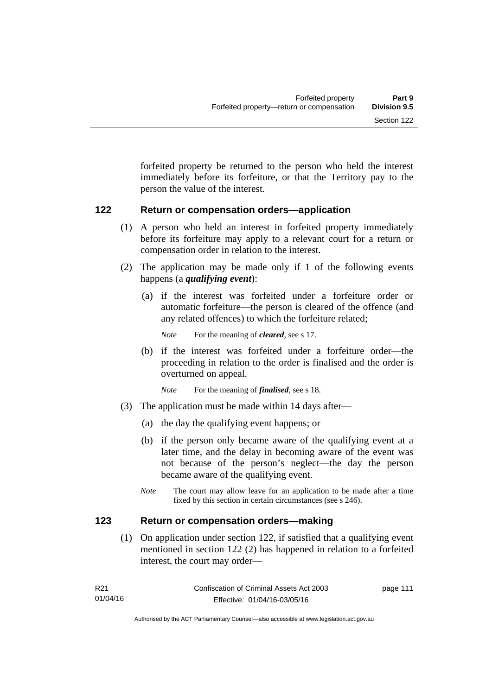forfeited property be returned to the person who held the interest immediately before its forfeiture, or that the Territory pay to the person the value of the interest.

#### **122 Return or compensation orders—application**

- (1) A person who held an interest in forfeited property immediately before its forfeiture may apply to a relevant court for a return or compensation order in relation to the interest.
- (2) The application may be made only if 1 of the following events happens (a *qualifying event*):
	- (a) if the interest was forfeited under a forfeiture order or automatic forfeiture—the person is cleared of the offence (and any related offences) to which the forfeiture related;

*Note* For the meaning of *cleared*, see s 17.

- (b) if the interest was forfeited under a forfeiture order—the proceeding in relation to the order is finalised and the order is overturned on appeal.
	- *Note* For the meaning of *finalised*, see s 18.
- (3) The application must be made within 14 days after—
	- (a) the day the qualifying event happens; or
	- (b) if the person only became aware of the qualifying event at a later time, and the delay in becoming aware of the event was not because of the person's neglect—the day the person became aware of the qualifying event.
	- *Note* The court may allow leave for an application to be made after a time fixed by this section in certain circumstances (see s 246).

#### **123 Return or compensation orders—making**

 (1) On application under section 122, if satisfied that a qualifying event mentioned in section 122 (2) has happened in relation to a forfeited interest, the court may order—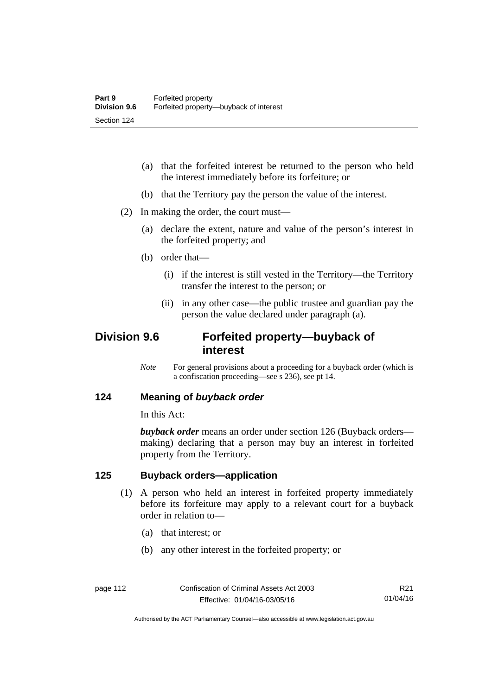- (a) that the forfeited interest be returned to the person who held the interest immediately before its forfeiture; or
- (b) that the Territory pay the person the value of the interest.
- (2) In making the order, the court must—
	- (a) declare the extent, nature and value of the person's interest in the forfeited property; and
	- (b) order that—
		- (i) if the interest is still vested in the Territory—the Territory transfer the interest to the person; or
		- (ii) in any other case—the public trustee and guardian pay the person the value declared under paragraph (a).

# **Division 9.6 Forfeited property—buyback of interest**

*Note* For general provisions about a proceeding for a buyback order (which is a confiscation proceeding—see s 236), see pt 14.

#### **124 Meaning of** *buyback order*

In this Act:

*buyback order* means an order under section 126 (Buyback orders making) declaring that a person may buy an interest in forfeited property from the Territory.

#### **125 Buyback orders—application**

- (1) A person who held an interest in forfeited property immediately before its forfeiture may apply to a relevant court for a buyback order in relation to—
	- (a) that interest; or
	- (b) any other interest in the forfeited property; or

Authorised by the ACT Parliamentary Counsel—also accessible at www.legislation.act.gov.au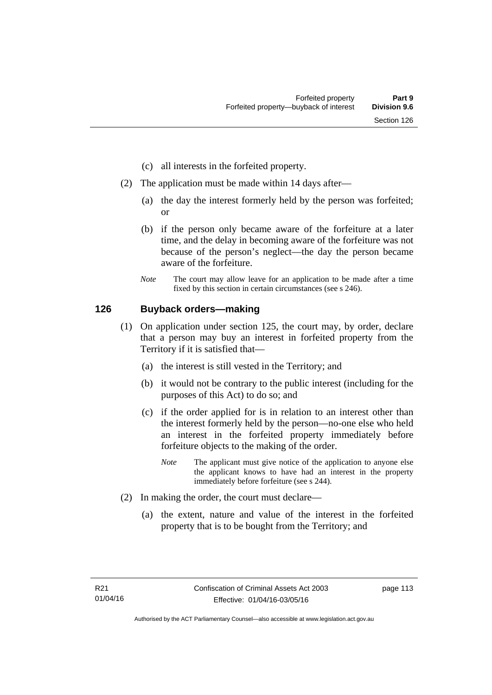- (c) all interests in the forfeited property.
- (2) The application must be made within 14 days after—
	- (a) the day the interest formerly held by the person was forfeited; or
	- (b) if the person only became aware of the forfeiture at a later time, and the delay in becoming aware of the forfeiture was not because of the person's neglect—the day the person became aware of the forfeiture.
	- *Note* The court may allow leave for an application to be made after a time fixed by this section in certain circumstances (see s 246).

### **126 Buyback orders—making**

- (1) On application under section 125, the court may, by order, declare that a person may buy an interest in forfeited property from the Territory if it is satisfied that—
	- (a) the interest is still vested in the Territory; and
	- (b) it would not be contrary to the public interest (including for the purposes of this Act) to do so; and
	- (c) if the order applied for is in relation to an interest other than the interest formerly held by the person—no-one else who held an interest in the forfeited property immediately before forfeiture objects to the making of the order.
		- *Note* The applicant must give notice of the application to anyone else the applicant knows to have had an interest in the property immediately before forfeiture (see s 244).
- (2) In making the order, the court must declare—
	- (a) the extent, nature and value of the interest in the forfeited property that is to be bought from the Territory; and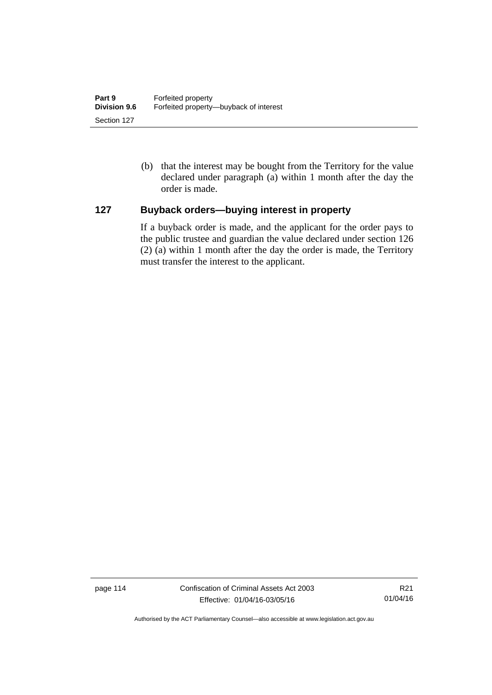(b) that the interest may be bought from the Territory for the value declared under paragraph (a) within 1 month after the day the order is made.

# **127 Buyback orders—buying interest in property**

If a buyback order is made, and the applicant for the order pays to the public trustee and guardian the value declared under section 126 (2) (a) within 1 month after the day the order is made, the Territory must transfer the interest to the applicant.

page 114 Confiscation of Criminal Assets Act 2003 Effective: 01/04/16-03/05/16

R21 01/04/16

Authorised by the ACT Parliamentary Counsel—also accessible at www.legislation.act.gov.au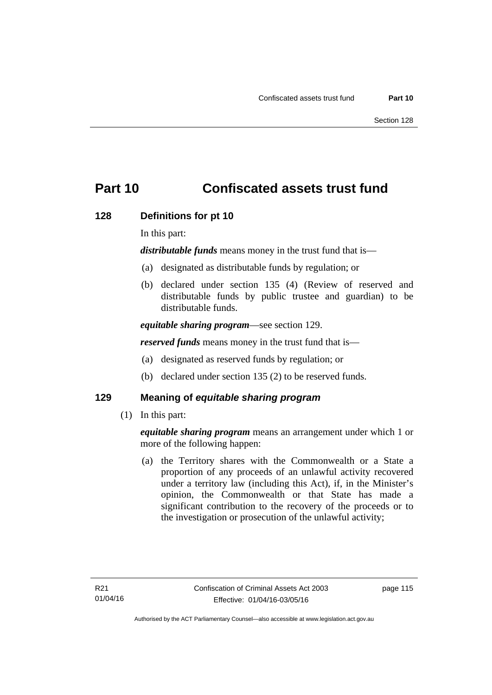# **Part 10 Confiscated assets trust fund**

### **128 Definitions for pt 10**

In this part:

*distributable funds* means money in the trust fund that is—

- (a) designated as distributable funds by regulation; or
- (b) declared under section 135 (4) (Review of reserved and distributable funds by public trustee and guardian) to be distributable funds.

*equitable sharing program*—see section 129.

*reserved funds* means money in the trust fund that is—

- (a) designated as reserved funds by regulation; or
- (b) declared under section 135 (2) to be reserved funds.

#### **129 Meaning of** *equitable sharing program*

(1) In this part:

*equitable sharing program* means an arrangement under which 1 or more of the following happen:

 (a) the Territory shares with the Commonwealth or a State a proportion of any proceeds of an unlawful activity recovered under a territory law (including this Act), if, in the Minister's opinion, the Commonwealth or that State has made a significant contribution to the recovery of the proceeds or to the investigation or prosecution of the unlawful activity;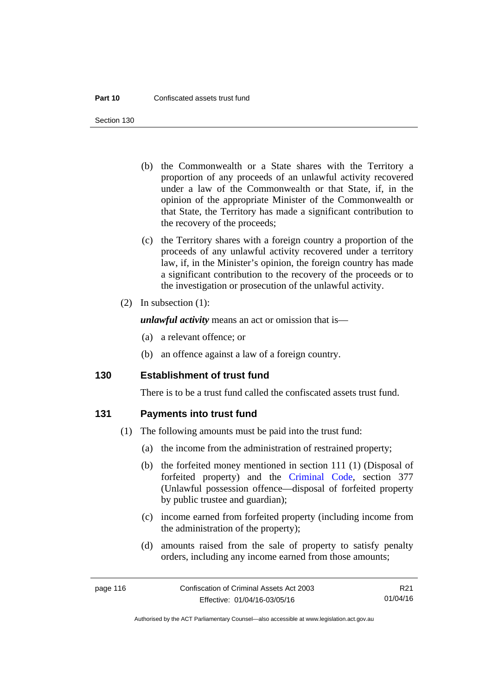Section 130

- (b) the Commonwealth or a State shares with the Territory a proportion of any proceeds of an unlawful activity recovered under a law of the Commonwealth or that State, if, in the opinion of the appropriate Minister of the Commonwealth or that State, the Territory has made a significant contribution to the recovery of the proceeds;
- (c) the Territory shares with a foreign country a proportion of the proceeds of any unlawful activity recovered under a territory law, if, in the Minister's opinion, the foreign country has made a significant contribution to the recovery of the proceeds or to the investigation or prosecution of the unlawful activity.
- (2) In subsection (1):

*unlawful activity* means an act or omission that is—

- (a) a relevant offence; or
- (b) an offence against a law of a foreign country.

#### **130 Establishment of trust fund**

There is to be a trust fund called the confiscated assets trust fund.

#### **131 Payments into trust fund**

- (1) The following amounts must be paid into the trust fund:
	- (a) the income from the administration of restrained property;
	- (b) the forfeited money mentioned in section 111 (1) (Disposal of forfeited property) and the [Criminal Code,](http://www.legislation.act.gov.au/a/2002-51) section 377 (Unlawful possession offence—disposal of forfeited property by public trustee and guardian);
	- (c) income earned from forfeited property (including income from the administration of the property);
	- (d) amounts raised from the sale of property to satisfy penalty orders, including any income earned from those amounts;

page 116 Confiscation of Criminal Assets Act 2003 Effective: 01/04/16-03/05/16 R21 01/04/16

Authorised by the ACT Parliamentary Counsel—also accessible at www.legislation.act.gov.au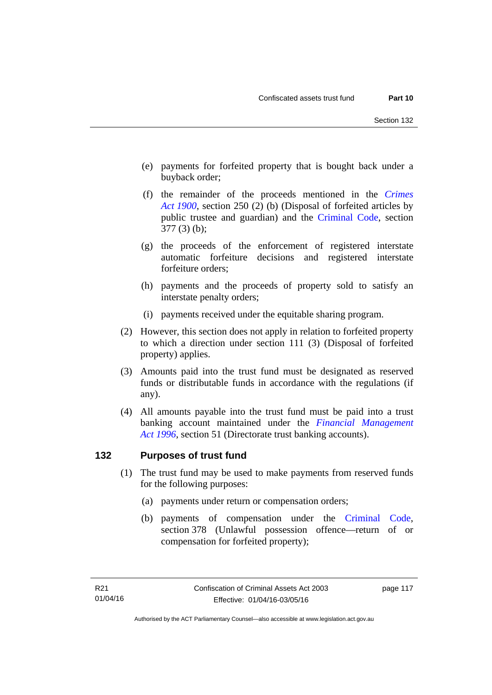- (e) payments for forfeited property that is bought back under a buyback order;
- (f) the remainder of the proceeds mentioned in the *[Crimes](http://www.legislation.act.gov.au/a/1900-40)  [Act 1900](http://www.legislation.act.gov.au/a/1900-40)*, section 250 (2) (b) (Disposal of forfeited articles by public trustee and guardian) and the [Criminal Code,](http://www.legislation.act.gov.au/a/2002-51) section 377 (3) (b);
- (g) the proceeds of the enforcement of registered interstate automatic forfeiture decisions and registered interstate forfeiture orders;
- (h) payments and the proceeds of property sold to satisfy an interstate penalty orders;
- (i) payments received under the equitable sharing program.
- (2) However, this section does not apply in relation to forfeited property to which a direction under section 111 (3) (Disposal of forfeited property) applies.
- (3) Amounts paid into the trust fund must be designated as reserved funds or distributable funds in accordance with the regulations (if any).
- (4) All amounts payable into the trust fund must be paid into a trust banking account maintained under the *[Financial Management](http://www.legislation.act.gov.au/a/1996-22)  [Act 1996](http://www.legislation.act.gov.au/a/1996-22)*, section 51 (Directorate trust banking accounts).

# **132 Purposes of trust fund**

- (1) The trust fund may be used to make payments from reserved funds for the following purposes:
	- (a) payments under return or compensation orders;
	- (b) payments of compensation under the [Criminal Code](http://www.legislation.act.gov.au/a/2002-51), section 378 (Unlawful possession offence—return of or compensation for forfeited property);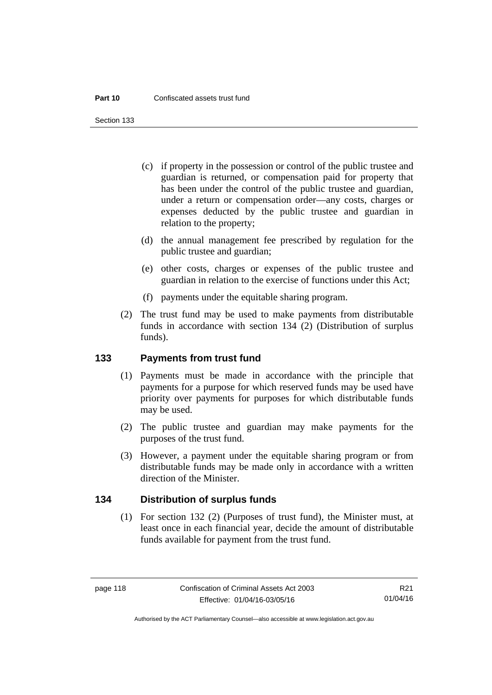Section 133

- (c) if property in the possession or control of the public trustee and guardian is returned, or compensation paid for property that has been under the control of the public trustee and guardian, under a return or compensation order—any costs, charges or expenses deducted by the public trustee and guardian in relation to the property;
- (d) the annual management fee prescribed by regulation for the public trustee and guardian;
- (e) other costs, charges or expenses of the public trustee and guardian in relation to the exercise of functions under this Act;
- (f) payments under the equitable sharing program.
- (2) The trust fund may be used to make payments from distributable funds in accordance with section 134 (2) (Distribution of surplus funds).

#### **133 Payments from trust fund**

- (1) Payments must be made in accordance with the principle that payments for a purpose for which reserved funds may be used have priority over payments for purposes for which distributable funds may be used.
- (2) The public trustee and guardian may make payments for the purposes of the trust fund.
- (3) However, a payment under the equitable sharing program or from distributable funds may be made only in accordance with a written direction of the Minister.

#### **134 Distribution of surplus funds**

(1) For section 132 (2) (Purposes of trust fund), the Minister must, at least once in each financial year, decide the amount of distributable funds available for payment from the trust fund.

R21 01/04/16

Authorised by the ACT Parliamentary Counsel—also accessible at www.legislation.act.gov.au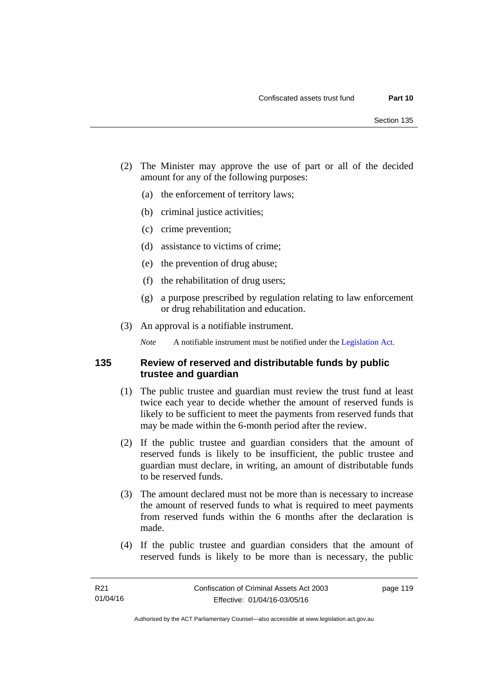- (2) The Minister may approve the use of part or all of the decided amount for any of the following purposes:
	- (a) the enforcement of territory laws;
	- (b) criminal justice activities;
	- (c) crime prevention;
	- (d) assistance to victims of crime;
	- (e) the prevention of drug abuse;
	- (f) the rehabilitation of drug users;
	- (g) a purpose prescribed by regulation relating to law enforcement or drug rehabilitation and education.
- (3) An approval is a notifiable instrument.

*Note* A notifiable instrument must be notified under the [Legislation Act](http://www.legislation.act.gov.au/a/2001-14).

#### **135 Review of reserved and distributable funds by public trustee and guardian**

- (1) The public trustee and guardian must review the trust fund at least twice each year to decide whether the amount of reserved funds is likely to be sufficient to meet the payments from reserved funds that may be made within the 6-month period after the review.
- (2) If the public trustee and guardian considers that the amount of reserved funds is likely to be insufficient, the public trustee and guardian must declare, in writing, an amount of distributable funds to be reserved funds.
- (3) The amount declared must not be more than is necessary to increase the amount of reserved funds to what is required to meet payments from reserved funds within the 6 months after the declaration is made.
- (4) If the public trustee and guardian considers that the amount of reserved funds is likely to be more than is necessary, the public

page 119

Authorised by the ACT Parliamentary Counsel—also accessible at www.legislation.act.gov.au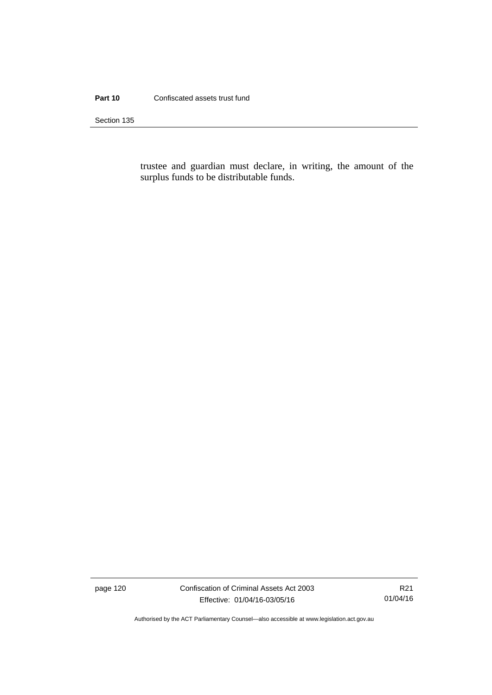#### **Part 10** Confiscated assets trust fund

Section 135

trustee and guardian must declare, in writing, the amount of the surplus funds to be distributable funds.

page 120 Confiscation of Criminal Assets Act 2003 Effective: 01/04/16-03/05/16

R21 01/04/16

Authorised by the ACT Parliamentary Counsel—also accessible at www.legislation.act.gov.au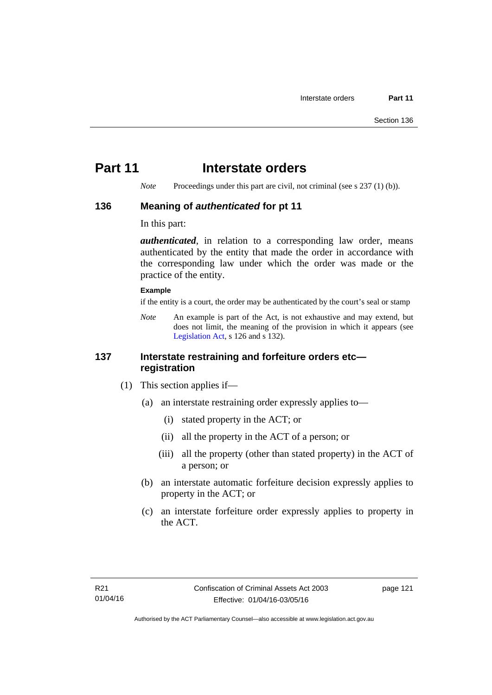# **Part 11** Interstate orders

*Note* Proceedings under this part are civil, not criminal (see s 237 (1) (b)).

#### **136 Meaning of** *authenticated* **for pt 11**

In this part:

*authenticated*, in relation to a corresponding law order, means authenticated by the entity that made the order in accordance with the corresponding law under which the order was made or the practice of the entity.

#### **Example**

if the entity is a court, the order may be authenticated by the court's seal or stamp

*Note* An example is part of the Act, is not exhaustive and may extend, but does not limit, the meaning of the provision in which it appears (see [Legislation Act,](http://www.legislation.act.gov.au/a/2001-14) s 126 and s 132).

### **137 Interstate restraining and forfeiture orders etc registration**

- (1) This section applies if—
	- (a) an interstate restraining order expressly applies to—
		- (i) stated property in the ACT; or
		- (ii) all the property in the ACT of a person; or
		- (iii) all the property (other than stated property) in the ACT of a person; or
	- (b) an interstate automatic forfeiture decision expressly applies to property in the ACT; or
	- (c) an interstate forfeiture order expressly applies to property in the ACT.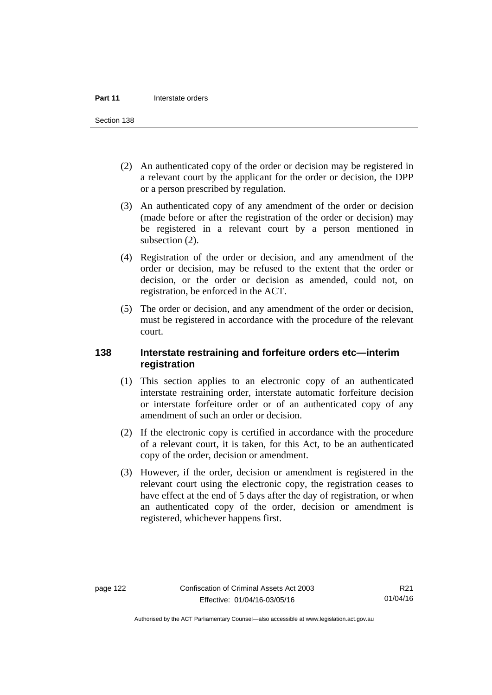Section 138

- (2) An authenticated copy of the order or decision may be registered in a relevant court by the applicant for the order or decision, the DPP or a person prescribed by regulation.
- (3) An authenticated copy of any amendment of the order or decision (made before or after the registration of the order or decision) may be registered in a relevant court by a person mentioned in subsection  $(2)$ .
- (4) Registration of the order or decision, and any amendment of the order or decision, may be refused to the extent that the order or decision, or the order or decision as amended, could not, on registration, be enforced in the ACT.
- (5) The order or decision, and any amendment of the order or decision, must be registered in accordance with the procedure of the relevant court.

### **138 Interstate restraining and forfeiture orders etc—interim registration**

- (1) This section applies to an electronic copy of an authenticated interstate restraining order, interstate automatic forfeiture decision or interstate forfeiture order or of an authenticated copy of any amendment of such an order or decision.
- (2) If the electronic copy is certified in accordance with the procedure of a relevant court, it is taken, for this Act, to be an authenticated copy of the order, decision or amendment.
- (3) However, if the order, decision or amendment is registered in the relevant court using the electronic copy, the registration ceases to have effect at the end of 5 days after the day of registration, or when an authenticated copy of the order, decision or amendment is registered, whichever happens first.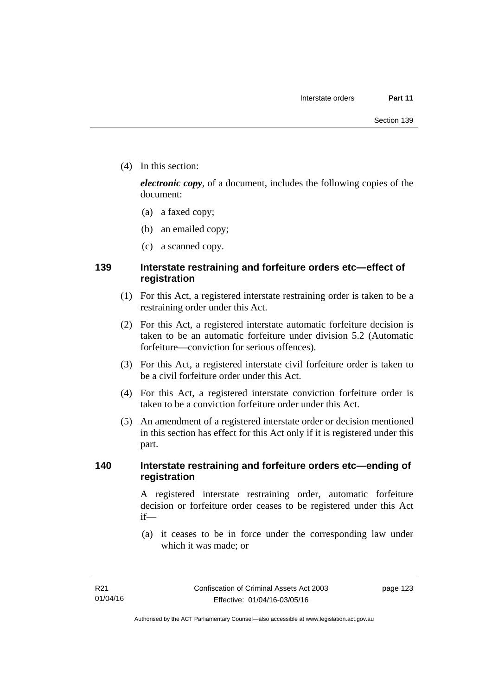(4) In this section:

*electronic copy*, of a document, includes the following copies of the document:

- (a) a faxed copy;
- (b) an emailed copy;
- (c) a scanned copy.

# **139 Interstate restraining and forfeiture orders etc—effect of registration**

- (1) For this Act, a registered interstate restraining order is taken to be a restraining order under this Act.
- (2) For this Act, a registered interstate automatic forfeiture decision is taken to be an automatic forfeiture under division 5.2 (Automatic forfeiture—conviction for serious offences).
- (3) For this Act, a registered interstate civil forfeiture order is taken to be a civil forfeiture order under this Act.
- (4) For this Act, a registered interstate conviction forfeiture order is taken to be a conviction forfeiture order under this Act.
- (5) An amendment of a registered interstate order or decision mentioned in this section has effect for this Act only if it is registered under this part.

### **140 Interstate restraining and forfeiture orders etc—ending of registration**

A registered interstate restraining order, automatic forfeiture decision or forfeiture order ceases to be registered under this Act if—

 (a) it ceases to be in force under the corresponding law under which it was made; or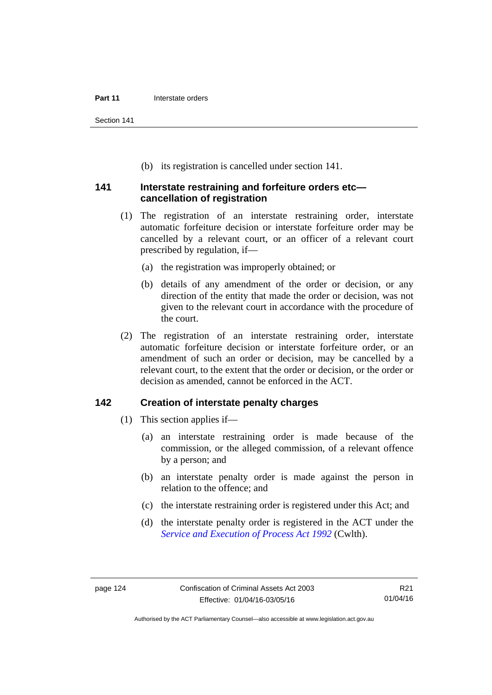Section 141

(b) its registration is cancelled under section 141.

#### **141 Interstate restraining and forfeiture orders etc cancellation of registration**

- (1) The registration of an interstate restraining order, interstate automatic forfeiture decision or interstate forfeiture order may be cancelled by a relevant court, or an officer of a relevant court prescribed by regulation, if—
	- (a) the registration was improperly obtained; or
	- (b) details of any amendment of the order or decision, or any direction of the entity that made the order or decision, was not given to the relevant court in accordance with the procedure of the court.
- (2) The registration of an interstate restraining order, interstate automatic forfeiture decision or interstate forfeiture order, or an amendment of such an order or decision, may be cancelled by a relevant court, to the extent that the order or decision, or the order or decision as amended, cannot be enforced in the ACT.

### **142 Creation of interstate penalty charges**

- (1) This section applies if—
	- (a) an interstate restraining order is made because of the commission, or the alleged commission, of a relevant offence by a person; and
	- (b) an interstate penalty order is made against the person in relation to the offence; and
	- (c) the interstate restraining order is registered under this Act; and
	- (d) the interstate penalty order is registered in the ACT under the *[Service and Execution of Process Act 1992](http://www.comlaw.gov.au/Details/C2011C00436)* (Cwlth).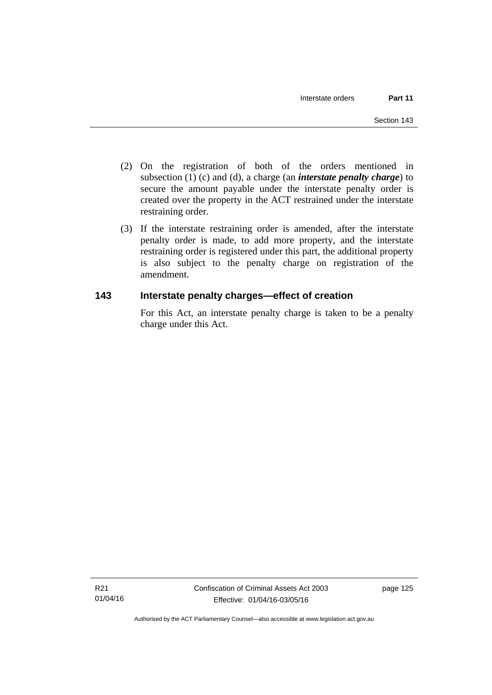- (2) On the registration of both of the orders mentioned in subsection (1) (c) and (d), a charge (an *interstate penalty charge*) to secure the amount payable under the interstate penalty order is created over the property in the ACT restrained under the interstate restraining order.
- (3) If the interstate restraining order is amended, after the interstate penalty order is made, to add more property, and the interstate restraining order is registered under this part, the additional property is also subject to the penalty charge on registration of the amendment.

# **143 Interstate penalty charges—effect of creation**

For this Act, an interstate penalty charge is taken to be a penalty charge under this Act.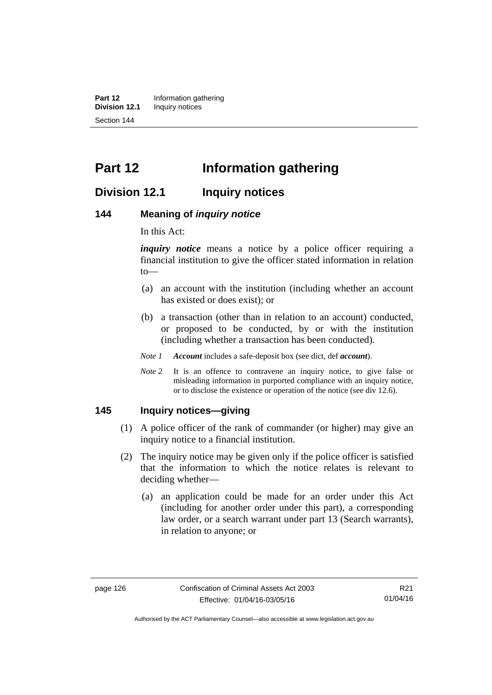**Part 12** Information gathering<br>**Division 12.1** Inquiry notices **Inquiry notices** Section 144

# **Part 12 Information gathering**

# **Division 12.1 Inquiry notices**

#### **144 Meaning of** *inquiry notice*

In this Act:

*inquiry notice* means a notice by a police officer requiring a financial institution to give the officer stated information in relation to—

- (a) an account with the institution (including whether an account has existed or does exist); or
- (b) a transaction (other than in relation to an account) conducted, or proposed to be conducted, by or with the institution (including whether a transaction has been conducted).
- *Note 1 Account* includes a safe-deposit box (see dict, def *account*).
- *Note* 2 It is an offence to contravene an inquiry notice, to give false or misleading information in purported compliance with an inquiry notice, or to disclose the existence or operation of the notice (see div 12.6).

#### **145 Inquiry notices—giving**

- (1) A police officer of the rank of commander (or higher) may give an inquiry notice to a financial institution.
- (2) The inquiry notice may be given only if the police officer is satisfied that the information to which the notice relates is relevant to deciding whether—
	- (a) an application could be made for an order under this Act (including for another order under this part), a corresponding law order, or a search warrant under part 13 (Search warrants), in relation to anyone; or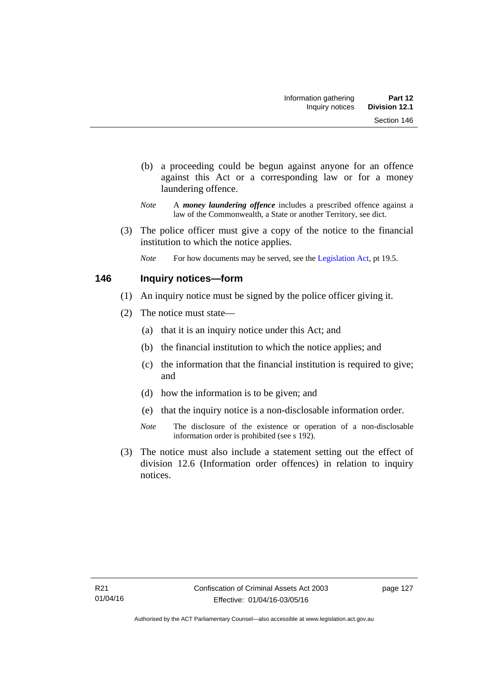- (b) a proceeding could be begun against anyone for an offence against this Act or a corresponding law or for a money laundering offence.
- *Note* A *money laundering offence* includes a prescribed offence against a law of the Commonwealth, a State or another Territory, see dict.
- (3) The police officer must give a copy of the notice to the financial institution to which the notice applies.
	- *Note* For how documents may be served, see the [Legislation Act,](http://www.legislation.act.gov.au/a/2001-14) pt 19.5.

### **146 Inquiry notices—form**

- (1) An inquiry notice must be signed by the police officer giving it.
- (2) The notice must state—
	- (a) that it is an inquiry notice under this Act; and
	- (b) the financial institution to which the notice applies; and
	- (c) the information that the financial institution is required to give; and
	- (d) how the information is to be given; and
	- (e) that the inquiry notice is a non-disclosable information order.
	- *Note* The disclosure of the existence or operation of a non-disclosable information order is prohibited (see s 192).
- (3) The notice must also include a statement setting out the effect of division 12.6 (Information order offences) in relation to inquiry notices.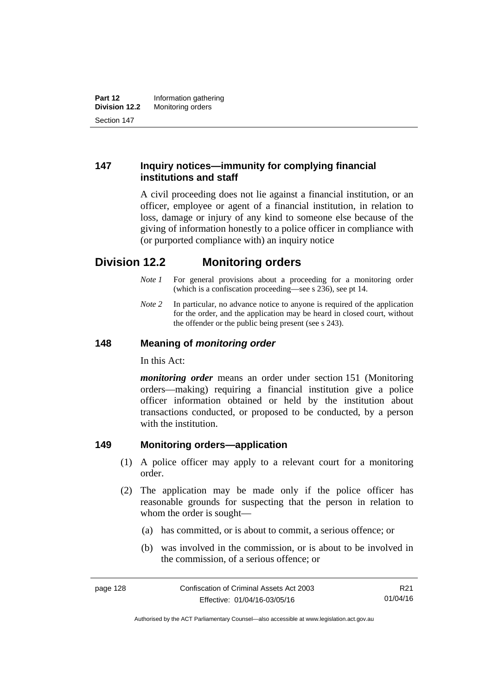# **147 Inquiry notices—immunity for complying financial institutions and staff**

A civil proceeding does not lie against a financial institution, or an officer, employee or agent of a financial institution, in relation to loss, damage or injury of any kind to someone else because of the giving of information honestly to a police officer in compliance with (or purported compliance with) an inquiry notice

# **Division 12.2 Monitoring orders**

- *Note 1* For general provisions about a proceeding for a monitoring order (which is a confiscation proceeding—see s 236), see pt 14.
- *Note 2* In particular, no advance notice to anyone is required of the application for the order, and the application may be heard in closed court, without the offender or the public being present (see s 243).

# **148 Meaning of** *monitoring order*

In this Act:

*monitoring order* means an order under section 151 (Monitoring orders—making) requiring a financial institution give a police officer information obtained or held by the institution about transactions conducted, or proposed to be conducted, by a person with the institution.

# **149 Monitoring orders—application**

- (1) A police officer may apply to a relevant court for a monitoring order.
- (2) The application may be made only if the police officer has reasonable grounds for suspecting that the person in relation to whom the order is sought—
	- (a) has committed, or is about to commit, a serious offence; or
	- (b) was involved in the commission, or is about to be involved in the commission, of a serious offence; or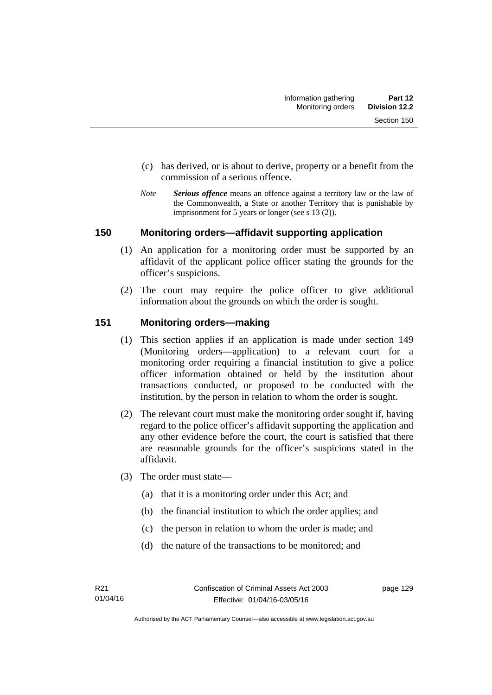- (c) has derived, or is about to derive, property or a benefit from the commission of a serious offence.
- *Note Serious offence* means an offence against a territory law or the law of the Commonwealth, a State or another Territory that is punishable by imprisonment for 5 years or longer (see s 13 (2)).

#### **150 Monitoring orders—affidavit supporting application**

- (1) An application for a monitoring order must be supported by an affidavit of the applicant police officer stating the grounds for the officer's suspicions.
- (2) The court may require the police officer to give additional information about the grounds on which the order is sought.

### **151 Monitoring orders—making**

- (1) This section applies if an application is made under section 149 (Monitoring orders—application) to a relevant court for a monitoring order requiring a financial institution to give a police officer information obtained or held by the institution about transactions conducted, or proposed to be conducted with the institution, by the person in relation to whom the order is sought.
- (2) The relevant court must make the monitoring order sought if, having regard to the police officer's affidavit supporting the application and any other evidence before the court, the court is satisfied that there are reasonable grounds for the officer's suspicions stated in the affidavit.
- (3) The order must state—
	- (a) that it is a monitoring order under this Act; and
	- (b) the financial institution to which the order applies; and
	- (c) the person in relation to whom the order is made; and
	- (d) the nature of the transactions to be monitored; and

page 129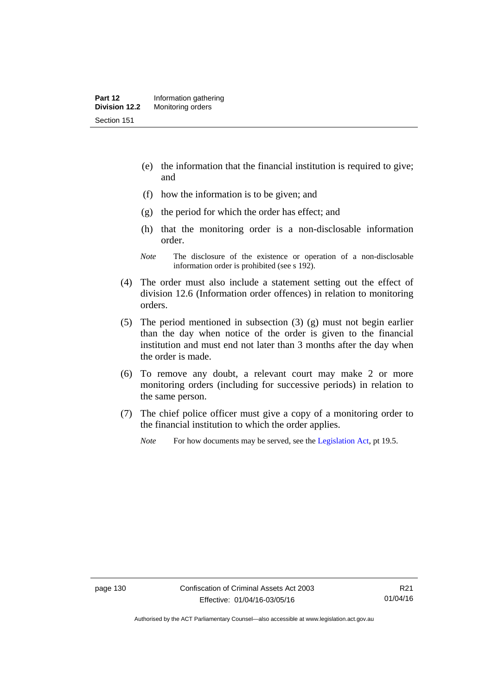- (e) the information that the financial institution is required to give; and
- (f) how the information is to be given; and
- (g) the period for which the order has effect; and
- (h) that the monitoring order is a non-disclosable information order.
- *Note* The disclosure of the existence or operation of a non-disclosable information order is prohibited (see s 192).
- (4) The order must also include a statement setting out the effect of division 12.6 (Information order offences) in relation to monitoring orders.
- (5) The period mentioned in subsection (3) (g) must not begin earlier than the day when notice of the order is given to the financial institution and must end not later than 3 months after the day when the order is made.
- (6) To remove any doubt, a relevant court may make 2 or more monitoring orders (including for successive periods) in relation to the same person.
- (7) The chief police officer must give a copy of a monitoring order to the financial institution to which the order applies.
	- *Note* For how documents may be served, see the [Legislation Act,](http://www.legislation.act.gov.au/a/2001-14) pt 19.5.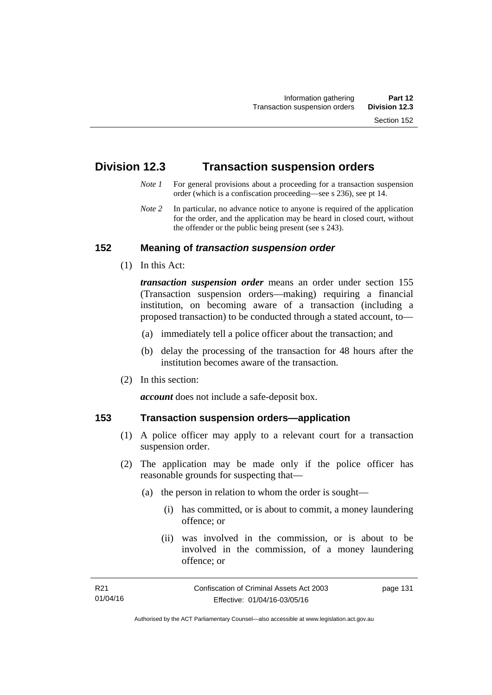# **Division 12.3 Transaction suspension orders**

- *Note 1* For general provisions about a proceeding for a transaction suspension order (which is a confiscation proceeding—see s 236), see pt 14.
- *Note 2* In particular, no advance notice to anyone is required of the application for the order, and the application may be heard in closed court, without the offender or the public being present (see s 243).

### **152 Meaning of** *transaction suspension order*

(1) In this Act:

*transaction suspension order* means an order under section 155 (Transaction suspension orders—making) requiring a financial institution, on becoming aware of a transaction (including a proposed transaction) to be conducted through a stated account, to—

- (a) immediately tell a police officer about the transaction; and
- (b) delay the processing of the transaction for 48 hours after the institution becomes aware of the transaction.
- (2) In this section:

*account* does not include a safe-deposit box.

#### **153 Transaction suspension orders—application**

- (1) A police officer may apply to a relevant court for a transaction suspension order.
- (2) The application may be made only if the police officer has reasonable grounds for suspecting that—
	- (a) the person in relation to whom the order is sought—
		- (i) has committed, or is about to commit, a money laundering offence; or
		- (ii) was involved in the commission, or is about to be involved in the commission, of a money laundering offence; or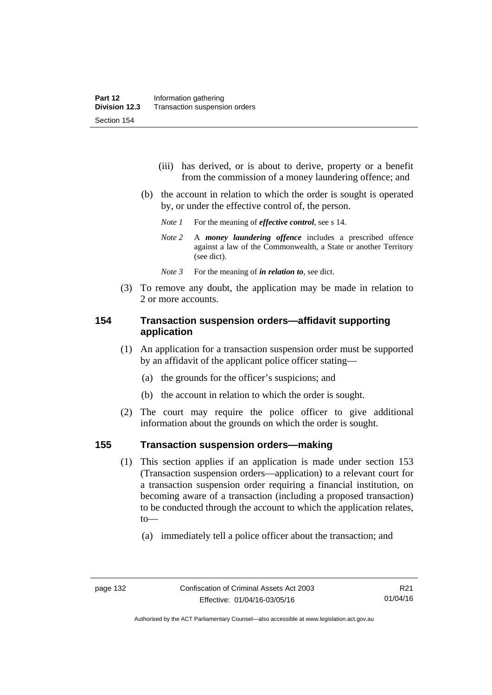- (iii) has derived, or is about to derive, property or a benefit from the commission of a money laundering offence; and
- (b) the account in relation to which the order is sought is operated by, or under the effective control of, the person.
	- *Note 1* For the meaning of *effective control*, see s 14.
	- *Note 2* A *money laundering offence* includes a prescribed offence against a law of the Commonwealth, a State or another Territory (see dict).
	- *Note* 3 For the meaning of *in relation to*, see dict.
- (3) To remove any doubt, the application may be made in relation to 2 or more accounts.

## **154 Transaction suspension orders—affidavit supporting application**

- (1) An application for a transaction suspension order must be supported by an affidavit of the applicant police officer stating—
	- (a) the grounds for the officer's suspicions; and
	- (b) the account in relation to which the order is sought.
- (2) The court may require the police officer to give additional information about the grounds on which the order is sought.

#### **155 Transaction suspension orders—making**

- (1) This section applies if an application is made under section 153 (Transaction suspension orders—application) to a relevant court for a transaction suspension order requiring a financial institution, on becoming aware of a transaction (including a proposed transaction) to be conducted through the account to which the application relates, to—
	- (a) immediately tell a police officer about the transaction; and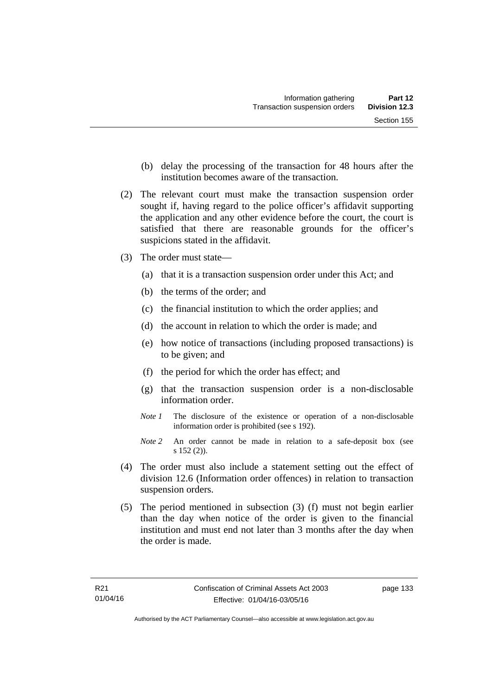- (b) delay the processing of the transaction for 48 hours after the institution becomes aware of the transaction.
- (2) The relevant court must make the transaction suspension order sought if, having regard to the police officer's affidavit supporting the application and any other evidence before the court, the court is satisfied that there are reasonable grounds for the officer's suspicions stated in the affidavit.
- (3) The order must state—
	- (a) that it is a transaction suspension order under this Act; and
	- (b) the terms of the order; and
	- (c) the financial institution to which the order applies; and
	- (d) the account in relation to which the order is made; and
	- (e) how notice of transactions (including proposed transactions) is to be given; and
	- (f) the period for which the order has effect; and
	- (g) that the transaction suspension order is a non-disclosable information order.
	- *Note 1* The disclosure of the existence or operation of a non-disclosable information order is prohibited (see s 192).
	- *Note 2* An order cannot be made in relation to a safe-deposit box (see s 152 (2)).
- (4) The order must also include a statement setting out the effect of division 12.6 (Information order offences) in relation to transaction suspension orders.
- (5) The period mentioned in subsection (3) (f) must not begin earlier than the day when notice of the order is given to the financial institution and must end not later than 3 months after the day when the order is made.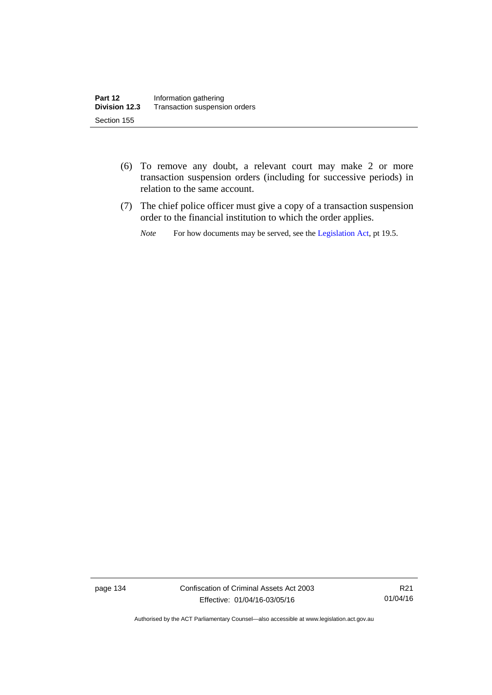- (6) To remove any doubt, a relevant court may make 2 or more transaction suspension orders (including for successive periods) in relation to the same account.
- (7) The chief police officer must give a copy of a transaction suspension order to the financial institution to which the order applies.
	- *Note* For how documents may be served, see the [Legislation Act,](http://www.legislation.act.gov.au/a/2001-14) pt 19.5.

page 134 Confiscation of Criminal Assets Act 2003 Effective: 01/04/16-03/05/16

R21 01/04/16

Authorised by the ACT Parliamentary Counsel—also accessible at www.legislation.act.gov.au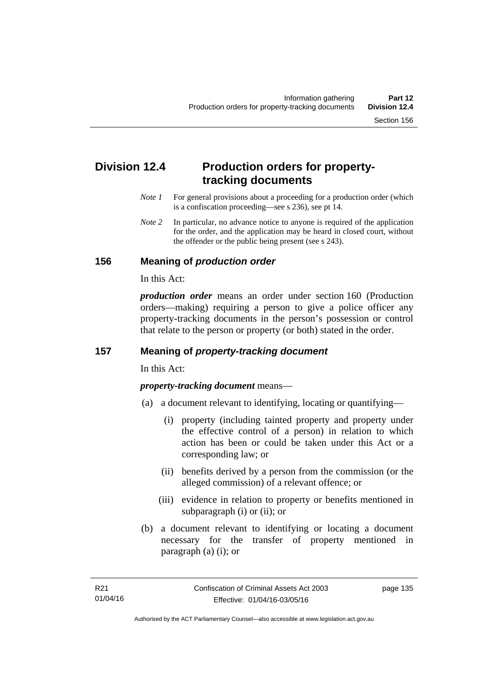# **Division 12.4 Production orders for propertytracking documents**

- *Note 1* For general provisions about a proceeding for a production order (which is a confiscation proceeding—see s 236), see pt 14.
- *Note* 2 In particular, no advance notice to anyone is required of the application for the order, and the application may be heard in closed court, without the offender or the public being present (see s 243).

### **156 Meaning of** *production order*

In this Act:

*production order* means an order under section 160 (Production orders—making) requiring a person to give a police officer any property-tracking documents in the person's possession or control that relate to the person or property (or both) stated in the order.

## **157 Meaning of** *property-tracking document*

In this Act:

*property-tracking document* means—

- (a) a document relevant to identifying, locating or quantifying—
	- (i) property (including tainted property and property under the effective control of a person) in relation to which action has been or could be taken under this Act or a corresponding law; or
	- (ii) benefits derived by a person from the commission (or the alleged commission) of a relevant offence; or
	- (iii) evidence in relation to property or benefits mentioned in subparagraph (i) or (ii); or
- (b) a document relevant to identifying or locating a document necessary for the transfer of property mentioned in paragraph (a) (i); or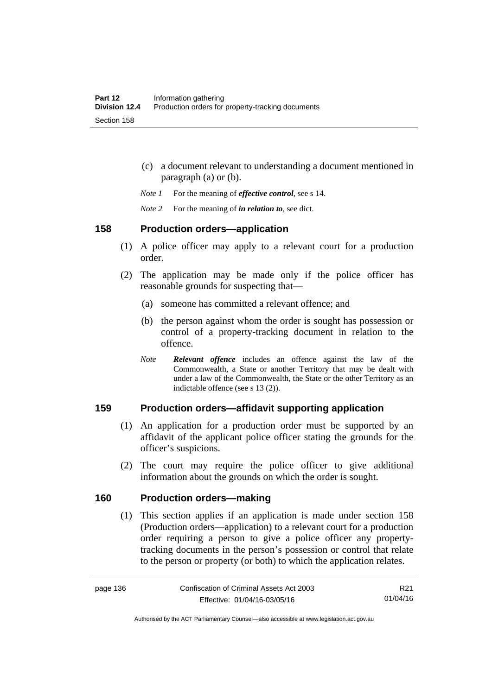- (c) a document relevant to understanding a document mentioned in paragraph (a) or (b).
- *Note 1* For the meaning of *effective control*, see s 14.
- *Note 2* For the meaning of *in relation to*, see dict.

#### **158 Production orders—application**

- (1) A police officer may apply to a relevant court for a production order.
- (2) The application may be made only if the police officer has reasonable grounds for suspecting that—
	- (a) someone has committed a relevant offence; and
	- (b) the person against whom the order is sought has possession or control of a property-tracking document in relation to the offence.
	- *Note Relevant offence* includes an offence against the law of the Commonwealth, a State or another Territory that may be dealt with under a law of the Commonwealth, the State or the other Territory as an indictable offence (see s 13 (2)).

# **159 Production orders—affidavit supporting application**

- (1) An application for a production order must be supported by an affidavit of the applicant police officer stating the grounds for the officer's suspicions.
- (2) The court may require the police officer to give additional information about the grounds on which the order is sought.

## **160 Production orders—making**

(1) This section applies if an application is made under section 158 (Production orders—application) to a relevant court for a production order requiring a person to give a police officer any propertytracking documents in the person's possession or control that relate to the person or property (or both) to which the application relates.

Authorised by the ACT Parliamentary Counsel—also accessible at www.legislation.act.gov.au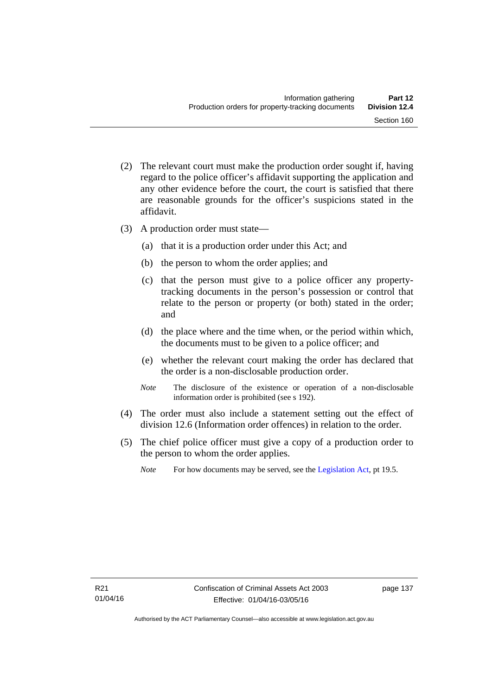- (2) The relevant court must make the production order sought if, having regard to the police officer's affidavit supporting the application and any other evidence before the court, the court is satisfied that there are reasonable grounds for the officer's suspicions stated in the affidavit.
- (3) A production order must state—
	- (a) that it is a production order under this Act; and
	- (b) the person to whom the order applies; and
	- (c) that the person must give to a police officer any propertytracking documents in the person's possession or control that relate to the person or property (or both) stated in the order; and
	- (d) the place where and the time when, or the period within which, the documents must to be given to a police officer; and
	- (e) whether the relevant court making the order has declared that the order is a non-disclosable production order.
	- *Note* The disclosure of the existence or operation of a non-disclosable information order is prohibited (see s 192).
- (4) The order must also include a statement setting out the effect of division 12.6 (Information order offences) in relation to the order.
- (5) The chief police officer must give a copy of a production order to the person to whom the order applies.
	- *Note* For how documents may be served, see the [Legislation Act,](http://www.legislation.act.gov.au/a/2001-14) pt 19.5.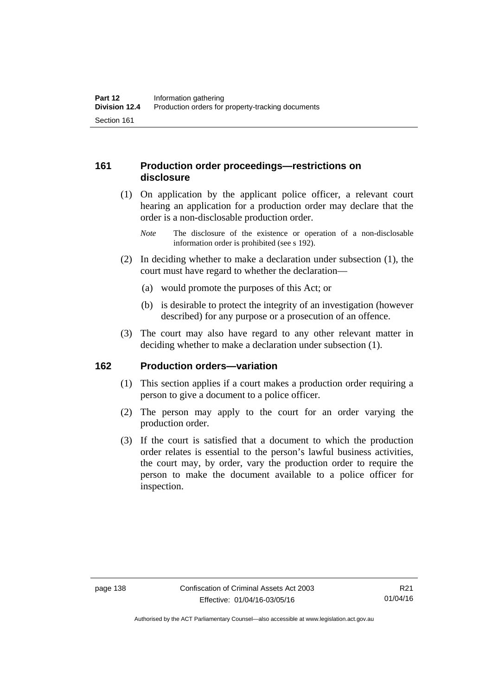# **161 Production order proceedings—restrictions on disclosure**

 (1) On application by the applicant police officer, a relevant court hearing an application for a production order may declare that the order is a non-disclosable production order.

- (2) In deciding whether to make a declaration under subsection (1), the court must have regard to whether the declaration—
	- (a) would promote the purposes of this Act; or
	- (b) is desirable to protect the integrity of an investigation (however described) for any purpose or a prosecution of an offence.
- (3) The court may also have regard to any other relevant matter in deciding whether to make a declaration under subsection (1).

# **162 Production orders—variation**

- (1) This section applies if a court makes a production order requiring a person to give a document to a police officer.
- (2) The person may apply to the court for an order varying the production order.
- (3) If the court is satisfied that a document to which the production order relates is essential to the person's lawful business activities, the court may, by order, vary the production order to require the person to make the document available to a police officer for inspection.

*Note* The disclosure of the existence or operation of a non-disclosable information order is prohibited (see s 192).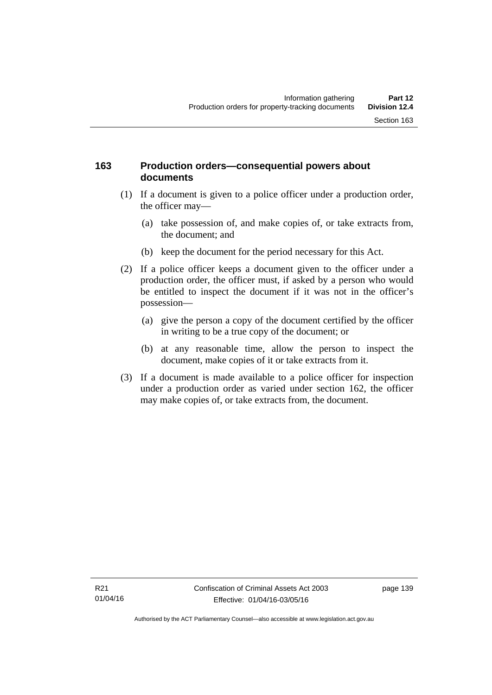## **163 Production orders—consequential powers about documents**

- (1) If a document is given to a police officer under a production order, the officer may—
	- (a) take possession of, and make copies of, or take extracts from, the document; and
	- (b) keep the document for the period necessary for this Act.
- (2) If a police officer keeps a document given to the officer under a production order, the officer must, if asked by a person who would be entitled to inspect the document if it was not in the officer's possession—
	- (a) give the person a copy of the document certified by the officer in writing to be a true copy of the document; or
	- (b) at any reasonable time, allow the person to inspect the document, make copies of it or take extracts from it.
- (3) If a document is made available to a police officer for inspection under a production order as varied under section 162, the officer may make copies of, or take extracts from, the document.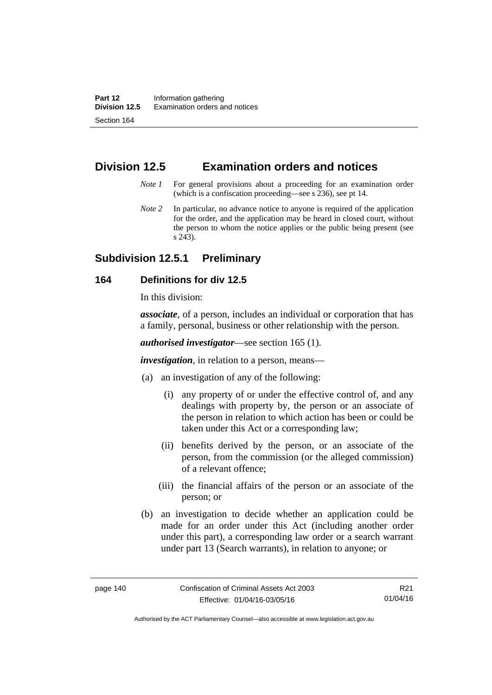# **Division 12.5 Examination orders and notices**

- *Note 1* For general provisions about a proceeding for an examination order (which is a confiscation proceeding—see s 236), see pt 14.
- *Note 2* In particular, no advance notice to anyone is required of the application for the order, and the application may be heard in closed court, without the person to whom the notice applies or the public being present (see s 243).

# **Subdivision 12.5.1 Preliminary**

## **164 Definitions for div 12.5**

In this division:

*associate*, of a person, includes an individual or corporation that has a family, personal, business or other relationship with the person.

*authorised investigator*—see section 165 (1).

*investigation*, in relation to a person, means—

- (a) an investigation of any of the following:
	- (i) any property of or under the effective control of, and any dealings with property by, the person or an associate of the person in relation to which action has been or could be taken under this Act or a corresponding law;
	- (ii) benefits derived by the person, or an associate of the person, from the commission (or the alleged commission) of a relevant offence;
	- (iii) the financial affairs of the person or an associate of the person; or
- (b) an investigation to decide whether an application could be made for an order under this Act (including another order under this part), a corresponding law order or a search warrant under part 13 (Search warrants), in relation to anyone; or

Authorised by the ACT Parliamentary Counsel—also accessible at www.legislation.act.gov.au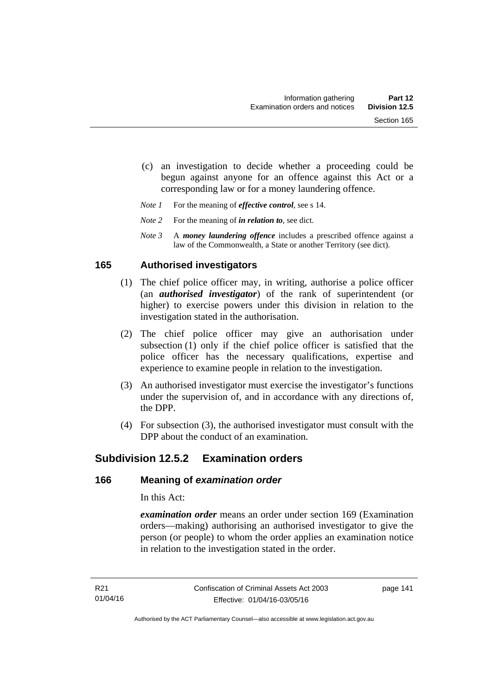- (c) an investigation to decide whether a proceeding could be begun against anyone for an offence against this Act or a corresponding law or for a money laundering offence.
- *Note 1* For the meaning of *effective control*, see s 14.
- *Note* 2 For the meaning of *in relation to*, see dict.
- *Note 3* A *money laundering offence* includes a prescribed offence against a law of the Commonwealth, a State or another Territory (see dict).

### **165 Authorised investigators**

- (1) The chief police officer may, in writing, authorise a police officer (an *authorised investigator*) of the rank of superintendent (or higher) to exercise powers under this division in relation to the investigation stated in the authorisation.
- (2) The chief police officer may give an authorisation under subsection (1) only if the chief police officer is satisfied that the police officer has the necessary qualifications, expertise and experience to examine people in relation to the investigation.
- (3) An authorised investigator must exercise the investigator's functions under the supervision of, and in accordance with any directions of, the DPP.
- (4) For subsection (3), the authorised investigator must consult with the DPP about the conduct of an examination.

# **Subdivision 12.5.2 Examination orders**

#### **166 Meaning of** *examination order*

In this Act:

*examination order* means an order under section 169 (Examination orders—making) authorising an authorised investigator to give the person (or people) to whom the order applies an examination notice in relation to the investigation stated in the order.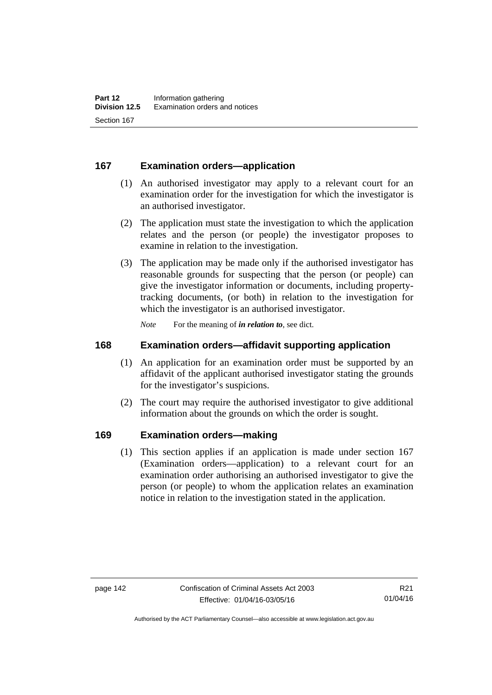## **167 Examination orders—application**

- (1) An authorised investigator may apply to a relevant court for an examination order for the investigation for which the investigator is an authorised investigator.
- (2) The application must state the investigation to which the application relates and the person (or people) the investigator proposes to examine in relation to the investigation.
- (3) The application may be made only if the authorised investigator has reasonable grounds for suspecting that the person (or people) can give the investigator information or documents, including propertytracking documents, (or both) in relation to the investigation for which the investigator is an authorised investigator.

*Note* For the meaning of *in relation to*, see dict.

#### **168 Examination orders—affidavit supporting application**

- (1) An application for an examination order must be supported by an affidavit of the applicant authorised investigator stating the grounds for the investigator's suspicions.
- (2) The court may require the authorised investigator to give additional information about the grounds on which the order is sought.

### **169 Examination orders—making**

(1) This section applies if an application is made under section 167 (Examination orders—application) to a relevant court for an examination order authorising an authorised investigator to give the person (or people) to whom the application relates an examination notice in relation to the investigation stated in the application.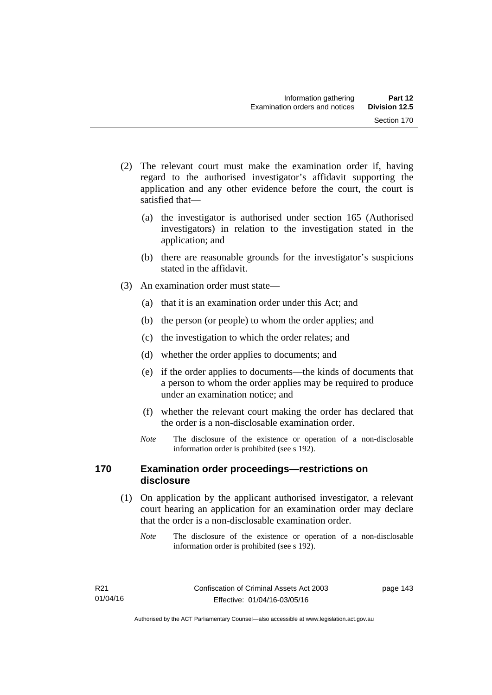- (2) The relevant court must make the examination order if, having regard to the authorised investigator's affidavit supporting the application and any other evidence before the court, the court is satisfied that—
	- (a) the investigator is authorised under section 165 (Authorised investigators) in relation to the investigation stated in the application; and
	- (b) there are reasonable grounds for the investigator's suspicions stated in the affidavit.
- (3) An examination order must state—
	- (a) that it is an examination order under this Act; and
	- (b) the person (or people) to whom the order applies; and
	- (c) the investigation to which the order relates; and
	- (d) whether the order applies to documents; and
	- (e) if the order applies to documents—the kinds of documents that a person to whom the order applies may be required to produce under an examination notice; and
	- (f) whether the relevant court making the order has declared that the order is a non-disclosable examination order.
	- *Note* The disclosure of the existence or operation of a non-disclosable information order is prohibited (see s 192).

## **170 Examination order proceedings—restrictions on disclosure**

- (1) On application by the applicant authorised investigator, a relevant court hearing an application for an examination order may declare that the order is a non-disclosable examination order.
	- *Note* The disclosure of the existence or operation of a non-disclosable information order is prohibited (see s 192).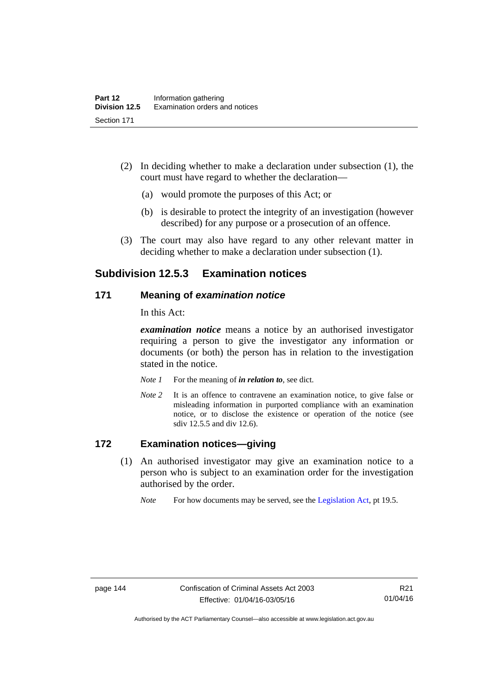- (2) In deciding whether to make a declaration under subsection (1), the court must have regard to whether the declaration—
	- (a) would promote the purposes of this Act; or
	- (b) is desirable to protect the integrity of an investigation (however described) for any purpose or a prosecution of an offence.
- (3) The court may also have regard to any other relevant matter in deciding whether to make a declaration under subsection (1).

# **Subdivision 12.5.3 Examination notices**

#### **171 Meaning of** *examination notice*

In this Act:

*examination notice* means a notice by an authorised investigator requiring a person to give the investigator any information or documents (or both) the person has in relation to the investigation stated in the notice.

- *Note 1* For the meaning of *in relation to*, see dict.
- *Note* 2 It is an offence to contravene an examination notice, to give false or misleading information in purported compliance with an examination notice, or to disclose the existence or operation of the notice (see sdiv 12.5.5 and div 12.6).

## **172 Examination notices—giving**

- (1) An authorised investigator may give an examination notice to a person who is subject to an examination order for the investigation authorised by the order.
	- *Note* For how documents may be served, see the [Legislation Act,](http://www.legislation.act.gov.au/a/2001-14) pt 19.5.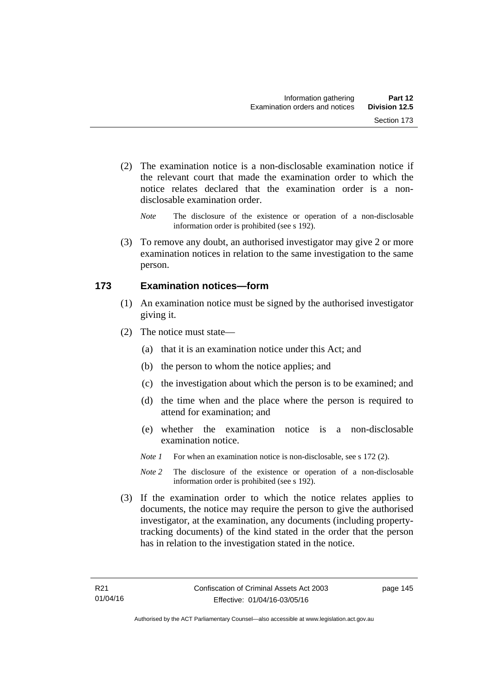- (2) The examination notice is a non-disclosable examination notice if the relevant court that made the examination order to which the notice relates declared that the examination order is a nondisclosable examination order.
	- *Note* The disclosure of the existence or operation of a non-disclosable information order is prohibited (see s 192).
- (3) To remove any doubt, an authorised investigator may give 2 or more examination notices in relation to the same investigation to the same person.

### **173 Examination notices—form**

- (1) An examination notice must be signed by the authorised investigator giving it.
- (2) The notice must state—
	- (a) that it is an examination notice under this Act; and
	- (b) the person to whom the notice applies; and
	- (c) the investigation about which the person is to be examined; and
	- (d) the time when and the place where the person is required to attend for examination; and
	- (e) whether the examination notice is a non-disclosable examination notice.
	- *Note 1* For when an examination notice is non-disclosable, see s 172 (2).
	- *Note* 2 The disclosure of the existence or operation of a non-disclosable information order is prohibited (see s 192).
- (3) If the examination order to which the notice relates applies to documents, the notice may require the person to give the authorised investigator, at the examination, any documents (including propertytracking documents) of the kind stated in the order that the person has in relation to the investigation stated in the notice.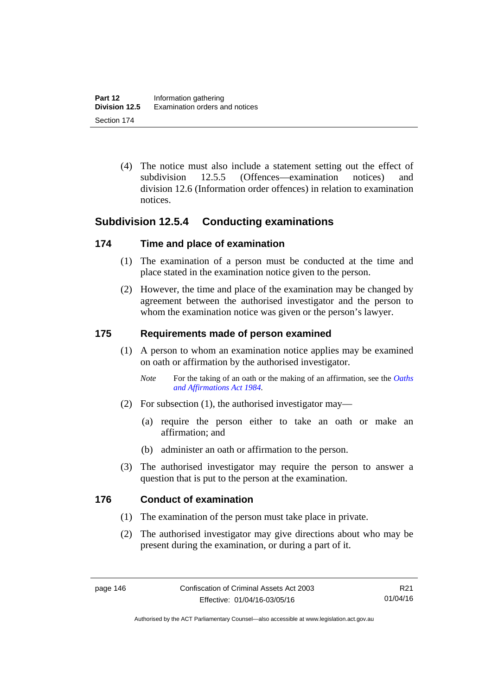(4) The notice must also include a statement setting out the effect of subdivision 12.5.5 (Offences—examination notices) and division 12.6 (Information order offences) in relation to examination notices.

# **Subdivision 12.5.4 Conducting examinations**

### **174 Time and place of examination**

- (1) The examination of a person must be conducted at the time and place stated in the examination notice given to the person.
- (2) However, the time and place of the examination may be changed by agreement between the authorised investigator and the person to whom the examination notice was given or the person's lawyer.

#### **175 Requirements made of person examined**

- (1) A person to whom an examination notice applies may be examined on oath or affirmation by the authorised investigator.
	- *Note* For the taking of an oath or the making of an affirmation, see the *Oaths [and Affirmations Act 1984.](http://www.legislation.act.gov.au/a/1984-79)*
- (2) For subsection (1), the authorised investigator may—
	- (a) require the person either to take an oath or make an affirmation; and
	- (b) administer an oath or affirmation to the person.
- (3) The authorised investigator may require the person to answer a question that is put to the person at the examination.

### **176 Conduct of examination**

- (1) The examination of the person must take place in private.
- (2) The authorised investigator may give directions about who may be present during the examination, or during a part of it.

Authorised by the ACT Parliamentary Counsel—also accessible at www.legislation.act.gov.au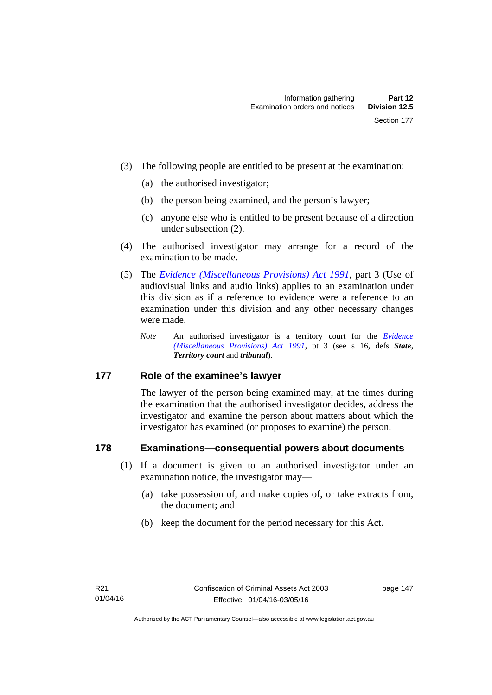- (3) The following people are entitled to be present at the examination:
	- (a) the authorised investigator;
	- (b) the person being examined, and the person's lawyer;
	- (c) anyone else who is entitled to be present because of a direction under subsection (2).
- (4) The authorised investigator may arrange for a record of the examination to be made.
- (5) The *[Evidence \(Miscellaneous Provisions\) Act 1991](http://www.legislation.act.gov.au/a/1991-34)*, part 3 (Use of audiovisual links and audio links) applies to an examination under this division as if a reference to evidence were a reference to an examination under this division and any other necessary changes were made.
	- *Note* An authorised investigator is a territory court for the *[Evidence](http://www.legislation.act.gov.au/a/1991-34)  [\(Miscellaneous Provisions\) Act 1991](http://www.legislation.act.gov.au/a/1991-34)*, pt 3 (see s 16, defs *State*, *Territory court* and *tribunal*).

### **177 Role of the examinee's lawyer**

The lawyer of the person being examined may, at the times during the examination that the authorised investigator decides, address the investigator and examine the person about matters about which the investigator has examined (or proposes to examine) the person.

### **178 Examinations—consequential powers about documents**

- (1) If a document is given to an authorised investigator under an examination notice, the investigator may—
	- (a) take possession of, and make copies of, or take extracts from, the document; and
	- (b) keep the document for the period necessary for this Act.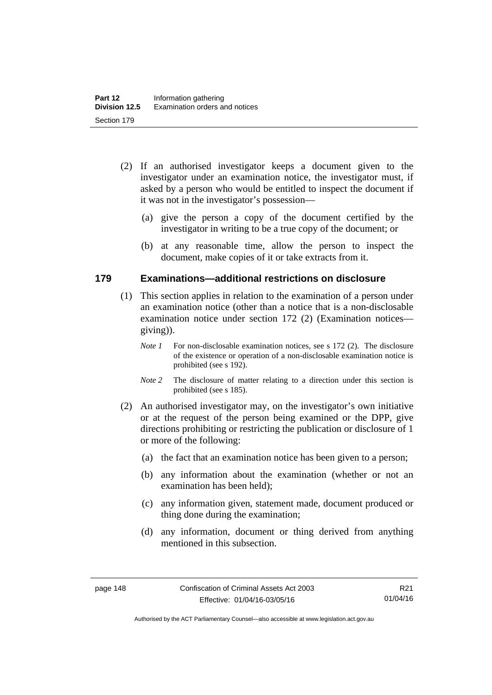- (2) If an authorised investigator keeps a document given to the investigator under an examination notice, the investigator must, if asked by a person who would be entitled to inspect the document if it was not in the investigator's possession—
	- (a) give the person a copy of the document certified by the investigator in writing to be a true copy of the document; or
	- (b) at any reasonable time, allow the person to inspect the document, make copies of it or take extracts from it.

### **179 Examinations—additional restrictions on disclosure**

- (1) This section applies in relation to the examination of a person under an examination notice (other than a notice that is a non-disclosable examination notice under section 172 (2) (Examination notices giving)).
	- *Note 1* For non-disclosable examination notices, see s 172 (2). The disclosure of the existence or operation of a non-disclosable examination notice is prohibited (see s 192).
	- *Note* 2 The disclosure of matter relating to a direction under this section is prohibited (see s 185).
- (2) An authorised investigator may, on the investigator's own initiative or at the request of the person being examined or the DPP, give directions prohibiting or restricting the publication or disclosure of 1 or more of the following:
	- (a) the fact that an examination notice has been given to a person;
	- (b) any information about the examination (whether or not an examination has been held);
	- (c) any information given, statement made, document produced or thing done during the examination;
	- (d) any information, document or thing derived from anything mentioned in this subsection.

Authorised by the ACT Parliamentary Counsel—also accessible at www.legislation.act.gov.au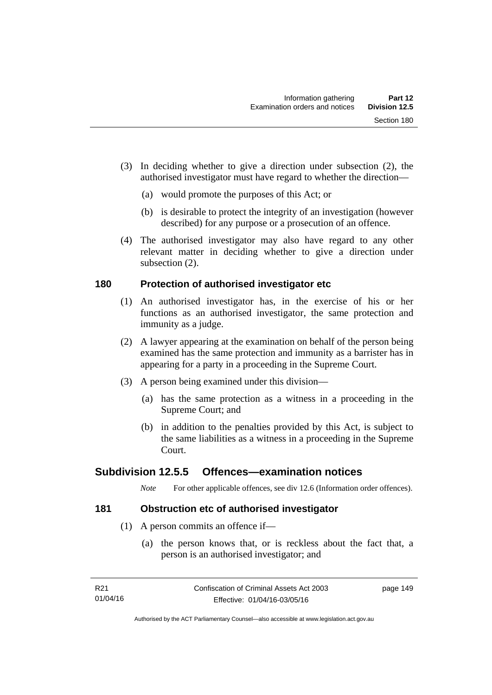- (3) In deciding whether to give a direction under subsection (2), the authorised investigator must have regard to whether the direction—
	- (a) would promote the purposes of this Act; or
	- (b) is desirable to protect the integrity of an investigation (however described) for any purpose or a prosecution of an offence.
- (4) The authorised investigator may also have regard to any other relevant matter in deciding whether to give a direction under subsection (2).

# **180 Protection of authorised investigator etc**

- (1) An authorised investigator has, in the exercise of his or her functions as an authorised investigator, the same protection and immunity as a judge.
- (2) A lawyer appearing at the examination on behalf of the person being examined has the same protection and immunity as a barrister has in appearing for a party in a proceeding in the Supreme Court.
- (3) A person being examined under this division—
	- (a) has the same protection as a witness in a proceeding in the Supreme Court; and
	- (b) in addition to the penalties provided by this Act, is subject to the same liabilities as a witness in a proceeding in the Supreme Court.

# **Subdivision 12.5.5 Offences—examination notices**

*Note* For other applicable offences, see div 12.6 (Information order offences).

# **181 Obstruction etc of authorised investigator**

- (1) A person commits an offence if—
	- (a) the person knows that, or is reckless about the fact that, a person is an authorised investigator; and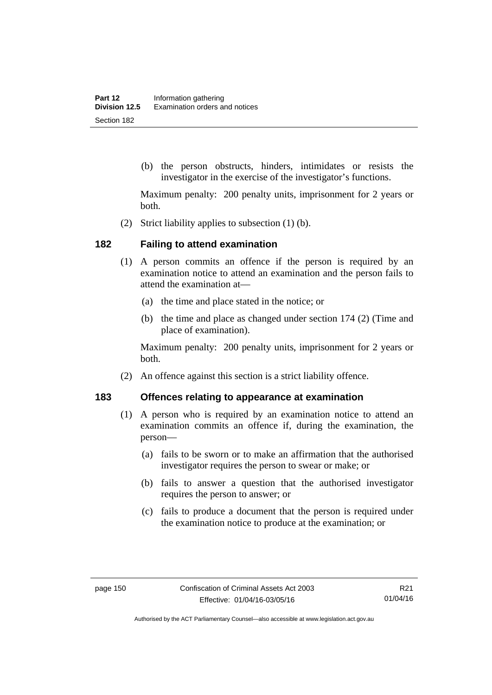(b) the person obstructs, hinders, intimidates or resists the investigator in the exercise of the investigator's functions.

Maximum penalty: 200 penalty units, imprisonment for 2 years or both.

(2) Strict liability applies to subsection (1) (b).

#### **182 Failing to attend examination**

- (1) A person commits an offence if the person is required by an examination notice to attend an examination and the person fails to attend the examination at—
	- (a) the time and place stated in the notice; or
	- (b) the time and place as changed under section 174 (2) (Time and place of examination).

Maximum penalty: 200 penalty units, imprisonment for 2 years or both.

(2) An offence against this section is a strict liability offence.

#### **183 Offences relating to appearance at examination**

- (1) A person who is required by an examination notice to attend an examination commits an offence if, during the examination, the person—
	- (a) fails to be sworn or to make an affirmation that the authorised investigator requires the person to swear or make; or
	- (b) fails to answer a question that the authorised investigator requires the person to answer; or
	- (c) fails to produce a document that the person is required under the examination notice to produce at the examination; or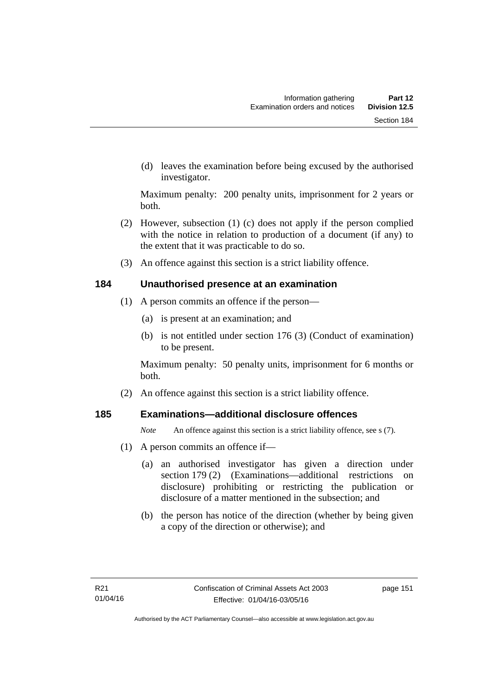(d) leaves the examination before being excused by the authorised investigator.

Maximum penalty: 200 penalty units, imprisonment for 2 years or both.

- (2) However, subsection (1) (c) does not apply if the person complied with the notice in relation to production of a document (if any) to the extent that it was practicable to do so.
- (3) An offence against this section is a strict liability offence.

### **184 Unauthorised presence at an examination**

- (1) A person commits an offence if the person—
	- (a) is present at an examination; and
	- (b) is not entitled under section 176 (3) (Conduct of examination) to be present.

Maximum penalty: 50 penalty units, imprisonment for 6 months or both.

(2) An offence against this section is a strict liability offence.

# **185 Examinations—additional disclosure offences**

*Note* An offence against this section is a strict liability offence, see s (7).

- (1) A person commits an offence if—
	- (a) an authorised investigator has given a direction under section 179 (2) (Examinations—additional restrictions on disclosure) prohibiting or restricting the publication or disclosure of a matter mentioned in the subsection; and
	- (b) the person has notice of the direction (whether by being given a copy of the direction or otherwise); and

page 151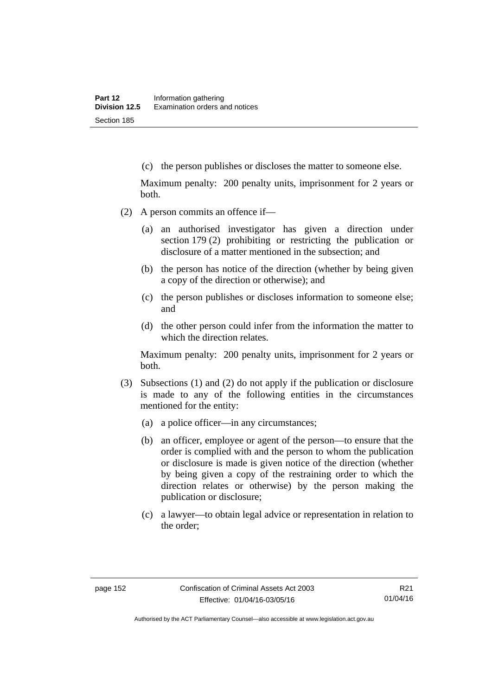(c) the person publishes or discloses the matter to someone else.

Maximum penalty: 200 penalty units, imprisonment for 2 years or both.

- (2) A person commits an offence if—
	- (a) an authorised investigator has given a direction under section 179 (2) prohibiting or restricting the publication or disclosure of a matter mentioned in the subsection; and
	- (b) the person has notice of the direction (whether by being given a copy of the direction or otherwise); and
	- (c) the person publishes or discloses information to someone else; and
	- (d) the other person could infer from the information the matter to which the direction relates.

Maximum penalty: 200 penalty units, imprisonment for 2 years or both.

- (3) Subsections (1) and (2) do not apply if the publication or disclosure is made to any of the following entities in the circumstances mentioned for the entity:
	- (a) a police officer—in any circumstances;
	- (b) an officer, employee or agent of the person—to ensure that the order is complied with and the person to whom the publication or disclosure is made is given notice of the direction (whether by being given a copy of the restraining order to which the direction relates or otherwise) by the person making the publication or disclosure;
	- (c) a lawyer—to obtain legal advice or representation in relation to the order;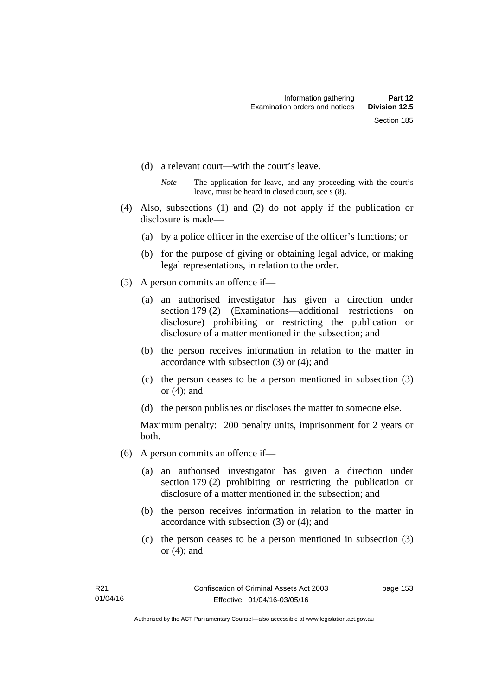- (d) a relevant court—with the court's leave.
	- *Note* The application for leave, and any proceeding with the court's leave, must be heard in closed court, see s (8).
- (4) Also, subsections (1) and (2) do not apply if the publication or disclosure is made—
	- (a) by a police officer in the exercise of the officer's functions; or
	- (b) for the purpose of giving or obtaining legal advice, or making legal representations, in relation to the order.
- (5) A person commits an offence if—
	- (a) an authorised investigator has given a direction under section 179 (2) (Examinations—additional restrictions on disclosure) prohibiting or restricting the publication or disclosure of a matter mentioned in the subsection; and
	- (b) the person receives information in relation to the matter in accordance with subsection (3) or (4); and
	- (c) the person ceases to be a person mentioned in subsection (3) or (4); and
	- (d) the person publishes or discloses the matter to someone else.

Maximum penalty: 200 penalty units, imprisonment for 2 years or both.

- (6) A person commits an offence if—
	- (a) an authorised investigator has given a direction under section 179 (2) prohibiting or restricting the publication or disclosure of a matter mentioned in the subsection; and
	- (b) the person receives information in relation to the matter in accordance with subsection (3) or (4); and
	- (c) the person ceases to be a person mentioned in subsection (3) or (4); and

page 153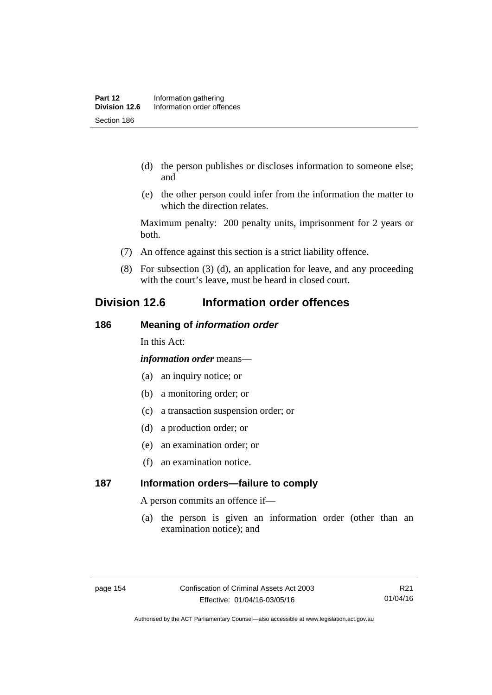- (d) the person publishes or discloses information to someone else; and
- (e) the other person could infer from the information the matter to which the direction relates.

Maximum penalty: 200 penalty units, imprisonment for 2 years or both.

- (7) An offence against this section is a strict liability offence.
- (8) For subsection (3) (d), an application for leave, and any proceeding with the court's leave, must be heard in closed court.

# **Division 12.6 Information order offences**

#### **186 Meaning of** *information order*

In this Act:

*information order* means—

- (a) an inquiry notice; or
- (b) a monitoring order; or
- (c) a transaction suspension order; or
- (d) a production order; or
- (e) an examination order; or
- (f) an examination notice.

# **187 Information orders—failure to comply**

A person commits an offence if—

(a) the person is given an information order (other than an examination notice); and

R21 01/04/16

Authorised by the ACT Parliamentary Counsel—also accessible at www.legislation.act.gov.au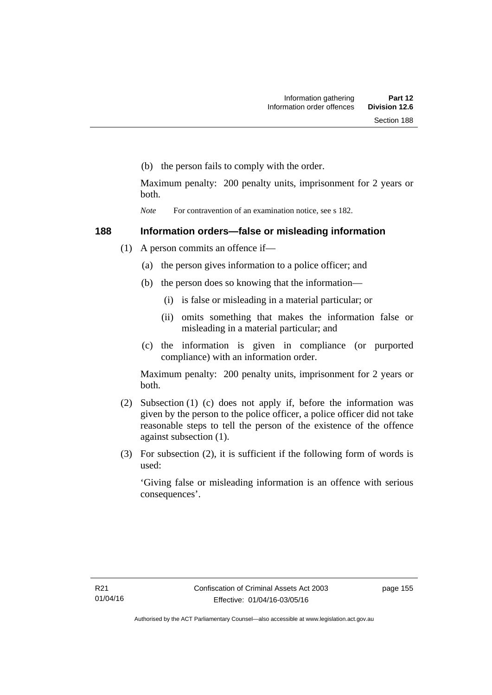(b) the person fails to comply with the order.

Maximum penalty: 200 penalty units, imprisonment for 2 years or both.

*Note* For contravention of an examination notice, see s 182.

# **188 Information orders—false or misleading information**

- (1) A person commits an offence if—
	- (a) the person gives information to a police officer; and
	- (b) the person does so knowing that the information—
		- (i) is false or misleading in a material particular; or
		- (ii) omits something that makes the information false or misleading in a material particular; and
	- (c) the information is given in compliance (or purported compliance) with an information order.

Maximum penalty: 200 penalty units, imprisonment for 2 years or both.

- (2) Subsection (1) (c) does not apply if, before the information was given by the person to the police officer, a police officer did not take reasonable steps to tell the person of the existence of the offence against subsection (1).
- (3) For subsection (2), it is sufficient if the following form of words is used:

'Giving false or misleading information is an offence with serious consequences'.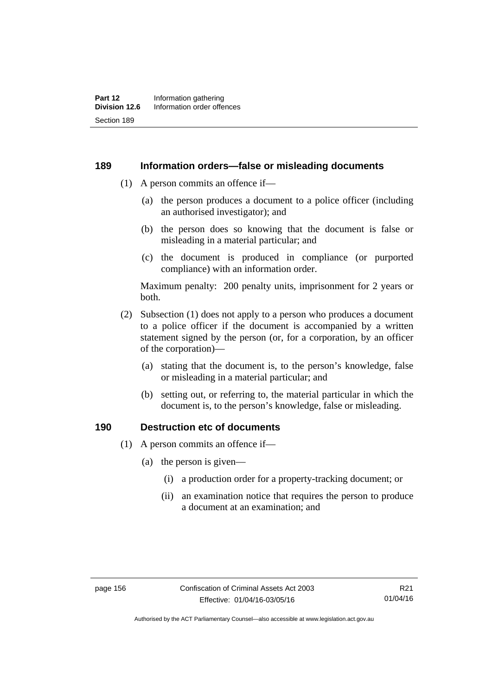#### **189 Information orders—false or misleading documents**

- (1) A person commits an offence if—
	- (a) the person produces a document to a police officer (including an authorised investigator); and
	- (b) the person does so knowing that the document is false or misleading in a material particular; and
	- (c) the document is produced in compliance (or purported compliance) with an information order.

Maximum penalty: 200 penalty units, imprisonment for 2 years or both.

- (2) Subsection (1) does not apply to a person who produces a document to a police officer if the document is accompanied by a written statement signed by the person (or, for a corporation, by an officer of the corporation)—
	- (a) stating that the document is, to the person's knowledge, false or misleading in a material particular; and
	- (b) setting out, or referring to, the material particular in which the document is, to the person's knowledge, false or misleading.

## **190 Destruction etc of documents**

- (1) A person commits an offence if—
	- (a) the person is given—
		- (i) a production order for a property-tracking document; or
		- (ii) an examination notice that requires the person to produce a document at an examination; and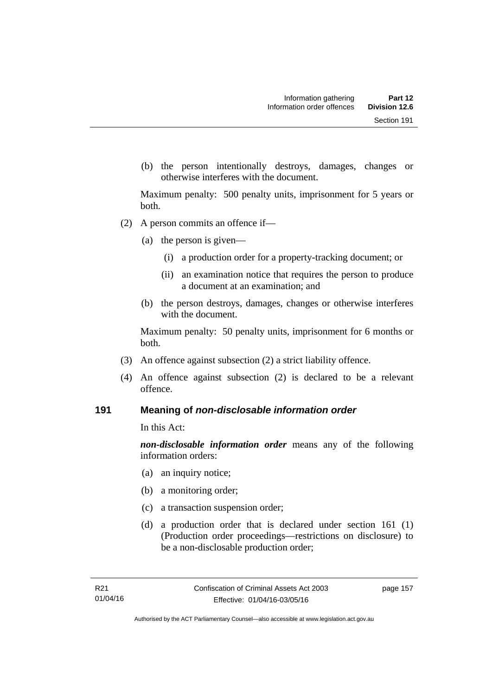(b) the person intentionally destroys, damages, changes or otherwise interferes with the document.

Maximum penalty: 500 penalty units, imprisonment for 5 years or both.

- (2) A person commits an offence if—
	- (a) the person is given—
		- (i) a production order for a property-tracking document; or
		- (ii) an examination notice that requires the person to produce a document at an examination; and
	- (b) the person destroys, damages, changes or otherwise interferes with the document.

Maximum penalty: 50 penalty units, imprisonment for 6 months or both.

- (3) An offence against subsection (2) a strict liability offence.
- (4) An offence against subsection (2) is declared to be a relevant offence.

#### **191 Meaning of** *non-disclosable information order*

In this Act:

*non-disclosable information order* means any of the following information orders:

- (a) an inquiry notice;
- (b) a monitoring order;
- (c) a transaction suspension order;
- (d) a production order that is declared under section 161 (1) (Production order proceedings—restrictions on disclosure) to be a non-disclosable production order;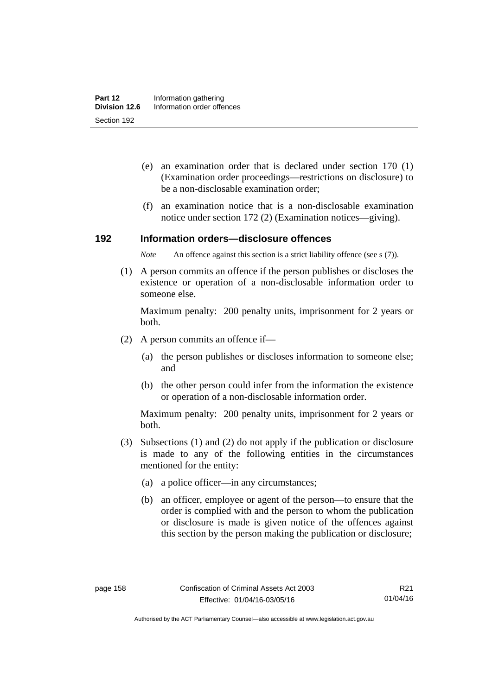- (e) an examination order that is declared under section 170 (1) (Examination order proceedings—restrictions on disclosure) to be a non-disclosable examination order;
- (f) an examination notice that is a non-disclosable examination notice under section 172 (2) (Examination notices—giving).

#### **192 Information orders—disclosure offences**

*Note* An offence against this section is a strict liability offence (see s (7)).

 (1) A person commits an offence if the person publishes or discloses the existence or operation of a non-disclosable information order to someone else.

Maximum penalty: 200 penalty units, imprisonment for 2 years or both.

- (2) A person commits an offence if—
	- (a) the person publishes or discloses information to someone else; and
	- (b) the other person could infer from the information the existence or operation of a non-disclosable information order.

Maximum penalty: 200 penalty units, imprisonment for 2 years or both.

- (3) Subsections (1) and (2) do not apply if the publication or disclosure is made to any of the following entities in the circumstances mentioned for the entity:
	- (a) a police officer—in any circumstances;
	- (b) an officer, employee or agent of the person—to ensure that the order is complied with and the person to whom the publication or disclosure is made is given notice of the offences against this section by the person making the publication or disclosure;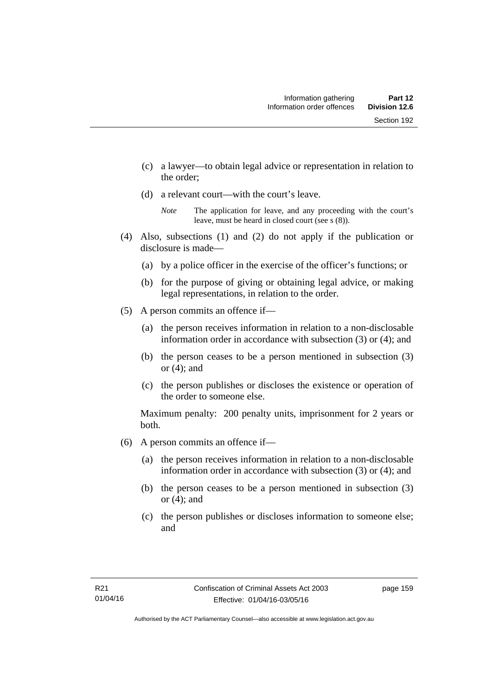- (c) a lawyer—to obtain legal advice or representation in relation to the order;
- (d) a relevant court—with the court's leave.

- (4) Also, subsections (1) and (2) do not apply if the publication or disclosure is made—
	- (a) by a police officer in the exercise of the officer's functions; or
	- (b) for the purpose of giving or obtaining legal advice, or making legal representations, in relation to the order.
- (5) A person commits an offence if—
	- (a) the person receives information in relation to a non-disclosable information order in accordance with subsection (3) or (4); and
	- (b) the person ceases to be a person mentioned in subsection (3) or  $(4)$ ; and
	- (c) the person publishes or discloses the existence or operation of the order to someone else.

Maximum penalty: 200 penalty units, imprisonment for 2 years or both.

- (6) A person commits an offence if—
	- (a) the person receives information in relation to a non-disclosable information order in accordance with subsection (3) or (4); and
	- (b) the person ceases to be a person mentioned in subsection (3) or  $(4)$ ; and
	- (c) the person publishes or discloses information to someone else; and

*Note* The application for leave, and any proceeding with the court's leave, must be heard in closed court (see s (8)).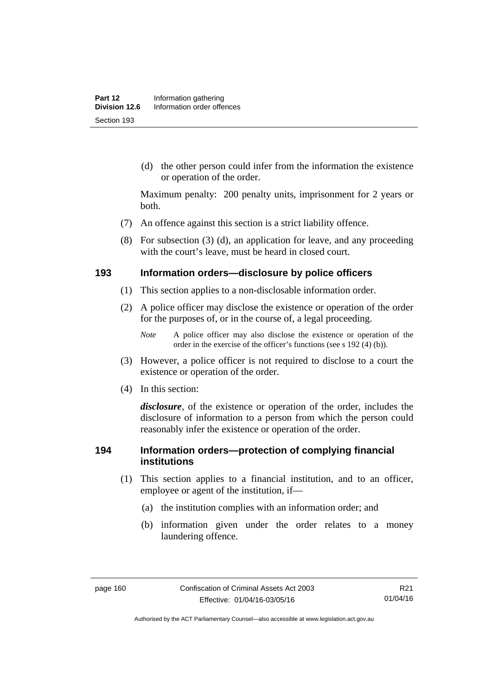(d) the other person could infer from the information the existence or operation of the order.

Maximum penalty: 200 penalty units, imprisonment for 2 years or both.

- (7) An offence against this section is a strict liability offence.
- (8) For subsection (3) (d), an application for leave, and any proceeding with the court's leave, must be heard in closed court.

#### **193 Information orders—disclosure by police officers**

- (1) This section applies to a non-disclosable information order.
- (2) A police officer may disclose the existence or operation of the order for the purposes of, or in the course of, a legal proceeding.

- (3) However, a police officer is not required to disclose to a court the existence or operation of the order.
- (4) In this section:

*disclosure*, of the existence or operation of the order, includes the disclosure of information to a person from which the person could reasonably infer the existence or operation of the order.

## **194 Information orders—protection of complying financial institutions**

- (1) This section applies to a financial institution, and to an officer, employee or agent of the institution, if—
	- (a) the institution complies with an information order; and
	- (b) information given under the order relates to a money laundering offence.

*Note* A police officer may also disclose the existence or operation of the order in the exercise of the officer's functions (see s 192 (4) (b)).

Authorised by the ACT Parliamentary Counsel—also accessible at www.legislation.act.gov.au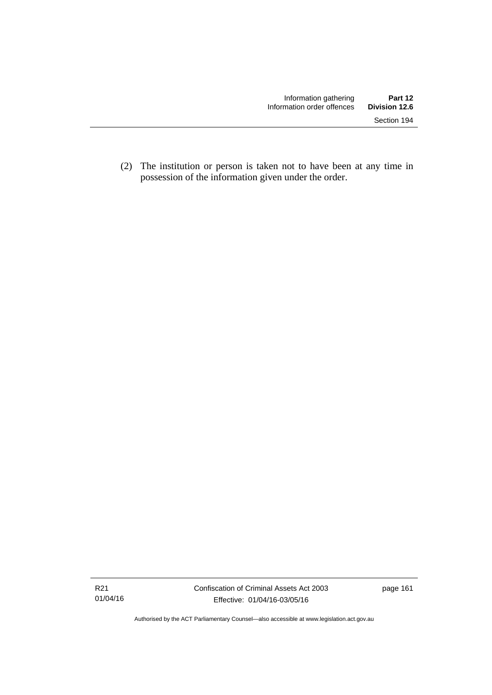(2) The institution or person is taken not to have been at any time in possession of the information given under the order.

Authorised by the ACT Parliamentary Counsel—also accessible at www.legislation.act.gov.au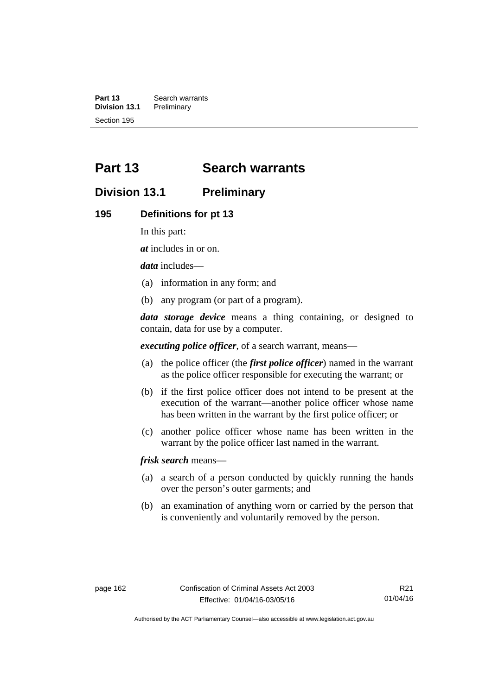**Part 13 Search warrants**<br>**Division 13.1 Preliminary Division 13.1** Section 195

# **Part 13 Search warrants**

# **Division 13.1 Preliminary**

#### **195 Definitions for pt 13**

In this part:

*at* includes in or on.

*data* includes—

- (a) information in any form; and
- (b) any program (or part of a program).

*data storage device* means a thing containing, or designed to contain, data for use by a computer.

*executing police officer*, of a search warrant, means—

- (a) the police officer (the *first police officer*) named in the warrant as the police officer responsible for executing the warrant; or
- (b) if the first police officer does not intend to be present at the execution of the warrant—another police officer whose name has been written in the warrant by the first police officer; or
- (c) another police officer whose name has been written in the warrant by the police officer last named in the warrant.

*frisk search* means—

- (a) a search of a person conducted by quickly running the hands over the person's outer garments; and
- (b) an examination of anything worn or carried by the person that is conveniently and voluntarily removed by the person.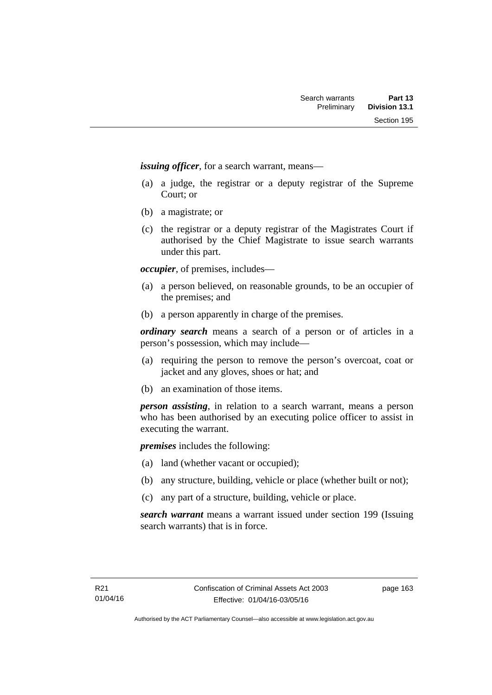*issuing officer*, for a search warrant, means—

- (a) a judge, the registrar or a deputy registrar of the Supreme Court; or
- (b) a magistrate; or
- (c) the registrar or a deputy registrar of the Magistrates Court if authorised by the Chief Magistrate to issue search warrants under this part.

*occupier*, of premises, includes—

- (a) a person believed, on reasonable grounds, to be an occupier of the premises; and
- (b) a person apparently in charge of the premises.

*ordinary search* means a search of a person or of articles in a person's possession, which may include—

- (a) requiring the person to remove the person's overcoat, coat or jacket and any gloves, shoes or hat; and
- (b) an examination of those items.

*person assisting*, in relation to a search warrant, means a person who has been authorised by an executing police officer to assist in executing the warrant.

*premises* includes the following:

- (a) land (whether vacant or occupied);
- (b) any structure, building, vehicle or place (whether built or not);
- (c) any part of a structure, building, vehicle or place.

*search warrant* means a warrant issued under section 199 (Issuing search warrants) that is in force.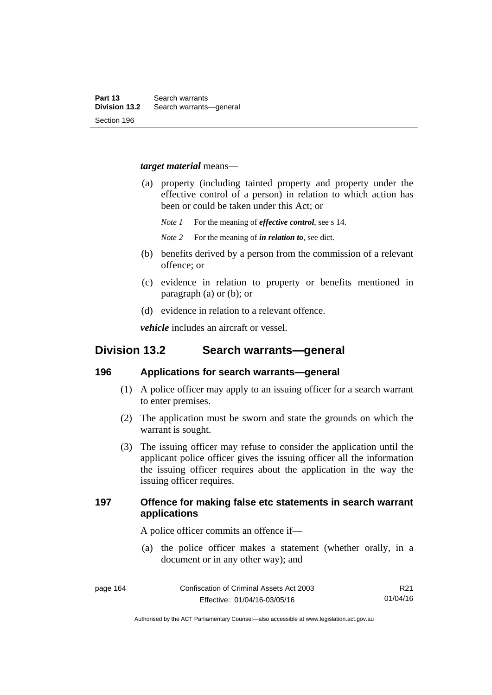#### *target material* means—

- (a) property (including tainted property and property under the effective control of a person) in relation to which action has been or could be taken under this Act; or
	- *Note 1* For the meaning of *effective control*, see s 14.
	- *Note 2* For the meaning of *in relation to*, see dict.
- (b) benefits derived by a person from the commission of a relevant offence; or
- (c) evidence in relation to property or benefits mentioned in paragraph (a) or (b); or
- (d) evidence in relation to a relevant offence.

*vehicle* includes an aircraft or vessel.

# **Division 13.2 Search warrants—general**

#### **196 Applications for search warrants—general**

- (1) A police officer may apply to an issuing officer for a search warrant to enter premises.
- (2) The application must be sworn and state the grounds on which the warrant is sought.
- (3) The issuing officer may refuse to consider the application until the applicant police officer gives the issuing officer all the information the issuing officer requires about the application in the way the issuing officer requires.

## **197 Offence for making false etc statements in search warrant applications**

A police officer commits an offence if—

 (a) the police officer makes a statement (whether orally, in a document or in any other way); and

R21 01/04/16

Authorised by the ACT Parliamentary Counsel—also accessible at www.legislation.act.gov.au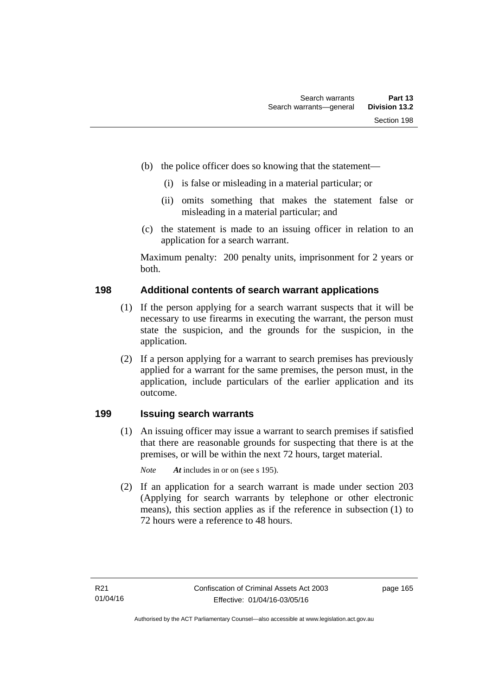- (b) the police officer does so knowing that the statement—
	- (i) is false or misleading in a material particular; or
	- (ii) omits something that makes the statement false or misleading in a material particular; and
- (c) the statement is made to an issuing officer in relation to an application for a search warrant.

Maximum penalty: 200 penalty units, imprisonment for 2 years or both.

### **198 Additional contents of search warrant applications**

- (1) If the person applying for a search warrant suspects that it will be necessary to use firearms in executing the warrant, the person must state the suspicion, and the grounds for the suspicion, in the application.
- (2) If a person applying for a warrant to search premises has previously applied for a warrant for the same premises, the person must, in the application, include particulars of the earlier application and its outcome.

## **199 Issuing search warrants**

(1) An issuing officer may issue a warrant to search premises if satisfied that there are reasonable grounds for suspecting that there is at the premises, or will be within the next 72 hours, target material.

*Note At* includes in or on (see s 195).

 (2) If an application for a search warrant is made under section 203 (Applying for search warrants by telephone or other electronic means), this section applies as if the reference in subsection (1) to 72 hours were a reference to 48 hours.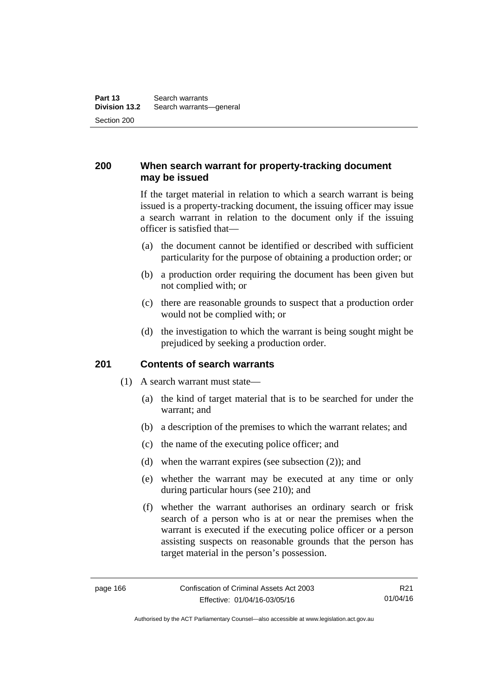# **200 When search warrant for property-tracking document may be issued**

If the target material in relation to which a search warrant is being issued is a property-tracking document, the issuing officer may issue a search warrant in relation to the document only if the issuing officer is satisfied that—

- (a) the document cannot be identified or described with sufficient particularity for the purpose of obtaining a production order; or
- (b) a production order requiring the document has been given but not complied with; or
- (c) there are reasonable grounds to suspect that a production order would not be complied with; or
- (d) the investigation to which the warrant is being sought might be prejudiced by seeking a production order.

### **201 Contents of search warrants**

- (1) A search warrant must state—
	- (a) the kind of target material that is to be searched for under the warrant; and
	- (b) a description of the premises to which the warrant relates; and
	- (c) the name of the executing police officer; and
	- (d) when the warrant expires (see subsection (2)); and
	- (e) whether the warrant may be executed at any time or only during particular hours (see 210); and
	- (f) whether the warrant authorises an ordinary search or frisk search of a person who is at or near the premises when the warrant is executed if the executing police officer or a person assisting suspects on reasonable grounds that the person has target material in the person's possession.

Authorised by the ACT Parliamentary Counsel—also accessible at www.legislation.act.gov.au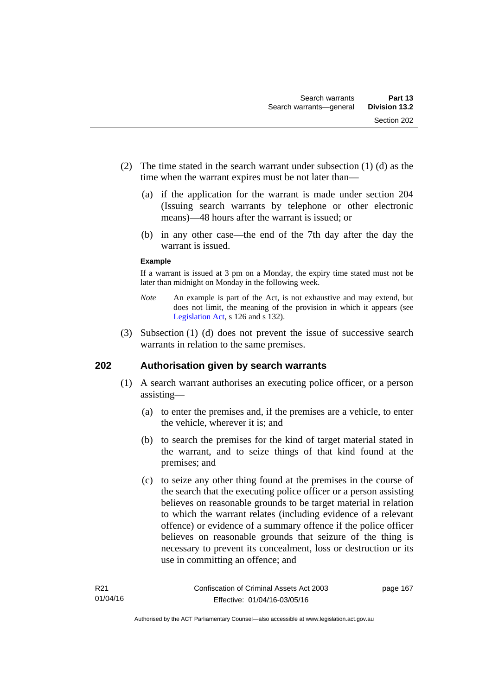- (2) The time stated in the search warrant under subsection (1) (d) as the time when the warrant expires must be not later than—
	- (a) if the application for the warrant is made under section 204 (Issuing search warrants by telephone or other electronic means)—48 hours after the warrant is issued; or
	- (b) in any other case—the end of the 7th day after the day the warrant is issued.

#### **Example**

If a warrant is issued at 3 pm on a Monday, the expiry time stated must not be later than midnight on Monday in the following week.

- *Note* An example is part of the Act, is not exhaustive and may extend, but does not limit, the meaning of the provision in which it appears (see [Legislation Act,](http://www.legislation.act.gov.au/a/2001-14) s 126 and s 132).
- (3) Subsection (1) (d) does not prevent the issue of successive search warrants in relation to the same premises.

## **202 Authorisation given by search warrants**

- (1) A search warrant authorises an executing police officer, or a person assisting—
	- (a) to enter the premises and, if the premises are a vehicle, to enter the vehicle, wherever it is; and
	- (b) to search the premises for the kind of target material stated in the warrant, and to seize things of that kind found at the premises; and
	- (c) to seize any other thing found at the premises in the course of the search that the executing police officer or a person assisting believes on reasonable grounds to be target material in relation to which the warrant relates (including evidence of a relevant offence) or evidence of a summary offence if the police officer believes on reasonable grounds that seizure of the thing is necessary to prevent its concealment, loss or destruction or its use in committing an offence; and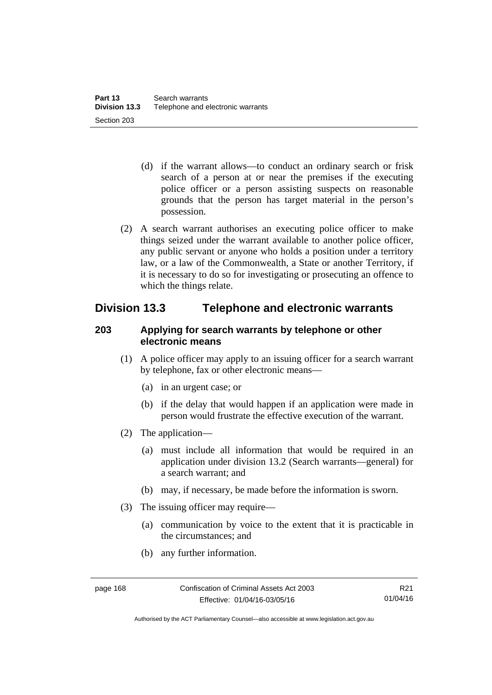- (d) if the warrant allows—to conduct an ordinary search or frisk search of a person at or near the premises if the executing police officer or a person assisting suspects on reasonable grounds that the person has target material in the person's possession.
- (2) A search warrant authorises an executing police officer to make things seized under the warrant available to another police officer, any public servant or anyone who holds a position under a territory law, or a law of the Commonwealth, a State or another Territory, if it is necessary to do so for investigating or prosecuting an offence to which the things relate.

# **Division 13.3 Telephone and electronic warrants**

### **203 Applying for search warrants by telephone or other electronic means**

- (1) A police officer may apply to an issuing officer for a search warrant by telephone, fax or other electronic means—
	- (a) in an urgent case; or
	- (b) if the delay that would happen if an application were made in person would frustrate the effective execution of the warrant.
- (2) The application—
	- (a) must include all information that would be required in an application under division 13.2 (Search warrants—general) for a search warrant; and
	- (b) may, if necessary, be made before the information is sworn.
- (3) The issuing officer may require—
	- (a) communication by voice to the extent that it is practicable in the circumstances; and
	- (b) any further information.

Authorised by the ACT Parliamentary Counsel—also accessible at www.legislation.act.gov.au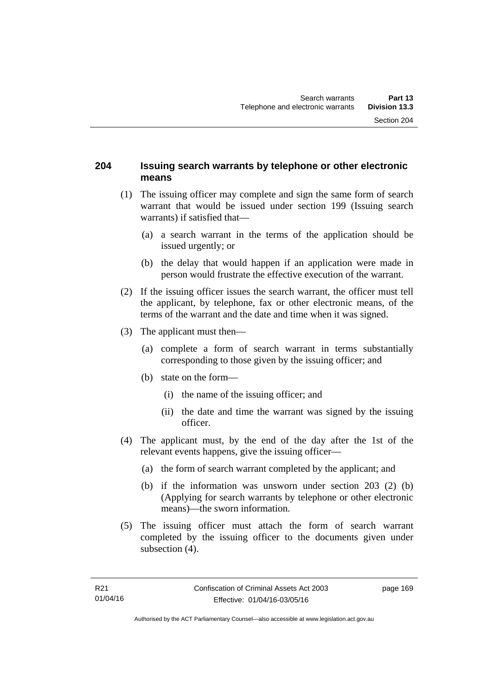### **204 Issuing search warrants by telephone or other electronic means**

- (1) The issuing officer may complete and sign the same form of search warrant that would be issued under section 199 (Issuing search warrants) if satisfied that—
	- (a) a search warrant in the terms of the application should be issued urgently; or
	- (b) the delay that would happen if an application were made in person would frustrate the effective execution of the warrant.
- (2) If the issuing officer issues the search warrant, the officer must tell the applicant, by telephone, fax or other electronic means, of the terms of the warrant and the date and time when it was signed.
- (3) The applicant must then—
	- (a) complete a form of search warrant in terms substantially corresponding to those given by the issuing officer; and
	- (b) state on the form—
		- (i) the name of the issuing officer; and
		- (ii) the date and time the warrant was signed by the issuing officer.
- (4) The applicant must, by the end of the day after the 1st of the relevant events happens, give the issuing officer—
	- (a) the form of search warrant completed by the applicant; and
	- (b) if the information was unsworn under section 203 (2) (b) (Applying for search warrants by telephone or other electronic means)—the sworn information.
- (5) The issuing officer must attach the form of search warrant completed by the issuing officer to the documents given under subsection  $(4)$ .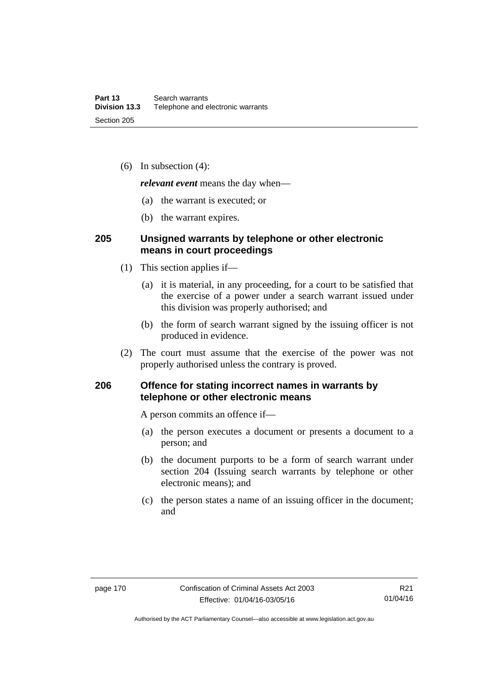(6) In subsection (4):

*relevant event* means the day when—

- (a) the warrant is executed; or
- (b) the warrant expires.

#### **205 Unsigned warrants by telephone or other electronic means in court proceedings**

- (1) This section applies if—
	- (a) it is material, in any proceeding, for a court to be satisfied that the exercise of a power under a search warrant issued under this division was properly authorised; and
	- (b) the form of search warrant signed by the issuing officer is not produced in evidence.
- (2) The court must assume that the exercise of the power was not properly authorised unless the contrary is proved.

### **206 Offence for stating incorrect names in warrants by telephone or other electronic means**

A person commits an offence if—

- (a) the person executes a document or presents a document to a person; and
- (b) the document purports to be a form of search warrant under section 204 (Issuing search warrants by telephone or other electronic means); and
- (c) the person states a name of an issuing officer in the document; and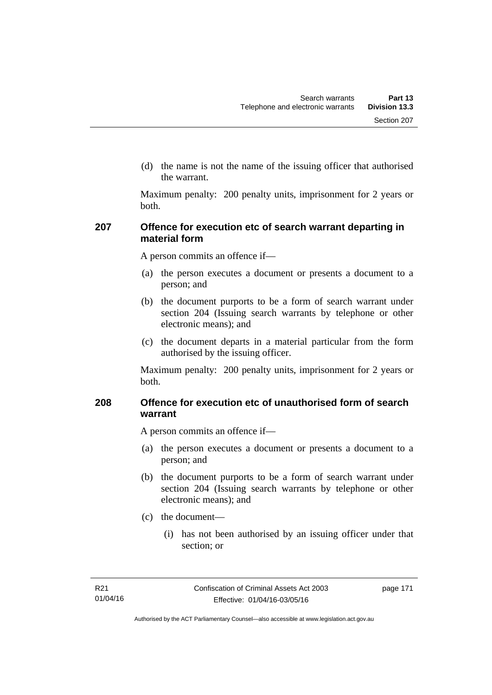(d) the name is not the name of the issuing officer that authorised the warrant.

Maximum penalty: 200 penalty units, imprisonment for 2 years or both.

### **207 Offence for execution etc of search warrant departing in material form**

A person commits an offence if—

- (a) the person executes a document or presents a document to a person; and
- (b) the document purports to be a form of search warrant under section 204 (Issuing search warrants by telephone or other electronic means); and
- (c) the document departs in a material particular from the form authorised by the issuing officer.

Maximum penalty: 200 penalty units, imprisonment for 2 years or both.

## **208 Offence for execution etc of unauthorised form of search warrant**

A person commits an offence if—

- (a) the person executes a document or presents a document to a person; and
- (b) the document purports to be a form of search warrant under section 204 (Issuing search warrants by telephone or other electronic means); and
- (c) the document—
	- (i) has not been authorised by an issuing officer under that section; or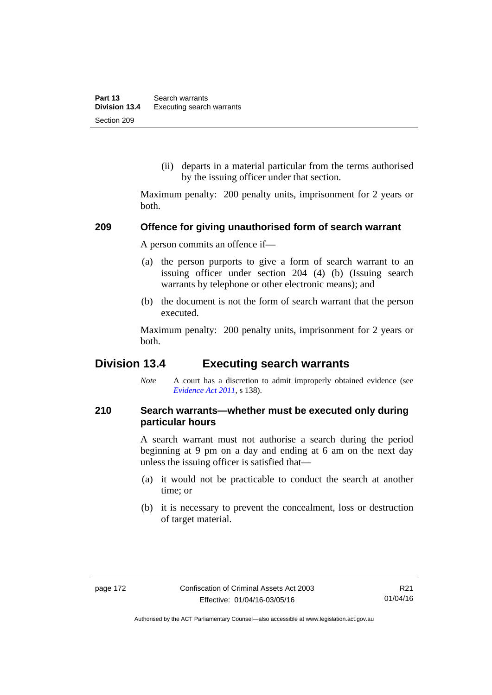(ii) departs in a material particular from the terms authorised by the issuing officer under that section.

Maximum penalty: 200 penalty units, imprisonment for 2 years or both.

#### **209 Offence for giving unauthorised form of search warrant**

A person commits an offence if—

- (a) the person purports to give a form of search warrant to an issuing officer under section 204 (4) (b) (Issuing search warrants by telephone or other electronic means); and
- (b) the document is not the form of search warrant that the person executed.

Maximum penalty: 200 penalty units, imprisonment for 2 years or both.

# **Division 13.4 Executing search warrants**

*Note* A court has a discretion to admit improperly obtained evidence (see *[Evidence Act 2011](http://www.legislation.act.gov.au/a/2011-12)*, s 138).

### **210 Search warrants—whether must be executed only during particular hours**

A search warrant must not authorise a search during the period beginning at 9 pm on a day and ending at 6 am on the next day unless the issuing officer is satisfied that—

- (a) it would not be practicable to conduct the search at another time; or
- (b) it is necessary to prevent the concealment, loss or destruction of target material.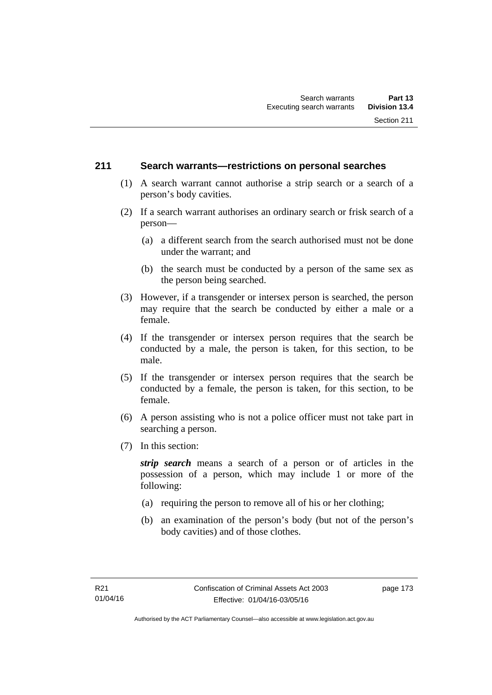#### **211 Search warrants—restrictions on personal searches**

- (1) A search warrant cannot authorise a strip search or a search of a person's body cavities.
- (2) If a search warrant authorises an ordinary search or frisk search of a person—
	- (a) a different search from the search authorised must not be done under the warrant; and
	- (b) the search must be conducted by a person of the same sex as the person being searched.
- (3) However, if a transgender or intersex person is searched, the person may require that the search be conducted by either a male or a female.
- (4) If the transgender or intersex person requires that the search be conducted by a male, the person is taken, for this section, to be male.
- (5) If the transgender or intersex person requires that the search be conducted by a female, the person is taken, for this section, to be female.
- (6) A person assisting who is not a police officer must not take part in searching a person.
- (7) In this section:

*strip search* means a search of a person or of articles in the possession of a person, which may include 1 or more of the following:

- (a) requiring the person to remove all of his or her clothing;
- (b) an examination of the person's body (but not of the person's body cavities) and of those clothes.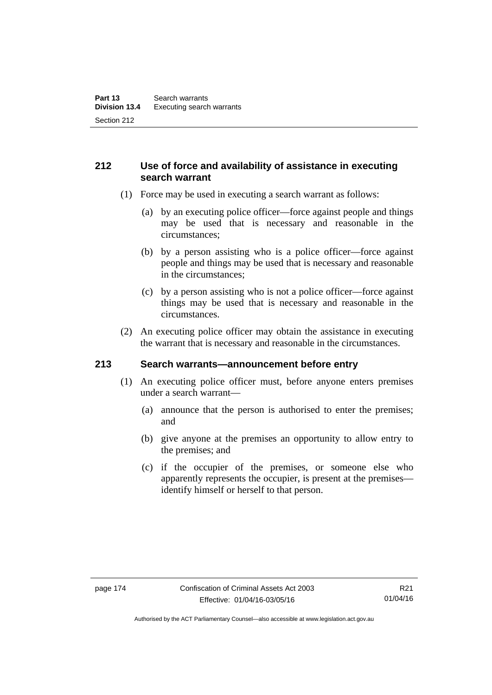### **212 Use of force and availability of assistance in executing search warrant**

- (1) Force may be used in executing a search warrant as follows:
	- (a) by an executing police officer—force against people and things may be used that is necessary and reasonable in the circumstances;
	- (b) by a person assisting who is a police officer—force against people and things may be used that is necessary and reasonable in the circumstances;
	- (c) by a person assisting who is not a police officer—force against things may be used that is necessary and reasonable in the circumstances.
- (2) An executing police officer may obtain the assistance in executing the warrant that is necessary and reasonable in the circumstances.

#### **213 Search warrants—announcement before entry**

- (1) An executing police officer must, before anyone enters premises under a search warrant—
	- (a) announce that the person is authorised to enter the premises; and
	- (b) give anyone at the premises an opportunity to allow entry to the premises; and
	- (c) if the occupier of the premises, or someone else who apparently represents the occupier, is present at the premises identify himself or herself to that person.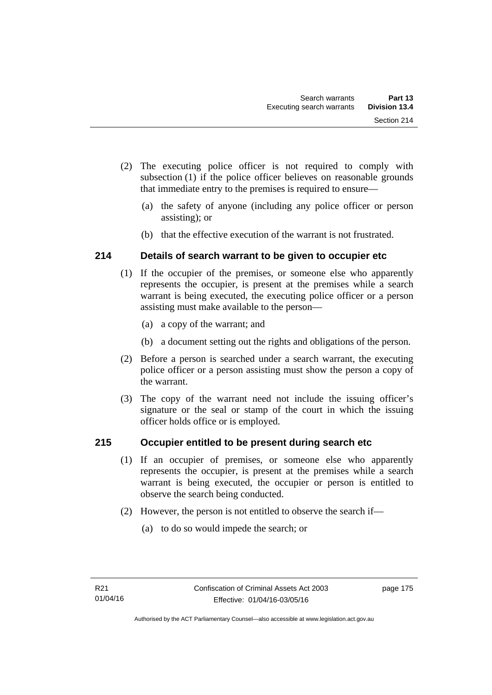- (2) The executing police officer is not required to comply with subsection (1) if the police officer believes on reasonable grounds that immediate entry to the premises is required to ensure—
	- (a) the safety of anyone (including any police officer or person assisting); or
	- (b) that the effective execution of the warrant is not frustrated.

# **214 Details of search warrant to be given to occupier etc**

- (1) If the occupier of the premises, or someone else who apparently represents the occupier, is present at the premises while a search warrant is being executed, the executing police officer or a person assisting must make available to the person—
	- (a) a copy of the warrant; and
	- (b) a document setting out the rights and obligations of the person.
- (2) Before a person is searched under a search warrant, the executing police officer or a person assisting must show the person a copy of the warrant.
- (3) The copy of the warrant need not include the issuing officer's signature or the seal or stamp of the court in which the issuing officer holds office or is employed.

# **215 Occupier entitled to be present during search etc**

- (1) If an occupier of premises, or someone else who apparently represents the occupier, is present at the premises while a search warrant is being executed, the occupier or person is entitled to observe the search being conducted.
- (2) However, the person is not entitled to observe the search if—
	- (a) to do so would impede the search; or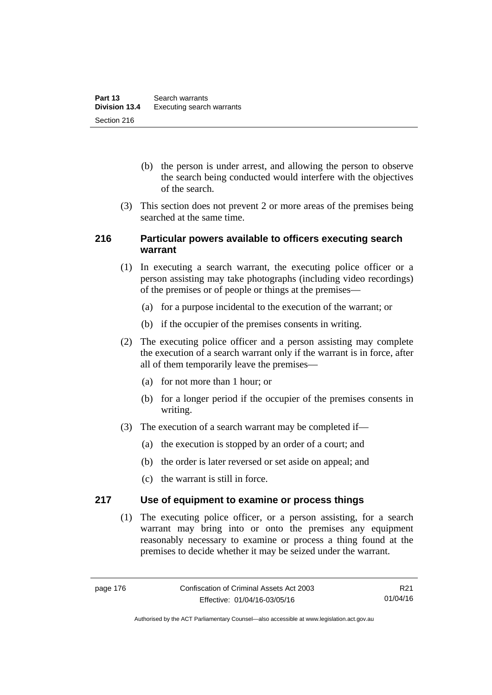- (b) the person is under arrest, and allowing the person to observe the search being conducted would interfere with the objectives of the search.
- (3) This section does not prevent 2 or more areas of the premises being searched at the same time.

#### **216 Particular powers available to officers executing search warrant**

- (1) In executing a search warrant, the executing police officer or a person assisting may take photographs (including video recordings) of the premises or of people or things at the premises—
	- (a) for a purpose incidental to the execution of the warrant; or
	- (b) if the occupier of the premises consents in writing.
- (2) The executing police officer and a person assisting may complete the execution of a search warrant only if the warrant is in force, after all of them temporarily leave the premises—
	- (a) for not more than 1 hour; or
	- (b) for a longer period if the occupier of the premises consents in writing.
- (3) The execution of a search warrant may be completed if—
	- (a) the execution is stopped by an order of a court; and
	- (b) the order is later reversed or set aside on appeal; and
	- (c) the warrant is still in force.

#### **217 Use of equipment to examine or process things**

(1) The executing police officer, or a person assisting, for a search warrant may bring into or onto the premises any equipment reasonably necessary to examine or process a thing found at the premises to decide whether it may be seized under the warrant.

R21 01/04/16

Authorised by the ACT Parliamentary Counsel—also accessible at www.legislation.act.gov.au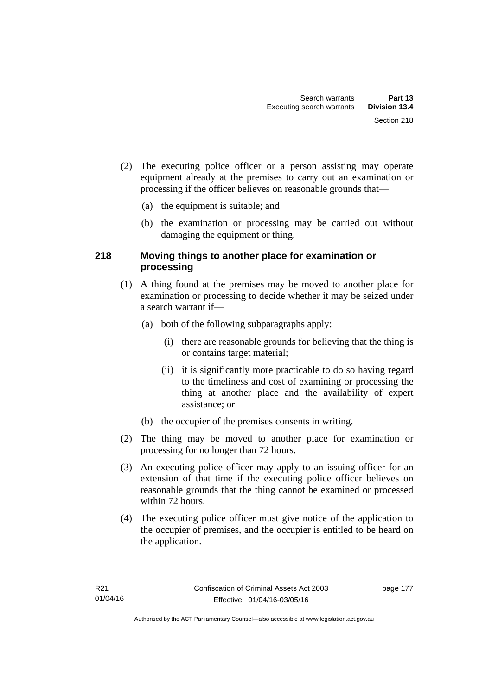- (2) The executing police officer or a person assisting may operate equipment already at the premises to carry out an examination or processing if the officer believes on reasonable grounds that—
	- (a) the equipment is suitable; and
	- (b) the examination or processing may be carried out without damaging the equipment or thing.

### **218 Moving things to another place for examination or processing**

- (1) A thing found at the premises may be moved to another place for examination or processing to decide whether it may be seized under a search warrant if—
	- (a) both of the following subparagraphs apply:
		- (i) there are reasonable grounds for believing that the thing is or contains target material;
		- (ii) it is significantly more practicable to do so having regard to the timeliness and cost of examining or processing the thing at another place and the availability of expert assistance; or
	- (b) the occupier of the premises consents in writing.
- (2) The thing may be moved to another place for examination or processing for no longer than 72 hours.
- (3) An executing police officer may apply to an issuing officer for an extension of that time if the executing police officer believes on reasonable grounds that the thing cannot be examined or processed within 72 hours.
- (4) The executing police officer must give notice of the application to the occupier of premises, and the occupier is entitled to be heard on the application.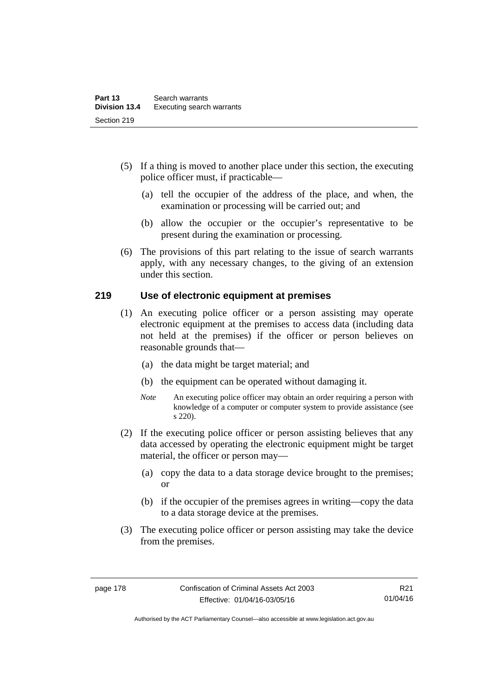- (5) If a thing is moved to another place under this section, the executing police officer must, if practicable—
	- (a) tell the occupier of the address of the place, and when, the examination or processing will be carried out; and
	- (b) allow the occupier or the occupier's representative to be present during the examination or processing.
- (6) The provisions of this part relating to the issue of search warrants apply, with any necessary changes, to the giving of an extension under this section.

#### **219 Use of electronic equipment at premises**

- (1) An executing police officer or a person assisting may operate electronic equipment at the premises to access data (including data not held at the premises) if the officer or person believes on reasonable grounds that—
	- (a) the data might be target material; and
	- (b) the equipment can be operated without damaging it.
	- *Note* An executing police officer may obtain an order requiring a person with knowledge of a computer or computer system to provide assistance (see s 220).
- (2) If the executing police officer or person assisting believes that any data accessed by operating the electronic equipment might be target material, the officer or person may—
	- (a) copy the data to a data storage device brought to the premises; or
	- (b) if the occupier of the premises agrees in writing—copy the data to a data storage device at the premises.
- (3) The executing police officer or person assisting may take the device from the premises.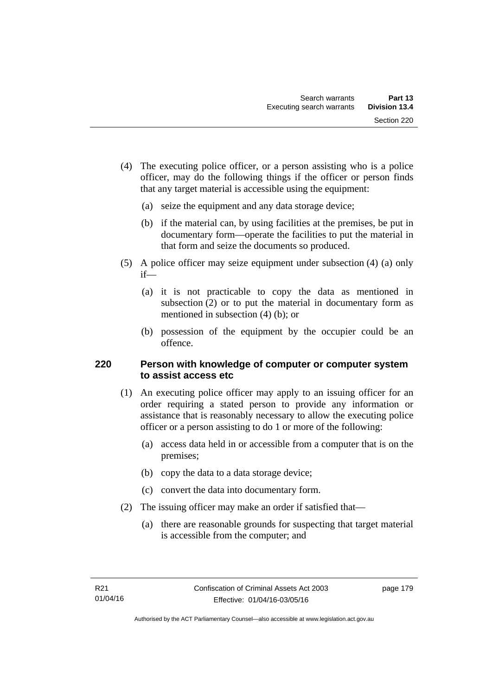- (4) The executing police officer, or a person assisting who is a police officer, may do the following things if the officer or person finds that any target material is accessible using the equipment:
	- (a) seize the equipment and any data storage device;
	- (b) if the material can, by using facilities at the premises, be put in documentary form—operate the facilities to put the material in that form and seize the documents so produced.
- (5) A police officer may seize equipment under subsection (4) (a) only if—
	- (a) it is not practicable to copy the data as mentioned in subsection (2) or to put the material in documentary form as mentioned in subsection (4) (b); or
	- (b) possession of the equipment by the occupier could be an offence.

### **220 Person with knowledge of computer or computer system to assist access etc**

- (1) An executing police officer may apply to an issuing officer for an order requiring a stated person to provide any information or assistance that is reasonably necessary to allow the executing police officer or a person assisting to do 1 or more of the following:
	- (a) access data held in or accessible from a computer that is on the premises;
	- (b) copy the data to a data storage device;
	- (c) convert the data into documentary form.
- (2) The issuing officer may make an order if satisfied that—
	- (a) there are reasonable grounds for suspecting that target material is accessible from the computer; and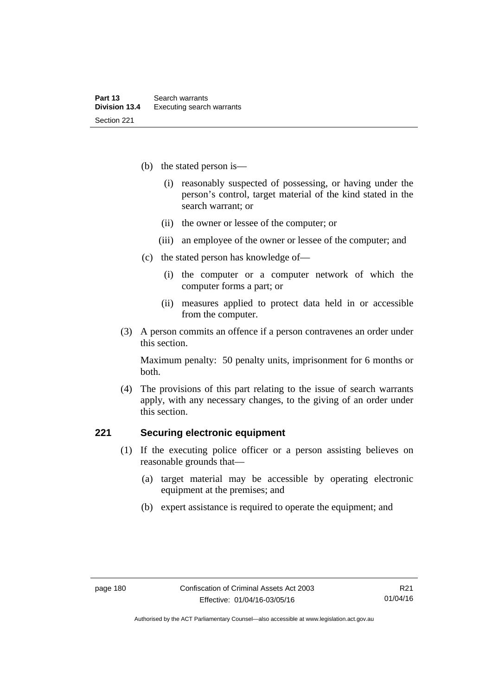- (b) the stated person is—
	- (i) reasonably suspected of possessing, or having under the person's control, target material of the kind stated in the search warrant; or
	- (ii) the owner or lessee of the computer; or
	- (iii) an employee of the owner or lessee of the computer; and
- (c) the stated person has knowledge of—
	- (i) the computer or a computer network of which the computer forms a part; or
	- (ii) measures applied to protect data held in or accessible from the computer.
- (3) A person commits an offence if a person contravenes an order under this section.

Maximum penalty: 50 penalty units, imprisonment for 6 months or both.

 (4) The provisions of this part relating to the issue of search warrants apply, with any necessary changes, to the giving of an order under this section.

#### **221 Securing electronic equipment**

- (1) If the executing police officer or a person assisting believes on reasonable grounds that—
	- (a) target material may be accessible by operating electronic equipment at the premises; and
	- (b) expert assistance is required to operate the equipment; and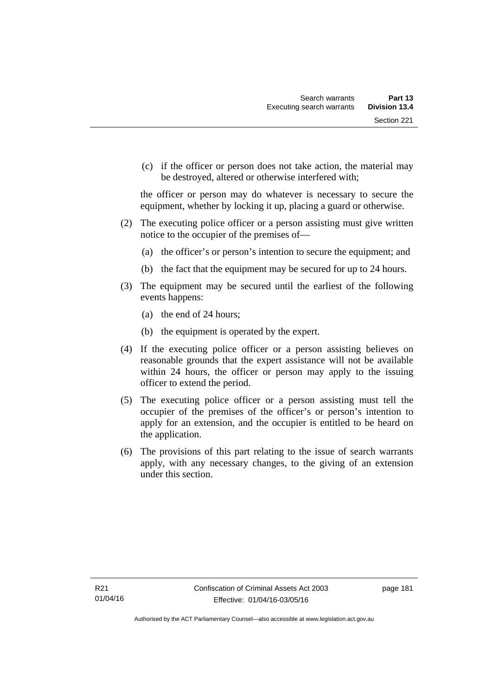(c) if the officer or person does not take action, the material may be destroyed, altered or otherwise interfered with;

the officer or person may do whatever is necessary to secure the equipment, whether by locking it up, placing a guard or otherwise.

- (2) The executing police officer or a person assisting must give written notice to the occupier of the premises of—
	- (a) the officer's or person's intention to secure the equipment; and
	- (b) the fact that the equipment may be secured for up to 24 hours.
- (3) The equipment may be secured until the earliest of the following events happens:
	- (a) the end of 24 hours;
	- (b) the equipment is operated by the expert.
- (4) If the executing police officer or a person assisting believes on reasonable grounds that the expert assistance will not be available within 24 hours, the officer or person may apply to the issuing officer to extend the period.
- (5) The executing police officer or a person assisting must tell the occupier of the premises of the officer's or person's intention to apply for an extension, and the occupier is entitled to be heard on the application.
- (6) The provisions of this part relating to the issue of search warrants apply, with any necessary changes, to the giving of an extension under this section.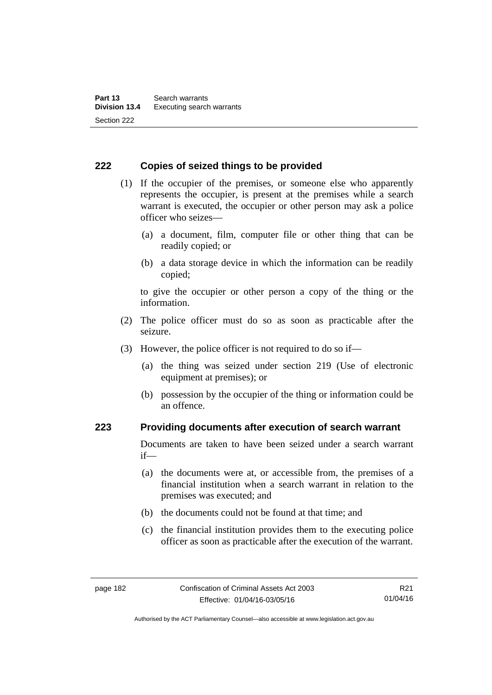#### **222 Copies of seized things to be provided**

- (1) If the occupier of the premises, or someone else who apparently represents the occupier, is present at the premises while a search warrant is executed, the occupier or other person may ask a police officer who seizes—
	- (a) a document, film, computer file or other thing that can be readily copied; or
	- (b) a data storage device in which the information can be readily copied;

to give the occupier or other person a copy of the thing or the information.

- (2) The police officer must do so as soon as practicable after the seizure.
- (3) However, the police officer is not required to do so if—
	- (a) the thing was seized under section 219 (Use of electronic equipment at premises); or
	- (b) possession by the occupier of the thing or information could be an offence.

#### **223 Providing documents after execution of search warrant**

Documents are taken to have been seized under a search warrant if—

- (a) the documents were at, or accessible from, the premises of a financial institution when a search warrant in relation to the premises was executed; and
- (b) the documents could not be found at that time; and
- (c) the financial institution provides them to the executing police officer as soon as practicable after the execution of the warrant.

R21 01/04/16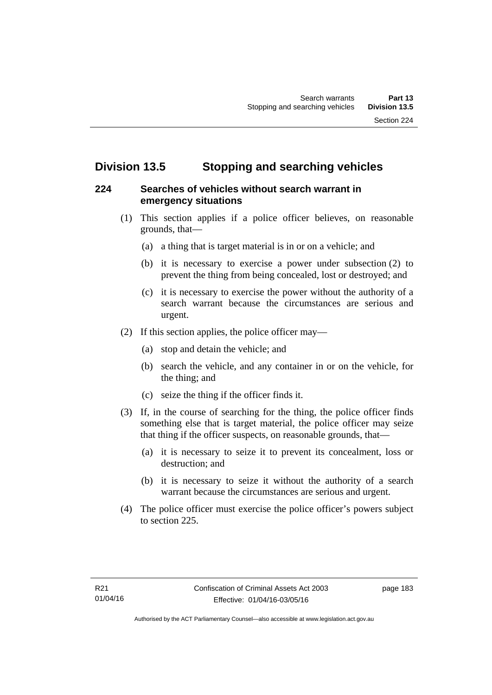# **Division 13.5 Stopping and searching vehicles**

### **224 Searches of vehicles without search warrant in emergency situations**

- (1) This section applies if a police officer believes, on reasonable grounds, that—
	- (a) a thing that is target material is in or on a vehicle; and
	- (b) it is necessary to exercise a power under subsection (2) to prevent the thing from being concealed, lost or destroyed; and
	- (c) it is necessary to exercise the power without the authority of a search warrant because the circumstances are serious and urgent.
- (2) If this section applies, the police officer may—
	- (a) stop and detain the vehicle; and
	- (b) search the vehicle, and any container in or on the vehicle, for the thing; and
	- (c) seize the thing if the officer finds it.
- (3) If, in the course of searching for the thing, the police officer finds something else that is target material, the police officer may seize that thing if the officer suspects, on reasonable grounds, that—
	- (a) it is necessary to seize it to prevent its concealment, loss or destruction; and
	- (b) it is necessary to seize it without the authority of a search warrant because the circumstances are serious and urgent.
- (4) The police officer must exercise the police officer's powers subject to section 225.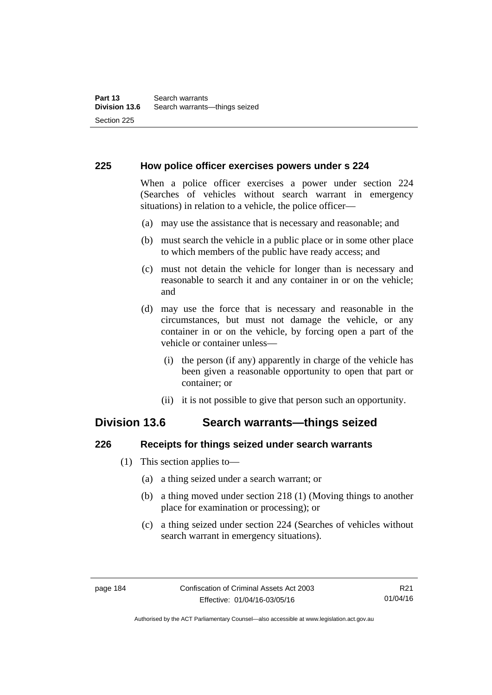#### **225 How police officer exercises powers under s 224**

When a police officer exercises a power under section 224 (Searches of vehicles without search warrant in emergency situations) in relation to a vehicle, the police officer—

- (a) may use the assistance that is necessary and reasonable; and
- (b) must search the vehicle in a public place or in some other place to which members of the public have ready access; and
- (c) must not detain the vehicle for longer than is necessary and reasonable to search it and any container in or on the vehicle; and
- (d) may use the force that is necessary and reasonable in the circumstances, but must not damage the vehicle, or any container in or on the vehicle, by forcing open a part of the vehicle or container unless—
	- (i) the person (if any) apparently in charge of the vehicle has been given a reasonable opportunity to open that part or container; or
	- (ii) it is not possible to give that person such an opportunity.

# **Division 13.6 Search warrants—things seized**

#### **226 Receipts for things seized under search warrants**

- (1) This section applies to—
	- (a) a thing seized under a search warrant; or
	- (b) a thing moved under section 218 (1) (Moving things to another place for examination or processing); or
	- (c) a thing seized under section 224 (Searches of vehicles without search warrant in emergency situations).

Authorised by the ACT Parliamentary Counsel—also accessible at www.legislation.act.gov.au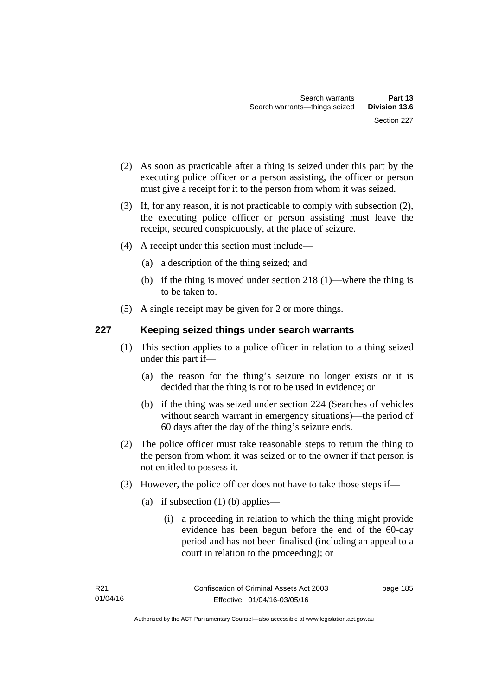- (2) As soon as practicable after a thing is seized under this part by the executing police officer or a person assisting, the officer or person must give a receipt for it to the person from whom it was seized.
- (3) If, for any reason, it is not practicable to comply with subsection (2), the executing police officer or person assisting must leave the receipt, secured conspicuously, at the place of seizure.
- (4) A receipt under this section must include—
	- (a) a description of the thing seized; and
	- (b) if the thing is moved under section 218 (1)—where the thing is to be taken to.
- (5) A single receipt may be given for 2 or more things.

## **227 Keeping seized things under search warrants**

- (1) This section applies to a police officer in relation to a thing seized under this part if—
	- (a) the reason for the thing's seizure no longer exists or it is decided that the thing is not to be used in evidence; or
	- (b) if the thing was seized under section 224 (Searches of vehicles without search warrant in emergency situations)—the period of 60 days after the day of the thing's seizure ends.
- (2) The police officer must take reasonable steps to return the thing to the person from whom it was seized or to the owner if that person is not entitled to possess it.
- (3) However, the police officer does not have to take those steps if—
	- (a) if subsection  $(1)$  (b) applies—
		- (i) a proceeding in relation to which the thing might provide evidence has been begun before the end of the 60-day period and has not been finalised (including an appeal to a court in relation to the proceeding); or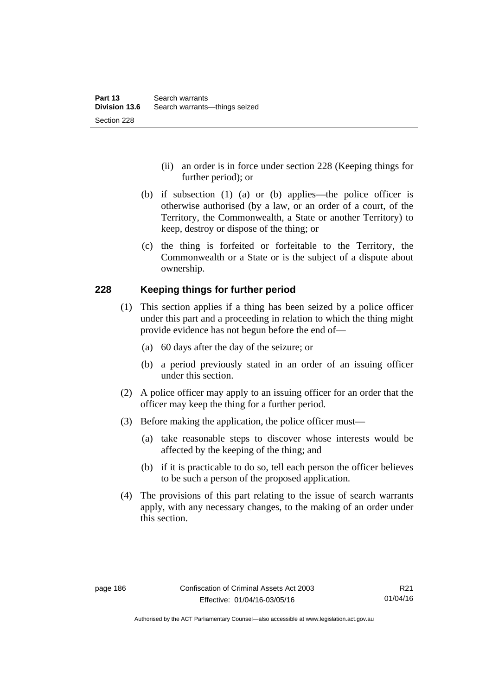- (ii) an order is in force under section 228 (Keeping things for further period); or
- (b) if subsection (1) (a) or (b) applies—the police officer is otherwise authorised (by a law, or an order of a court, of the Territory, the Commonwealth, a State or another Territory) to keep, destroy or dispose of the thing; or
- (c) the thing is forfeited or forfeitable to the Territory, the Commonwealth or a State or is the subject of a dispute about ownership.

#### **228 Keeping things for further period**

- (1) This section applies if a thing has been seized by a police officer under this part and a proceeding in relation to which the thing might provide evidence has not begun before the end of—
	- (a) 60 days after the day of the seizure; or
	- (b) a period previously stated in an order of an issuing officer under this section.
- (2) A police officer may apply to an issuing officer for an order that the officer may keep the thing for a further period.
- (3) Before making the application, the police officer must—
	- (a) take reasonable steps to discover whose interests would be affected by the keeping of the thing; and
	- (b) if it is practicable to do so, tell each person the officer believes to be such a person of the proposed application.
- (4) The provisions of this part relating to the issue of search warrants apply, with any necessary changes, to the making of an order under this section.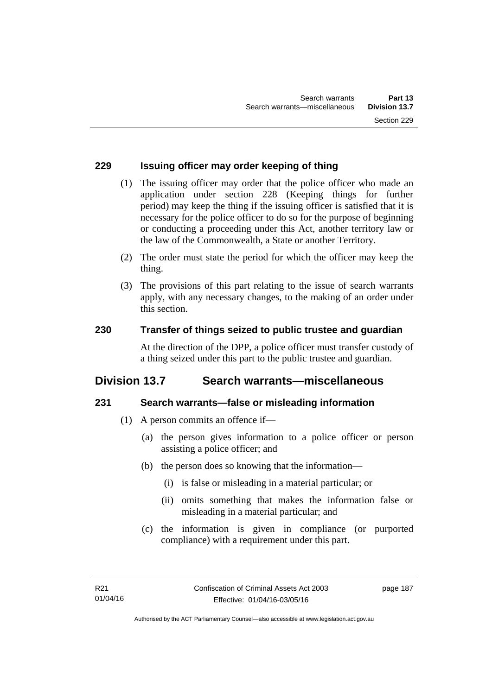#### **229 Issuing officer may order keeping of thing**

- (1) The issuing officer may order that the police officer who made an application under section 228 (Keeping things for further period) may keep the thing if the issuing officer is satisfied that it is necessary for the police officer to do so for the purpose of beginning or conducting a proceeding under this Act, another territory law or the law of the Commonwealth, a State or another Territory.
- (2) The order must state the period for which the officer may keep the thing.
- (3) The provisions of this part relating to the issue of search warrants apply, with any necessary changes, to the making of an order under this section.

### **230 Transfer of things seized to public trustee and guardian**

At the direction of the DPP, a police officer must transfer custody of a thing seized under this part to the public trustee and guardian.

# **Division 13.7 Search warrants—miscellaneous**

#### **231 Search warrants—false or misleading information**

- (1) A person commits an offence if—
	- (a) the person gives information to a police officer or person assisting a police officer; and
	- (b) the person does so knowing that the information—
		- (i) is false or misleading in a material particular; or
		- (ii) omits something that makes the information false or misleading in a material particular; and
	- (c) the information is given in compliance (or purported compliance) with a requirement under this part.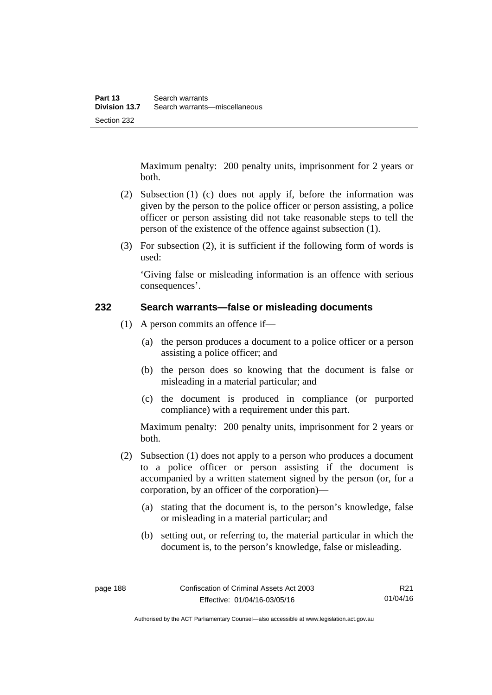Maximum penalty: 200 penalty units, imprisonment for 2 years or both.

- (2) Subsection (1) (c) does not apply if, before the information was given by the person to the police officer or person assisting, a police officer or person assisting did not take reasonable steps to tell the person of the existence of the offence against subsection (1).
- (3) For subsection (2), it is sufficient if the following form of words is used:

'Giving false or misleading information is an offence with serious consequences'.

#### **232 Search warrants—false or misleading documents**

- (1) A person commits an offence if—
	- (a) the person produces a document to a police officer or a person assisting a police officer; and
	- (b) the person does so knowing that the document is false or misleading in a material particular; and
	- (c) the document is produced in compliance (or purported compliance) with a requirement under this part.

Maximum penalty: 200 penalty units, imprisonment for 2 years or both.

- (2) Subsection (1) does not apply to a person who produces a document to a police officer or person assisting if the document is accompanied by a written statement signed by the person (or, for a corporation, by an officer of the corporation)—
	- (a) stating that the document is, to the person's knowledge, false or misleading in a material particular; and
	- (b) setting out, or referring to, the material particular in which the document is, to the person's knowledge, false or misleading.

R21 01/04/16

Authorised by the ACT Parliamentary Counsel—also accessible at www.legislation.act.gov.au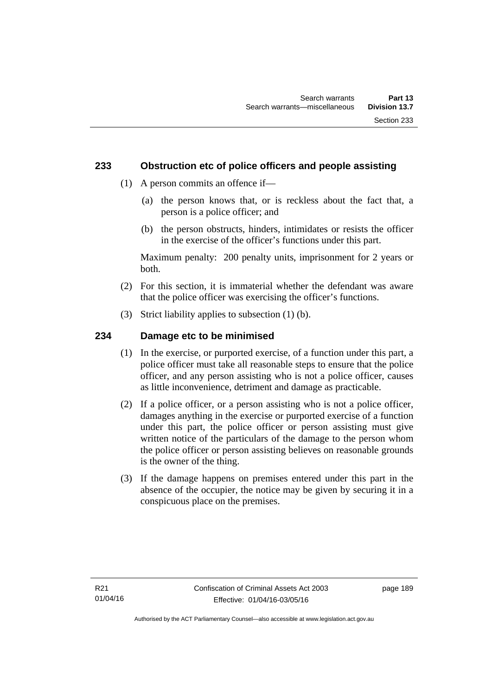#### **233 Obstruction etc of police officers and people assisting**

- (1) A person commits an offence if—
	- (a) the person knows that, or is reckless about the fact that, a person is a police officer; and
	- (b) the person obstructs, hinders, intimidates or resists the officer in the exercise of the officer's functions under this part.

Maximum penalty: 200 penalty units, imprisonment for 2 years or both.

- (2) For this section, it is immaterial whether the defendant was aware that the police officer was exercising the officer's functions.
- (3) Strict liability applies to subsection (1) (b).

### **234 Damage etc to be minimised**

- (1) In the exercise, or purported exercise, of a function under this part, a police officer must take all reasonable steps to ensure that the police officer, and any person assisting who is not a police officer, causes as little inconvenience, detriment and damage as practicable.
- (2) If a police officer, or a person assisting who is not a police officer, damages anything in the exercise or purported exercise of a function under this part, the police officer or person assisting must give written notice of the particulars of the damage to the person whom the police officer or person assisting believes on reasonable grounds is the owner of the thing.
- (3) If the damage happens on premises entered under this part in the absence of the occupier, the notice may be given by securing it in a conspicuous place on the premises.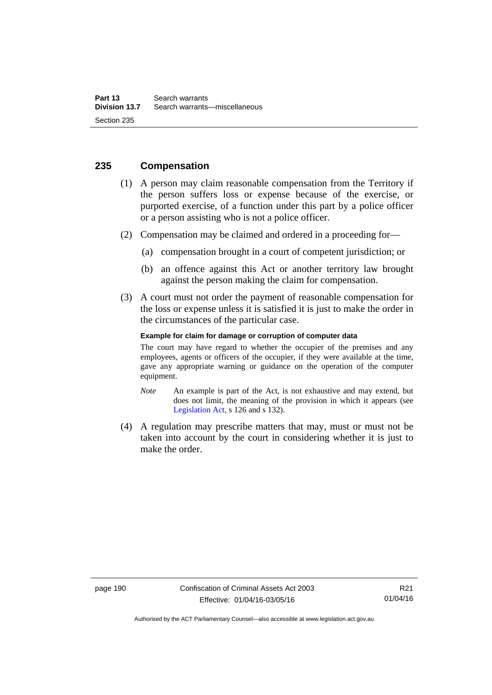#### **235 Compensation**

- (1) A person may claim reasonable compensation from the Territory if the person suffers loss or expense because of the exercise, or purported exercise, of a function under this part by a police officer or a person assisting who is not a police officer.
- (2) Compensation may be claimed and ordered in a proceeding for—
	- (a) compensation brought in a court of competent jurisdiction; or
	- (b) an offence against this Act or another territory law brought against the person making the claim for compensation.
- (3) A court must not order the payment of reasonable compensation for the loss or expense unless it is satisfied it is just to make the order in the circumstances of the particular case.

#### **Example for claim for damage or corruption of computer data**

The court may have regard to whether the occupier of the premises and any employees, agents or officers of the occupier, if they were available at the time, gave any appropriate warning or guidance on the operation of the computer equipment.

- *Note* An example is part of the Act, is not exhaustive and may extend, but does not limit, the meaning of the provision in which it appears (see [Legislation Act,](http://www.legislation.act.gov.au/a/2001-14) s 126 and s 132).
- (4) A regulation may prescribe matters that may, must or must not be taken into account by the court in considering whether it is just to make the order.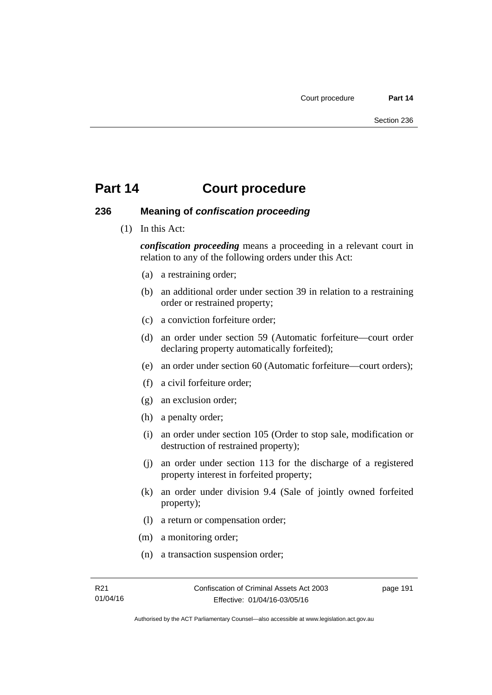# **Part 14 Court procedure**

#### **236 Meaning of** *confiscation proceeding*

(1) In this Act:

*confiscation proceeding* means a proceeding in a relevant court in relation to any of the following orders under this Act:

- (a) a restraining order;
- (b) an additional order under section 39 in relation to a restraining order or restrained property;
- (c) a conviction forfeiture order;
- (d) an order under section 59 (Automatic forfeiture—court order declaring property automatically forfeited);
- (e) an order under section 60 (Automatic forfeiture—court orders);
- (f) a civil forfeiture order;
- (g) an exclusion order;
- (h) a penalty order;
- (i) an order under section 105 (Order to stop sale, modification or destruction of restrained property);
- (j) an order under section 113 for the discharge of a registered property interest in forfeited property;
- (k) an order under division 9.4 (Sale of jointly owned forfeited property);
- (l) a return or compensation order;
- (m) a monitoring order;
- (n) a transaction suspension order;

page 191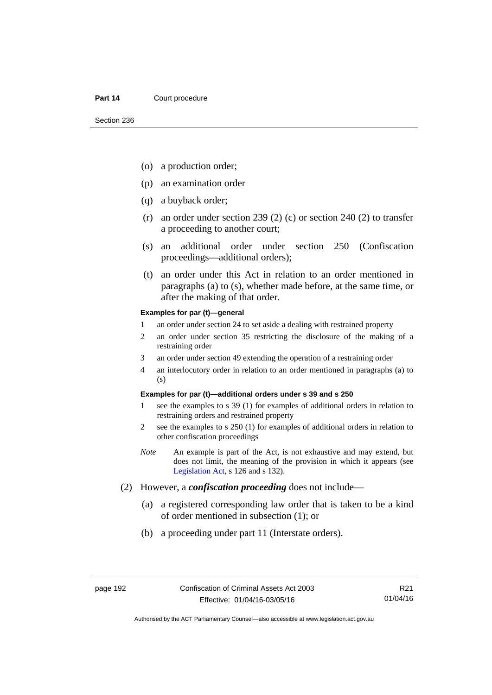#### Part 14 **Court procedure**

- (o) a production order;
- (p) an examination order
- (q) a buyback order;
- (r) an order under section 239 (2) (c) or section 240 (2) to transfer a proceeding to another court;
- (s) an additional order under section 250 (Confiscation proceedings—additional orders);
- (t) an order under this Act in relation to an order mentioned in paragraphs (a) to (s), whether made before, at the same time, or after the making of that order.

#### **Examples for par (t)—general**

- 1 an order under section 24 to set aside a dealing with restrained property
- 2 an order under section 35 restricting the disclosure of the making of a restraining order
- 3 an order under section 49 extending the operation of a restraining order
- 4 an interlocutory order in relation to an order mentioned in paragraphs (a) to (s)

#### **Examples for par (t)—additional orders under s 39 and s 250**

- 1 see the examples to s 39 (1) for examples of additional orders in relation to restraining orders and restrained property
- 2 see the examples to s 250 (1) for examples of additional orders in relation to other confiscation proceedings
- *Note* An example is part of the Act, is not exhaustive and may extend, but does not limit, the meaning of the provision in which it appears (see [Legislation Act,](http://www.legislation.act.gov.au/a/2001-14) s 126 and s 132).
- (2) However, a *confiscation proceeding* does not include—
	- (a) a registered corresponding law order that is taken to be a kind of order mentioned in subsection (1); or
	- (b) a proceeding under part 11 (Interstate orders).

R21 01/04/16

Authorised by the ACT Parliamentary Counsel—also accessible at www.legislation.act.gov.au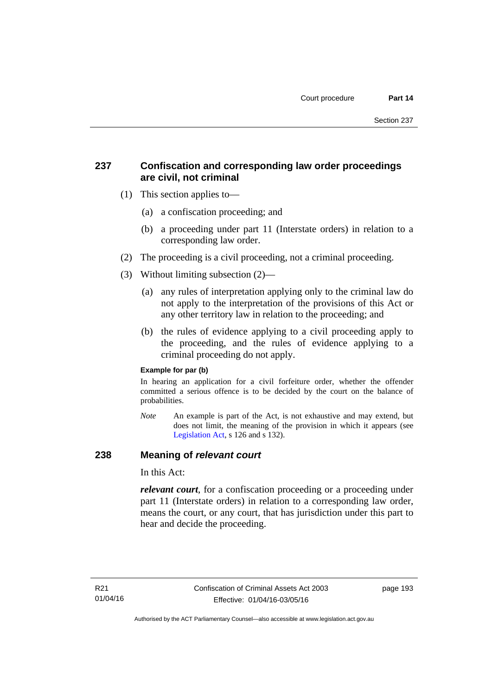## **237 Confiscation and corresponding law order proceedings are civil, not criminal**

- (1) This section applies to—
	- (a) a confiscation proceeding; and
	- (b) a proceeding under part 11 (Interstate orders) in relation to a corresponding law order.
- (2) The proceeding is a civil proceeding, not a criminal proceeding.
- (3) Without limiting subsection (2)—
	- (a) any rules of interpretation applying only to the criminal law do not apply to the interpretation of the provisions of this Act or any other territory law in relation to the proceeding; and
	- (b) the rules of evidence applying to a civil proceeding apply to the proceeding, and the rules of evidence applying to a criminal proceeding do not apply.

#### **Example for par (b)**

In hearing an application for a civil forfeiture order, whether the offender committed a serious offence is to be decided by the court on the balance of probabilities.

*Note* An example is part of the Act, is not exhaustive and may extend, but does not limit, the meaning of the provision in which it appears (see [Legislation Act,](http://www.legislation.act.gov.au/a/2001-14) s 126 and s 132).

#### **238 Meaning of** *relevant court*

In this Act:

*relevant court*, for a confiscation proceeding or a proceeding under part 11 (Interstate orders) in relation to a corresponding law order, means the court, or any court, that has jurisdiction under this part to hear and decide the proceeding.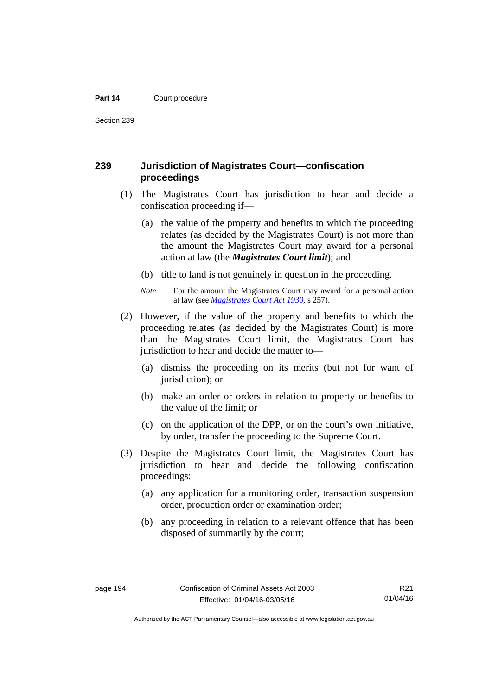#### Part 14 **Court procedure**

Section 239

#### **239 Jurisdiction of Magistrates Court—confiscation proceedings**

- (1) The Magistrates Court has jurisdiction to hear and decide a confiscation proceeding if—
	- (a) the value of the property and benefits to which the proceeding relates (as decided by the Magistrates Court) is not more than the amount the Magistrates Court may award for a personal action at law (the *Magistrates Court limit*); and
	- (b) title to land is not genuinely in question in the proceeding.
	- *Note* For the amount the Magistrates Court may award for a personal action at law (see *[Magistrates Court Act 1930](http://www.legislation.act.gov.au/a/1930-21)*, s 257).
- (2) However, if the value of the property and benefits to which the proceeding relates (as decided by the Magistrates Court) is more than the Magistrates Court limit, the Magistrates Court has jurisdiction to hear and decide the matter to—
	- (a) dismiss the proceeding on its merits (but not for want of jurisdiction); or
	- (b) make an order or orders in relation to property or benefits to the value of the limit; or
	- (c) on the application of the DPP, or on the court's own initiative, by order, transfer the proceeding to the Supreme Court.
- (3) Despite the Magistrates Court limit, the Magistrates Court has jurisdiction to hear and decide the following confiscation proceedings:
	- (a) any application for a monitoring order, transaction suspension order, production order or examination order;
	- (b) any proceeding in relation to a relevant offence that has been disposed of summarily by the court;

Authorised by the ACT Parliamentary Counsel—also accessible at www.legislation.act.gov.au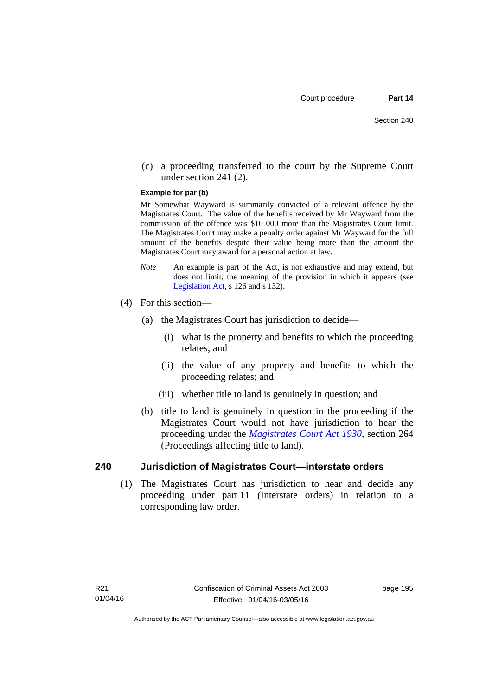(c) a proceeding transferred to the court by the Supreme Court under section 241 (2).

#### **Example for par (b)**

Mr Somewhat Wayward is summarily convicted of a relevant offence by the Magistrates Court. The value of the benefits received by Mr Wayward from the commission of the offence was \$10 000 more than the Magistrates Court limit. The Magistrates Court may make a penalty order against Mr Wayward for the full amount of the benefits despite their value being more than the amount the Magistrates Court may award for a personal action at law.

- *Note* An example is part of the Act, is not exhaustive and may extend, but does not limit, the meaning of the provision in which it appears (see [Legislation Act,](http://www.legislation.act.gov.au/a/2001-14) s 126 and s 132).
- (4) For this section—
	- (a) the Magistrates Court has jurisdiction to decide—
		- (i) what is the property and benefits to which the proceeding relates; and
		- (ii) the value of any property and benefits to which the proceeding relates; and
		- (iii) whether title to land is genuinely in question; and
	- (b) title to land is genuinely in question in the proceeding if the Magistrates Court would not have jurisdiction to hear the proceeding under the *[Magistrates Court Act 1930](http://www.legislation.act.gov.au/a/1930-21)*, section 264 (Proceedings affecting title to land).

#### **240 Jurisdiction of Magistrates Court—interstate orders**

(1) The Magistrates Court has jurisdiction to hear and decide any proceeding under part 11 (Interstate orders) in relation to a corresponding law order.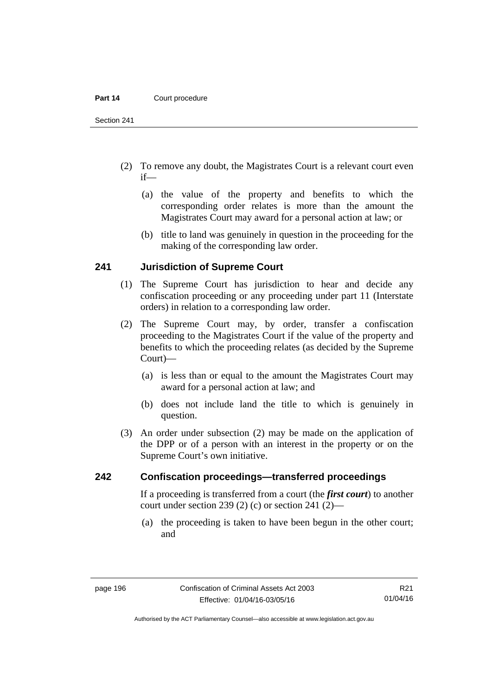#### Part 14 **Court procedure**

Section 241

- (2) To remove any doubt, the Magistrates Court is a relevant court even if—
	- (a) the value of the property and benefits to which the corresponding order relates is more than the amount the Magistrates Court may award for a personal action at law; or
	- (b) title to land was genuinely in question in the proceeding for the making of the corresponding law order.

#### **241 Jurisdiction of Supreme Court**

- (1) The Supreme Court has jurisdiction to hear and decide any confiscation proceeding or any proceeding under part 11 (Interstate orders) in relation to a corresponding law order.
- (2) The Supreme Court may, by order, transfer a confiscation proceeding to the Magistrates Court if the value of the property and benefits to which the proceeding relates (as decided by the Supreme Court)—
	- (a) is less than or equal to the amount the Magistrates Court may award for a personal action at law; and
	- (b) does not include land the title to which is genuinely in question.
- (3) An order under subsection (2) may be made on the application of the DPP or of a person with an interest in the property or on the Supreme Court's own initiative.

#### **242 Confiscation proceedings—transferred proceedings**

If a proceeding is transferred from a court (the *first court*) to another court under section 239 (2) (c) or section 241 (2)—

 (a) the proceeding is taken to have been begun in the other court; and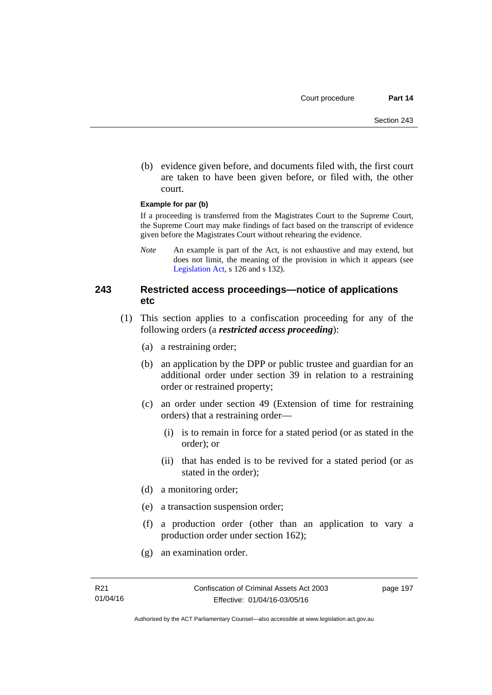(b) evidence given before, and documents filed with, the first court are taken to have been given before, or filed with, the other court.

#### **Example for par (b)**

If a proceeding is transferred from the Magistrates Court to the Supreme Court, the Supreme Court may make findings of fact based on the transcript of evidence given before the Magistrates Court without rehearing the evidence.

*Note* An example is part of the Act, is not exhaustive and may extend, but does not limit, the meaning of the provision in which it appears (see [Legislation Act,](http://www.legislation.act.gov.au/a/2001-14) s 126 and s 132).

#### **243 Restricted access proceedings—notice of applications etc**

- (1) This section applies to a confiscation proceeding for any of the following orders (a *restricted access proceeding*):
	- (a) a restraining order;
	- (b) an application by the DPP or public trustee and guardian for an additional order under section 39 in relation to a restraining order or restrained property;
	- (c) an order under section 49 (Extension of time for restraining orders) that a restraining order—
		- (i) is to remain in force for a stated period (or as stated in the order); or
		- (ii) that has ended is to be revived for a stated period (or as stated in the order);
	- (d) a monitoring order;
	- (e) a transaction suspension order;
	- (f) a production order (other than an application to vary a production order under section 162);
	- (g) an examination order.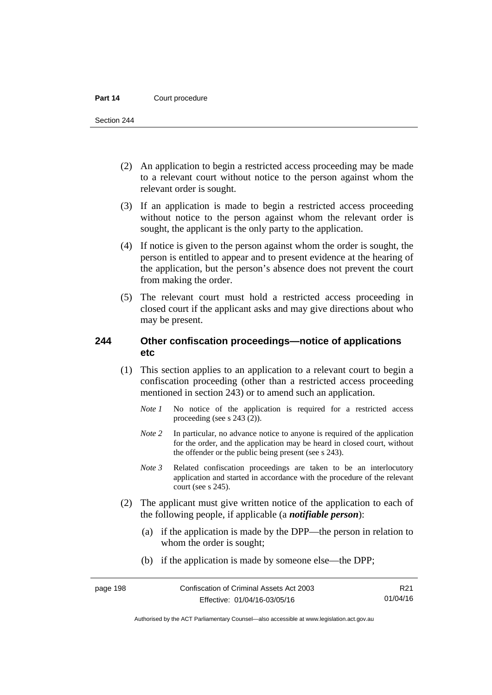#### Part 14 **Court procedure**

Section 244

- (2) An application to begin a restricted access proceeding may be made to a relevant court without notice to the person against whom the relevant order is sought.
- (3) If an application is made to begin a restricted access proceeding without notice to the person against whom the relevant order is sought, the applicant is the only party to the application.
- (4) If notice is given to the person against whom the order is sought, the person is entitled to appear and to present evidence at the hearing of the application, but the person's absence does not prevent the court from making the order.
- (5) The relevant court must hold a restricted access proceeding in closed court if the applicant asks and may give directions about who may be present.

#### **244 Other confiscation proceedings—notice of applications etc**

- (1) This section applies to an application to a relevant court to begin a confiscation proceeding (other than a restricted access proceeding mentioned in section 243) or to amend such an application.
	- *Note 1* No notice of the application is required for a restricted access proceeding (see s 243 (2)).
	- *Note 2* In particular, no advance notice to anyone is required of the application for the order, and the application may be heard in closed court, without the offender or the public being present (see s 243).
	- *Note 3* Related confiscation proceedings are taken to be an interlocutory application and started in accordance with the procedure of the relevant court (see s 245).
- (2) The applicant must give written notice of the application to each of the following people, if applicable (a *notifiable person*):
	- (a) if the application is made by the DPP—the person in relation to whom the order is sought;
	- (b) if the application is made by someone else—the DPP;

R21 01/04/16

Authorised by the ACT Parliamentary Counsel—also accessible at www.legislation.act.gov.au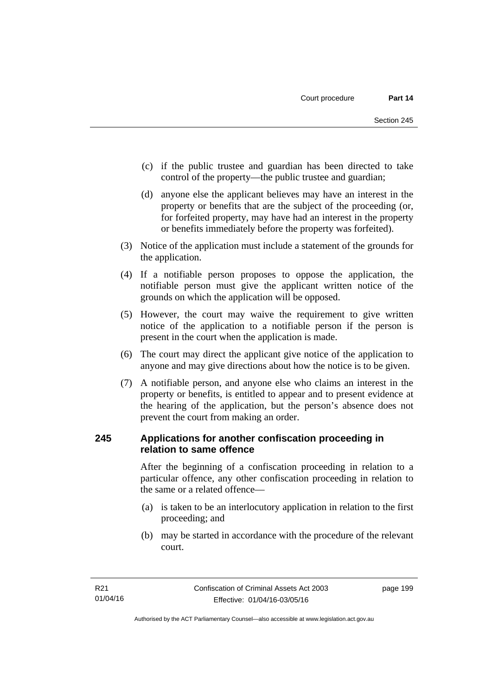- (c) if the public trustee and guardian has been directed to take control of the property—the public trustee and guardian;
- (d) anyone else the applicant believes may have an interest in the property or benefits that are the subject of the proceeding (or, for forfeited property, may have had an interest in the property or benefits immediately before the property was forfeited).
- (3) Notice of the application must include a statement of the grounds for the application.
- (4) If a notifiable person proposes to oppose the application, the notifiable person must give the applicant written notice of the grounds on which the application will be opposed.
- (5) However, the court may waive the requirement to give written notice of the application to a notifiable person if the person is present in the court when the application is made.
- (6) The court may direct the applicant give notice of the application to anyone and may give directions about how the notice is to be given.
- (7) A notifiable person, and anyone else who claims an interest in the property or benefits, is entitled to appear and to present evidence at the hearing of the application, but the person's absence does not prevent the court from making an order.

### **245 Applications for another confiscation proceeding in relation to same offence**

After the beginning of a confiscation proceeding in relation to a particular offence, any other confiscation proceeding in relation to the same or a related offence—

- (a) is taken to be an interlocutory application in relation to the first proceeding; and
- (b) may be started in accordance with the procedure of the relevant court.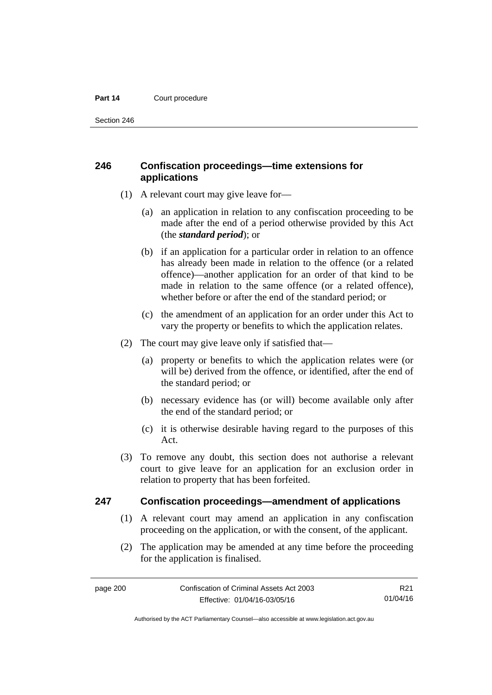#### Part 14 **Court procedure**

Section 246

### **246 Confiscation proceedings—time extensions for applications**

- (1) A relevant court may give leave for—
	- (a) an application in relation to any confiscation proceeding to be made after the end of a period otherwise provided by this Act (the *standard period*); or
	- (b) if an application for a particular order in relation to an offence has already been made in relation to the offence (or a related offence)—another application for an order of that kind to be made in relation to the same offence (or a related offence), whether before or after the end of the standard period; or
	- (c) the amendment of an application for an order under this Act to vary the property or benefits to which the application relates.
- (2) The court may give leave only if satisfied that—
	- (a) property or benefits to which the application relates were (or will be) derived from the offence, or identified, after the end of the standard period; or
	- (b) necessary evidence has (or will) become available only after the end of the standard period; or
	- (c) it is otherwise desirable having regard to the purposes of this Act.
- (3) To remove any doubt, this section does not authorise a relevant court to give leave for an application for an exclusion order in relation to property that has been forfeited.

#### **247 Confiscation proceedings—amendment of applications**

- (1) A relevant court may amend an application in any confiscation proceeding on the application, or with the consent, of the applicant.
- (2) The application may be amended at any time before the proceeding for the application is finalised.

R21 01/04/16

Authorised by the ACT Parliamentary Counsel—also accessible at www.legislation.act.gov.au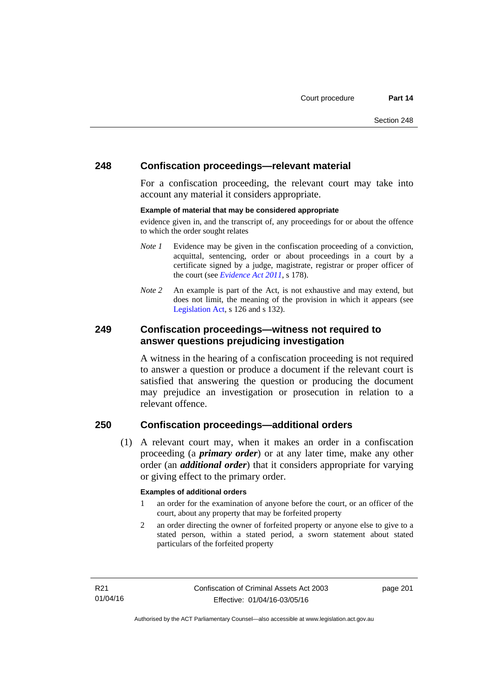#### **248 Confiscation proceedings—relevant material**

For a confiscation proceeding, the relevant court may take into account any material it considers appropriate.

#### **Example of material that may be considered appropriate**

evidence given in, and the transcript of, any proceedings for or about the offence to which the order sought relates

- *Note 1* Evidence may be given in the confiscation proceeding of a conviction, acquittal, sentencing, order or about proceedings in a court by a certificate signed by a judge, magistrate, registrar or proper officer of the court (see *[Evidence Act 2011](http://www.legislation.act.gov.au/a/2011-12)*, s 178).
- *Note* 2 An example is part of the Act, is not exhaustive and may extend, but does not limit, the meaning of the provision in which it appears (see [Legislation Act,](http://www.legislation.act.gov.au/a/2001-14) s 126 and s 132).

#### **249 Confiscation proceedings—witness not required to answer questions prejudicing investigation**

A witness in the hearing of a confiscation proceeding is not required to answer a question or produce a document if the relevant court is satisfied that answering the question or producing the document may prejudice an investigation or prosecution in relation to a relevant offence.

### **250 Confiscation proceedings—additional orders**

 (1) A relevant court may, when it makes an order in a confiscation proceeding (a *primary order*) or at any later time, make any other order (an *additional order*) that it considers appropriate for varying or giving effect to the primary order.

#### **Examples of additional orders**

- 1 an order for the examination of anyone before the court, or an officer of the court, about any property that may be forfeited property
- 2 an order directing the owner of forfeited property or anyone else to give to a stated person, within a stated period, a sworn statement about stated particulars of the forfeited property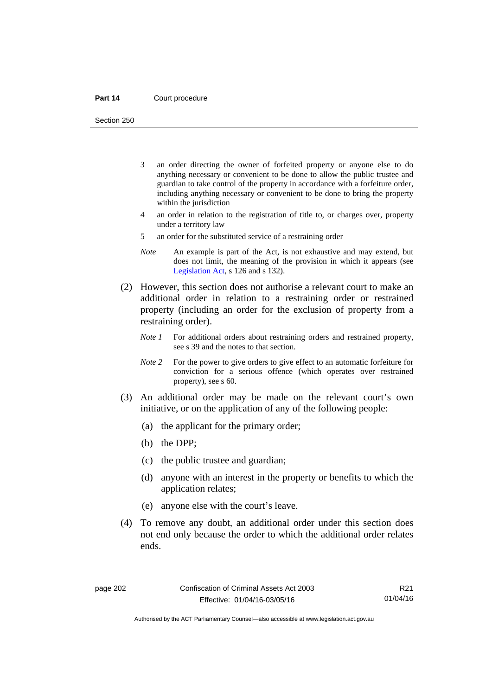#### Part 14 **Court procedure**

Section 250

- 3 an order directing the owner of forfeited property or anyone else to do anything necessary or convenient to be done to allow the public trustee and guardian to take control of the property in accordance with a forfeiture order, including anything necessary or convenient to be done to bring the property within the jurisdiction
- 4 an order in relation to the registration of title to, or charges over, property under a territory law
- 5 an order for the substituted service of a restraining order
- *Note* An example is part of the Act, is not exhaustive and may extend, but does not limit, the meaning of the provision in which it appears (see [Legislation Act,](http://www.legislation.act.gov.au/a/2001-14) s 126 and s 132).
- (2) However, this section does not authorise a relevant court to make an additional order in relation to a restraining order or restrained property (including an order for the exclusion of property from a restraining order).
	- *Note 1* For additional orders about restraining orders and restrained property, see s 39 and the notes to that section.
	- *Note 2* For the power to give orders to give effect to an automatic forfeiture for conviction for a serious offence (which operates over restrained property), see s 60.
- (3) An additional order may be made on the relevant court's own initiative, or on the application of any of the following people:
	- (a) the applicant for the primary order;
	- (b) the DPP;
	- (c) the public trustee and guardian;
	- (d) anyone with an interest in the property or benefits to which the application relates;
	- (e) anyone else with the court's leave.
- (4) To remove any doubt, an additional order under this section does not end only because the order to which the additional order relates ends.

R21 01/04/16

Authorised by the ACT Parliamentary Counsel—also accessible at www.legislation.act.gov.au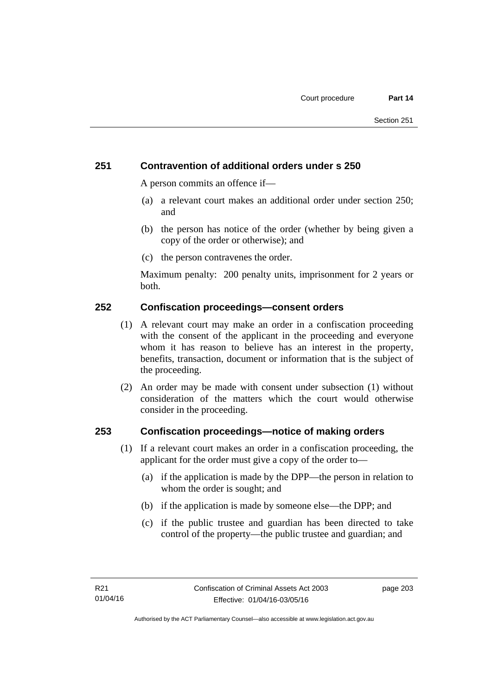## **251 Contravention of additional orders under s 250**

A person commits an offence if—

- (a) a relevant court makes an additional order under section 250; and
- (b) the person has notice of the order (whether by being given a copy of the order or otherwise); and
- (c) the person contravenes the order.

Maximum penalty: 200 penalty units, imprisonment for 2 years or both.

## **252 Confiscation proceedings—consent orders**

- (1) A relevant court may make an order in a confiscation proceeding with the consent of the applicant in the proceeding and everyone whom it has reason to believe has an interest in the property, benefits, transaction, document or information that is the subject of the proceeding.
- (2) An order may be made with consent under subsection (1) without consideration of the matters which the court would otherwise consider in the proceeding.

## **253 Confiscation proceedings—notice of making orders**

- (1) If a relevant court makes an order in a confiscation proceeding, the applicant for the order must give a copy of the order to—
	- (a) if the application is made by the DPP—the person in relation to whom the order is sought; and
	- (b) if the application is made by someone else—the DPP; and
	- (c) if the public trustee and guardian has been directed to take control of the property—the public trustee and guardian; and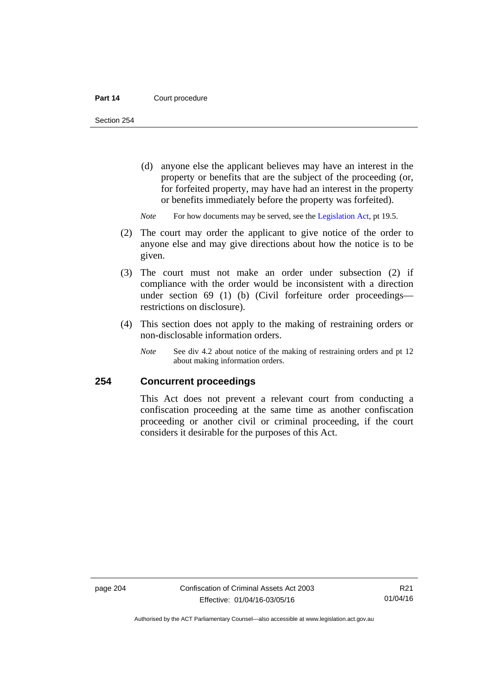#### Part 14 **Court procedure**

Section 254

- (d) anyone else the applicant believes may have an interest in the property or benefits that are the subject of the proceeding (or, for forfeited property, may have had an interest in the property or benefits immediately before the property was forfeited).
- *Note* For how documents may be served, see the [Legislation Act,](http://www.legislation.act.gov.au/a/2001-14) pt 19.5.
- (2) The court may order the applicant to give notice of the order to anyone else and may give directions about how the notice is to be given.
- (3) The court must not make an order under subsection (2) if compliance with the order would be inconsistent with a direction under section 69 (1) (b) (Civil forfeiture order proceedings restrictions on disclosure).
- (4) This section does not apply to the making of restraining orders or non-disclosable information orders.
	- *Note* See div 4.2 about notice of the making of restraining orders and pt 12 about making information orders.

## **254 Concurrent proceedings**

This Act does not prevent a relevant court from conducting a confiscation proceeding at the same time as another confiscation proceeding or another civil or criminal proceeding, if the court considers it desirable for the purposes of this Act.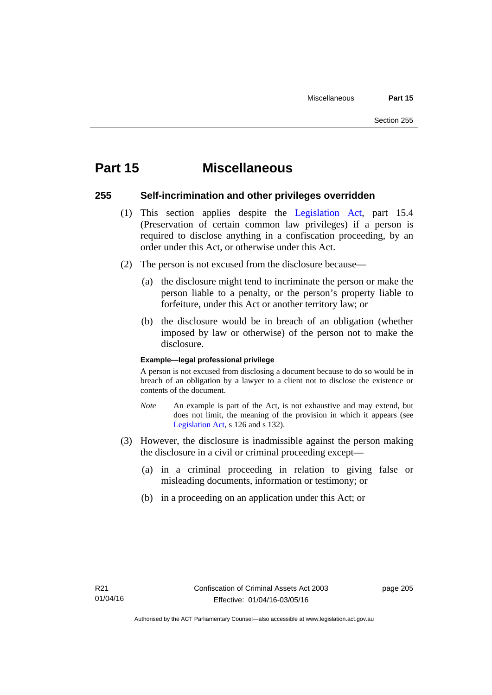## **Part 15 Miscellaneous**

## **255 Self-incrimination and other privileges overridden**

- (1) This section applies despite the [Legislation Act](http://www.legislation.act.gov.au/a/2001-14), part 15.4 (Preservation of certain common law privileges) if a person is required to disclose anything in a confiscation proceeding, by an order under this Act, or otherwise under this Act.
- (2) The person is not excused from the disclosure because—
	- (a) the disclosure might tend to incriminate the person or make the person liable to a penalty, or the person's property liable to forfeiture, under this Act or another territory law; or
	- (b) the disclosure would be in breach of an obligation (whether imposed by law or otherwise) of the person not to make the disclosure.

## **Example—legal professional privilege**

A person is not excused from disclosing a document because to do so would be in breach of an obligation by a lawyer to a client not to disclose the existence or contents of the document.

- *Note* An example is part of the Act, is not exhaustive and may extend, but does not limit, the meaning of the provision in which it appears (see [Legislation Act,](http://www.legislation.act.gov.au/a/2001-14) s 126 and s 132).
- (3) However, the disclosure is inadmissible against the person making the disclosure in a civil or criminal proceeding except—
	- (a) in a criminal proceeding in relation to giving false or misleading documents, information or testimony; or
	- (b) in a proceeding on an application under this Act; or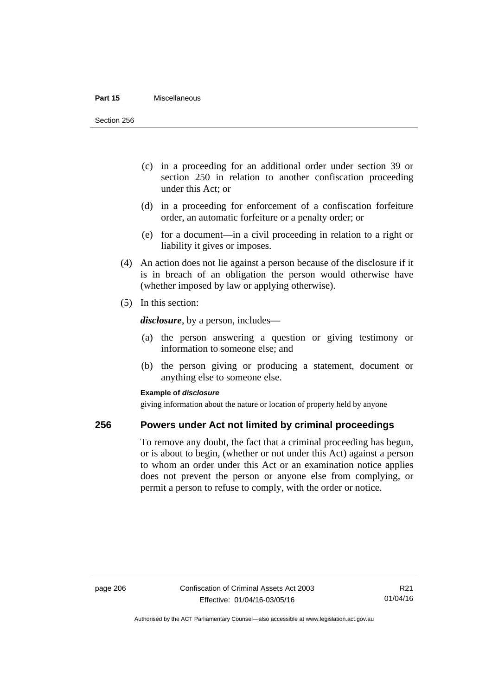#### **Part 15** Miscellaneous

Section 256

- (c) in a proceeding for an additional order under section 39 or section 250 in relation to another confiscation proceeding under this Act; or
- (d) in a proceeding for enforcement of a confiscation forfeiture order, an automatic forfeiture or a penalty order; or
- (e) for a document—in a civil proceeding in relation to a right or liability it gives or imposes.
- (4) An action does not lie against a person because of the disclosure if it is in breach of an obligation the person would otherwise have (whether imposed by law or applying otherwise).
- (5) In this section:

*disclosure*, by a person, includes—

- (a) the person answering a question or giving testimony or information to someone else; and
- (b) the person giving or producing a statement, document or anything else to someone else.

## **Example of** *disclosure*

giving information about the nature or location of property held by anyone

## **256 Powers under Act not limited by criminal proceedings**

To remove any doubt, the fact that a criminal proceeding has begun, or is about to begin, (whether or not under this Act) against a person to whom an order under this Act or an examination notice applies does not prevent the person or anyone else from complying, or permit a person to refuse to comply, with the order or notice.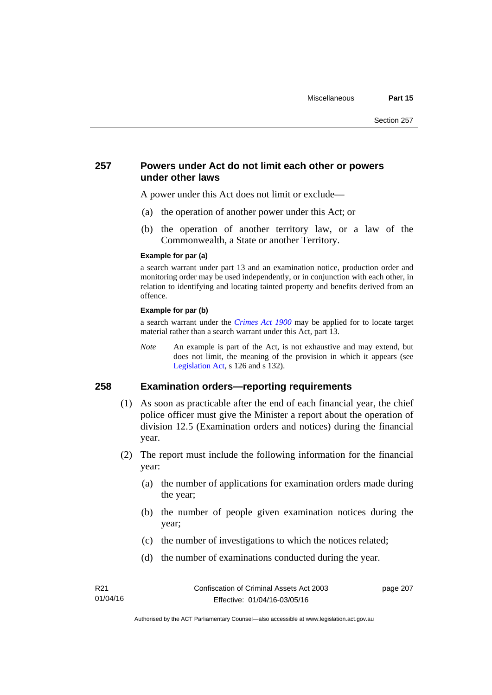## **257 Powers under Act do not limit each other or powers under other laws**

A power under this Act does not limit or exclude—

- (a) the operation of another power under this Act; or
- (b) the operation of another territory law, or a law of the Commonwealth, a State or another Territory.

#### **Example for par (a)**

a search warrant under part 13 and an examination notice, production order and monitoring order may be used independently, or in conjunction with each other, in relation to identifying and locating tainted property and benefits derived from an offence.

## **Example for par (b)**

a search warrant under the *[Crimes Act 1900](http://www.legislation.act.gov.au/a/1900-40)* may be applied for to locate target material rather than a search warrant under this Act, part 13.

*Note* An example is part of the Act, is not exhaustive and may extend, but does not limit, the meaning of the provision in which it appears (see [Legislation Act,](http://www.legislation.act.gov.au/a/2001-14) s 126 and s 132).

## **258 Examination orders—reporting requirements**

- (1) As soon as practicable after the end of each financial year, the chief police officer must give the Minister a report about the operation of division 12.5 (Examination orders and notices) during the financial year.
- (2) The report must include the following information for the financial year:
	- (a) the number of applications for examination orders made during the year;
	- (b) the number of people given examination notices during the year;
	- (c) the number of investigations to which the notices related;
	- (d) the number of examinations conducted during the year.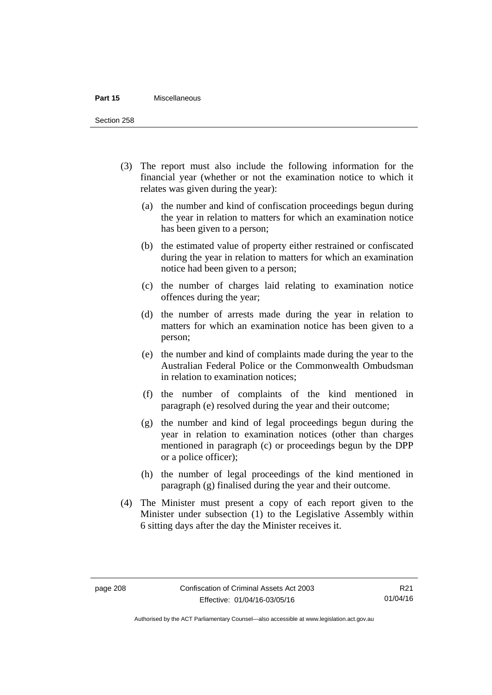#### **Part 15** Miscellaneous

Section 258

- (3) The report must also include the following information for the financial year (whether or not the examination notice to which it relates was given during the year):
	- (a) the number and kind of confiscation proceedings begun during the year in relation to matters for which an examination notice has been given to a person;
	- (b) the estimated value of property either restrained or confiscated during the year in relation to matters for which an examination notice had been given to a person;
	- (c) the number of charges laid relating to examination notice offences during the year;
	- (d) the number of arrests made during the year in relation to matters for which an examination notice has been given to a person;
	- (e) the number and kind of complaints made during the year to the Australian Federal Police or the Commonwealth Ombudsman in relation to examination notices;
	- (f) the number of complaints of the kind mentioned in paragraph (e) resolved during the year and their outcome;
	- (g) the number and kind of legal proceedings begun during the year in relation to examination notices (other than charges mentioned in paragraph (c) or proceedings begun by the DPP or a police officer);
	- (h) the number of legal proceedings of the kind mentioned in paragraph (g) finalised during the year and their outcome.
- (4) The Minister must present a copy of each report given to the Minister under subsection (1) to the Legislative Assembly within 6 sitting days after the day the Minister receives it.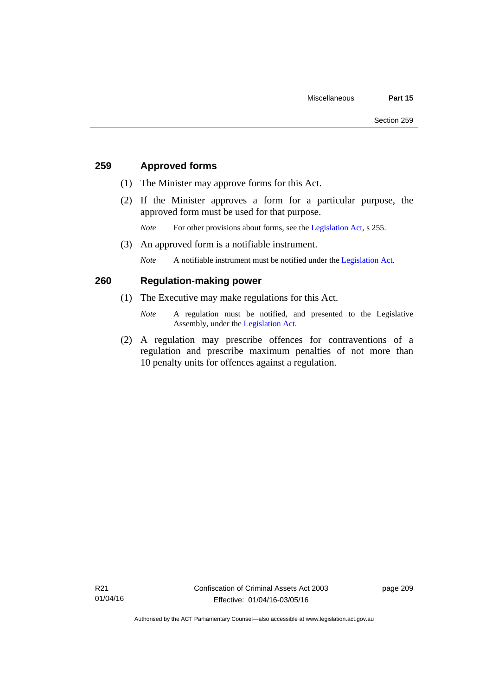## **259 Approved forms**

- (1) The Minister may approve forms for this Act.
- (2) If the Minister approves a form for a particular purpose, the approved form must be used for that purpose.

*Note* For other provisions about forms, see the [Legislation Act,](http://www.legislation.act.gov.au/a/2001-14) s 255.

(3) An approved form is a notifiable instrument.

*Note* A notifiable instrument must be notified under the [Legislation Act](http://www.legislation.act.gov.au/a/2001-14).

## **260 Regulation-making power**

- (1) The Executive may make regulations for this Act.
	- *Note* A regulation must be notified, and presented to the Legislative Assembly, under the [Legislation Act](http://www.legislation.act.gov.au/a/2001-14).
- (2) A regulation may prescribe offences for contraventions of a regulation and prescribe maximum penalties of not more than 10 penalty units for offences against a regulation.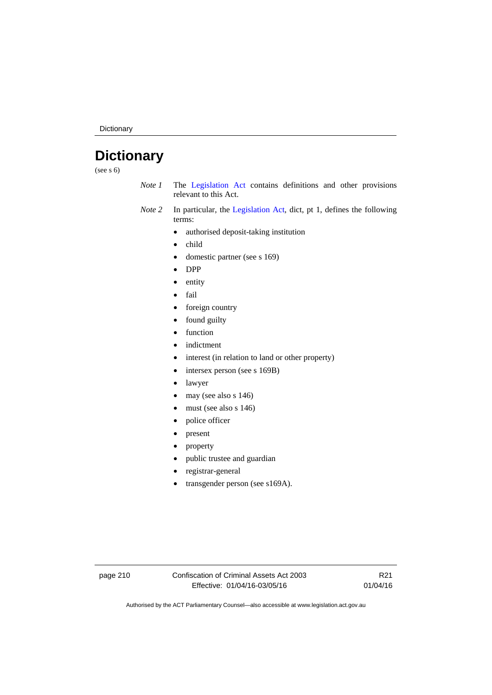Dictionary

# **Dictionary**

(see s 6)

- *Note 1* The [Legislation Act](http://www.legislation.act.gov.au/a/2001-14) contains definitions and other provisions relevant to this Act.
- *Note 2* In particular, the [Legislation Act,](http://www.legislation.act.gov.au/a/2001-14) dict, pt 1, defines the following terms:
	- authorised deposit-taking institution
	- child
	- domestic partner (see s 169)
	- DPP
	- entity
	- fail
	- foreign country
	- found guilty
	- function
	- indictment
	- interest (in relation to land or other property)
	- intersex person (see s 169B)
	- lawyer
	- $\bullet$  may (see also s 146)
	- must (see also s 146)
	- police officer
	- present
	- property
	- public trustee and guardian
	- registrar-general
	- transgender person (see s169A).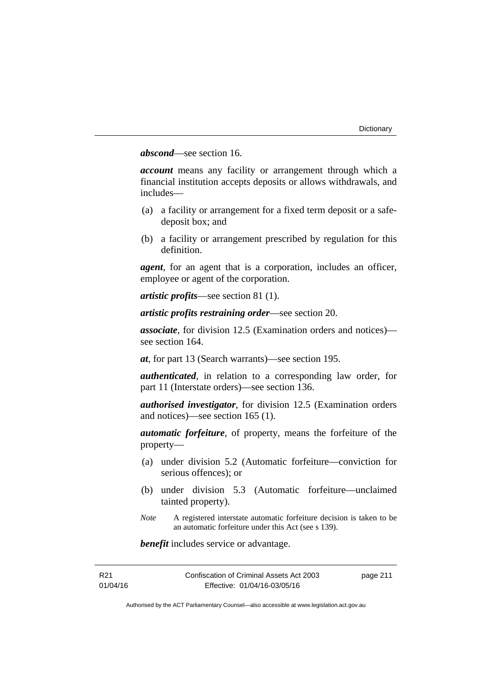## *abscond*—see section 16.

*account* means any facility or arrangement through which a financial institution accepts deposits or allows withdrawals, and includes—

- (a) a facility or arrangement for a fixed term deposit or a safedeposit box; and
- (b) a facility or arrangement prescribed by regulation for this definition.

*agent*, for an agent that is a corporation, includes an officer, employee or agent of the corporation.

*artistic profits*—see section 81 (1).

*artistic profits restraining order*—see section 20.

*associate*, for division 12.5 (Examination orders and notices) see section 164.

*at*, for part 13 (Search warrants)—see section 195.

*authenticated*, in relation to a corresponding law order, for part 11 (Interstate orders)—see section 136.

*authorised investigator*, for division 12.5 (Examination orders and notices)—see section 165 (1).

*automatic forfeiture*, of property, means the forfeiture of the property—

- (a) under division 5.2 (Automatic forfeiture—conviction for serious offences); or
- (b) under division 5.3 (Automatic forfeiture—unclaimed tainted property).
- *Note* A registered interstate automatic forfeiture decision is taken to be an automatic forfeiture under this Act (see s 139).

*benefit* includes service or advantage.

| R21      | Confiscation of Criminal Assets Act 2003 | page 211 |
|----------|------------------------------------------|----------|
| 01/04/16 | Effective: 01/04/16-03/05/16             |          |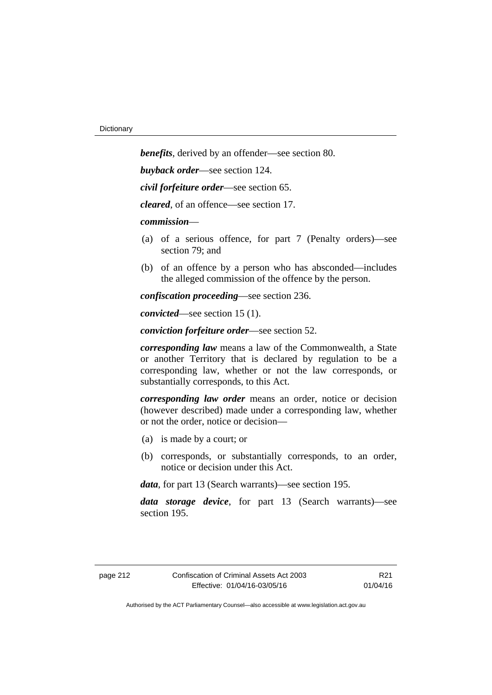*benefits*, derived by an offender—see section 80. *buyback order*—see section 124. *civil forfeiture order*—see section 65. *cleared*, of an offence—see section 17. *commission*— (a) of a serious offence, for part 7 (Penalty orders)—see section 79; and (b) of an offence by a person who has absconded—includes the alleged commission of the offence by the person. *confiscation proceeding*—see section 236.

*convicted*—see section 15 (1).

*conviction forfeiture order*—see section 52.

*corresponding law* means a law of the Commonwealth, a State or another Territory that is declared by regulation to be a corresponding law, whether or not the law corresponds, or substantially corresponds, to this Act.

*corresponding law order* means an order, notice or decision (however described) made under a corresponding law, whether or not the order, notice or decision—

- (a) is made by a court; or
- (b) corresponds, or substantially corresponds, to an order, notice or decision under this Act.

*data*, for part 13 (Search warrants)—see section 195.

*data storage device*, for part 13 (Search warrants)—see section 195.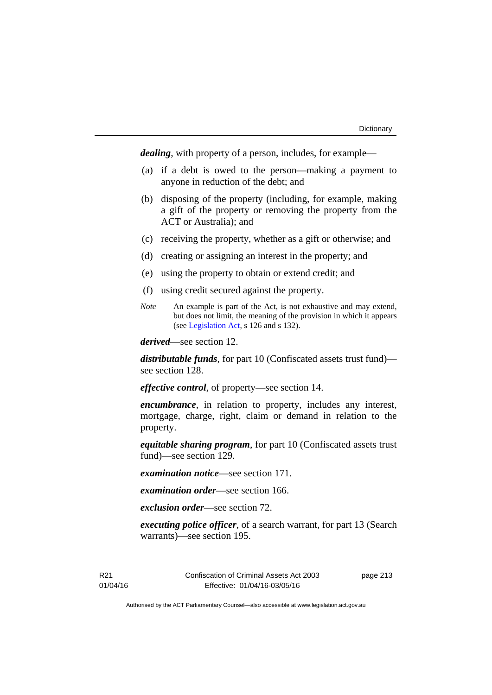*dealing*, with property of a person, includes, for example—

- (a) if a debt is owed to the person—making a payment to anyone in reduction of the debt; and
- (b) disposing of the property (including, for example, making a gift of the property or removing the property from the ACT or Australia); and
- (c) receiving the property, whether as a gift or otherwise; and
- (d) creating or assigning an interest in the property; and
- (e) using the property to obtain or extend credit; and
- (f) using credit secured against the property.
- *Note* An example is part of the Act, is not exhaustive and may extend, but does not limit, the meaning of the provision in which it appears (see [Legislation Act,](http://www.legislation.act.gov.au/a/2001-14) s 126 and s 132).

*derived*—see section 12.

*distributable funds*, for part 10 (Confiscated assets trust fund) see section 128.

*effective control*, of property—see section 14.

*encumbrance*, in relation to property, includes any interest, mortgage, charge, right, claim or demand in relation to the property.

*equitable sharing program*, for part 10 (Confiscated assets trust fund)—see section 129.

*examination notice*—see section 171.

*examination order*—see section 166.

*exclusion order*—see section 72.

*executing police officer*, of a search warrant, for part 13 (Search warrants)—see section 195.

R21 01/04/16 Confiscation of Criminal Assets Act 2003 Effective: 01/04/16-03/05/16

page 213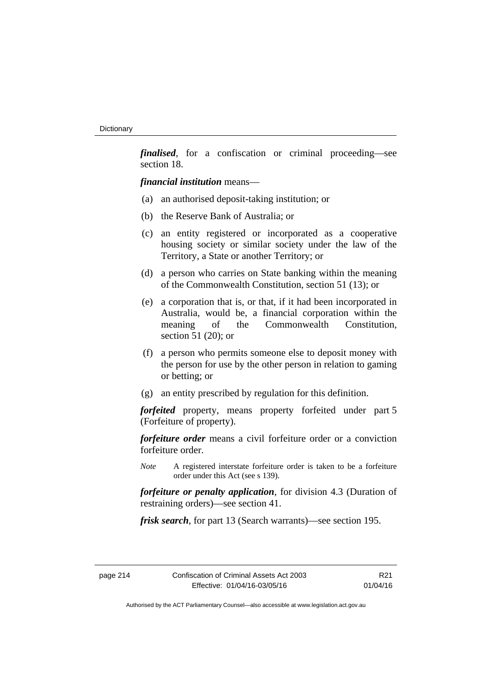*finalised*, for a confiscation or criminal proceeding—see section 18.

*financial institution* means—

- (a) an authorised deposit-taking institution; or
- (b) the Reserve Bank of Australia; or
- (c) an entity registered or incorporated as a cooperative housing society or similar society under the law of the Territory, a State or another Territory; or
- (d) a person who carries on State banking within the meaning of the Commonwealth Constitution, section 51 (13); or
- (e) a corporation that is, or that, if it had been incorporated in Australia, would be, a financial corporation within the meaning of the Commonwealth Constitution, section 51 (20); or
- (f) a person who permits someone else to deposit money with the person for use by the other person in relation to gaming or betting; or
- (g) an entity prescribed by regulation for this definition.

*forfeited* property, means property forfeited under part 5 (Forfeiture of property).

*forfeiture order* means a civil forfeiture order or a conviction forfeiture order.

*Note* A registered interstate forfeiture order is taken to be a forfeiture order under this Act (see s 139).

*forfeiture or penalty application*, for division 4.3 (Duration of restraining orders)—see section 41.

*frisk search*, for part 13 (Search warrants)—see section 195.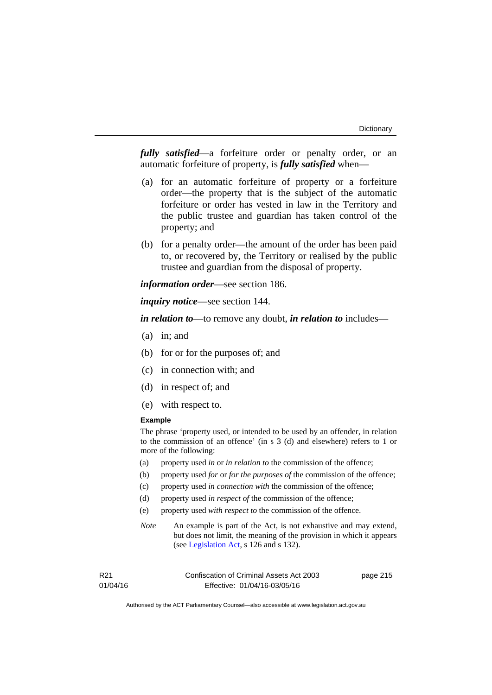*fully satisfied*—a forfeiture order or penalty order, or an automatic forfeiture of property, is *fully satisfied* when—

- (a) for an automatic forfeiture of property or a forfeiture order—the property that is the subject of the automatic forfeiture or order has vested in law in the Territory and the public trustee and guardian has taken control of the property; and
- (b) for a penalty order—the amount of the order has been paid to, or recovered by, the Territory or realised by the public trustee and guardian from the disposal of property.

*information order*—see section 186.

*inquiry notice*—see section 144.

*in relation to*—to remove any doubt, *in relation to* includes—

- (a) in; and
- (b) for or for the purposes of; and
- (c) in connection with; and
- (d) in respect of; and
- (e) with respect to.

## **Example**

The phrase 'property used, or intended to be used by an offender, in relation to the commission of an offence' (in s 3 (d) and elsewhere) refers to 1 or more of the following:

- (a) property used *in* or *in relation to* the commission of the offence;
- (b) property used *for* or *for the purposes of* the commission of the offence;
- (c) property used *in connection with* the commission of the offence;
- (d) property used *in respect of* the commission of the offence;
- (e) property used *with respect to* the commission of the offence.
- *Note* An example is part of the Act, is not exhaustive and may extend, but does not limit, the meaning of the provision in which it appears (see [Legislation Act,](http://www.legislation.act.gov.au/a/2001-14) s 126 and s 132).

| R21      | Confiscation of Criminal Assets Act 2003 | page 215 |
|----------|------------------------------------------|----------|
| 01/04/16 | Effective: 01/04/16-03/05/16             |          |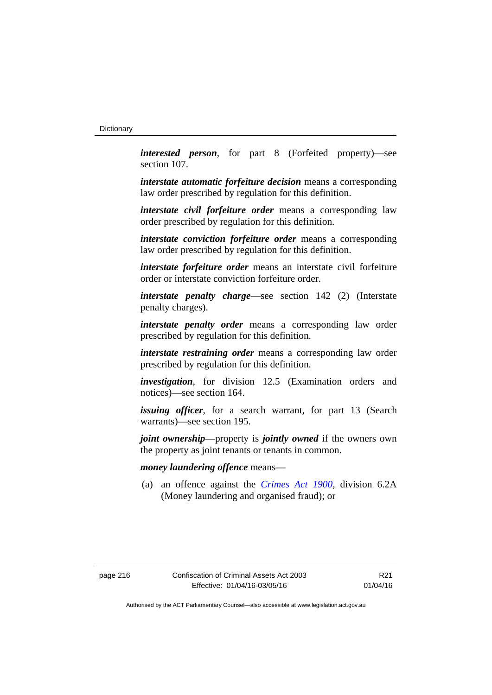*interested person*, for part 8 (Forfeited property)—see section 107.

*interstate automatic forfeiture decision* means a corresponding law order prescribed by regulation for this definition.

*interstate civil forfeiture order* means a corresponding law order prescribed by regulation for this definition.

*interstate conviction forfeiture order* means a corresponding law order prescribed by regulation for this definition.

*interstate forfeiture order* means an interstate civil forfeiture order or interstate conviction forfeiture order.

*interstate penalty charge*—see section 142 (2) (Interstate penalty charges).

*interstate penalty order* means a corresponding law order prescribed by regulation for this definition.

*interstate restraining order* means a corresponding law order prescribed by regulation for this definition.

*investigation*, for division 12.5 (Examination orders and notices)—see section 164.

*issuing officer*, for a search warrant, for part 13 (Search warrants)—see section 195.

*joint ownership*—property is *jointly owned* if the owners own the property as joint tenants or tenants in common.

## *money laundering offence* means—

 (a) an offence against the *[Crimes Act 1900](http://www.legislation.act.gov.au/a/1900-40)*, division 6.2A (Money laundering and organised fraud); or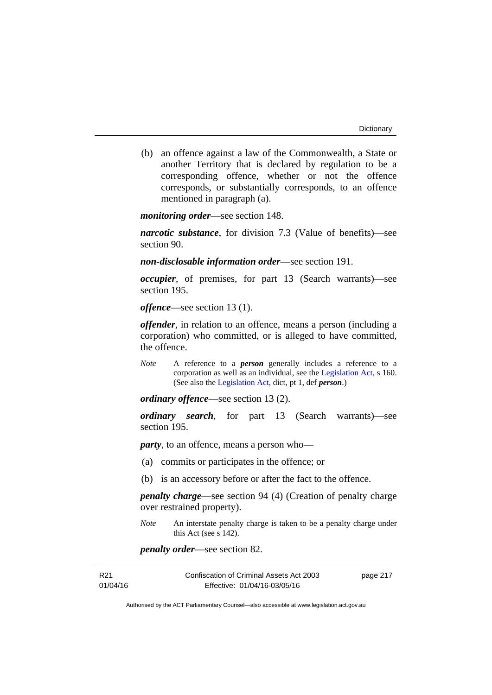(b) an offence against a law of the Commonwealth, a State or another Territory that is declared by regulation to be a corresponding offence, whether or not the offence corresponds, or substantially corresponds, to an offence mentioned in paragraph (a).

*monitoring order*—see section 148.

*narcotic substance*, for division 7.3 (Value of benefits)—see section 90.

*non-disclosable information order*—see section 191.

*occupier*, of premises, for part 13 (Search warrants)—see section 195.

*offence*—see section 13 (1).

*offender*, in relation to an offence, means a person (including a corporation) who committed, or is alleged to have committed, the offence.

*Note* A reference to a *person* generally includes a reference to a corporation as well as an individual, see the [Legislation Act](http://www.legislation.act.gov.au/a/2001-14), s 160. (See also the [Legislation Act,](http://www.legislation.act.gov.au/a/2001-14) dict, pt 1, def *person*.)

*ordinary offence*—see section 13 (2).

*ordinary search*, for part 13 (Search warrants)—see section 195.

*party*, to an offence, means a person who—

- (a) commits or participates in the offence; or
- (b) is an accessory before or after the fact to the offence.

*penalty charge*—see section 94 (4) (Creation of penalty charge over restrained property).

*Note* An interstate penalty charge is taken to be a penalty charge under this Act (see s 142).

*penalty order*—see section 82.

| R21      | Confiscation of Criminal Assets Act 2003 | page 217 |
|----------|------------------------------------------|----------|
| 01/04/16 | Effective: 01/04/16-03/05/16             |          |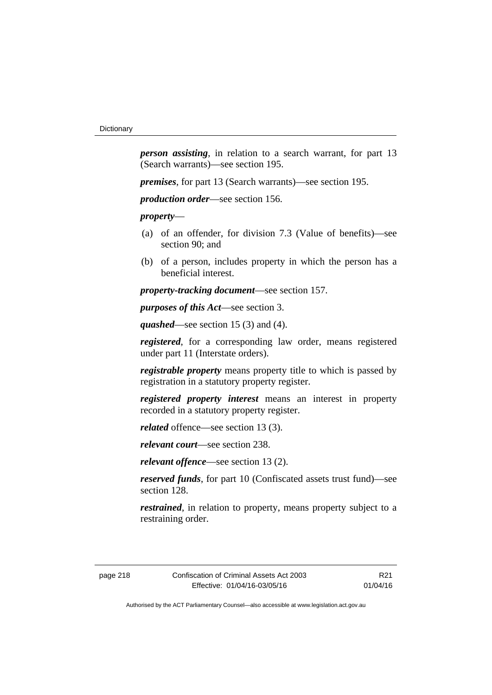*person assisting*, in relation to a search warrant, for part 13 (Search warrants)—see section 195.

*premises*, for part 13 (Search warrants)—see section 195.

*production order*—see section 156.

*property*—

- (a) of an offender, for division 7.3 (Value of benefits)—see section 90; and
- (b) of a person, includes property in which the person has a beneficial interest.

*property-tracking document*—see section 157.

*purposes of this Act*—see section 3.

*quashed*—see section 15 (3) and (4).

*registered*, for a corresponding law order, means registered under part 11 (Interstate orders).

*registrable property* means property title to which is passed by registration in a statutory property register.

*registered property interest* means an interest in property recorded in a statutory property register.

*related* offence—see section 13 (3).

*relevant court*—see section 238.

*relevant offence*—see section 13 (2).

*reserved funds*, for part 10 (Confiscated assets trust fund)—see section 128.

*restrained*, in relation to property, means property subject to a restraining order.

page 218 Confiscation of Criminal Assets Act 2003 Effective: 01/04/16-03/05/16

R21 01/04/16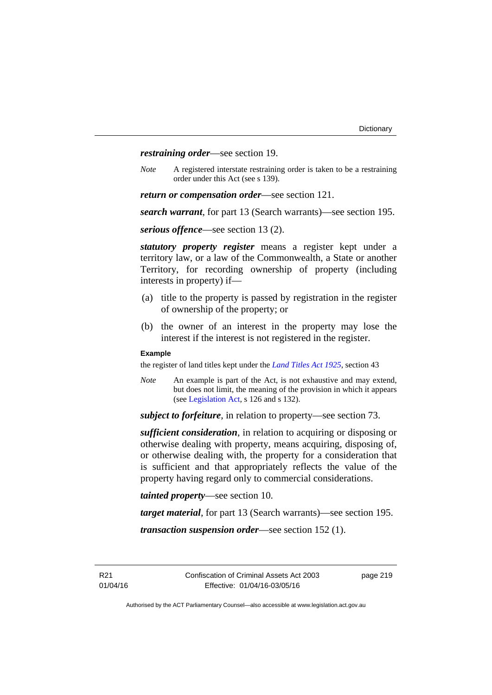*restraining order*—see section 19.

*Note* A registered interstate restraining order is taken to be a restraining order under this Act (see s 139).

*return or compensation order*—see section 121.

*search warrant*, for part 13 (Search warrants)—see section 195.

*serious offence*—see section 13 (2).

*statutory property register* means a register kept under a territory law, or a law of the Commonwealth, a State or another Territory, for recording ownership of property (including interests in property) if—

- (a) title to the property is passed by registration in the register of ownership of the property; or
- (b) the owner of an interest in the property may lose the interest if the interest is not registered in the register.

#### **Example**

the register of land titles kept under the *[Land Titles Act 1925](http://www.legislation.act.gov.au/a/1925-1)*, section 43

*Note* An example is part of the Act, is not exhaustive and may extend, but does not limit, the meaning of the provision in which it appears (see [Legislation Act,](http://www.legislation.act.gov.au/a/2001-14) s 126 and s 132).

*subject to forfeiture*, in relation to property—see section 73.

*sufficient consideration*, in relation to acquiring or disposing or otherwise dealing with property, means acquiring, disposing of, or otherwise dealing with, the property for a consideration that is sufficient and that appropriately reflects the value of the property having regard only to commercial considerations.

*tainted property*—see section 10.

*target material*, for part 13 (Search warrants)—see section 195.

*transaction suspension order*—see section 152 (1).

R21 01/04/16 page 219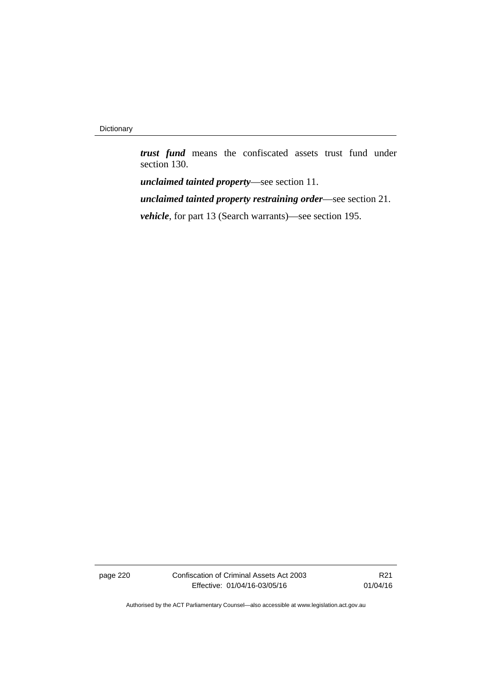*trust fund* means the confiscated assets trust fund under section 130.

*unclaimed tainted property*—see section 11.

*unclaimed tainted property restraining order*—see section 21.

*vehicle*, for part 13 (Search warrants)—see section 195.

page 220 Confiscation of Criminal Assets Act 2003 Effective: 01/04/16-03/05/16

R21 01/04/16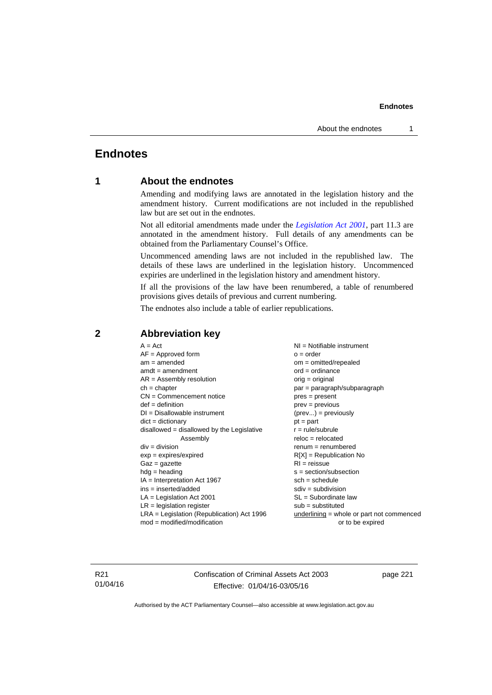## **Endnotes**

## **1 About the endnotes**

Amending and modifying laws are annotated in the legislation history and the amendment history. Current modifications are not included in the republished law but are set out in the endnotes.

Not all editorial amendments made under the *[Legislation Act 2001](http://www.legislation.act.gov.au/a/2001-14)*, part 11.3 are annotated in the amendment history. Full details of any amendments can be obtained from the Parliamentary Counsel's Office.

Uncommenced amending laws are not included in the republished law. The details of these laws are underlined in the legislation history. Uncommenced expiries are underlined in the legislation history and amendment history.

If all the provisions of the law have been renumbered, a table of renumbered provisions gives details of previous and current numbering.

The endnotes also include a table of earlier republications.

| $A = Act$                                    | NI = Notifiable instrument                |
|----------------------------------------------|-------------------------------------------|
| $AF =$ Approved form                         | $o = order$                               |
| $am = amended$                               | $om = omitted/repealed$                   |
| $amdt = amendment$                           | $ord = ordinance$                         |
| $AR = Assembly resolution$                   | $orig = original$                         |
| $ch = chapter$                               | par = paragraph/subparagraph              |
| $CN =$ Commencement notice                   | $pres = present$                          |
| $def = definition$                           | $prev = previous$                         |
| $DI = Disallowable instrument$               | $(\text{prev}) = \text{previously}$       |
| $dict = dictionary$                          | $pt = part$                               |
| disallowed = disallowed by the Legislative   | $r = rule/subrule$                        |
| Assembly                                     | $reloc = relocated$                       |
| $div = division$                             | $remum = renumbered$                      |
| $exp = expires/expired$                      | $R[X]$ = Republication No                 |
| $Gaz = gazette$                              | $RI = reissue$                            |
| $h dq =$ heading                             | $s = section/subsection$                  |
| $IA = Interpretation Act 1967$               | $sch = schedule$                          |
| $ins = inserted/added$                       | $sdiv = subdivision$                      |
| $LA =$ Legislation Act 2001                  | $SL = Subordinate$ law                    |
| $LR =$ legislation register                  | $sub =$ substituted                       |
|                                              |                                           |
| $LRA =$ Legislation (Republication) Act 1996 | underlining = whole or part not commenced |
| $mod = modified/modification$                | or to be expired                          |
|                                              |                                           |

## **2 Abbreviation key**

R21 01/04/16 Confiscation of Criminal Assets Act 2003 Effective: 01/04/16-03/05/16

page 221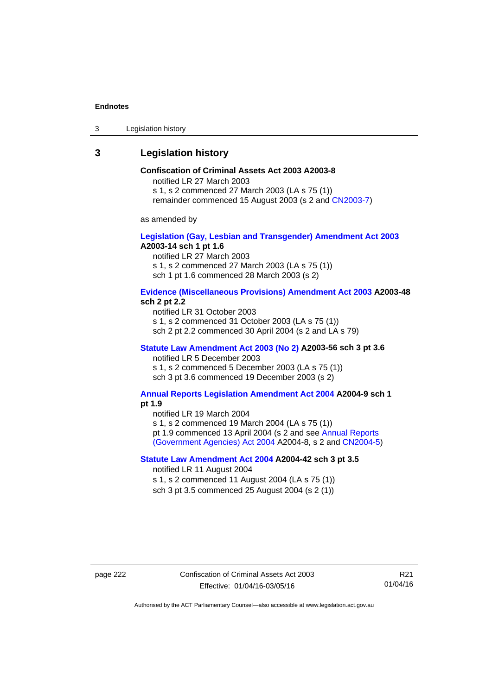3 Legislation history

## **3 Legislation history**

## **Confiscation of Criminal Assets Act 2003 A2003-8**

notified LR 27 March 2003 s 1, s 2 commenced 27 March 2003 (LA s 75 (1))

remainder commenced 15 August 2003 (s 2 and [CN2003-7](http://www.legislation.act.gov.au/cn/2003-7/default.asp))

as amended by

## **[Legislation \(Gay, Lesbian and Transgender\) Amendment Act 2003](http://www.legislation.act.gov.au/a/2003-14) A2003-14 sch 1 pt 1.6**

notified LR 27 March 2003 s 1, s 2 commenced 27 March 2003 (LA s 75 (1)) sch 1 pt 1.6 commenced 28 March 2003 (s 2)

## **[Evidence \(Miscellaneous Provisions\) Amendment Act 2003](http://www.legislation.act.gov.au/a/2003-48) A2003-48 sch 2 pt 2.2**

notified LR 31 October 2003 s 1, s 2 commenced 31 October 2003 (LA s 75 (1)) sch 2 pt 2.2 commenced 30 April 2004 (s 2 and LA s 79)

## **[Statute Law Amendment Act 2003 \(No 2\)](http://www.legislation.act.gov.au/a/2003-56) A2003-56 sch 3 pt 3.6**

notified LR 5 December 2003

s 1, s 2 commenced 5 December 2003 (LA s 75 (1)) sch 3 pt 3.6 commenced 19 December 2003 (s 2)

## **[Annual Reports Legislation Amendment Act 2004](http://www.legislation.act.gov.au/a/2004-9) A2004-9 sch 1 pt 1.9**

notified LR 19 March 2004

s 1, s 2 commenced 19 March 2004 (LA s 75 (1))

pt 1.9 commenced 13 April 2004 (s 2 and see [Annual Reports](http://www.legislation.act.gov.au/a/2004-8) 

[\(Government Agencies\) Act 2004](http://www.legislation.act.gov.au/a/2004-8) A2004-8, s 2 and [CN2004-5](http://www.legislation.act.gov.au/cn/2004-5/default.asp))

## **[Statute Law Amendment Act 2004](http://www.legislation.act.gov.au/a/2004-42) A2004-42 sch 3 pt 3.5**

notified LR 11 August 2004

s 1, s 2 commenced 11 August 2004 (LA s 75 (1)) sch 3 pt 3.5 commenced 25 August 2004 (s 2 (1))

R21 01/04/16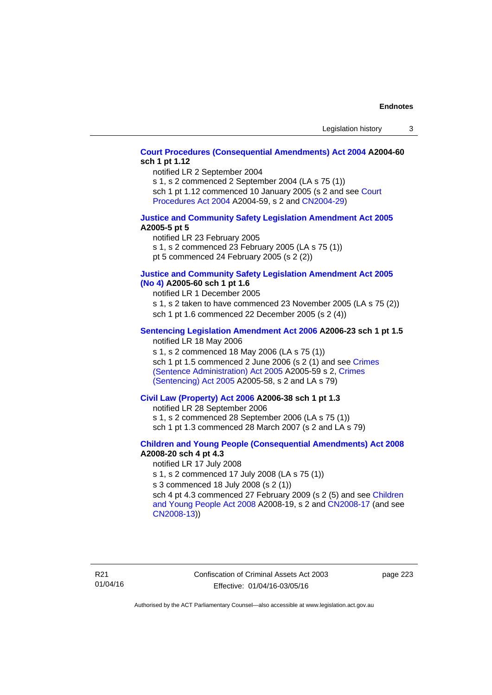## **[Court Procedures \(Consequential Amendments\) Act 2004](http://www.legislation.act.gov.au/a/2004-60) A2004-60 sch 1 pt 1.12**

notified LR 2 September 2004

s 1, s 2 commenced 2 September 2004 (LA s 75 (1))

sch 1 pt 1.12 commenced 10 January 2005 (s 2 and see Court [Procedures Act 2004](http://www.legislation.act.gov.au/a/2004-59) A2004-59, s 2 and [CN2004-29\)](http://www.legislation.act.gov.au/cn/2004-29/default.asp)

## **[Justice and Community Safety Legislation Amendment Act 2005](http://www.legislation.act.gov.au/a/2005-5) A2005-5 pt 5**

notified LR 23 February 2005 s 1, s 2 commenced 23 February 2005 (LA s 75 (1)) pt 5 commenced 24 February 2005 (s 2 (2))

## **[Justice and Community Safety Legislation Amendment Act 2005](http://www.legislation.act.gov.au/a/2005-60)  [\(No 4\)](http://www.legislation.act.gov.au/a/2005-60) A2005-60 sch 1 pt 1.6**

notified LR 1 December 2005 s 1, s 2 taken to have commenced 23 November 2005 (LA s 75 (2)) sch 1 pt 1.6 commenced 22 December 2005 (s 2 (4))

## **[Sentencing Legislation Amendment Act 2006](http://www.legislation.act.gov.au/a/2006-23) A2006-23 sch 1 pt 1.5**

notified LR 18 May 2006

s 1, s 2 commenced 18 May 2006 (LA s 75 (1)) sch 1 pt 1.5 commenced 2 June 2006 (s 2 (1) and see [Crimes](http://www.legislation.act.gov.au/a/2005-59)  [\(Sentence Administration\) Act 2005](http://www.legislation.act.gov.au/a/2005-59) A2005-59 s 2, [Crimes](http://www.legislation.act.gov.au/a/2005-58)  [\(Sentencing\) Act 2005](http://www.legislation.act.gov.au/a/2005-58) A2005-58, s 2 and LA s 79)

## **[Civil Law \(Property\) Act 2006](http://www.legislation.act.gov.au/a/2006-38) A2006-38 sch 1 pt 1.3**

notified LR 28 September 2006

s 1, s 2 commenced 28 September 2006 (LA s 75 (1))

sch 1 pt 1.3 commenced 28 March 2007 (s 2 and LA s 79)

## **[Children and Young People \(Consequential Amendments\) Act 2008](http://www.legislation.act.gov.au/a/2008-20) A2008-20 sch 4 pt 4.3**

notified LR 17 July 2008

s 1, s 2 commenced 17 July 2008 (LA s 75 (1))

s 3 commenced 18 July 2008 (s 2 (1))

sch 4 pt 4.3 commenced 27 February 2009 (s 2 (5) and see [Children](http://www.legislation.act.gov.au/a/2008-19)  [and Young People Act 2008](http://www.legislation.act.gov.au/a/2008-19) A2008-19, s 2 and [CN2008-17 \(](http://www.legislation.act.gov.au/cn/2008-17/default.asp)and see [CN2008-13](http://www.legislation.act.gov.au/cn/2008-13/default.asp)))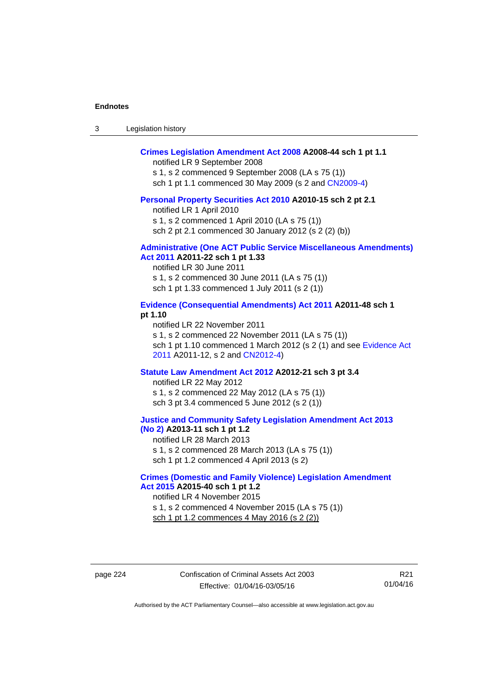| -3 | Legislation history |  |
|----|---------------------|--|
|----|---------------------|--|

## **[Crimes Legislation Amendment Act 2008](http://www.legislation.act.gov.au/a/2008-44) A2008-44 sch 1 pt 1.1**

notified LR 9 September 2008

s 1, s 2 commenced 9 September 2008 (LA s 75 (1))

sch 1 pt 1.1 commenced 30 May 2009 (s 2 and [CN2009-4\)](http://www.legislation.act.gov.au/cn/2009-4/default.asp)

#### **[Personal Property Securities Act 2010](http://www.legislation.act.gov.au/a/2010-15) A2010-15 sch 2 pt 2.1**

notified LR 1 April 2010 s 1, s 2 commenced 1 April 2010 (LA s 75 (1))

sch 2 pt 2.1 commenced 30 January 2012 (s 2 (2) (b))

#### **[Administrative \(One ACT Public Service Miscellaneous Amendments\)](http://www.legislation.act.gov.au/a/2011-22)  [Act 2011](http://www.legislation.act.gov.au/a/2011-22) A2011-22 sch 1 pt 1.33**

notified LR 30 June 2011 s 1, s 2 commenced 30 June 2011 (LA s 75 (1)) sch 1 pt 1.33 commenced 1 July 2011 (s 2 (1))

## **[Evidence \(Consequential Amendments\) Act 2011](http://www.legislation.act.gov.au/a/2011-48) A2011-48 sch 1 pt 1.10**

notified LR 22 November 2011 s 1, s 2 commenced 22 November 2011 (LA s 75 (1)) sch 1 pt 1.10 commenced 1 March 2012 (s 2 (1) and see [Evidence Act](http://www.legislation.act.gov.au/a/2011-12)  [2011](http://www.legislation.act.gov.au/a/2011-12) A2011-12, s 2 and [CN2012-4](http://www.legislation.act.gov.au/cn/2012-4/default.asp))

#### **[Statute Law Amendment Act 2012](http://www.legislation.act.gov.au/a/2012-21) A2012-21 sch 3 pt 3.4**

notified LR 22 May 2012 s 1, s 2 commenced 22 May 2012 (LA s 75 (1)) sch 3 pt 3.4 commenced 5 June 2012 (s 2 (1))

### **[Justice and Community Safety Legislation Amendment Act 2013](http://www.legislation.act.gov.au/a/2013-11)  [\(No 2\)](http://www.legislation.act.gov.au/a/2013-11) A2013-11 sch 1 pt 1.2**

notified LR 28 March 2013 s 1, s 2 commenced 28 March 2013 (LA s 75 (1)) sch 1 pt 1.2 commenced 4 April 2013 (s 2)

#### **[Crimes \(Domestic and Family Violence\) Legislation Amendment](http://www.legislation.act.gov.au/a/2015-40)  [Act 2015](http://www.legislation.act.gov.au/a/2015-40) A2015-40 sch 1 pt 1.2**

notified LR 4 November 2015 s 1, s 2 commenced 4 November 2015 (LA s 75 (1)) sch 1 pt 1.2 commences 4 May 2016 (s 2 (2))

page 224 Confiscation of Criminal Assets Act 2003 Effective: 01/04/16-03/05/16

R21 01/04/16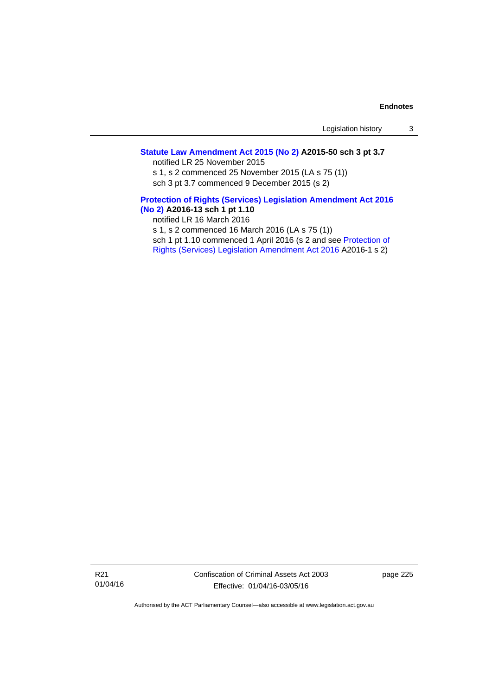## **[Statute Law Amendment Act 2015 \(No 2\)](http://www.legislation.act.gov.au/a/2015-50) A2015-50 sch 3 pt 3.7**

notified LR 25 November 2015 s 1, s 2 commenced 25 November 2015 (LA s 75 (1))

sch 3 pt 3.7 commenced 9 December 2015 (s 2)

## **[Protection of Rights \(Services\) Legislation Amendment Act 2016](http://www.legislation.act.gov.au/a/2016-13)  [\(No 2\)](http://www.legislation.act.gov.au/a/2016-13) A2016-13 sch 1 pt 1.10**

notified LR 16 March 2016 s 1, s 2 commenced 16 March 2016 (LA s 75 (1)) sch 1 pt 1.10 commenced 1 April 2016 (s 2 and see [Protection of](http://www.legislation.act.gov.au/a/2016-1/default.asp)  [Rights \(Services\) Legislation Amendment Act 2016](http://www.legislation.act.gov.au/a/2016-1/default.asp) A2016-1 s 2)

R21 01/04/16 Confiscation of Criminal Assets Act 2003 Effective: 01/04/16-03/05/16

page 225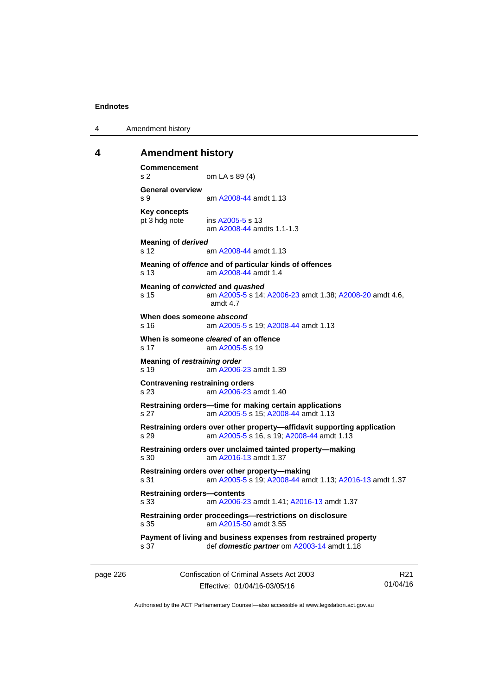4 Amendment history

## **4 Amendment history**

```
Commencement 
s 2 om LA s 89 (4) 
General overview 
s 9 am A2008-44 amdt 1.13
Key concepts 
pt 3 hdg note ins A2005-5 s 13 
                am A2008-44 amdts 1.1-1.3
Meaning of derived 
s 12 am A2008-44 amdt 1.13
Meaning of offence and of particular kinds of offences 
s 13 am A2008-44 amdt 1.4
Meaning of convicted and quashed
s 15 am A2005-5 s 14; A2006-23 amdt 1.38; A2008-20 amdt 4.6, 
                amdt 4.7 
When does someone abscond
s 16 am A2005-5 s 19; A2008-44 amdt 1.13
When is someone cleared of an offence 
 A2005-5 s 19
Meaning of restraining order 
s 19  A2006-23 amdt 1.39
Contravening restraining orders 
s 23 am A2006-23 amdt 1.40
Restraining orders—time for making certain applications 
s 27 am A2005-5 s 15; A2008-44 amdt 1.13
Restraining orders over other property—affidavit supporting application 
s 29 am A2005-5 s 16, s 19; A2008-44 amdt 1.13 
Restraining orders over unclaimed tainted property—making 
s 30 am A2016-13 amdt 1.37
Restraining orders over other property—making 
s 31 am A2005-5 s 19; A2008-44 amdt 1.13; A2016-13 amdt 1.37 
Restraining orders—contents 
s 33 am A2006-23 amdt 1.41; A2016-13 amdt 1.37 
Restraining order proceedings—restrictions on disclosure 
s 35 am A2015-50 amdt 3.55
Payment of living and business expenses from restrained property 
s 37 def domestic partner om A2003-14 amdt 1.18
```
page 226 Confiscation of Criminal Assets Act 2003 Effective: 01/04/16-03/05/16

R21 01/04/16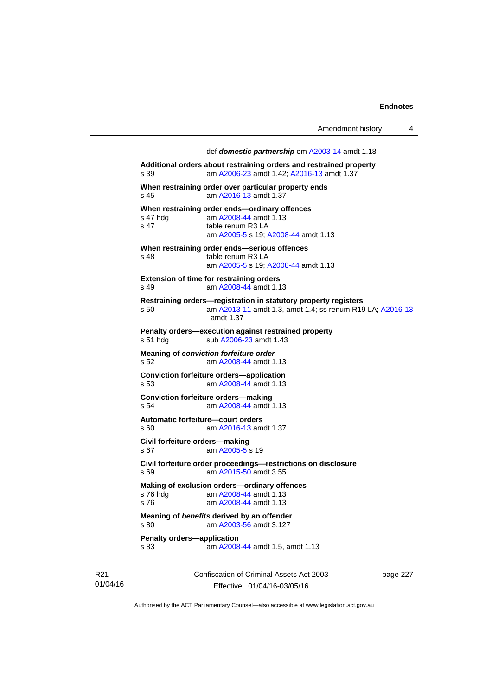| Amendment history |  |
|-------------------|--|
|-------------------|--|

 def *domestic partnership* om [A2003-14](http://www.legislation.act.gov.au/a/2003-14) amdt 1.18 **Additional orders about restraining orders and restrained property**  s 39 am [A2006-23](http://www.legislation.act.gov.au/a/2006-23) amdt 1.42; [A2016-13](http://www.legislation.act.gov.au/a/2016-13) amdt 1.37 **When restraining order over particular property ends**  s 45 am [A2016-13](http://www.legislation.act.gov.au/a/2016-13) amdt 1.37 **When restraining order ends—ordinary offences**  s 47 hdg am [A2008-44](http://www.legislation.act.gov.au/a/2008-44) amdt 1.13 s 47 table renum R3 LA am [A2005-5](http://www.legislation.act.gov.au/a/2005-5) s 19; [A2008-44](http://www.legislation.act.gov.au/a/2008-44) amdt 1.13 **When restraining order ends—serious offences**  s 48 table renum R3 LA am [A2005-5](http://www.legislation.act.gov.au/a/2005-5) s 19; [A2008-44](http://www.legislation.act.gov.au/a/2008-44) amdt 1.13 **Extension of time for restraining orders**  s 49 am [A2008-44](http://www.legislation.act.gov.au/a/2008-44) amdt 1.13 **Restraining orders—registration in statutory property registers**  s 50 am [A2013-11](http://www.legislation.act.gov.au/a/2013-11) amdt 1.3, amdt 1.4; ss renum R19 LA; [A2016-13](http://www.legislation.act.gov.au/a/2016-13) amdt 1.37 **Penalty orders—execution against restrained property**  s 51 hdg sub [A2006-23](http://www.legislation.act.gov.au/a/2006-23) amdt 1.43 **Meaning of** *conviction forfeiture order*  s 52 am [A2008-44](http://www.legislation.act.gov.au/a/2008-44) amdt 1.13 **Conviction forfeiture orders—application** s 53 am [A2008-44](http://www.legislation.act.gov.au/a/2008-44) amdt 1.13 **Conviction forfeiture orders—making** s 54 am [A2008-44](http://www.legislation.act.gov.au/a/2008-44) amdt 1.13 **Automatic forfeiture—court orders**  s 60 am [A2016-13](http://www.legislation.act.gov.au/a/2016-13) amdt 1.37 **Civil forfeiture orders—making**  s 67 am [A2005-5](http://www.legislation.act.gov.au/a/2005-5) s 19 **Civil forfeiture order proceedings—restrictions on disclosure**  s 69 am [A2015-50](http://www.legislation.act.gov.au/a/2015-50) amdt 3.55 **Making of exclusion orders—ordinary offences**  am [A2008-44](http://www.legislation.act.gov.au/a/2008-44) amdt 1.13 s 76 am [A2008-44](http://www.legislation.act.gov.au/a/2008-44) amdt 1.13 **Meaning of** *benefits* **derived by an offender**  s 80 am [A2003-56](http://www.legislation.act.gov.au/a/2003-56) amdt 3.127 **Penalty orders—application**  s 83 am [A2008-44](http://www.legislation.act.gov.au/a/2008-44) amdt 1.5, amdt 1.13

R21 01/04/16 Confiscation of Criminal Assets Act 2003 Effective: 01/04/16-03/05/16

page 227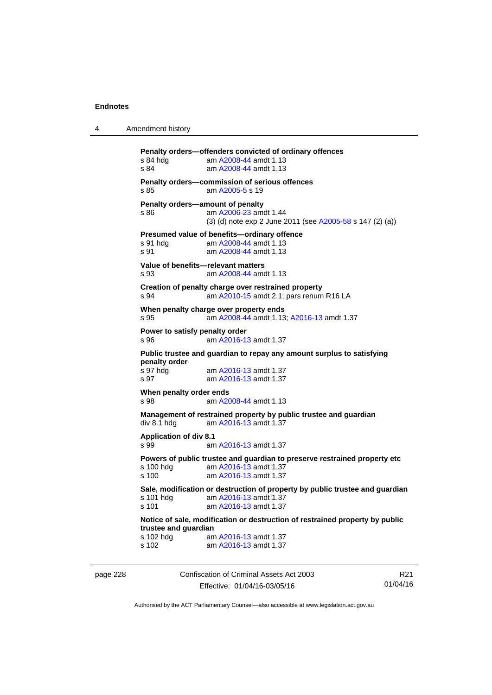```
4 Amendment history
```

```
Penalty orders—offenders convicted of ordinary offences 
s 84 hdg am A2008-44 amdt 1.13
s 84 am A2008-44 amdt 1.13
Penalty orders—commission of serious offences 
 A2005-5 s 19
Penalty orders—amount of penalty 
s 86 am A2006-23 amdt 1.44
                (3) (d) note exp 2 June 2011 (see A2005-58 s 147 (2) (a))
Presumed value of benefits—ordinary offence 
s 91 hdg am A2008-44 amdt 1.13
s 91  A2008-44 amdt 1.13
Value of benefits—relevant matters 
s 93 am A2008-44 amdt 1.13
Creation of penalty charge over restrained property 
s 94 am A2010-15 amdt 2.1; pars renum R16 LA 
When penalty charge over property ends 
s 95 am A2008-44 amdt 1.13; A2016-13 amdt 1.37 
Power to satisfy penalty order 
s 96 am A2016-13 amdt 1.37
Public trustee and guardian to repay any amount surplus to satisfying 
penalty order 
s 97 hdg am A2016-13 amdt 1.37
s 97 am A2016-13 amdt 1.37
When penalty order ends 
s 98  A2008-44 amdt 1.13
Management of restrained property by public trustee and guardian 
div 8.1 hdg am A2016-13 amdt 1.37
Application of div 8.1 
s 99 am A2016-13 amdt 1.37
Powers of public trustee and guardian to preserve restrained property etc 
 A2016-13 amdt 1.37<br>s 100 am A2016-13 amdt 1.37
                 A2016-13 amdt 1.37
Sale, modification or destruction of property by public trustee and guardian 
 A2016-13 amdt 1.37<br>s 101 am A2016-13 amdt 1.37
                 A2016-13 amdt 1.37
Notice of sale, modification or destruction of restrained property by public 
trustee and guardian 
 A2016-13 amdt 1.37
s 102 am A2016-13 amdt 1.37
```
page 228 Confiscation of Criminal Assets Act 2003 Effective: 01/04/16-03/05/16

R21 01/04/16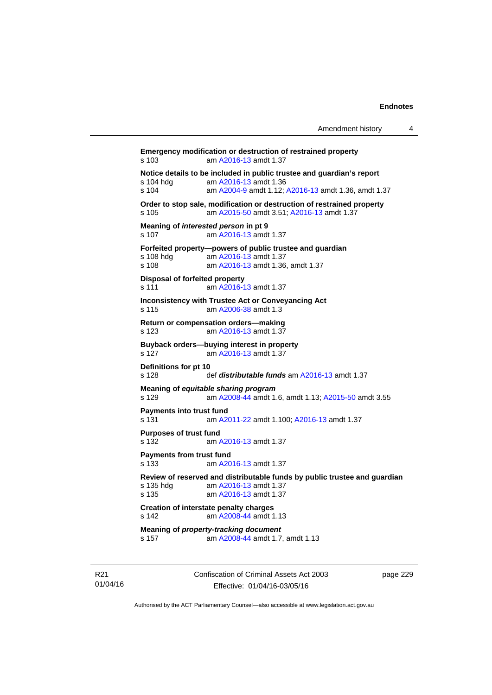| Amendment history |  |
|-------------------|--|
|-------------------|--|

**Emergency modification or destruction of restrained property**  s 103 am [A2016-13](http://www.legislation.act.gov.au/a/2016-13) amdt 1.37 **Notice details to be included in public trustee and guardian's report s 104 hdg am A2016-13 amdt 1.36** am [A2016-13](http://www.legislation.act.gov.au/a/2016-13) amdt 1.36 s 104 am [A2004-9](http://www.legislation.act.gov.au/a/2004-9) amdt 1.12; [A2016-13](http://www.legislation.act.gov.au/a/2016-13) amdt 1.36, amdt 1.37 **Order to stop sale, modification or destruction of restrained property**  s 105 am [A2015-50](http://www.legislation.act.gov.au/a/2015-50) amdt 3.51; [A2016-13](http://www.legislation.act.gov.au/a/2016-13) amdt 1.37 **Meaning of** *interested person* **in pt 9**  s 107 am [A2016-13](http://www.legislation.act.gov.au/a/2016-13) amdt 1.37 **Forfeited property—powers of public trustee and guardian**  s 108 hdg am [A2016-13](http://www.legislation.act.gov.au/a/2016-13) amdt 1.37<br>s 108 am A2016-13 amdt 1.36 am [A2016-13](http://www.legislation.act.gov.au/a/2016-13) amdt 1.36, amdt 1.37 **Disposal of forfeited property**  s 111 am [A2016-13](http://www.legislation.act.gov.au/a/2016-13) amdt 1.37 **Inconsistency with Trustee Act or Conveyancing Act**  s 115 am [A2006-38](http://www.legislation.act.gov.au/a/2006-38) amdt 1.3 **Return or compensation orders—making**  s 123 am [A2016-13](http://www.legislation.act.gov.au/a/2016-13) amdt 1.37 **Buyback orders—buying interest in property**  s 127 am [A2016-13](http://www.legislation.act.gov.au/a/2016-13) amdt 1.37 **Definitions for pt 10**  s 128 def *distributable funds* am [A2016-13](http://www.legislation.act.gov.au/a/2016-13) amdt 1.37 **Meaning of** *equitable sharing program*  s 129 am [A2008-44](http://www.legislation.act.gov.au/a/2008-44) amdt 1.6, amdt 1.13; [A2015-50](http://www.legislation.act.gov.au/a/2015-50) amdt 3.55 **Payments into trust fund**  s 131 am [A2011-22](http://www.legislation.act.gov.au/a/2011-22) amdt 1.100; [A2016-13](http://www.legislation.act.gov.au/a/2016-13) amdt 1.37 **Purposes of trust fund**  s 132 am [A2016-13](http://www.legislation.act.gov.au/a/2016-13) amdt 1.37 **Payments from trust fund**  s 133 am [A2016-13](http://www.legislation.act.gov.au/a/2016-13) amdt 1.37 **Review of reserved and distributable funds by public trustee and guardian**  s 135 hdg am [A2016-13](http://www.legislation.act.gov.au/a/2016-13) amdt 1.37<br>s 135 am A2016-13 amdt 1.37 am [A2016-13](http://www.legislation.act.gov.au/a/2016-13) amdt 1.37 **Creation of interstate penalty charges**  s 142 am [A2008-44](http://www.legislation.act.gov.au/a/2008-44) amdt 1.13 **Meaning of** *property-tracking document*  s 157 am [A2008-44](http://www.legislation.act.gov.au/a/2008-44) amdt 1.7, amdt 1.13

R21 01/04/16 Confiscation of Criminal Assets Act 2003 Effective: 01/04/16-03/05/16

page 229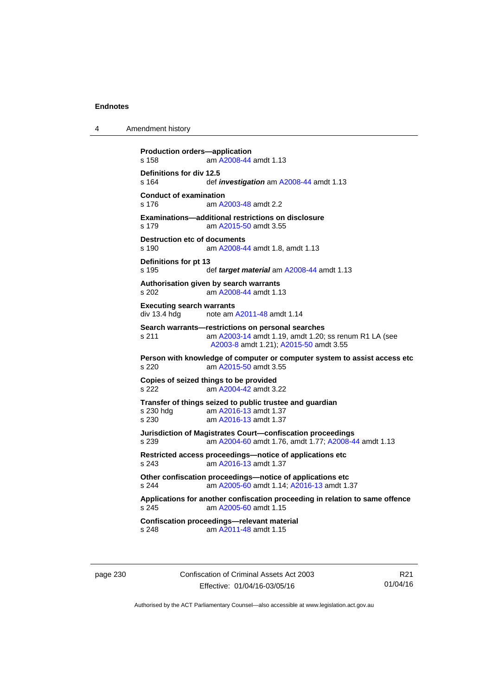4 Amendment history

```
Production orders—application 
s 158 am A2008-44 amdt 1.13
Definitions for div 12.5 
s 164 def investigation am A2008-44 amdt 1.13 
Conduct of examination 
s 176 am A2003-48 amdt 2.2
Examinations—additional restrictions on disclosure 
s 179 am A2015-50 amdt 3.55
Destruction etc of documents
s 190 am A2008-44 amdt 1.8, amdt 1.13
Definitions for pt 13 
s 195 def target material am A2008-44 amdt 1.13 
Authorisation given by search warrants 
s 202 am A2008-44 amdt 1.13
Executing search warrants 
div 13.4 hdg note am A2011-48 amdt 1.14 
Search warrants—restrictions on personal searches 
s 211 am A2003-14 amdt 1.19, amdt 1.20; ss renum R1 LA (see 
                 A2003-8 amdt 1.21); A2015-50 amdt 3.55
Person with knowledge of computer or computer system to assist access etc 
s 220 am A2015-50 amdt 3.55
Copies of seized things to be provided 
s 222 am A2004-42 amdt 3.22
Transfer of things seized to public trustee and guardian 
 A2016-13 amdt 1.37<br>s 230 am A2016-13 amdt 1.37
                 A2016-13 amdt 1.37
Jurisdiction of Magistrates Court—confiscation proceedings 
s 239 am A2004-60 amdt 1.76, amdt 1.77; A2008-44 amdt 1.13 
Restricted access proceedings—notice of applications etc 
s 243 am A2016-13 amdt 1.37
Other confiscation proceedings—notice of applications etc 
s 244 am A2005-60 amdt 1.14; A2016-13 amdt 1.37 
Applications for another confiscation proceeding in relation to same offence 
s 245 am A2005-60 amdt 1.15
Confiscation proceedings—relevant material 
s 248 am A2011-48 amdt 1.15
```
page 230 Confiscation of Criminal Assets Act 2003 Effective: 01/04/16-03/05/16

R21 01/04/16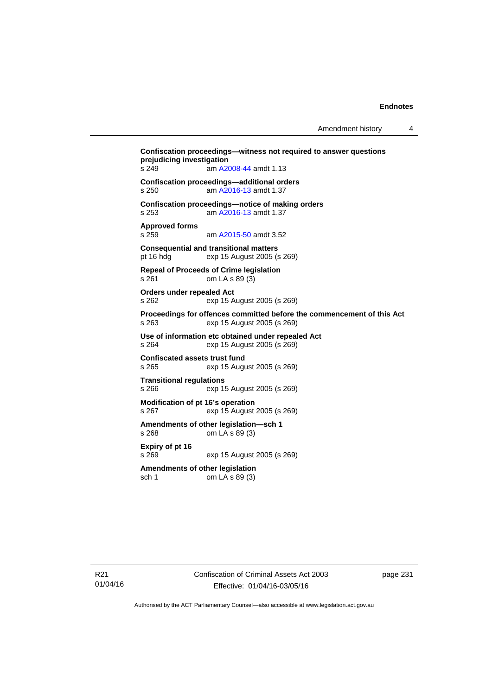**Confiscation proceedings—witness not required to answer questions prejudicing investigation**  s 249 am [A2008-44](http://www.legislation.act.gov.au/a/2008-44) amdt 1.13 **Confiscation proceedings—additional orders**  s 250 am [A2016-13](http://www.legislation.act.gov.au/a/2016-13) amdt 1.37 **Confiscation proceedings—notice of making orders**  s 253 am [A2016-13](http://www.legislation.act.gov.au/a/2016-13) amdt 1.37 **Approved forms**  s 259 am [A2015-50](http://www.legislation.act.gov.au/a/2015-50) amdt 3.52 **Consequential and transitional matters**  pt 16 hdg exp 15 August 2005 (s 269) **Repeal of Proceeds of Crime legislation**  s 261 om LA s 89 (3) **Orders under repealed Act**  s 262 exp 15 August 2005 (s 269) **Proceedings for offences committed before the commencement of this Act**  s 263 exp 15 August 2005 (s 269) **Use of information etc obtained under repealed Act**  s 264 exp 15 August 2005 (s 269) **Confiscated assets trust fund**  exp 15 August 2005 (s 269) **Transitional regulations**  s 266 exp 15 August 2005 (s 269) **Modification of pt 16's operation**<br>s 267 exp 15 August s 267 exp 15 August 2005 (s 269) **Amendments of other legislation—sch 1**  s 268 om LA s 89 (3) **Expiry of pt 16**  s 269 exp 15 August 2005 (s 269) **Amendments of other legislation**  sch 1 om LA s 89 (3)

R21 01/04/16 Confiscation of Criminal Assets Act 2003 Effective: 01/04/16-03/05/16

page 231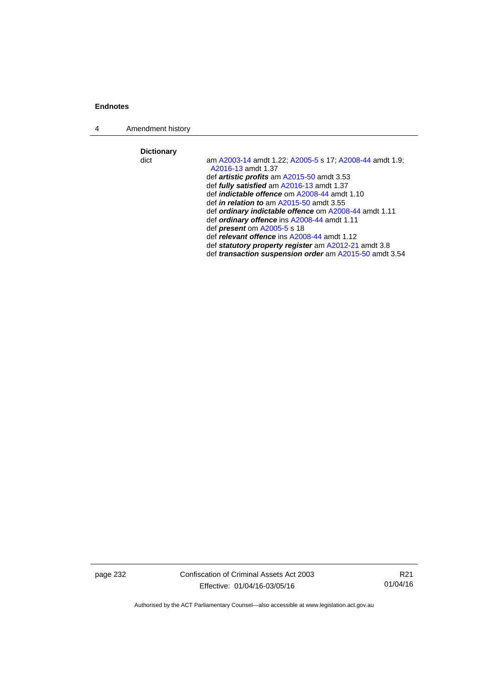4 Amendment history

**Dictionary** 

am [A2003-14](http://www.legislation.act.gov.au/a/2003-14) amdt 1.22; [A2005-5](http://www.legislation.act.gov.au/a/2005-5) s 17; [A2008-44](http://www.legislation.act.gov.au/a/2008-44) amdt 1.9; [A2016-13](http://www.legislation.act.gov.au/a/2016-13) amdt 1.37 def *artistic profits* am [A2015-50](http://www.legislation.act.gov.au/a/2015-50) amdt 3.53 def *fully satisfied* am [A2016-13](http://www.legislation.act.gov.au/a/2016-13) amdt 1.37 def *indictable offence* om [A2008-44](http://www.legislation.act.gov.au/a/2008-44) amdt 1.10 def *in relation to* am [A2015-50](http://www.legislation.act.gov.au/a/2015-50) amdt 3.55 def *ordinary indictable offence* om [A2008-44](http://www.legislation.act.gov.au/a/2008-44) amdt 1.11 def *ordinary offence* ins [A2008-44](http://www.legislation.act.gov.au/a/2008-44) amdt 1.11 def *present* om [A2005-5](http://www.legislation.act.gov.au/a/2005-5) s 18 def *relevant offence* ins [A2008-44](http://www.legislation.act.gov.au/a/2008-44) amdt 1.12 def *statutory property register* am [A2012-21](http://www.legislation.act.gov.au/a/2012-21) amdt 3.8 def *transaction suspension order* am [A2015-50](http://www.legislation.act.gov.au/a/2015-50) amdt 3.54

page 232 Confiscation of Criminal Assets Act 2003 Effective: 01/04/16-03/05/16

R21 01/04/16